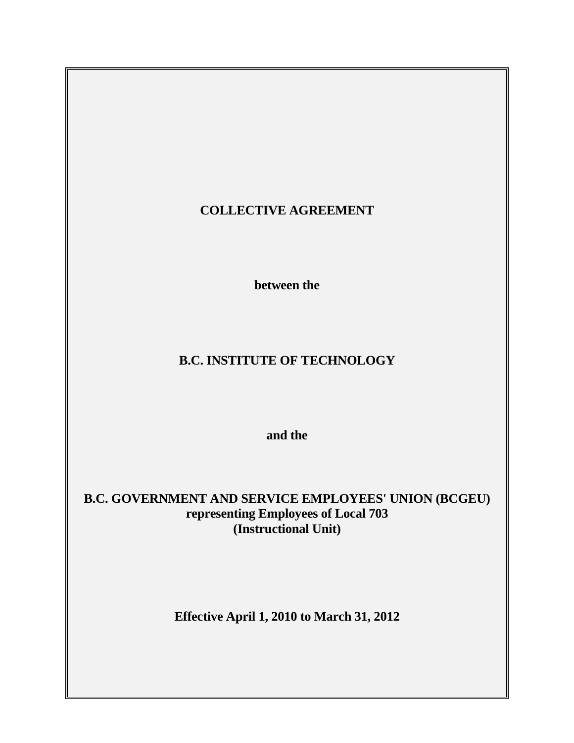# **COLLECTIVE AGREEMENT**

 **between the** 

# **B.C. INSTITUTE OF TECHNOLOGY**

 **and the** 

**B.C. GOVERNMENT AND SERVICE EMPLOYEES' UNION (BCGEU) representing Employees of Local 703 (Instructional Unit)** 

**Effective April 1, 2010 to March 31, 2012**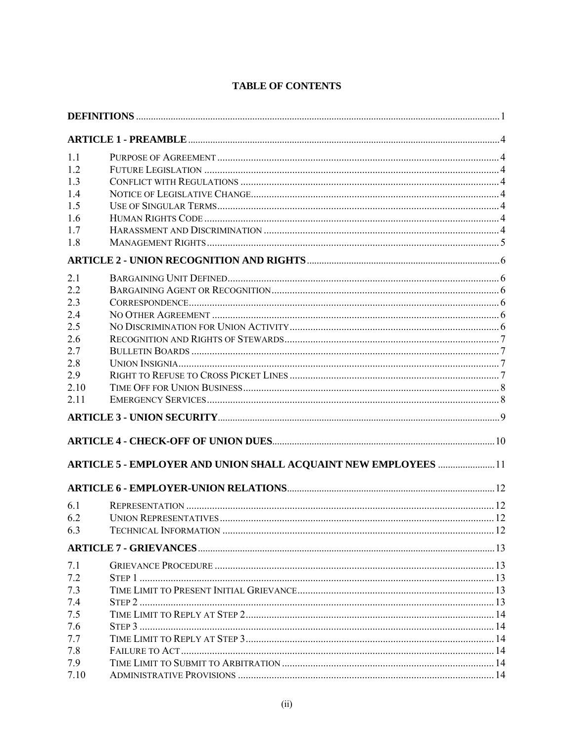| 1.1  |                                                                        |  |
|------|------------------------------------------------------------------------|--|
| 1.2  |                                                                        |  |
| 1.3  |                                                                        |  |
| 1.4  |                                                                        |  |
| 1.5  |                                                                        |  |
| 1.6  |                                                                        |  |
| 1.7  |                                                                        |  |
| 1.8  |                                                                        |  |
|      |                                                                        |  |
| 2.1  |                                                                        |  |
| 2.2  |                                                                        |  |
| 2.3  |                                                                        |  |
| 2.4  |                                                                        |  |
| 2.5  |                                                                        |  |
| 2.6  |                                                                        |  |
| 2.7  |                                                                        |  |
| 2.8  |                                                                        |  |
| 2.9  |                                                                        |  |
| 2.10 |                                                                        |  |
| 2.11 |                                                                        |  |
|      |                                                                        |  |
|      |                                                                        |  |
|      | <b>ARTICLE 5 - EMPLOYER AND UNION SHALL ACQUAINT NEW EMPLOYEES  11</b> |  |
|      |                                                                        |  |
| 6.1  |                                                                        |  |
| 6.2  |                                                                        |  |
| 6.3  | TECHNICAL INFORMATION                                                  |  |
|      |                                                                        |  |
| 7.1  |                                                                        |  |
| 7.2  |                                                                        |  |
| 7.3  |                                                                        |  |
| 7.4  |                                                                        |  |
| 7.5  |                                                                        |  |
| 7.6  |                                                                        |  |
| 7.7  |                                                                        |  |
| 7.8  |                                                                        |  |
| 7.9  |                                                                        |  |
| 7.10 |                                                                        |  |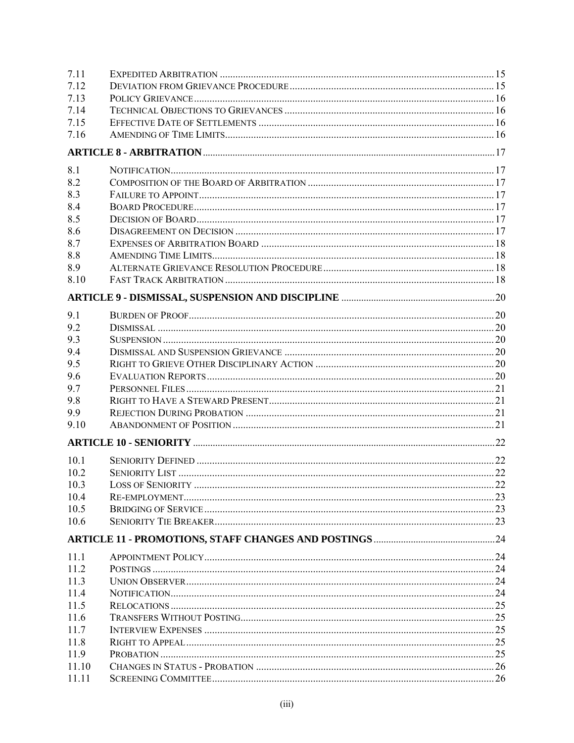| 7.11  |  |
|-------|--|
| 7.12  |  |
| 7.13  |  |
| 7.14  |  |
| 7.15  |  |
| 7.16  |  |
|       |  |
| 8.1   |  |
| 8.2   |  |
| 8.3   |  |
| 8.4   |  |
| 8.5   |  |
| 8.6   |  |
| 8.7   |  |
| 8.8   |  |
| 8.9   |  |
| 8.10  |  |
|       |  |
| 9.1   |  |
| 9.2   |  |
| 9.3   |  |
| 9.4   |  |
| 9.5   |  |
| 9.6   |  |
| 9.7   |  |
| 9.8   |  |
| 9.9   |  |
| 9.10  |  |
|       |  |
| 10.1  |  |
| 10.2  |  |
| 10.3  |  |
| 10.4  |  |
| 10.5  |  |
| 10.6  |  |
|       |  |
|       |  |
| 11.1  |  |
| 11.2  |  |
| 11.3  |  |
| 11.4  |  |
| 11.5  |  |
| 11.6  |  |
| 11.7  |  |
| 11.8  |  |
| 11.9  |  |
| 11.10 |  |
| 11.11 |  |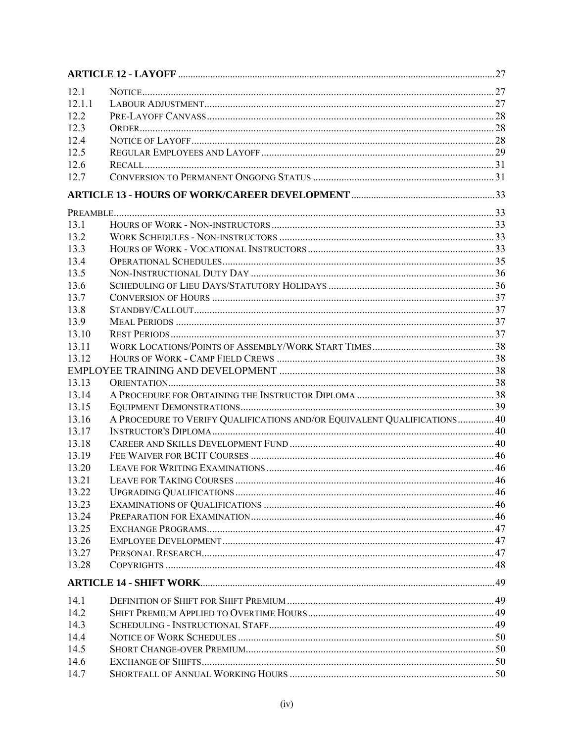| 12.1  |                                                                          |  |
|-------|--------------------------------------------------------------------------|--|
| 1211  |                                                                          |  |
| 12.2  |                                                                          |  |
| 12.3  |                                                                          |  |
| 12.4  |                                                                          |  |
| 12.5  |                                                                          |  |
| 12.6  |                                                                          |  |
| 12.7  |                                                                          |  |
|       |                                                                          |  |
|       |                                                                          |  |
| 13.1  |                                                                          |  |
| 13.2  |                                                                          |  |
| 13.3  |                                                                          |  |
| 13.4  |                                                                          |  |
| 13.5  |                                                                          |  |
| 13.6  |                                                                          |  |
| 13.7  |                                                                          |  |
| 13.8  |                                                                          |  |
| 13.9  |                                                                          |  |
| 13.10 |                                                                          |  |
| 13.11 |                                                                          |  |
| 13.12 |                                                                          |  |
|       |                                                                          |  |
| 13.13 |                                                                          |  |
| 13.14 |                                                                          |  |
| 13.15 |                                                                          |  |
| 13.16 | A PROCEDURE TO VERIFY QUALIFICATIONS AND/OR EQUIVALENT QUALIFICATIONS 40 |  |
| 13.17 |                                                                          |  |
| 13.18 |                                                                          |  |
| 13.19 |                                                                          |  |
| 13 20 |                                                                          |  |
| 13.21 |                                                                          |  |
| 13.22 |                                                                          |  |
| 13.23 |                                                                          |  |
| 13.24 |                                                                          |  |
| 13.25 |                                                                          |  |
| 13.26 |                                                                          |  |
| 13.27 |                                                                          |  |
| 13.28 |                                                                          |  |
|       |                                                                          |  |
|       |                                                                          |  |
| 14.1  |                                                                          |  |
| 14.2  |                                                                          |  |
| 14.3  |                                                                          |  |
| 14.4  |                                                                          |  |
| 14.5  |                                                                          |  |
| 14.6  |                                                                          |  |
| 14.7  |                                                                          |  |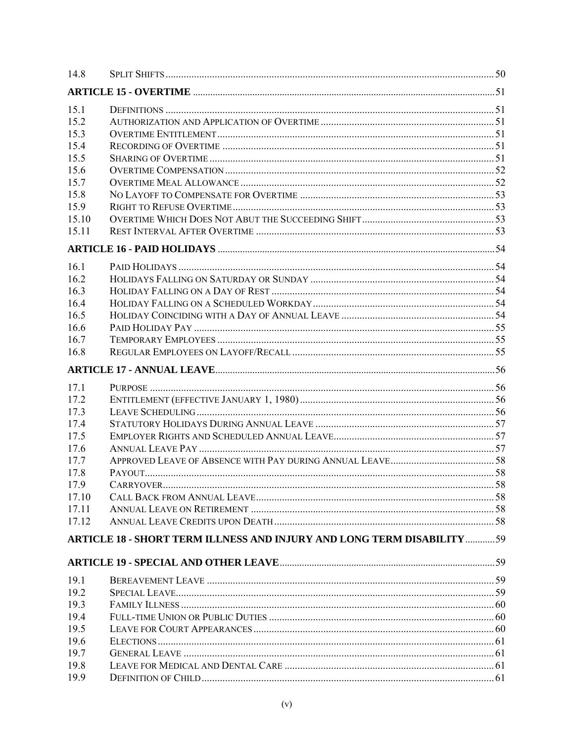| 14.8         |                                                                                |  |
|--------------|--------------------------------------------------------------------------------|--|
|              |                                                                                |  |
| 15.1         |                                                                                |  |
| 15.2         |                                                                                |  |
| 15.3         |                                                                                |  |
| 15.4         |                                                                                |  |
| 15.5         |                                                                                |  |
| 15.6         |                                                                                |  |
| 15.7         |                                                                                |  |
| 15.8         |                                                                                |  |
| 15.9         |                                                                                |  |
| 15.10        |                                                                                |  |
| 15.11        |                                                                                |  |
|              |                                                                                |  |
| 16.1         |                                                                                |  |
| 16.2         |                                                                                |  |
| 16.3         |                                                                                |  |
| 16.4         |                                                                                |  |
| 16.5         |                                                                                |  |
| 16.6         |                                                                                |  |
| 16.7         |                                                                                |  |
| 16.8         |                                                                                |  |
|              |                                                                                |  |
| 17.1         |                                                                                |  |
| 17.2         |                                                                                |  |
| 17.3         |                                                                                |  |
| 17.4         |                                                                                |  |
| 17.5         |                                                                                |  |
| 17.6         |                                                                                |  |
| 17.7         |                                                                                |  |
| 17.8         |                                                                                |  |
| 17.9         |                                                                                |  |
| 17.10        |                                                                                |  |
| 17.11        |                                                                                |  |
| 17.12        |                                                                                |  |
|              | <b>ARTICLE 18 - SHORT TERM ILLNESS AND INJURY AND LONG TERM DISABILITY  59</b> |  |
|              |                                                                                |  |
|              |                                                                                |  |
| 19.1         |                                                                                |  |
| 19.2         |                                                                                |  |
| 19.3         |                                                                                |  |
| 19.4         |                                                                                |  |
| 19.5         |                                                                                |  |
| 19.6         |                                                                                |  |
| 19.7         |                                                                                |  |
| 19.8<br>19.9 |                                                                                |  |
|              |                                                                                |  |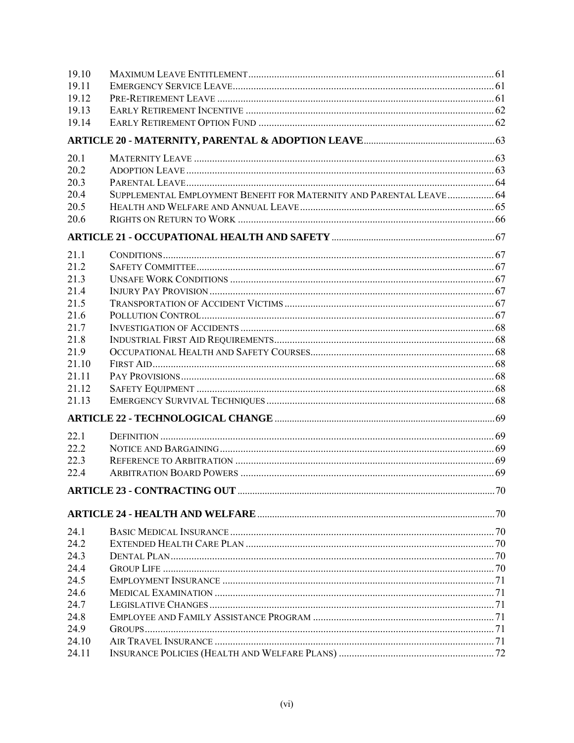| 19.10 |                                                                     |  |
|-------|---------------------------------------------------------------------|--|
| 19.11 |                                                                     |  |
| 19.12 |                                                                     |  |
| 19.13 |                                                                     |  |
| 19.14 |                                                                     |  |
|       |                                                                     |  |
| 20.1  |                                                                     |  |
| 20.2  |                                                                     |  |
| 20.3  |                                                                     |  |
| 20.4  | SUPPLEMENTAL EMPLOYMENT BENEFIT FOR MATERNITY AND PARENTAL LEAVE 64 |  |
| 20.5  |                                                                     |  |
| 20.6  |                                                                     |  |
|       |                                                                     |  |
| 21.1  |                                                                     |  |
| 21.2  |                                                                     |  |
| 21.3  |                                                                     |  |
| 21.4  |                                                                     |  |
| 21.5  |                                                                     |  |
| 21.6  |                                                                     |  |
| 21.7  |                                                                     |  |
| 21.8  |                                                                     |  |
| 21.9  |                                                                     |  |
| 21.10 |                                                                     |  |
| 21.11 |                                                                     |  |
| 21.12 |                                                                     |  |
| 21.13 |                                                                     |  |
|       |                                                                     |  |
| 22.1  |                                                                     |  |
| 22.2  |                                                                     |  |
| 22.3  |                                                                     |  |
| 22.4  |                                                                     |  |
|       |                                                                     |  |
|       |                                                                     |  |
| 24.1  |                                                                     |  |
| 24.2  |                                                                     |  |
| 24.3  |                                                                     |  |
| 24.4  |                                                                     |  |
| 24.5  |                                                                     |  |
| 24.6  |                                                                     |  |
| 24.7  |                                                                     |  |
| 24.8  |                                                                     |  |
| 24.9  |                                                                     |  |
| 24.10 |                                                                     |  |
| 24.11 |                                                                     |  |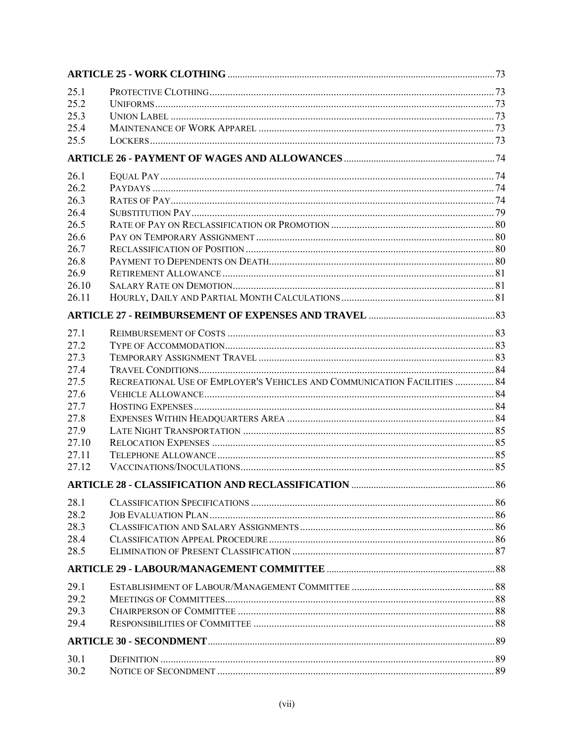| 25.1<br>25.2<br>25.3<br>25.4<br>25.5                                                            |                                                                                                                                     |     |
|-------------------------------------------------------------------------------------------------|-------------------------------------------------------------------------------------------------------------------------------------|-----|
|                                                                                                 |                                                                                                                                     |     |
| 26.1<br>26.2<br>26.3<br>26.4<br>26.5<br>26.6<br>26.7<br>26.8<br>26.9<br>26.10<br>26.11          |                                                                                                                                     |     |
|                                                                                                 |                                                                                                                                     |     |
| 27.1<br>27.2<br>27.3<br>27.4<br>27.5<br>27.6<br>27.7<br>27.8<br>27.9<br>27.10<br>27.11<br>27.12 | RECREATIONAL USE OF EMPLOYER'S VEHICLES AND COMMUNICATION FACILITIES  84<br><b>ARTICLE 28 - CLASSIFICATION AND RECLASSIFICATION</b> | .86 |
| 28.1<br>28.2<br>28.3<br>28.4<br>28.5                                                            |                                                                                                                                     |     |
|                                                                                                 |                                                                                                                                     |     |
| 29.1<br>29.2<br>29.3<br>29.4                                                                    |                                                                                                                                     |     |
|                                                                                                 |                                                                                                                                     |     |
| 30.1<br>30.2                                                                                    |                                                                                                                                     |     |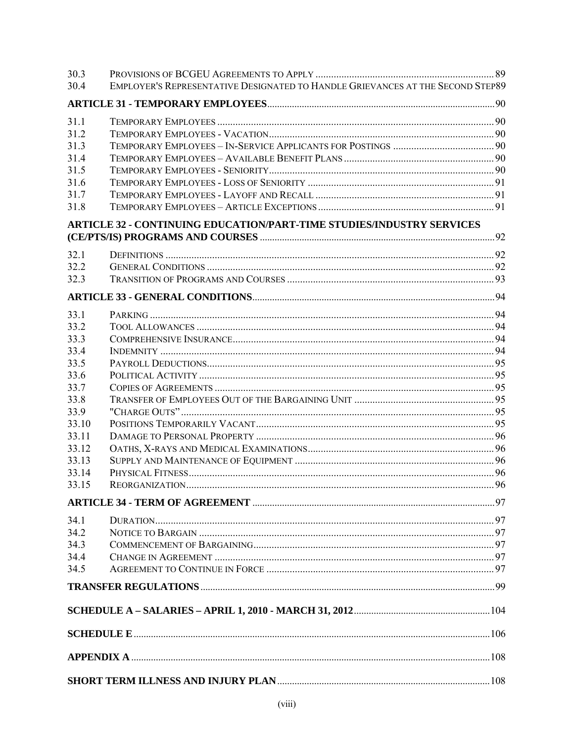| 30.3           |                                                                                |  |
|----------------|--------------------------------------------------------------------------------|--|
| 30.4           | EMPLOYER'S REPRESENTATIVE DESIGNATED TO HANDLE GRIEVANCES AT THE SECOND STEP89 |  |
|                |                                                                                |  |
| 31.1           |                                                                                |  |
| 31.2           |                                                                                |  |
| 31.3           |                                                                                |  |
| 31.4           |                                                                                |  |
| 31.5           |                                                                                |  |
| 31.6           |                                                                                |  |
| 31.7           |                                                                                |  |
| 31.8           |                                                                                |  |
|                | ARTICLE 32 - CONTINUING EDUCATION/PART-TIME STUDIES/INDUSTRY SERVICES          |  |
|                |                                                                                |  |
| 32.1           |                                                                                |  |
| 32.2           |                                                                                |  |
| 32.3           |                                                                                |  |
|                |                                                                                |  |
| 33.1           |                                                                                |  |
| 33.2           |                                                                                |  |
| 33.3           |                                                                                |  |
| 33.4           |                                                                                |  |
| 33.5           |                                                                                |  |
| 33.6           |                                                                                |  |
| 33.7           |                                                                                |  |
| 33.8           |                                                                                |  |
| 33.9           |                                                                                |  |
| 33.10          |                                                                                |  |
| 33.11          |                                                                                |  |
| 33.12          |                                                                                |  |
| 33.13<br>33.14 |                                                                                |  |
| 33.15          |                                                                                |  |
|                |                                                                                |  |
|                |                                                                                |  |
| 34.1           |                                                                                |  |
| 34.2           |                                                                                |  |
| 34.3           |                                                                                |  |
| 34.4<br>34.5   |                                                                                |  |
|                |                                                                                |  |
|                |                                                                                |  |
|                |                                                                                |  |
|                |                                                                                |  |
|                |                                                                                |  |
|                |                                                                                |  |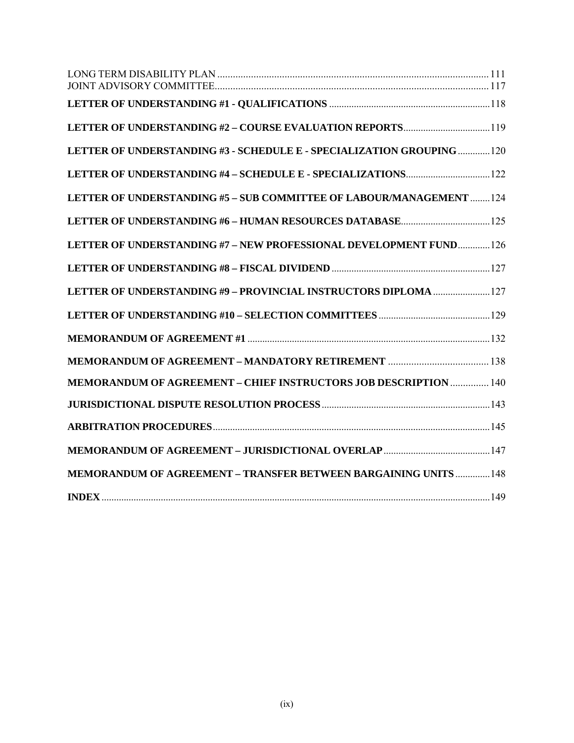| LETTER OF UNDERSTANDING #3 - SCHEDULE E - SPECIALIZATION GROUPING  120  |  |
|-------------------------------------------------------------------------|--|
|                                                                         |  |
| LETTER OF UNDERSTANDING #5 - SUB COMMITTEE OF LABOUR/MANAGEMENT  124    |  |
|                                                                         |  |
| LETTER OF UNDERSTANDING #7 - NEW PROFESSIONAL DEVELOPMENT FUND 126      |  |
|                                                                         |  |
| LETTER OF UNDERSTANDING #9 - PROVINCIAL INSTRUCTORS DIPLOMA  127        |  |
|                                                                         |  |
|                                                                         |  |
|                                                                         |  |
| <b>MEMORANDUM OF AGREEMENT - CHIEF INSTRUCTORS JOB DESCRIPTION  140</b> |  |
|                                                                         |  |
|                                                                         |  |
|                                                                         |  |
| <b>MEMORANDUM OF AGREEMENT - TRANSFER BETWEEN BARGAINING UNITS  148</b> |  |
|                                                                         |  |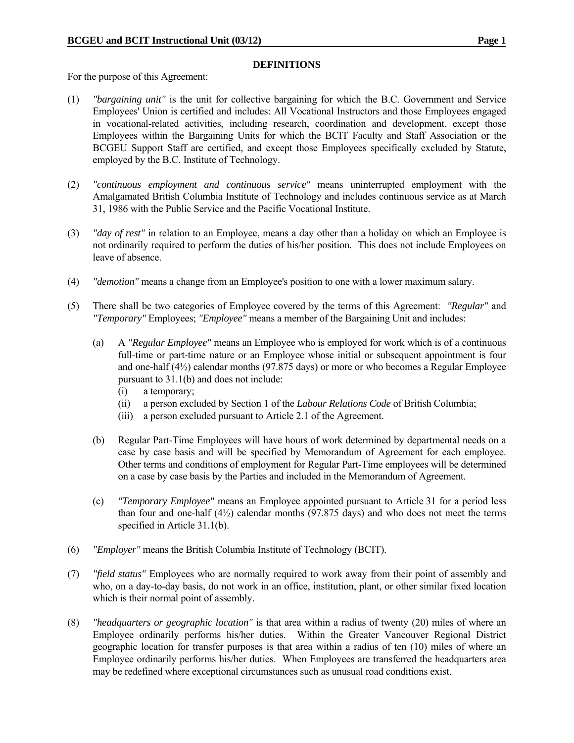#### **DEFINITIONS**

For the purpose of this Agreement:

- (1) *"bargaining unit"* is the unit for collective bargaining for which the B.C. Government and Service Employees' Union is certified and includes: All Vocational Instructors and those Employees engaged in vocational-related activities, including research, coordination and development, except those Employees within the Bargaining Units for which the BCIT Faculty and Staff Association or the BCGEU Support Staff are certified, and except those Employees specifically excluded by Statute, employed by the B.C. Institute of Technology.
- (2) *"continuous employment and continuous service"* means uninterrupted employment with the Amalgamated British Columbia Institute of Technology and includes continuous service as at March 31, 1986 with the Public Service and the Pacific Vocational Institute.
- (3) *"day of rest"* in relation to an Employee, means a day other than a holiday on which an Employee is not ordinarily required to perform the duties of his/her position. This does not include Employees on leave of absence.
- (4) *"demotion"* means a change from an Employee's position to one with a lower maximum salary.
- (5) There shall be two categories of Employee covered by the terms of this Agreement: *"Regular"* and *"Temporary"* Employees; *"Employee"* means a member of the Bargaining Unit and includes:
	- (a) A *"Regular Employee"* means an Employee who is employed for work which is of a continuous full-time or part-time nature or an Employee whose initial or subsequent appointment is four and one-half (4½) calendar months (97.875 days) or more or who becomes a Regular Employee pursuant to 31.1(b) and does not include:
		- (i) a temporary;
		- (ii) a person excluded by Section 1 of the *Labour Relations Code* of British Columbia;
		- (iii) a person excluded pursuant to Article 2.1 of the Agreement.
	- (b) Regular Part-Time Employees will have hours of work determined by departmental needs on a case by case basis and will be specified by Memorandum of Agreement for each employee. Other terms and conditions of employment for Regular Part-Time employees will be determined on a case by case basis by the Parties and included in the Memorandum of Agreement.
	- (c) *"Temporary Employee"* means an Employee appointed pursuant to Article 31 for a period less than four and one-half  $(4\frac{1}{2})$  calendar months  $(97.875 \text{ days})$  and who does not meet the terms specified in Article 31.1(b).
- (6) *"Employer"* means the British Columbia Institute of Technology (BCIT).
- (7) *"field status"* Employees who are normally required to work away from their point of assembly and who, on a day-to-day basis, do not work in an office, institution, plant, or other similar fixed location which is their normal point of assembly.
- (8) *"headquarters or geographic location"* is that area within a radius of twenty (20) miles of where an Employee ordinarily performs his/her duties. Within the Greater Vancouver Regional District geographic location for transfer purposes is that area within a radius of ten (10) miles of where an Employee ordinarily performs his/her duties. When Employees are transferred the headquarters area may be redefined where exceptional circumstances such as unusual road conditions exist.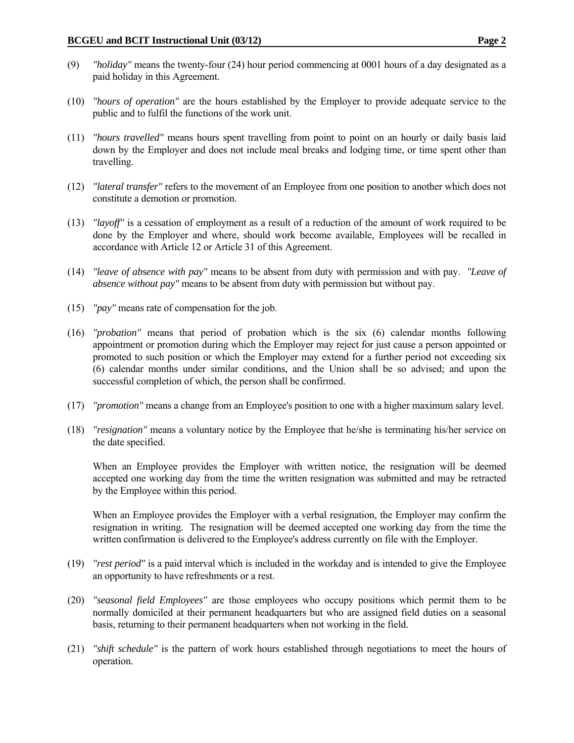- (9) *"holiday"* means the twenty-four (24) hour period commencing at 0001 hours of a day designated as a paid holiday in this Agreement.
- (10) *"hours of operation"* are the hours established by the Employer to provide adequate service to the public and to fulfil the functions of the work unit.
- (11) *"hours travelled"* means hours spent travelling from point to point on an hourly or daily basis laid down by the Employer and does not include meal breaks and lodging time, or time spent other than travelling.
- (12) *"lateral transfer"* refers to the movement of an Employee from one position to another which does not constitute a demotion or promotion.
- (13) *"layoff"* is a cessation of employment as a result of a reduction of the amount of work required to be done by the Employer and where, should work become available, Employees will be recalled in accordance with Article 12 or Article 31 of this Agreement.
- (14) *"leave of absence with pay"* means to be absent from duty with permission and with pay. *"Leave of absence without pay"* means to be absent from duty with permission but without pay.
- (15) *"pay"* means rate of compensation for the job.
- (16) *"probation"* means that period of probation which is the six (6) calendar months following appointment or promotion during which the Employer may reject for just cause a person appointed or promoted to such position or which the Employer may extend for a further period not exceeding six (6) calendar months under similar conditions, and the Union shall be so advised; and upon the successful completion of which, the person shall be confirmed.
- (17) *"promotion"* means a change from an Employee's position to one with a higher maximum salary level.
- (18) *"resignation"* means a voluntary notice by the Employee that he/she is terminating his/her service on the date specified.

When an Employee provides the Employer with written notice, the resignation will be deemed accepted one working day from the time the written resignation was submitted and may be retracted by the Employee within this period.

When an Employee provides the Employer with a verbal resignation, the Employer may confirm the resignation in writing. The resignation will be deemed accepted one working day from the time the written confirmation is delivered to the Employee's address currently on file with the Employer.

- (19) *"rest period"* is a paid interval which is included in the workday and is intended to give the Employee an opportunity to have refreshments or a rest.
- (20) *"seasonal field Employees"* are those employees who occupy positions which permit them to be normally domiciled at their permanent headquarters but who are assigned field duties on a seasonal basis, returning to their permanent headquarters when not working in the field.
- (21) *"shift schedule"* is the pattern of work hours established through negotiations to meet the hours of operation.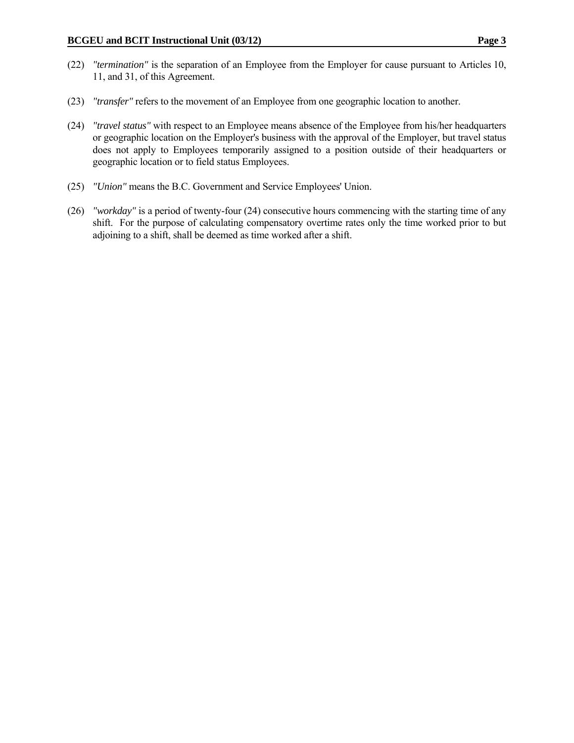- (22) *"termination"* is the separation of an Employee from the Employer for cause pursuant to Articles 10, 11, and 31, of this Agreement.
- (23) *"transfer"* refers to the movement of an Employee from one geographic location to another.
- (24) *"travel status"* with respect to an Employee means absence of the Employee from his/her headquarters or geographic location on the Employer's business with the approval of the Employer, but travel status does not apply to Employees temporarily assigned to a position outside of their headquarters or geographic location or to field status Employees.
- (25) *"Union"* means the B.C. Government and Service Employees' Union.
- (26) *"workday"* is a period of twenty-four (24) consecutive hours commencing with the starting time of any shift. For the purpose of calculating compensatory overtime rates only the time worked prior to but adjoining to a shift, shall be deemed as time worked after a shift.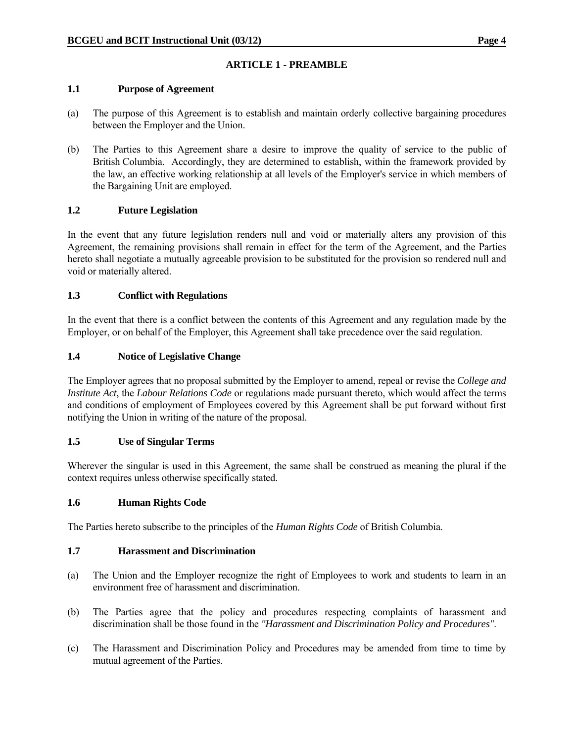#### **1.1 Purpose of Agreement**

- (a) The purpose of this Agreement is to establish and maintain orderly collective bargaining procedures between the Employer and the Union.
- (b) The Parties to this Agreement share a desire to improve the quality of service to the public of British Columbia. Accordingly, they are determined to establish, within the framework provided by the law, an effective working relationship at all levels of the Employer's service in which members of the Bargaining Unit are employed.

### **1.2 Future Legislation**

In the event that any future legislation renders null and void or materially alters any provision of this Agreement, the remaining provisions shall remain in effect for the term of the Agreement, and the Parties hereto shall negotiate a mutually agreeable provision to be substituted for the provision so rendered null and void or materially altered.

### **1.3 Conflict with Regulations**

In the event that there is a conflict between the contents of this Agreement and any regulation made by the Employer, or on behalf of the Employer, this Agreement shall take precedence over the said regulation.

### **1.4 Notice of Legislative Change**

The Employer agrees that no proposal submitted by the Employer to amend, repeal or revise the *College and Institute Act*, the *Labour Relations Code* or regulations made pursuant thereto, which would affect the terms and conditions of employment of Employees covered by this Agreement shall be put forward without first notifying the Union in writing of the nature of the proposal.

#### **1.5 Use of Singular Terms**

Wherever the singular is used in this Agreement, the same shall be construed as meaning the plural if the context requires unless otherwise specifically stated.

#### **1.6 Human Rights Code**

The Parties hereto subscribe to the principles of the *Human Rights Code* of British Columbia.

#### **1.7 Harassment and Discrimination**

- (a) The Union and the Employer recognize the right of Employees to work and students to learn in an environment free of harassment and discrimination.
- (b) The Parties agree that the policy and procedures respecting complaints of harassment and discrimination shall be those found in the *"Harassment and Discrimination Policy and Procedures"*.
- (c) The Harassment and Discrimination Policy and Procedures may be amended from time to time by mutual agreement of the Parties.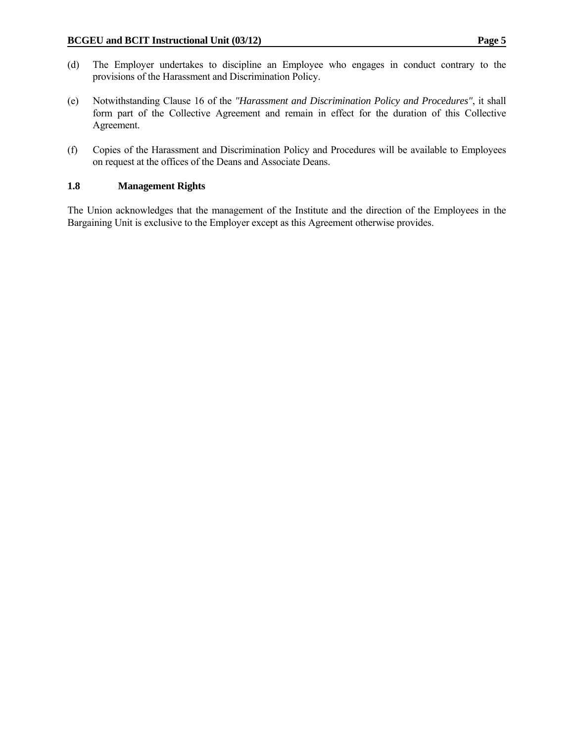- (d) The Employer undertakes to discipline an Employee who engages in conduct contrary to the provisions of the Harassment and Discrimination Policy.
- (e) Notwithstanding Clause 16 of the *"Harassment and Discrimination Policy and Procedures"*, it shall form part of the Collective Agreement and remain in effect for the duration of this Collective Agreement.
- (f) Copies of the Harassment and Discrimination Policy and Procedures will be available to Employees on request at the offices of the Deans and Associate Deans.

# **1.8 Management Rights**

The Union acknowledges that the management of the Institute and the direction of the Employees in the Bargaining Unit is exclusive to the Employer except as this Agreement otherwise provides.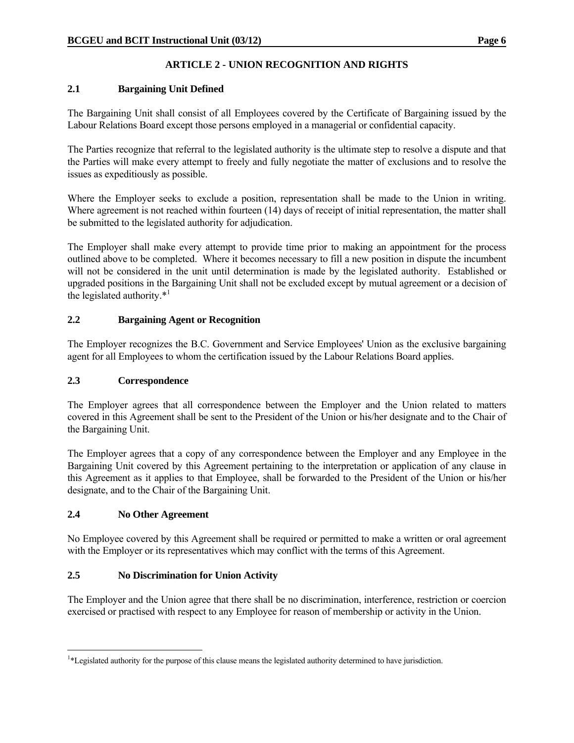# **ARTICLE 2 - UNION RECOGNITION AND RIGHTS**

# **2.1 Bargaining Unit Defined**

The Bargaining Unit shall consist of all Employees covered by the Certificate of Bargaining issued by the Labour Relations Board except those persons employed in a managerial or confidential capacity.

The Parties recognize that referral to the legislated authority is the ultimate step to resolve a dispute and that the Parties will make every attempt to freely and fully negotiate the matter of exclusions and to resolve the issues as expeditiously as possible.

Where the Employer seeks to exclude a position, representation shall be made to the Union in writing. Where agreement is not reached within fourteen (14) days of receipt of initial representation, the matter shall be submitted to the legislated authority for adjudication.

The Employer shall make every attempt to provide time prior to making an appointment for the process outlined above to be completed. Where it becomes necessary to fill a new position in dispute the incumbent will not be considered in the unit until determination is made by the legislated authority. Established or upgraded positions in the Bargaining Unit shall not be excluded except by mutual agreement or a decision of the legislated authority. $*<sup>1</sup>$ 

# **2.2 Bargaining Agent or Recognition**

The Employer recognizes the B.C. Government and Service Employees' Union as the exclusive bargaining agent for all Employees to whom the certification issued by the Labour Relations Board applies.

#### **2.3 Correspondence**

The Employer agrees that all correspondence between the Employer and the Union related to matters covered in this Agreement shall be sent to the President of the Union or his/her designate and to the Chair of the Bargaining Unit.

The Employer agrees that a copy of any correspondence between the Employer and any Employee in the Bargaining Unit covered by this Agreement pertaining to the interpretation or application of any clause in this Agreement as it applies to that Employee, shall be forwarded to the President of the Union or his/her designate, and to the Chair of the Bargaining Unit.

#### **2.4 No Other Agreement**

 $\overline{a}$ 

No Employee covered by this Agreement shall be required or permitted to make a written or oral agreement with the Employer or its representatives which may conflict with the terms of this Agreement.

# **2.5 No Discrimination for Union Activity**

The Employer and the Union agree that there shall be no discrimination, interference, restriction or coercion exercised or practised with respect to any Employee for reason of membership or activity in the Union.

<sup>1</sup> \*Legislated authority for the purpose of this clause means the legislated authority determined to have jurisdiction.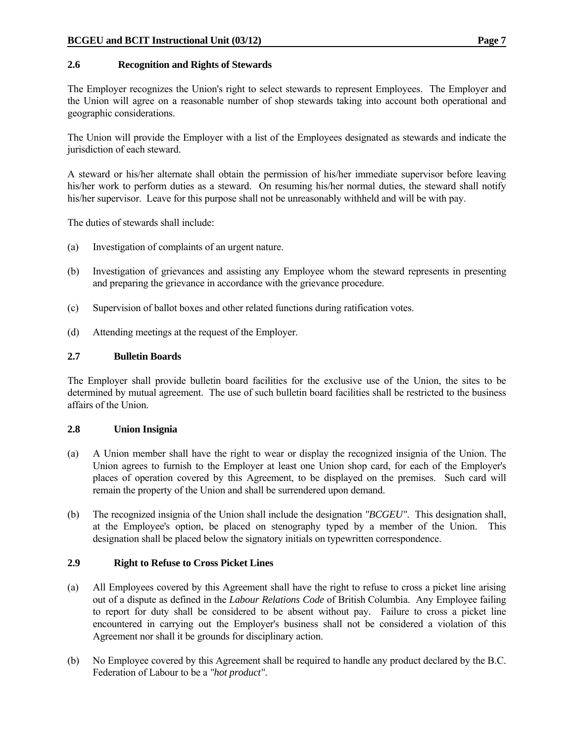#### **2.6 Recognition and Rights of Stewards**

The Employer recognizes the Union's right to select stewards to represent Employees. The Employer and the Union will agree on a reasonable number of shop stewards taking into account both operational and geographic considerations.

The Union will provide the Employer with a list of the Employees designated as stewards and indicate the jurisdiction of each steward.

A steward or his/her alternate shall obtain the permission of his/her immediate supervisor before leaving his/her work to perform duties as a steward. On resuming his/her normal duties, the steward shall notify his/her supervisor. Leave for this purpose shall not be unreasonably withheld and will be with pay.

The duties of stewards shall include:

- (a) Investigation of complaints of an urgent nature.
- (b) Investigation of grievances and assisting any Employee whom the steward represents in presenting and preparing the grievance in accordance with the grievance procedure.
- (c) Supervision of ballot boxes and other related functions during ratification votes.
- (d) Attending meetings at the request of the Employer.

#### **2.7 Bulletin Boards**

The Employer shall provide bulletin board facilities for the exclusive use of the Union, the sites to be determined by mutual agreement. The use of such bulletin board facilities shall be restricted to the business affairs of the Union.

#### **2.8 Union Insignia**

- (a) A Union member shall have the right to wear or display the recognized insignia of the Union. The Union agrees to furnish to the Employer at least one Union shop card, for each of the Employer's places of operation covered by this Agreement, to be displayed on the premises. Such card will remain the property of the Union and shall be surrendered upon demand.
- (b) The recognized insignia of the Union shall include the designation *"BCGEU"*. This designation shall, at the Employee's option, be placed on stenography typed by a member of the Union. This designation shall be placed below the signatory initials on typewritten correspondence.

#### **2.9 Right to Refuse to Cross Picket Lines**

- (a) All Employees covered by this Agreement shall have the right to refuse to cross a picket line arising out of a dispute as defined in the *Labour Relations Code* of British Columbia. Any Employee failing to report for duty shall be considered to be absent without pay. Failure to cross a picket line encountered in carrying out the Employer's business shall not be considered a violation of this Agreement nor shall it be grounds for disciplinary action.
- (b) No Employee covered by this Agreement shall be required to handle any product declared by the B.C. Federation of Labour to be a *"hot product"*.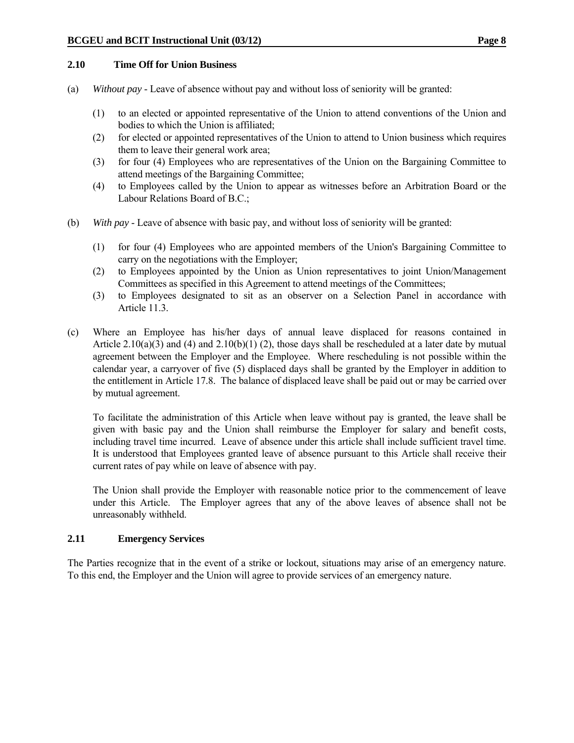#### **2.10 Time Off for Union Business**

- (a) *Without pay* Leave of absence without pay and without loss of seniority will be granted:
	- (1) to an elected or appointed representative of the Union to attend conventions of the Union and bodies to which the Union is affiliated;
	- (2) for elected or appointed representatives of the Union to attend to Union business which requires them to leave their general work area;
	- (3) for four (4) Employees who are representatives of the Union on the Bargaining Committee to attend meetings of the Bargaining Committee;
	- (4) to Employees called by the Union to appear as witnesses before an Arbitration Board or the Labour Relations Board of B.C.;
- (b) *With pay* Leave of absence with basic pay, and without loss of seniority will be granted:
	- (1) for four (4) Employees who are appointed members of the Union's Bargaining Committee to carry on the negotiations with the Employer;
	- (2) to Employees appointed by the Union as Union representatives to joint Union/Management Committees as specified in this Agreement to attend meetings of the Committees;
	- (3) to Employees designated to sit as an observer on a Selection Panel in accordance with Article 11.3.
- (c) Where an Employee has his/her days of annual leave displaced for reasons contained in Article 2.10(a)(3) and (4) and 2.10(b)(1) (2), those days shall be rescheduled at a later date by mutual agreement between the Employer and the Employee. Where rescheduling is not possible within the calendar year, a carryover of five (5) displaced days shall be granted by the Employer in addition to the entitlement in Article 17.8. The balance of displaced leave shall be paid out or may be carried over by mutual agreement.

 To facilitate the administration of this Article when leave without pay is granted, the leave shall be given with basic pay and the Union shall reimburse the Employer for salary and benefit costs, including travel time incurred. Leave of absence under this article shall include sufficient travel time. It is understood that Employees granted leave of absence pursuant to this Article shall receive their current rates of pay while on leave of absence with pay.

 The Union shall provide the Employer with reasonable notice prior to the commencement of leave under this Article. The Employer agrees that any of the above leaves of absence shall not be unreasonably withheld.

#### **2.11 Emergency Services**

The Parties recognize that in the event of a strike or lockout, situations may arise of an emergency nature. To this end, the Employer and the Union will agree to provide services of an emergency nature.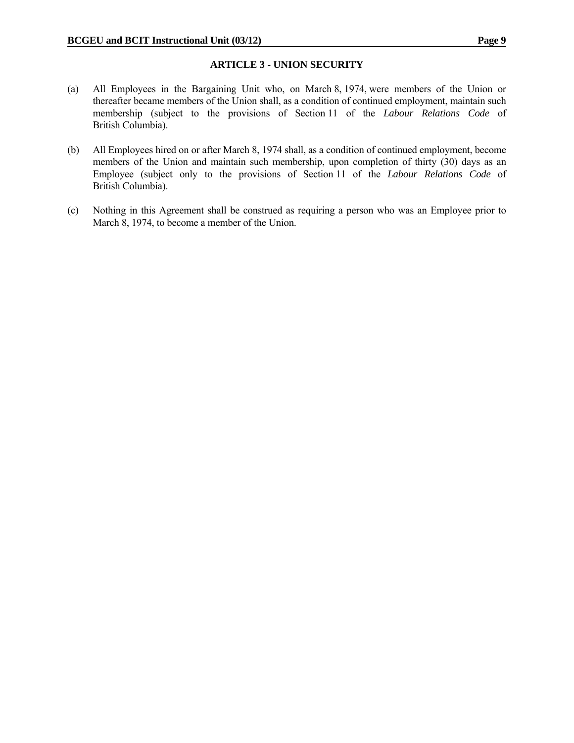#### **ARTICLE 3 - UNION SECURITY**

- (a) All Employees in the Bargaining Unit who, on March 8, 1974, were members of the Union or thereafter became members of the Union shall, as a condition of continued employment, maintain such membership (subject to the provisions of Section 11 of the *Labour Relations Code* of British Columbia).
- (b) All Employees hired on or after March 8, 1974 shall, as a condition of continued employment, become members of the Union and maintain such membership, upon completion of thirty (30) days as an Employee (subject only to the provisions of Section 11 of the *Labour Relations Code* of British Columbia).
- (c) Nothing in this Agreement shall be construed as requiring a person who was an Employee prior to March 8, 1974, to become a member of the Union.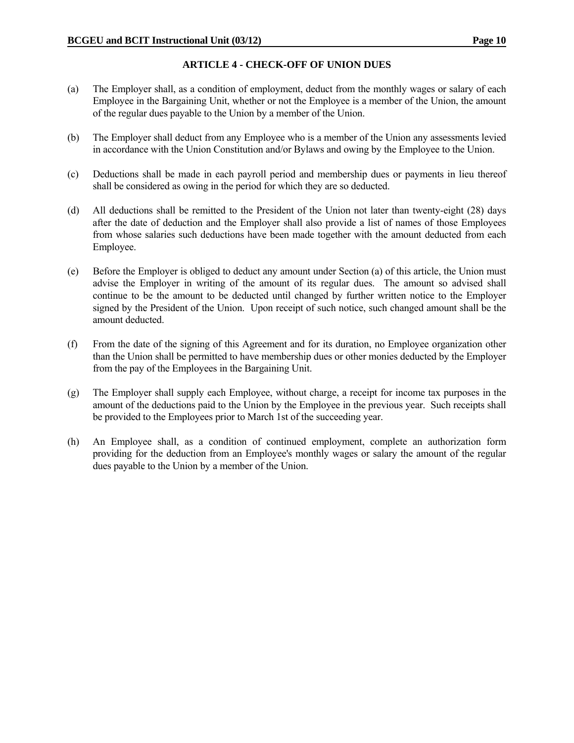# **ARTICLE 4 - CHECK-OFF OF UNION DUES**

- (a) The Employer shall, as a condition of employment, deduct from the monthly wages or salary of each Employee in the Bargaining Unit, whether or not the Employee is a member of the Union, the amount of the regular dues payable to the Union by a member of the Union.
- (b) The Employer shall deduct from any Employee who is a member of the Union any assessments levied in accordance with the Union Constitution and/or Bylaws and owing by the Employee to the Union.
- (c) Deductions shall be made in each payroll period and membership dues or payments in lieu thereof shall be considered as owing in the period for which they are so deducted.
- (d) All deductions shall be remitted to the President of the Union not later than twenty-eight (28) days after the date of deduction and the Employer shall also provide a list of names of those Employees from whose salaries such deductions have been made together with the amount deducted from each Employee.
- (e) Before the Employer is obliged to deduct any amount under Section (a) of this article, the Union must advise the Employer in writing of the amount of its regular dues. The amount so advised shall continue to be the amount to be deducted until changed by further written notice to the Employer signed by the President of the Union. Upon receipt of such notice, such changed amount shall be the amount deducted.
- (f) From the date of the signing of this Agreement and for its duration, no Employee organization other than the Union shall be permitted to have membership dues or other monies deducted by the Employer from the pay of the Employees in the Bargaining Unit.
- (g) The Employer shall supply each Employee, without charge, a receipt for income tax purposes in the amount of the deductions paid to the Union by the Employee in the previous year. Such receipts shall be provided to the Employees prior to March 1st of the succeeding year.
- (h) An Employee shall, as a condition of continued employment, complete an authorization form providing for the deduction from an Employee's monthly wages or salary the amount of the regular dues payable to the Union by a member of the Union.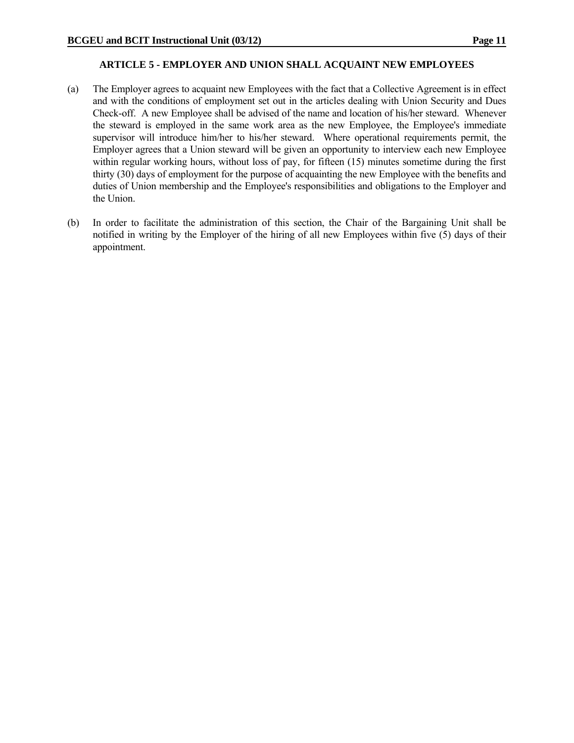#### **ARTICLE 5 - EMPLOYER AND UNION SHALL ACQUAINT NEW EMPLOYEES**

- (a) The Employer agrees to acquaint new Employees with the fact that a Collective Agreement is in effect and with the conditions of employment set out in the articles dealing with Union Security and Dues Check-off. A new Employee shall be advised of the name and location of his/her steward. Whenever the steward is employed in the same work area as the new Employee, the Employee's immediate supervisor will introduce him/her to his/her steward. Where operational requirements permit, the Employer agrees that a Union steward will be given an opportunity to interview each new Employee within regular working hours, without loss of pay, for fifteen (15) minutes sometime during the first thirty (30) days of employment for the purpose of acquainting the new Employee with the benefits and duties of Union membership and the Employee's responsibilities and obligations to the Employer and the Union.
- (b) In order to facilitate the administration of this section, the Chair of the Bargaining Unit shall be notified in writing by the Employer of the hiring of all new Employees within five (5) days of their appointment.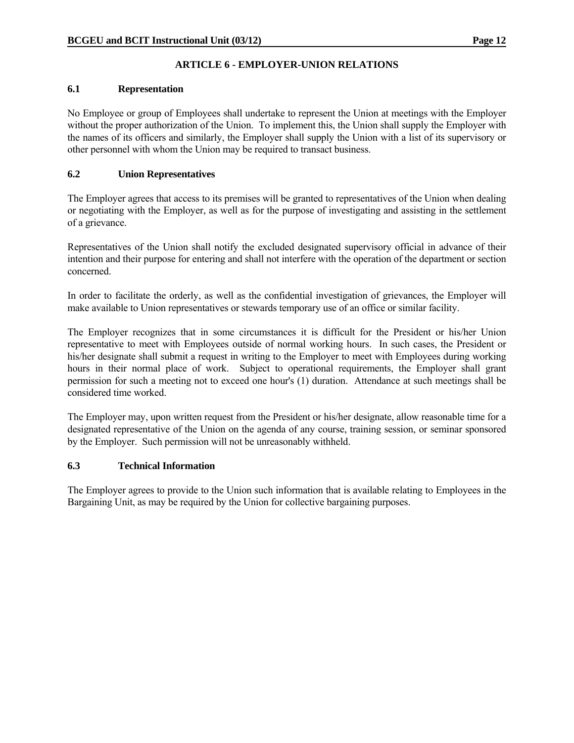# **ARTICLE 6 - EMPLOYER-UNION RELATIONS**

#### **6.1 Representation**

No Employee or group of Employees shall undertake to represent the Union at meetings with the Employer without the proper authorization of the Union. To implement this, the Union shall supply the Employer with the names of its officers and similarly, the Employer shall supply the Union with a list of its supervisory or other personnel with whom the Union may be required to transact business.

# **6.2 Union Representatives**

The Employer agrees that access to its premises will be granted to representatives of the Union when dealing or negotiating with the Employer, as well as for the purpose of investigating and assisting in the settlement of a grievance.

Representatives of the Union shall notify the excluded designated supervisory official in advance of their intention and their purpose for entering and shall not interfere with the operation of the department or section concerned.

In order to facilitate the orderly, as well as the confidential investigation of grievances, the Employer will make available to Union representatives or stewards temporary use of an office or similar facility.

The Employer recognizes that in some circumstances it is difficult for the President or his/her Union representative to meet with Employees outside of normal working hours. In such cases, the President or his/her designate shall submit a request in writing to the Employer to meet with Employees during working hours in their normal place of work. Subject to operational requirements, the Employer shall grant permission for such a meeting not to exceed one hour's (1) duration. Attendance at such meetings shall be considered time worked.

The Employer may, upon written request from the President or his/her designate, allow reasonable time for a designated representative of the Union on the agenda of any course, training session, or seminar sponsored by the Employer. Such permission will not be unreasonably withheld.

#### **6.3 Technical Information**

The Employer agrees to provide to the Union such information that is available relating to Employees in the Bargaining Unit, as may be required by the Union for collective bargaining purposes.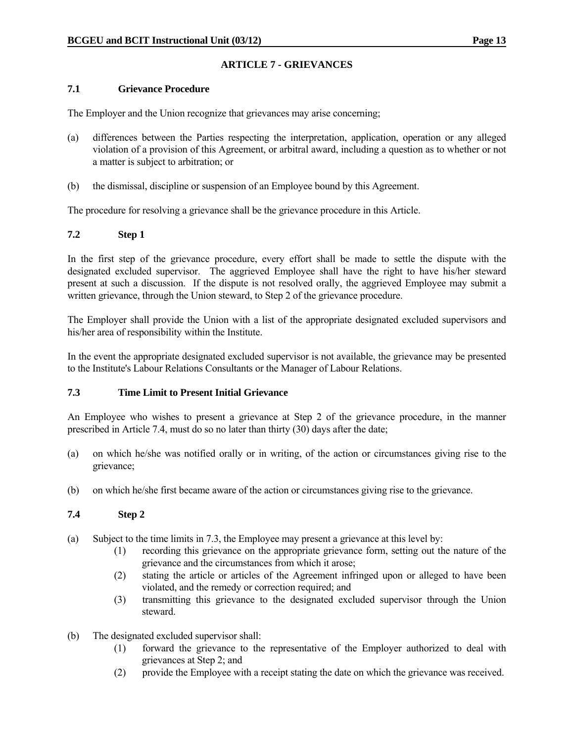# **ARTICLE 7 - GRIEVANCES**

#### **7.1 Grievance Procedure**

The Employer and the Union recognize that grievances may arise concerning;

- (a) differences between the Parties respecting the interpretation, application, operation or any alleged violation of a provision of this Agreement, or arbitral award, including a question as to whether or not a matter is subject to arbitration; or
- (b) the dismissal, discipline or suspension of an Employee bound by this Agreement.

The procedure for resolving a grievance shall be the grievance procedure in this Article.

# **7.2 Step 1**

In the first step of the grievance procedure, every effort shall be made to settle the dispute with the designated excluded supervisor. The aggrieved Employee shall have the right to have his/her steward present at such a discussion. If the dispute is not resolved orally, the aggrieved Employee may submit a written grievance, through the Union steward, to Step 2 of the grievance procedure.

The Employer shall provide the Union with a list of the appropriate designated excluded supervisors and his/her area of responsibility within the Institute.

In the event the appropriate designated excluded supervisor is not available, the grievance may be presented to the Institute's Labour Relations Consultants or the Manager of Labour Relations.

# **7.3 Time Limit to Present Initial Grievance**

An Employee who wishes to present a grievance at Step 2 of the grievance procedure, in the manner prescribed in Article 7.4, must do so no later than thirty (30) days after the date;

- (a) on which he/she was notified orally or in writing, of the action or circumstances giving rise to the grievance;
- (b) on which he/she first became aware of the action or circumstances giving rise to the grievance.

# **7.4 Step 2**

- (a) Subject to the time limits in 7.3, the Employee may present a grievance at this level by:
	- (1) recording this grievance on the appropriate grievance form, setting out the nature of the grievance and the circumstances from which it arose;
	- (2) stating the article or articles of the Agreement infringed upon or alleged to have been violated, and the remedy or correction required; and
	- (3) transmitting this grievance to the designated excluded supervisor through the Union steward.
- (b) The designated excluded supervisor shall:
	- (1) forward the grievance to the representative of the Employer authorized to deal with grievances at Step 2; and
	- (2) provide the Employee with a receipt stating the date on which the grievance was received.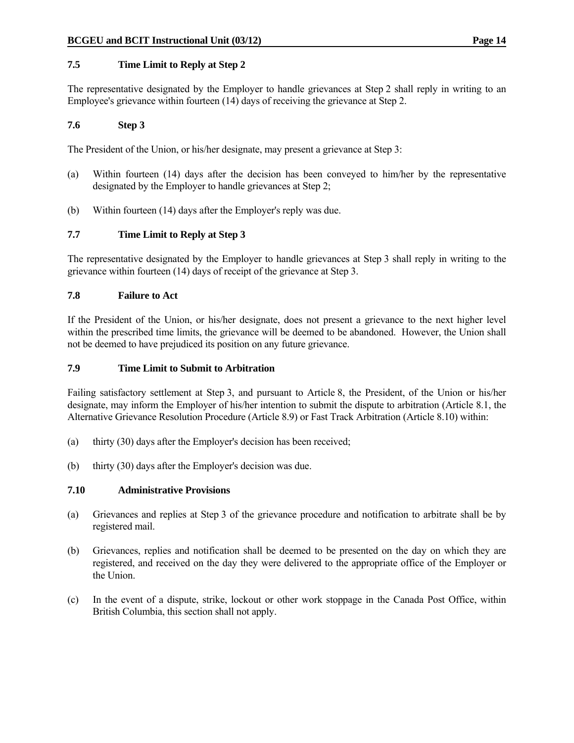# **7.5 Time Limit to Reply at Step 2**

The representative designated by the Employer to handle grievances at Step 2 shall reply in writing to an Employee's grievance within fourteen (14) days of receiving the grievance at Step 2.

#### **7.6 Step 3**

The President of the Union, or his/her designate, may present a grievance at Step 3:

- (a) Within fourteen (14) days after the decision has been conveyed to him/her by the representative designated by the Employer to handle grievances at Step 2;
- (b) Within fourteen (14) days after the Employer's reply was due.

### **7.7 Time Limit to Reply at Step 3**

The representative designated by the Employer to handle grievances at Step 3 shall reply in writing to the grievance within fourteen (14) days of receipt of the grievance at Step 3.

#### **7.8 Failure to Act**

If the President of the Union, or his/her designate, does not present a grievance to the next higher level within the prescribed time limits, the grievance will be deemed to be abandoned. However, the Union shall not be deemed to have prejudiced its position on any future grievance.

#### **7.9 Time Limit to Submit to Arbitration**

Failing satisfactory settlement at Step 3, and pursuant to Article 8, the President, of the Union or his/her designate, may inform the Employer of his/her intention to submit the dispute to arbitration (Article 8.1, the Alternative Grievance Resolution Procedure (Article 8.9) or Fast Track Arbitration (Article 8.10) within:

- (a) thirty (30) days after the Employer's decision has been received;
- (b) thirty (30) days after the Employer's decision was due.

#### **7.10 Administrative Provisions**

- (a) Grievances and replies at Step 3 of the grievance procedure and notification to arbitrate shall be by registered mail.
- (b) Grievances, replies and notification shall be deemed to be presented on the day on which they are registered, and received on the day they were delivered to the appropriate office of the Employer or the Union.
- (c) In the event of a dispute, strike, lockout or other work stoppage in the Canada Post Office, within British Columbia, this section shall not apply.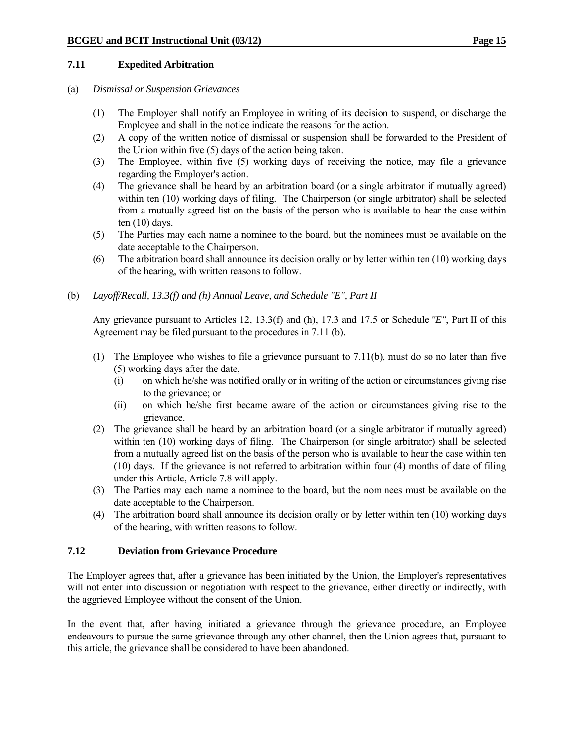#### **7.11 Expedited Arbitration**

#### (a) *Dismissal or Suspension Grievances*

- (1) The Employer shall notify an Employee in writing of its decision to suspend, or discharge the Employee and shall in the notice indicate the reasons for the action.
- (2) A copy of the written notice of dismissal or suspension shall be forwarded to the President of the Union within five (5) days of the action being taken.
- (3) The Employee, within five (5) working days of receiving the notice, may file a grievance regarding the Employer's action.
- (4) The grievance shall be heard by an arbitration board (or a single arbitrator if mutually agreed) within ten (10) working days of filing. The Chairperson (or single arbitrator) shall be selected from a mutually agreed list on the basis of the person who is available to hear the case within ten (10) days.
- (5) The Parties may each name a nominee to the board, but the nominees must be available on the date acceptable to the Chairperson.
- (6) The arbitration board shall announce its decision orally or by letter within ten (10) working days of the hearing, with written reasons to follow.
- (b) *Layoff/Recall, 13.3(f) and (h) Annual Leave, and Schedule "E", Part II*

 Any grievance pursuant to Articles 12, 13.3(f) and (h), 17.3 and 17.5 or Schedule *"E"*, Part II of this Agreement may be filed pursuant to the procedures in 7.11 (b).

- (1) The Employee who wishes to file a grievance pursuant to 7.11(b), must do so no later than five (5) working days after the date,
	- (i) on which he/she was notified orally or in writing of the action or circumstances giving rise to the grievance; or
	- (ii) on which he/she first became aware of the action or circumstances giving rise to the grievance.
- (2) The grievance shall be heard by an arbitration board (or a single arbitrator if mutually agreed) within ten (10) working days of filing. The Chairperson (or single arbitrator) shall be selected from a mutually agreed list on the basis of the person who is available to hear the case within ten (10) days. If the grievance is not referred to arbitration within four (4) months of date of filing under this Article, Article 7.8 will apply.
- (3) The Parties may each name a nominee to the board, but the nominees must be available on the date acceptable to the Chairperson.
- (4) The arbitration board shall announce its decision orally or by letter within ten (10) working days of the hearing, with written reasons to follow.

#### **7.12 Deviation from Grievance Procedure**

The Employer agrees that, after a grievance has been initiated by the Union, the Employer's representatives will not enter into discussion or negotiation with respect to the grievance, either directly or indirectly, with the aggrieved Employee without the consent of the Union.

In the event that, after having initiated a grievance through the grievance procedure, an Employee endeavours to pursue the same grievance through any other channel, then the Union agrees that, pursuant to this article, the grievance shall be considered to have been abandoned.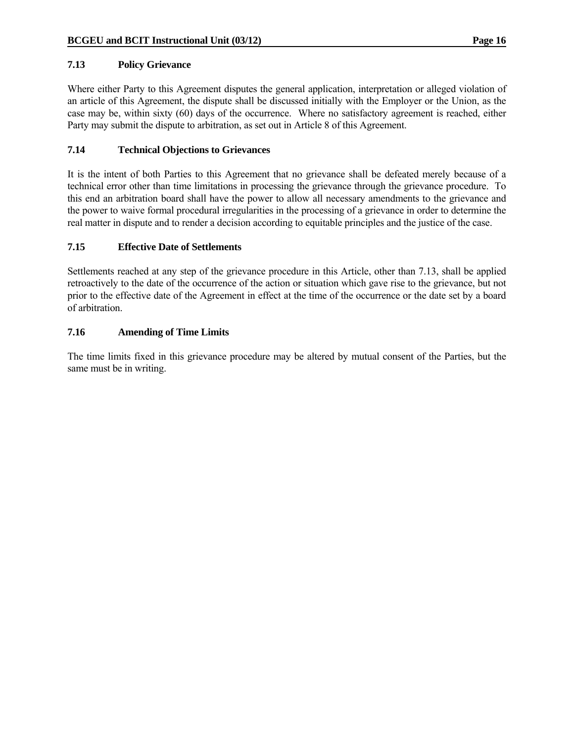# **7.13 Policy Grievance**

Where either Party to this Agreement disputes the general application, interpretation or alleged violation of an article of this Agreement, the dispute shall be discussed initially with the Employer or the Union, as the case may be, within sixty (60) days of the occurrence. Where no satisfactory agreement is reached, either Party may submit the dispute to arbitration, as set out in Article 8 of this Agreement.

# **7.14 Technical Objections to Grievances**

It is the intent of both Parties to this Agreement that no grievance shall be defeated merely because of a technical error other than time limitations in processing the grievance through the grievance procedure. To this end an arbitration board shall have the power to allow all necessary amendments to the grievance and the power to waive formal procedural irregularities in the processing of a grievance in order to determine the real matter in dispute and to render a decision according to equitable principles and the justice of the case.

# **7.15 Effective Date of Settlements**

Settlements reached at any step of the grievance procedure in this Article, other than 7.13, shall be applied retroactively to the date of the occurrence of the action or situation which gave rise to the grievance, but not prior to the effective date of the Agreement in effect at the time of the occurrence or the date set by a board of arbitration.

# **7.16 Amending of Time Limits**

The time limits fixed in this grievance procedure may be altered by mutual consent of the Parties, but the same must be in writing.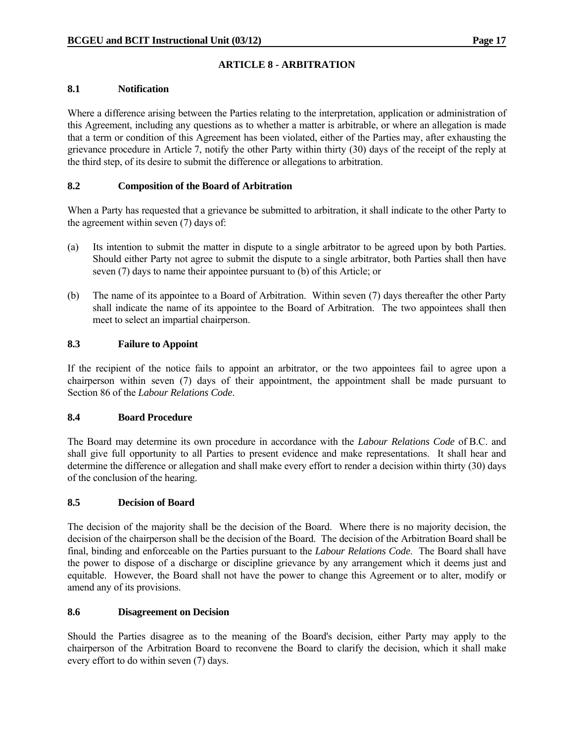# **ARTICLE 8 - ARBITRATION**

#### **8.1 Notification**

Where a difference arising between the Parties relating to the interpretation, application or administration of this Agreement, including any questions as to whether a matter is arbitrable, or where an allegation is made that a term or condition of this Agreement has been violated, either of the Parties may, after exhausting the grievance procedure in Article 7, notify the other Party within thirty (30) days of the receipt of the reply at the third step, of its desire to submit the difference or allegations to arbitration.

### **8.2 Composition of the Board of Arbitration**

When a Party has requested that a grievance be submitted to arbitration, it shall indicate to the other Party to the agreement within seven (7) days of:

- (a) Its intention to submit the matter in dispute to a single arbitrator to be agreed upon by both Parties. Should either Party not agree to submit the dispute to a single arbitrator, both Parties shall then have seven (7) days to name their appointee pursuant to (b) of this Article; or
- (b) The name of its appointee to a Board of Arbitration. Within seven (7) days thereafter the other Party shall indicate the name of its appointee to the Board of Arbitration. The two appointees shall then meet to select an impartial chairperson.

# **8.3 Failure to Appoint**

If the recipient of the notice fails to appoint an arbitrator, or the two appointees fail to agree upon a chairperson within seven (7) days of their appointment, the appointment shall be made pursuant to Section 86 of the *Labour Relations Code*.

#### **8.4 Board Procedure**

The Board may determine its own procedure in accordance with the *Labour Relations Code* of B.C. and shall give full opportunity to all Parties to present evidence and make representations. It shall hear and determine the difference or allegation and shall make every effort to render a decision within thirty (30) days of the conclusion of the hearing.

# **8.5 Decision of Board**

The decision of the majority shall be the decision of the Board. Where there is no majority decision, the decision of the chairperson shall be the decision of the Board. The decision of the Arbitration Board shall be final, binding and enforceable on the Parties pursuant to the *Labour Relations Code*. The Board shall have the power to dispose of a discharge or discipline grievance by any arrangement which it deems just and equitable. However, the Board shall not have the power to change this Agreement or to alter, modify or amend any of its provisions.

#### **8.6 Disagreement on Decision**

Should the Parties disagree as to the meaning of the Board's decision, either Party may apply to the chairperson of the Arbitration Board to reconvene the Board to clarify the decision, which it shall make every effort to do within seven (7) days.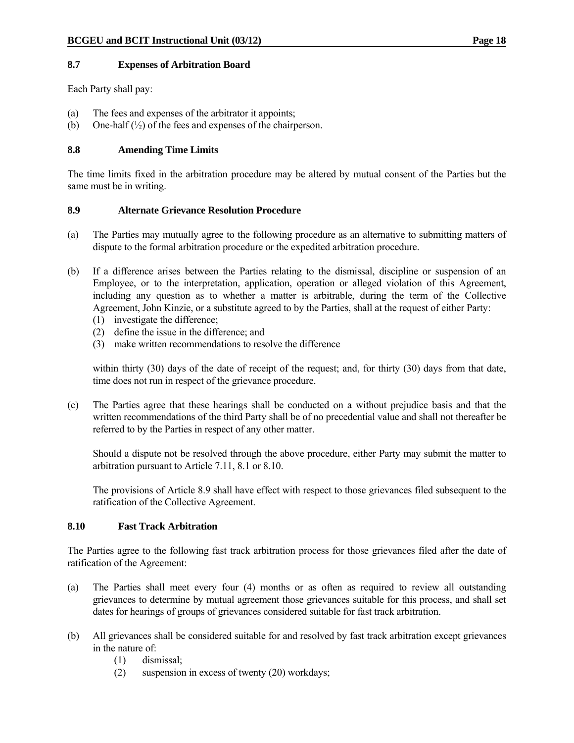#### **8.7 Expenses of Arbitration Board**

Each Party shall pay:

- (a) The fees and expenses of the arbitrator it appoints;
- (b) One-half  $(\frac{1}{2})$  of the fees and expenses of the chairperson.

# **8.8 Amending Time Limits**

The time limits fixed in the arbitration procedure may be altered by mutual consent of the Parties but the same must be in writing.

#### **8.9 Alternate Grievance Resolution Procedure**

- (a) The Parties may mutually agree to the following procedure as an alternative to submitting matters of dispute to the formal arbitration procedure or the expedited arbitration procedure.
- (b) If a difference arises between the Parties relating to the dismissal, discipline or suspension of an Employee, or to the interpretation, application, operation or alleged violation of this Agreement, including any question as to whether a matter is arbitrable, during the term of the Collective Agreement, John Kinzie, or a substitute agreed to by the Parties, shall at the request of either Party:
	- (1) investigate the difference;
	- (2) define the issue in the difference; and
	- (3) make written recommendations to resolve the difference

within thirty (30) days of the date of receipt of the request; and, for thirty (30) days from that date, time does not run in respect of the grievance procedure.

(c) The Parties agree that these hearings shall be conducted on a without prejudice basis and that the written recommendations of the third Party shall be of no precedential value and shall not thereafter be referred to by the Parties in respect of any other matter.

 Should a dispute not be resolved through the above procedure, either Party may submit the matter to arbitration pursuant to Article 7.11, 8.1 or 8.10.

 The provisions of Article 8.9 shall have effect with respect to those grievances filed subsequent to the ratification of the Collective Agreement.

#### **8.10 Fast Track Arbitration**

The Parties agree to the following fast track arbitration process for those grievances filed after the date of ratification of the Agreement:

- (a) The Parties shall meet every four (4) months or as often as required to review all outstanding grievances to determine by mutual agreement those grievances suitable for this process, and shall set dates for hearings of groups of grievances considered suitable for fast track arbitration.
- (b) All grievances shall be considered suitable for and resolved by fast track arbitration except grievances in the nature of:
	- (1) dismissal;
	- (2) suspension in excess of twenty (20) workdays;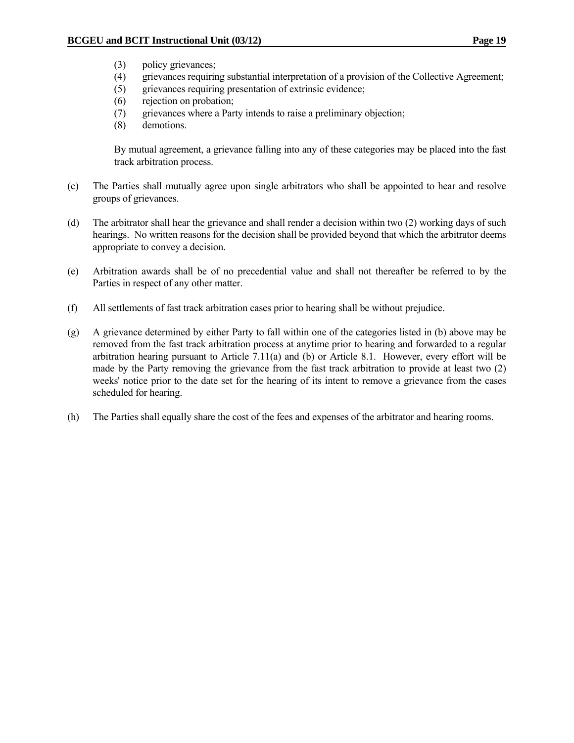- (3) policy grievances;
- (4) grievances requiring substantial interpretation of a provision of the Collective Agreement;
- (5) grievances requiring presentation of extrinsic evidence;
- (6) rejection on probation;
- (7) grievances where a Party intends to raise a preliminary objection;
- (8) demotions.

 By mutual agreement, a grievance falling into any of these categories may be placed into the fast track arbitration process.

- (c) The Parties shall mutually agree upon single arbitrators who shall be appointed to hear and resolve groups of grievances.
- (d) The arbitrator shall hear the grievance and shall render a decision within two (2) working days of such hearings. No written reasons for the decision shall be provided beyond that which the arbitrator deems appropriate to convey a decision.
- (e) Arbitration awards shall be of no precedential value and shall not thereafter be referred to by the Parties in respect of any other matter.
- (f) All settlements of fast track arbitration cases prior to hearing shall be without prejudice.
- (g) A grievance determined by either Party to fall within one of the categories listed in (b) above may be removed from the fast track arbitration process at anytime prior to hearing and forwarded to a regular arbitration hearing pursuant to Article 7.11(a) and (b) or Article 8.1. However, every effort will be made by the Party removing the grievance from the fast track arbitration to provide at least two (2) weeks' notice prior to the date set for the hearing of its intent to remove a grievance from the cases scheduled for hearing.
- (h) The Parties shall equally share the cost of the fees and expenses of the arbitrator and hearing rooms.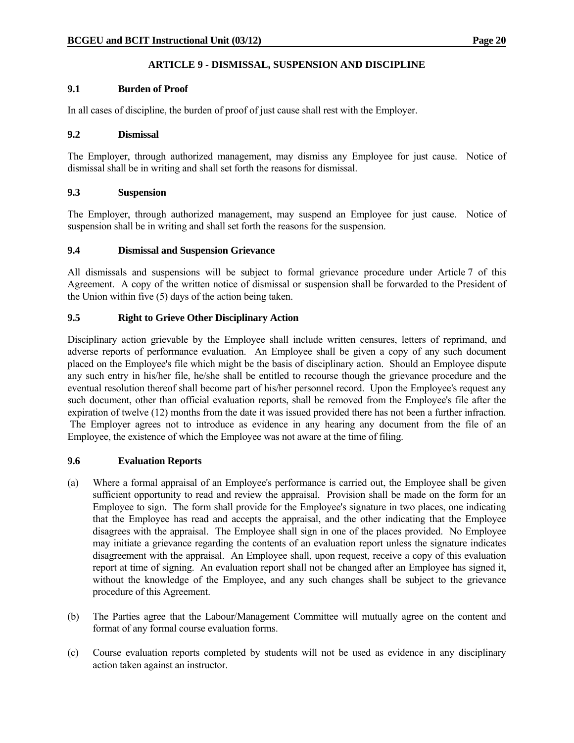# **ARTICLE 9 - DISMISSAL, SUSPENSION AND DISCIPLINE**

# **9.1 Burden of Proof**

In all cases of discipline, the burden of proof of just cause shall rest with the Employer.

#### **9.2 Dismissal**

The Employer, through authorized management, may dismiss any Employee for just cause. Notice of dismissal shall be in writing and shall set forth the reasons for dismissal.

# **9.3 Suspension**

The Employer, through authorized management, may suspend an Employee for just cause. Notice of suspension shall be in writing and shall set forth the reasons for the suspension.

### **9.4 Dismissal and Suspension Grievance**

All dismissals and suspensions will be subject to formal grievance procedure under Article 7 of this Agreement. A copy of the written notice of dismissal or suspension shall be forwarded to the President of the Union within five (5) days of the action being taken.

# **9.5 Right to Grieve Other Disciplinary Action**

Disciplinary action grievable by the Employee shall include written censures, letters of reprimand, and adverse reports of performance evaluation. An Employee shall be given a copy of any such document placed on the Employee's file which might be the basis of disciplinary action. Should an Employee dispute any such entry in his/her file, he/she shall be entitled to recourse though the grievance procedure and the eventual resolution thereof shall become part of his/her personnel record. Upon the Employee's request any such document, other than official evaluation reports, shall be removed from the Employee's file after the expiration of twelve (12) months from the date it was issued provided there has not been a further infraction. The Employer agrees not to introduce as evidence in any hearing any document from the file of an Employee, the existence of which the Employee was not aware at the time of filing.

#### **9.6 Evaluation Reports**

- (a) Where a formal appraisal of an Employee's performance is carried out, the Employee shall be given sufficient opportunity to read and review the appraisal. Provision shall be made on the form for an Employee to sign. The form shall provide for the Employee's signature in two places, one indicating that the Employee has read and accepts the appraisal, and the other indicating that the Employee disagrees with the appraisal. The Employee shall sign in one of the places provided. No Employee may initiate a grievance regarding the contents of an evaluation report unless the signature indicates disagreement with the appraisal. An Employee shall, upon request, receive a copy of this evaluation report at time of signing. An evaluation report shall not be changed after an Employee has signed it, without the knowledge of the Employee, and any such changes shall be subject to the grievance procedure of this Agreement.
- (b) The Parties agree that the Labour/Management Committee will mutually agree on the content and format of any formal course evaluation forms.
- (c) Course evaluation reports completed by students will not be used as evidence in any disciplinary action taken against an instructor.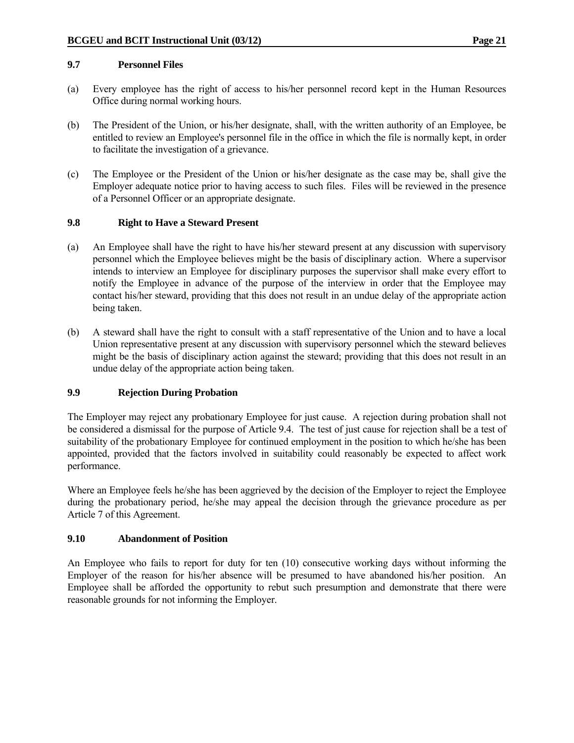#### **9.7 Personnel Files**

- (a) Every employee has the right of access to his/her personnel record kept in the Human Resources Office during normal working hours.
- (b) The President of the Union, or his/her designate, shall, with the written authority of an Employee, be entitled to review an Employee's personnel file in the office in which the file is normally kept, in order to facilitate the investigation of a grievance.
- (c) The Employee or the President of the Union or his/her designate as the case may be, shall give the Employer adequate notice prior to having access to such files. Files will be reviewed in the presence of a Personnel Officer or an appropriate designate.

### **9.8 Right to Have a Steward Present**

- (a) An Employee shall have the right to have his/her steward present at any discussion with supervisory personnel which the Employee believes might be the basis of disciplinary action. Where a supervisor intends to interview an Employee for disciplinary purposes the supervisor shall make every effort to notify the Employee in advance of the purpose of the interview in order that the Employee may contact his/her steward, providing that this does not result in an undue delay of the appropriate action being taken.
- (b) A steward shall have the right to consult with a staff representative of the Union and to have a local Union representative present at any discussion with supervisory personnel which the steward believes might be the basis of disciplinary action against the steward; providing that this does not result in an undue delay of the appropriate action being taken.

# **9.9 Rejection During Probation**

The Employer may reject any probationary Employee for just cause. A rejection during probation shall not be considered a dismissal for the purpose of Article 9.4. The test of just cause for rejection shall be a test of suitability of the probationary Employee for continued employment in the position to which he/she has been appointed, provided that the factors involved in suitability could reasonably be expected to affect work performance.

Where an Employee feels he/she has been aggrieved by the decision of the Employer to reject the Employee during the probationary period, he/she may appeal the decision through the grievance procedure as per Article 7 of this Agreement.

# **9.10 Abandonment of Position**

An Employee who fails to report for duty for ten (10) consecutive working days without informing the Employer of the reason for his/her absence will be presumed to have abandoned his/her position. An Employee shall be afforded the opportunity to rebut such presumption and demonstrate that there were reasonable grounds for not informing the Employer.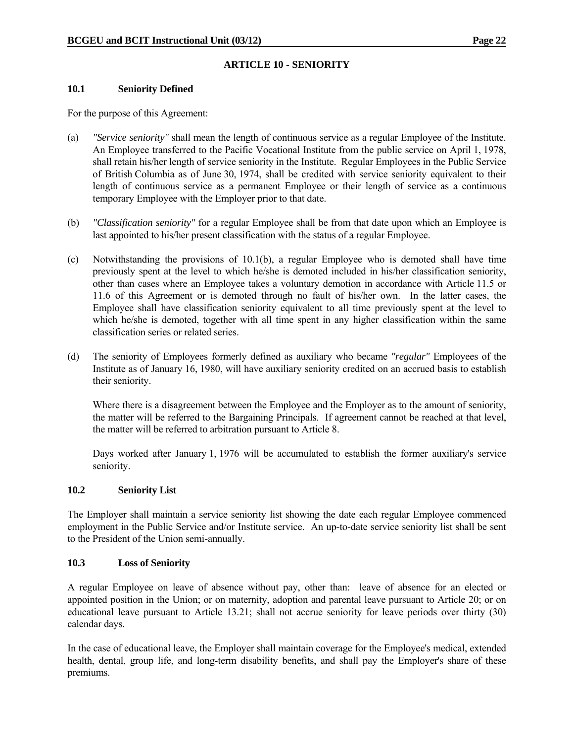# **ARTICLE 10 - SENIORITY**

#### **10.1 Seniority Defined**

For the purpose of this Agreement:

- (a) *"Service seniority"* shall mean the length of continuous service as a regular Employee of the Institute. An Employee transferred to the Pacific Vocational Institute from the public service on April 1, 1978, shall retain his/her length of service seniority in the Institute. Regular Employees in the Public Service of British Columbia as of June 30, 1974, shall be credited with service seniority equivalent to their length of continuous service as a permanent Employee or their length of service as a continuous temporary Employee with the Employer prior to that date.
- (b) *"Classification seniority"* for a regular Employee shall be from that date upon which an Employee is last appointed to his/her present classification with the status of a regular Employee.
- (c) Notwithstanding the provisions of 10.1(b), a regular Employee who is demoted shall have time previously spent at the level to which he/she is demoted included in his/her classification seniority, other than cases where an Employee takes a voluntary demotion in accordance with Article 11.5 or 11.6 of this Agreement or is demoted through no fault of his/her own. In the latter cases, the Employee shall have classification seniority equivalent to all time previously spent at the level to which he/she is demoted, together with all time spent in any higher classification within the same classification series or related series.
- (d) The seniority of Employees formerly defined as auxiliary who became *"regular"* Employees of the Institute as of January 16, 1980, will have auxiliary seniority credited on an accrued basis to establish their seniority.

 Where there is a disagreement between the Employee and the Employer as to the amount of seniority, the matter will be referred to the Bargaining Principals. If agreement cannot be reached at that level, the matter will be referred to arbitration pursuant to Article 8.

Days worked after January 1, 1976 will be accumulated to establish the former auxiliary's service seniority.

#### **10.2 Seniority List**

The Employer shall maintain a service seniority list showing the date each regular Employee commenced employment in the Public Service and/or Institute service. An up-to-date service seniority list shall be sent to the President of the Union semi-annually.

#### **10.3 Loss of Seniority**

A regular Employee on leave of absence without pay, other than: leave of absence for an elected or appointed position in the Union; or on maternity, adoption and parental leave pursuant to Article 20; or on educational leave pursuant to Article 13.21; shall not accrue seniority for leave periods over thirty (30) calendar days.

In the case of educational leave, the Employer shall maintain coverage for the Employee's medical, extended health, dental, group life, and long-term disability benefits, and shall pay the Employer's share of these premiums.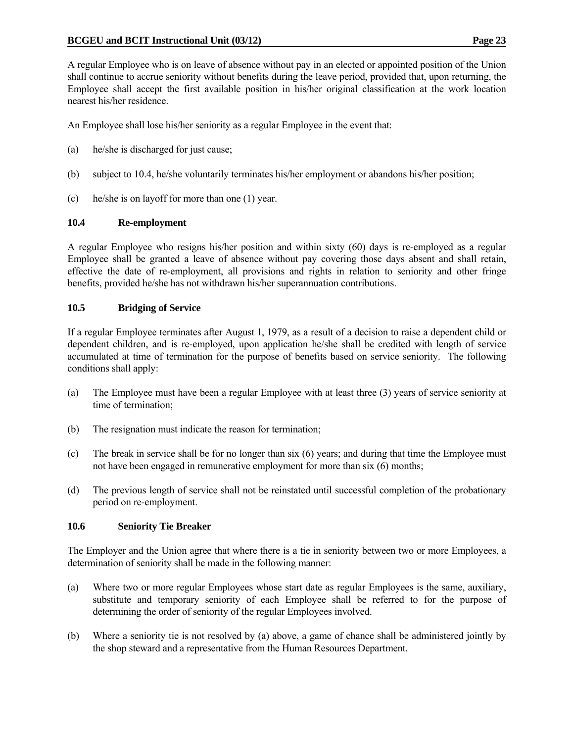A regular Employee who is on leave of absence without pay in an elected or appointed position of the Union shall continue to accrue seniority without benefits during the leave period, provided that, upon returning, the Employee shall accept the first available position in his/her original classification at the work location nearest his/her residence.

An Employee shall lose his/her seniority as a regular Employee in the event that:

- (a) he/she is discharged for just cause;
- (b) subject to 10.4, he/she voluntarily terminates his/her employment or abandons his/her position;
- (c) he/she is on layoff for more than one (1) year.

#### **10.4 Re-employment**

A regular Employee who resigns his/her position and within sixty (60) days is re-employed as a regular Employee shall be granted a leave of absence without pay covering those days absent and shall retain, effective the date of re-employment, all provisions and rights in relation to seniority and other fringe benefits, provided he/she has not withdrawn his/her superannuation contributions.

### **10.5 Bridging of Service**

If a regular Employee terminates after August 1, 1979, as a result of a decision to raise a dependent child or dependent children, and is re-employed, upon application he/she shall be credited with length of service accumulated at time of termination for the purpose of benefits based on service seniority. The following conditions shall apply:

- (a) The Employee must have been a regular Employee with at least three (3) years of service seniority at time of termination;
- (b) The resignation must indicate the reason for termination;
- (c) The break in service shall be for no longer than six (6) years; and during that time the Employee must not have been engaged in remunerative employment for more than six (6) months;
- (d) The previous length of service shall not be reinstated until successful completion of the probationary period on re-employment.

#### **10.6 Seniority Tie Breaker**

The Employer and the Union agree that where there is a tie in seniority between two or more Employees, a determination of seniority shall be made in the following manner:

- (a) Where two or more regular Employees whose start date as regular Employees is the same, auxiliary, substitute and temporary seniority of each Employee shall be referred to for the purpose of determining the order of seniority of the regular Employees involved.
- (b) Where a seniority tie is not resolved by (a) above, a game of chance shall be administered jointly by the shop steward and a representative from the Human Resources Department.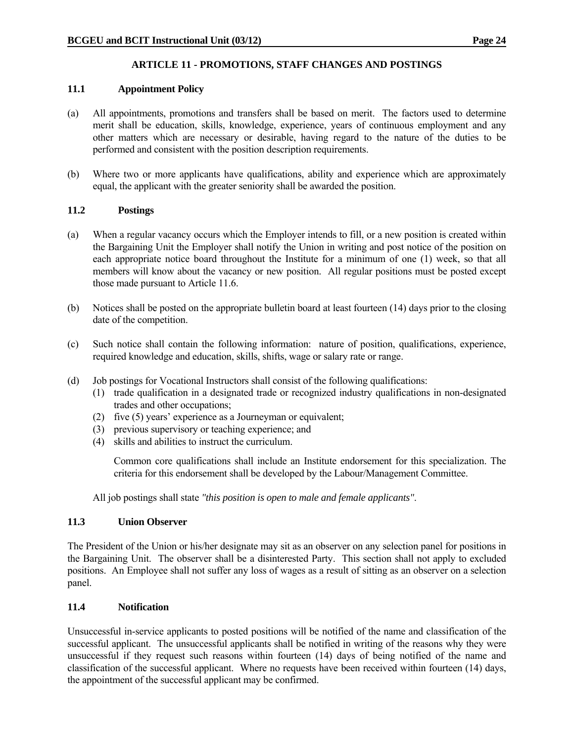# **ARTICLE 11 - PROMOTIONS, STAFF CHANGES AND POSTINGS**

# **11.1 Appointment Policy**

- (a) All appointments, promotions and transfers shall be based on merit. The factors used to determine merit shall be education, skills, knowledge, experience, years of continuous employment and any other matters which are necessary or desirable, having regard to the nature of the duties to be performed and consistent with the position description requirements.
- (b) Where two or more applicants have qualifications, ability and experience which are approximately equal, the applicant with the greater seniority shall be awarded the position.

### **11.2 Postings**

- (a) When a regular vacancy occurs which the Employer intends to fill, or a new position is created within the Bargaining Unit the Employer shall notify the Union in writing and post notice of the position on each appropriate notice board throughout the Institute for a minimum of one (1) week, so that all members will know about the vacancy or new position. All regular positions must be posted except those made pursuant to Article 11.6.
- (b) Notices shall be posted on the appropriate bulletin board at least fourteen (14) days prior to the closing date of the competition.
- (c) Such notice shall contain the following information: nature of position, qualifications, experience, required knowledge and education, skills, shifts, wage or salary rate or range.
- (d) Job postings for Vocational Instructors shall consist of the following qualifications:
	- (1) trade qualification in a designated trade or recognized industry qualifications in non-designated trades and other occupations;
	- (2) five (5) years' experience as a Journeyman or equivalent;
	- (3) previous supervisory or teaching experience; and
	- (4) skills and abilities to instruct the curriculum.

Common core qualifications shall include an Institute endorsement for this specialization. The criteria for this endorsement shall be developed by the Labour/Management Committee.

All job postings shall state *"this position is open to male and female applicants"*.

#### **11.3 Union Observer**

The President of the Union or his/her designate may sit as an observer on any selection panel for positions in the Bargaining Unit. The observer shall be a disinterested Party. This section shall not apply to excluded positions. An Employee shall not suffer any loss of wages as a result of sitting as an observer on a selection panel.

#### **11.4 Notification**

Unsuccessful in-service applicants to posted positions will be notified of the name and classification of the successful applicant. The unsuccessful applicants shall be notified in writing of the reasons why they were unsuccessful if they request such reasons within fourteen (14) days of being notified of the name and classification of the successful applicant. Where no requests have been received within fourteen (14) days, the appointment of the successful applicant may be confirmed.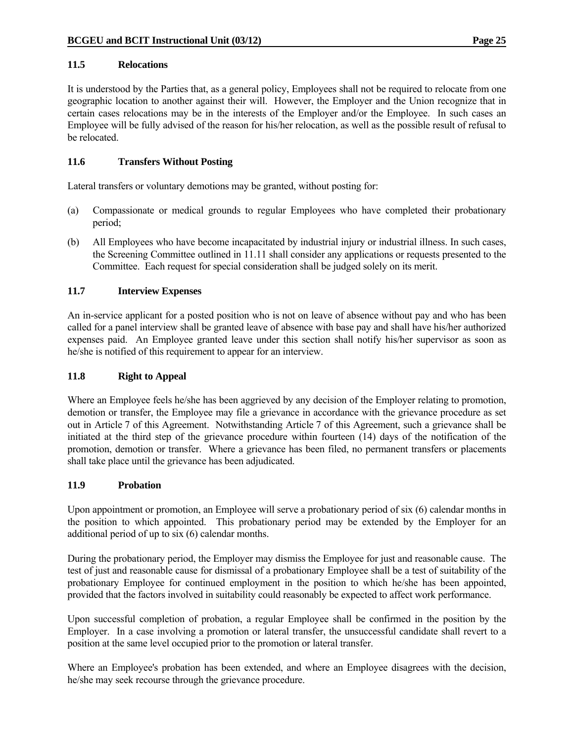#### **11.5 Relocations**

It is understood by the Parties that, as a general policy, Employees shall not be required to relocate from one geographic location to another against their will. However, the Employer and the Union recognize that in certain cases relocations may be in the interests of the Employer and/or the Employee. In such cases an Employee will be fully advised of the reason for his/her relocation, as well as the possible result of refusal to be relocated.

### **11.6 Transfers Without Posting**

Lateral transfers or voluntary demotions may be granted, without posting for:

- (a) Compassionate or medical grounds to regular Employees who have completed their probationary period;
- (b) All Employees who have become incapacitated by industrial injury or industrial illness. In such cases, the Screening Committee outlined in 11.11 shall consider any applications or requests presented to the Committee. Each request for special consideration shall be judged solely on its merit.

### **11.7 Interview Expenses**

An in-service applicant for a posted position who is not on leave of absence without pay and who has been called for a panel interview shall be granted leave of absence with base pay and shall have his/her authorized expenses paid. An Employee granted leave under this section shall notify his/her supervisor as soon as he/she is notified of this requirement to appear for an interview.

#### **11.8 Right to Appeal**

Where an Employee feels he/she has been aggrieved by any decision of the Employer relating to promotion, demotion or transfer, the Employee may file a grievance in accordance with the grievance procedure as set out in Article 7 of this Agreement. Notwithstanding Article 7 of this Agreement, such a grievance shall be initiated at the third step of the grievance procedure within fourteen (14) days of the notification of the promotion, demotion or transfer. Where a grievance has been filed, no permanent transfers or placements shall take place until the grievance has been adjudicated.

#### **11.9 Probation**

Upon appointment or promotion, an Employee will serve a probationary period of six (6) calendar months in the position to which appointed. This probationary period may be extended by the Employer for an additional period of up to six (6) calendar months.

During the probationary period, the Employer may dismiss the Employee for just and reasonable cause. The test of just and reasonable cause for dismissal of a probationary Employee shall be a test of suitability of the probationary Employee for continued employment in the position to which he/she has been appointed, provided that the factors involved in suitability could reasonably be expected to affect work performance.

Upon successful completion of probation, a regular Employee shall be confirmed in the position by the Employer. In a case involving a promotion or lateral transfer, the unsuccessful candidate shall revert to a position at the same level occupied prior to the promotion or lateral transfer.

Where an Employee's probation has been extended, and where an Employee disagrees with the decision, he/she may seek recourse through the grievance procedure.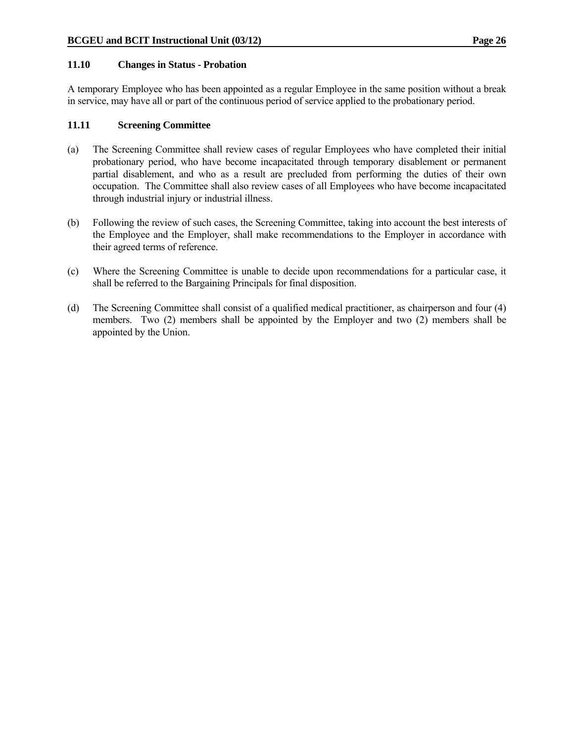#### **11.10 Changes in Status - Probation**

A temporary Employee who has been appointed as a regular Employee in the same position without a break in service, may have all or part of the continuous period of service applied to the probationary period.

#### **11.11 Screening Committee**

- (a) The Screening Committee shall review cases of regular Employees who have completed their initial probationary period, who have become incapacitated through temporary disablement or permanent partial disablement, and who as a result are precluded from performing the duties of their own occupation. The Committee shall also review cases of all Employees who have become incapacitated through industrial injury or industrial illness.
- (b) Following the review of such cases, the Screening Committee, taking into account the best interests of the Employee and the Employer, shall make recommendations to the Employer in accordance with their agreed terms of reference.
- (c) Where the Screening Committee is unable to decide upon recommendations for a particular case, it shall be referred to the Bargaining Principals for final disposition.
- (d) The Screening Committee shall consist of a qualified medical practitioner, as chairperson and four (4) members. Two (2) members shall be appointed by the Employer and two (2) members shall be appointed by the Union.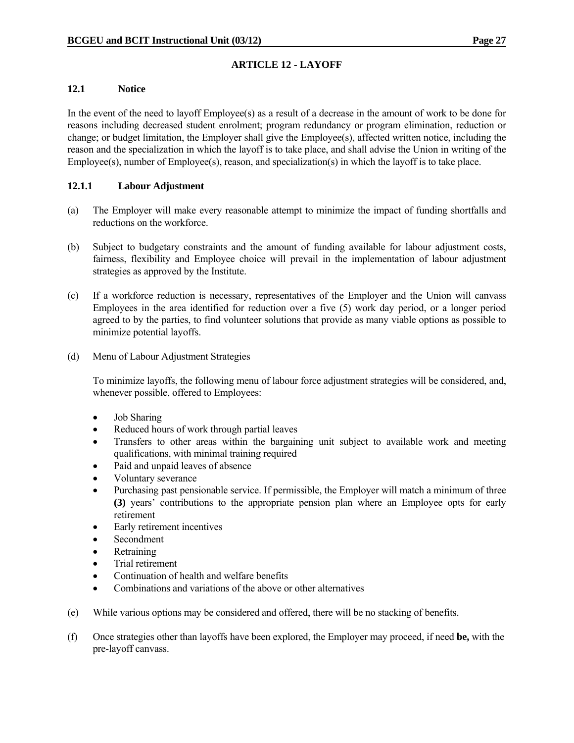# **12.1 Notice**

In the event of the need to layoff Employee(s) as a result of a decrease in the amount of work to be done for reasons including decreased student enrolment; program redundancy or program elimination, reduction or change; or budget limitation, the Employer shall give the Employee(s), affected written notice, including the reason and the specialization in which the layoff is to take place, and shall advise the Union in writing of the Employee(s), number of Employee(s), reason, and specialization(s) in which the layoff is to take place.

# **12.1.1 Labour Adjustment**

- (a) The Employer will make every reasonable attempt to minimize the impact of funding shortfalls and reductions on the workforce.
- (b) Subject to budgetary constraints and the amount of funding available for labour adjustment costs, fairness, flexibility and Employee choice will prevail in the implementation of labour adjustment strategies as approved by the Institute.
- (c) If a workforce reduction is necessary, representatives of the Employer and the Union will canvass Employees in the area identified for reduction over a five (5) work day period, or a longer period agreed to by the parties, to find volunteer solutions that provide as many viable options as possible to minimize potential layoffs.
- (d) Menu of Labour Adjustment Strategies

 To minimize layoffs, the following menu of labour force adjustment strategies will be considered, and, whenever possible, offered to Employees:

- Job Sharing
- Reduced hours of work through partial leaves
- Transfers to other areas within the bargaining unit subject to available work and meeting qualifications, with minimal training required
- Paid and unpaid leaves of absence
- Voluntary severance
- Purchasing past pensionable service. If permissible, the Employer will match a minimum of three **(3)** years' contributions to the appropriate pension plan where an Employee opts for early retirement
- Early retirement incentives
- Secondment
- Retraining
- Trial retirement
- Continuation of health and welfare benefits
- Combinations and variations of the above or other alternatives
- (e) While various options may be considered and offered, there will be no stacking of benefits.
- (f) Once strategies other than layoffs have been explored, the Employer may proceed, if need **be,** with the pre-layoff canvass.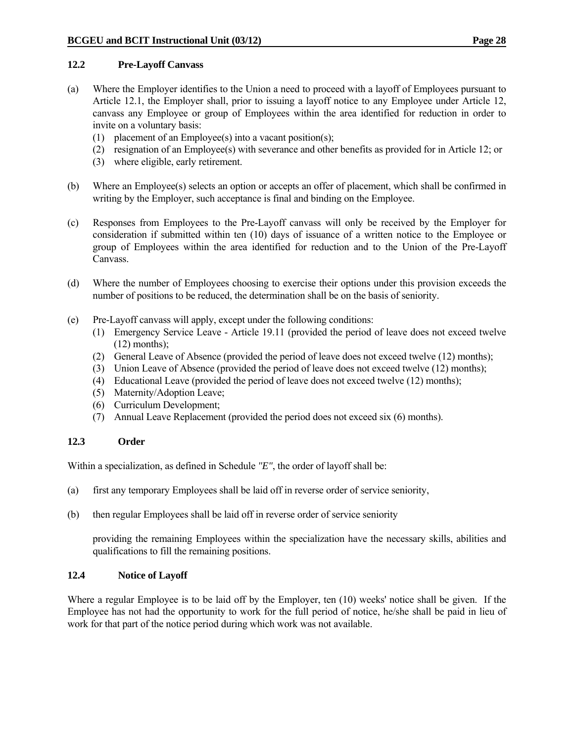### **12.2 Pre-Layoff Canvass**

- (a) Where the Employer identifies to the Union a need to proceed with a layoff of Employees pursuant to Article 12.1, the Employer shall, prior to issuing a layoff notice to any Employee under Article 12, canvass any Employee or group of Employees within the area identified for reduction in order to invite on a voluntary basis:
	- (1) placement of an Employee(s) into a vacant position(s);
	- (2) resignation of an Employee(s) with severance and other benefits as provided for in Article 12; or
	- (3) where eligible, early retirement.
- (b) Where an Employee(s) selects an option or accepts an offer of placement, which shall be confirmed in writing by the Employer, such acceptance is final and binding on the Employee.
- (c) Responses from Employees to the Pre-Layoff canvass will only be received by the Employer for consideration if submitted within ten (10) days of issuance of a written notice to the Employee or group of Employees within the area identified for reduction and to the Union of the Pre-Layoff Canvass.
- (d) Where the number of Employees choosing to exercise their options under this provision exceeds the number of positions to be reduced, the determination shall be on the basis of seniority.
- (e) Pre-Layoff canvass will apply, except under the following conditions:
	- (1) Emergency Service Leave Article 19.11 (provided the period of leave does not exceed twelve  $(12)$  months):
	- (2) General Leave of Absence (provided the period of leave does not exceed twelve (12) months);
	- (3) Union Leave of Absence (provided the period of leave does not exceed twelve (12) months);
	- (4) Educational Leave (provided the period of leave does not exceed twelve (12) months);
	- (5) Maternity/Adoption Leave;
	- (6) Curriculum Development;
	- (7) Annual Leave Replacement (provided the period does not exceed six (6) months).

# **12.3 Order**

Within a specialization, as defined in Schedule *"E"*, the order of layoff shall be:

- (a) first any temporary Employees shall be laid off in reverse order of service seniority,
- (b) then regular Employees shall be laid off in reverse order of service seniority

 providing the remaining Employees within the specialization have the necessary skills, abilities and qualifications to fill the remaining positions.

# **12.4 Notice of Layoff**

Where a regular Employee is to be laid off by the Employer, ten (10) weeks' notice shall be given. If the Employee has not had the opportunity to work for the full period of notice, he/she shall be paid in lieu of work for that part of the notice period during which work was not available.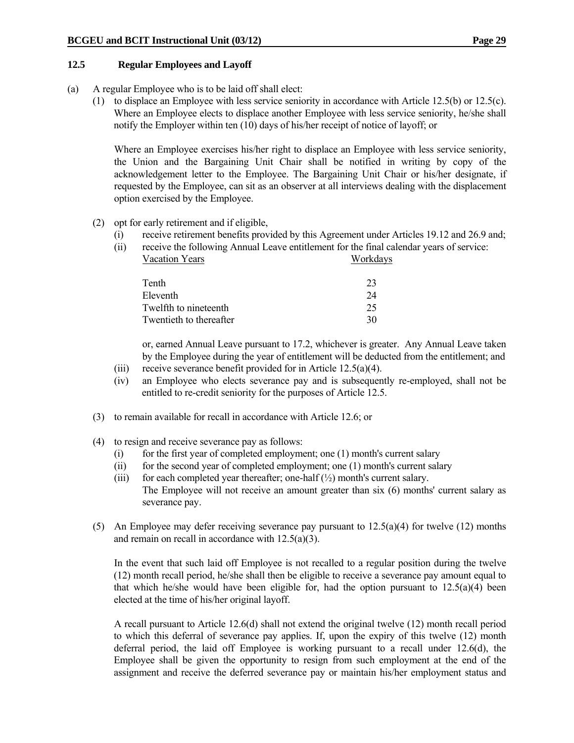### **12.5 Regular Employees and Layoff**

- (a) A regular Employee who is to be laid off shall elect:
	- (1) to displace an Employee with less service seniority in accordance with Article 12.5(b) or 12.5(c). Where an Employee elects to displace another Employee with less service seniority, he/she shall notify the Employer within ten (10) days of his/her receipt of notice of layoff; or

 Where an Employee exercises his/her right to displace an Employee with less service seniority, the Union and the Bargaining Unit Chair shall be notified in writing by copy of the acknowledgement letter to the Employee. The Bargaining Unit Chair or his/her designate, if requested by the Employee, can sit as an observer at all interviews dealing with the displacement option exercised by the Employee.

### (2) opt for early retirement and if eligible,

- (i) receive retirement benefits provided by this Agreement under Articles 19.12 and 26.9 and;
- (ii) receive the following Annual Leave entitlement for the final calendar years of service: Vacation Years Workdays

| Tenth                   |    |
|-------------------------|----|
| Eleventh                | 24 |
| Twelfth to nineteenth   | 25 |
| Twentieth to thereafter | 30 |

 or, earned Annual Leave pursuant to 17.2, whichever is greater. Any Annual Leave taken by the Employee during the year of entitlement will be deducted from the entitlement; and

- (iii) receive severance benefit provided for in Article 12.5(a)(4).
- (iv) an Employee who elects severance pay and is subsequently re-employed, shall not be entitled to re-credit seniority for the purposes of Article 12.5.
- (3) to remain available for recall in accordance with Article 12.6; or
- (4) to resign and receive severance pay as follows:
	- (i) for the first year of completed employment; one (1) month's current salary
	- (ii) for the second year of completed employment; one (1) month's current salary
	- (iii) for each completed year thereafter; one-half  $(\frac{1}{2})$  month's current salary. The Employee will not receive an amount greater than six (6) months' current salary as severance pay.
- (5) An Employee may defer receiving severance pay pursuant to  $12.5(a)(4)$  for twelve (12) months and remain on recall in accordance with 12.5(a)(3).

 In the event that such laid off Employee is not recalled to a regular position during the twelve (12) month recall period, he/she shall then be eligible to receive a severance pay amount equal to that which he/she would have been eligible for, had the option pursuant to  $12.5(a)(4)$  been elected at the time of his/her original layoff.

 A recall pursuant to Article 12.6(d) shall not extend the original twelve (12) month recall period to which this deferral of severance pay applies. If, upon the expiry of this twelve (12) month deferral period, the laid off Employee is working pursuant to a recall under 12.6(d), the Employee shall be given the opportunity to resign from such employment at the end of the assignment and receive the deferred severance pay or maintain his/her employment status and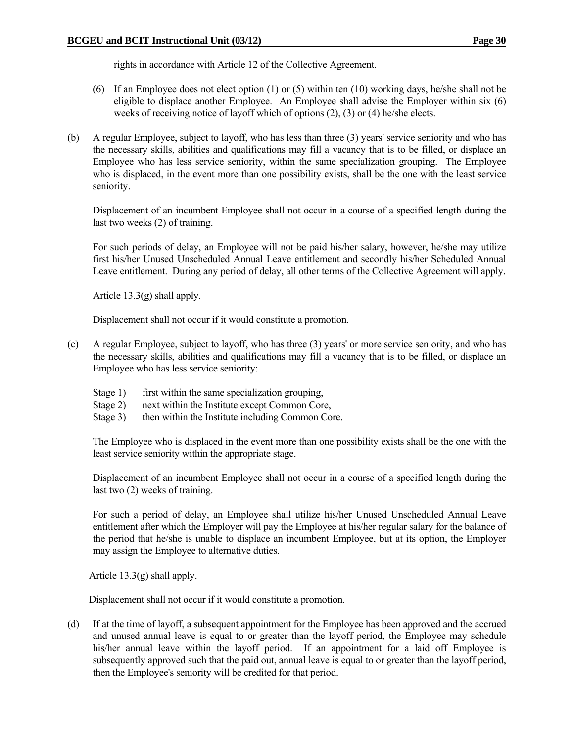rights in accordance with Article 12 of the Collective Agreement.

- (6) If an Employee does not elect option (1) or (5) within ten (10) working days, he/she shall not be eligible to displace another Employee. An Employee shall advise the Employer within six (6) weeks of receiving notice of layoff which of options (2), (3) or (4) he/she elects.
- (b) A regular Employee, subject to layoff, who has less than three (3) years' service seniority and who has the necessary skills, abilities and qualifications may fill a vacancy that is to be filled, or displace an Employee who has less service seniority, within the same specialization grouping. The Employee who is displaced, in the event more than one possibility exists, shall be the one with the least service seniority.

 Displacement of an incumbent Employee shall not occur in a course of a specified length during the last two weeks (2) of training.

 For such periods of delay, an Employee will not be paid his/her salary, however, he/she may utilize first his/her Unused Unscheduled Annual Leave entitlement and secondly his/her Scheduled Annual Leave entitlement. During any period of delay, all other terms of the Collective Agreement will apply.

Article 13.3(g) shall apply.

Displacement shall not occur if it would constitute a promotion.

- (c) A regular Employee, subject to layoff, who has three (3) years' or more service seniority, and who has the necessary skills, abilities and qualifications may fill a vacancy that is to be filled, or displace an Employee who has less service seniority:
	- Stage 1) first within the same specialization grouping,
	- Stage 2) next within the Institute except Common Core,
	- Stage 3) then within the Institute including Common Core.

 The Employee who is displaced in the event more than one possibility exists shall be the one with the least service seniority within the appropriate stage.

 Displacement of an incumbent Employee shall not occur in a course of a specified length during the last two (2) weeks of training.

 For such a period of delay, an Employee shall utilize his/her Unused Unscheduled Annual Leave entitlement after which the Employer will pay the Employee at his/her regular salary for the balance of the period that he/she is unable to displace an incumbent Employee, but at its option, the Employer may assign the Employee to alternative duties.

Article 13.3(g) shall apply.

Displacement shall not occur if it would constitute a promotion.

(d) If at the time of layoff, a subsequent appointment for the Employee has been approved and the accrued and unused annual leave is equal to or greater than the layoff period, the Employee may schedule his/her annual leave within the layoff period. If an appointment for a laid off Employee is subsequently approved such that the paid out, annual leave is equal to or greater than the layoff period, then the Employee's seniority will be credited for that period.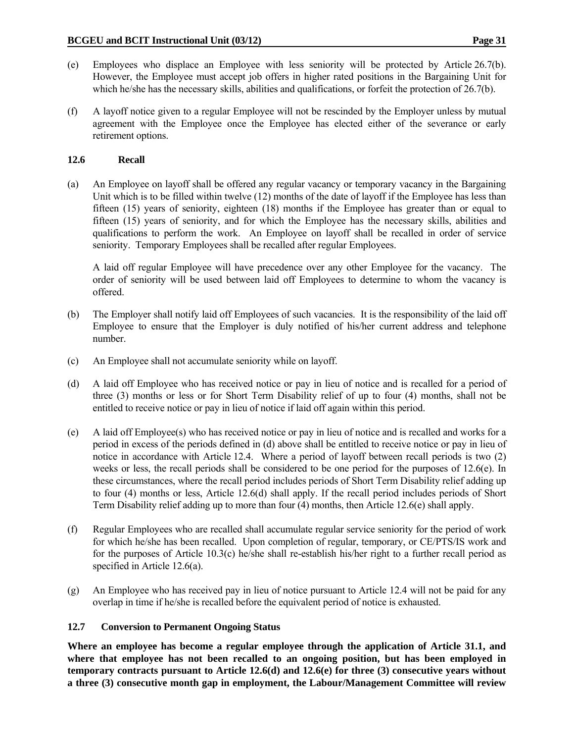- (e) Employees who displace an Employee with less seniority will be protected by Article 26.7(b). However, the Employee must accept job offers in higher rated positions in the Bargaining Unit for which he/she has the necessary skills, abilities and qualifications, or forfeit the protection of 26.7(b).
- (f) A layoff notice given to a regular Employee will not be rescinded by the Employer unless by mutual agreement with the Employee once the Employee has elected either of the severance or early retirement options.

## **12.6 Recall**

(a) An Employee on layoff shall be offered any regular vacancy or temporary vacancy in the Bargaining Unit which is to be filled within twelve (12) months of the date of layoff if the Employee has less than fifteen (15) years of seniority, eighteen (18) months if the Employee has greater than or equal to fifteen (15) years of seniority, and for which the Employee has the necessary skills, abilities and qualifications to perform the work. An Employee on layoff shall be recalled in order of service seniority. Temporary Employees shall be recalled after regular Employees.

 A laid off regular Employee will have precedence over any other Employee for the vacancy. The order of seniority will be used between laid off Employees to determine to whom the vacancy is offered.

- (b) The Employer shall notify laid off Employees of such vacancies. It is the responsibility of the laid off Employee to ensure that the Employer is duly notified of his/her current address and telephone number.
- (c) An Employee shall not accumulate seniority while on layoff.
- (d) A laid off Employee who has received notice or pay in lieu of notice and is recalled for a period of three (3) months or less or for Short Term Disability relief of up to four (4) months, shall not be entitled to receive notice or pay in lieu of notice if laid off again within this period.
- (e) A laid off Employee(s) who has received notice or pay in lieu of notice and is recalled and works for a period in excess of the periods defined in (d) above shall be entitled to receive notice or pay in lieu of notice in accordance with Article 12.4. Where a period of layoff between recall periods is two (2) weeks or less, the recall periods shall be considered to be one period for the purposes of 12.6(e). In these circumstances, where the recall period includes periods of Short Term Disability relief adding up to four (4) months or less, Article 12.6(d) shall apply. If the recall period includes periods of Short Term Disability relief adding up to more than four (4) months, then Article 12.6(e) shall apply.
- (f) Regular Employees who are recalled shall accumulate regular service seniority for the period of work for which he/she has been recalled. Upon completion of regular, temporary, or CE/PTS/IS work and for the purposes of Article 10.3(c) he/she shall re-establish his/her right to a further recall period as specified in Article 12.6(a).
- (g) An Employee who has received pay in lieu of notice pursuant to Article 12.4 will not be paid for any overlap in time if he/she is recalled before the equivalent period of notice is exhausted.

#### **12.7 Conversion to Permanent Ongoing Status**

**Where an employee has become a regular employee through the application of Article 31.1, and where that employee has not been recalled to an ongoing position, but has been employed in temporary contracts pursuant to Article 12.6(d) and 12.6(e) for three (3) consecutive years without a three (3) consecutive month gap in employment, the Labour/Management Committee will review**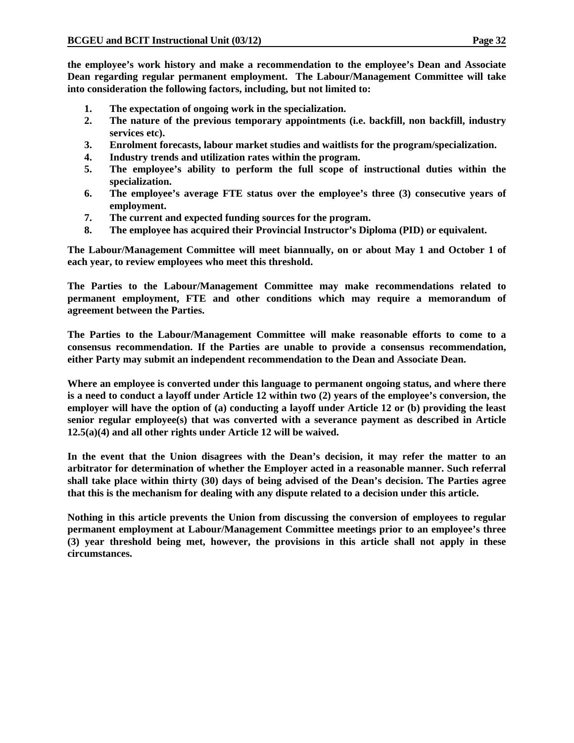**the employee's work history and make a recommendation to the employee's Dean and Associate Dean regarding regular permanent employment. The Labour/Management Committee will take into consideration the following factors, including, but not limited to:** 

- **1. The expectation of ongoing work in the specialization.**
- **2. The nature of the previous temporary appointments (i.e. backfill, non backfill, industry services etc).**
- **3. Enrolment forecasts, labour market studies and waitlists for the program/specialization.**
- **4. Industry trends and utilization rates within the program.**
- **5. The employee's ability to perform the full scope of instructional duties within the specialization.**
- **6. The employee's average FTE status over the employee's three (3) consecutive years of employment.**
- **7. The current and expected funding sources for the program.**
- **8. The employee has acquired their Provincial Instructor's Diploma (PID) or equivalent.**

**The Labour/Management Committee will meet biannually, on or about May 1 and October 1 of each year, to review employees who meet this threshold.** 

**The Parties to the Labour/Management Committee may make recommendations related to permanent employment, FTE and other conditions which may require a memorandum of agreement between the Parties.** 

**The Parties to the Labour/Management Committee will make reasonable efforts to come to a consensus recommendation. If the Parties are unable to provide a consensus recommendation, either Party may submit an independent recommendation to the Dean and Associate Dean.** 

**Where an employee is converted under this language to permanent ongoing status, and where there is a need to conduct a layoff under Article 12 within two (2) years of the employee's conversion, the employer will have the option of (a) conducting a layoff under Article 12 or (b) providing the least senior regular employee(s) that was converted with a severance payment as described in Article 12.5(a)(4) and all other rights under Article 12 will be waived.** 

**In the event that the Union disagrees with the Dean's decision, it may refer the matter to an arbitrator for determination of whether the Employer acted in a reasonable manner. Such referral shall take place within thirty (30) days of being advised of the Dean's decision. The Parties agree that this is the mechanism for dealing with any dispute related to a decision under this article.** 

**Nothing in this article prevents the Union from discussing the conversion of employees to regular permanent employment at Labour/Management Committee meetings prior to an employee's three (3) year threshold being met, however, the provisions in this article shall not apply in these circumstances.**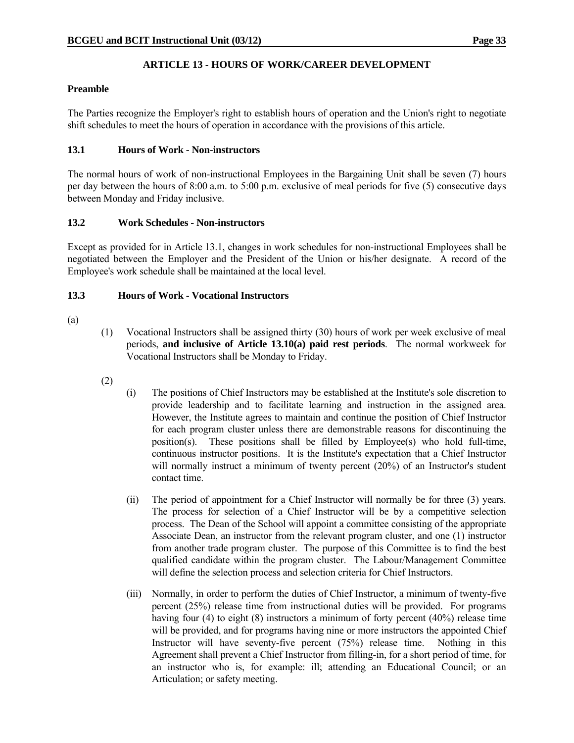# **ARTICLE 13 - HOURS OF WORK/CAREER DEVELOPMENT**

### **Preamble**

The Parties recognize the Employer's right to establish hours of operation and the Union's right to negotiate shift schedules to meet the hours of operation in accordance with the provisions of this article.

### **13.1 Hours of Work - Non-instructors**

The normal hours of work of non-instructional Employees in the Bargaining Unit shall be seven (7) hours per day between the hours of 8:00 a.m. to 5:00 p.m. exclusive of meal periods for five (5) consecutive days between Monday and Friday inclusive.

### **13.2 Work Schedules - Non-instructors**

Except as provided for in Article 13.1, changes in work schedules for non-instructional Employees shall be negotiated between the Employer and the President of the Union or his/her designate. A record of the Employee's work schedule shall be maintained at the local level.

### **13.3 Hours of Work - Vocational Instructors**

- (a)
- (1) Vocational Instructors shall be assigned thirty (30) hours of work per week exclusive of meal periods, **and inclusive of Article 13.10(a) paid rest periods**. The normal workweek for Vocational Instructors shall be Monday to Friday.
- (2)
- (i) The positions of Chief Instructors may be established at the Institute's sole discretion to provide leadership and to facilitate learning and instruction in the assigned area. However, the Institute agrees to maintain and continue the position of Chief Instructor for each program cluster unless there are demonstrable reasons for discontinuing the position(s). These positions shall be filled by Employee(s) who hold full-time, continuous instructor positions. It is the Institute's expectation that a Chief Instructor will normally instruct a minimum of twenty percent (20%) of an Instructor's student contact time.
- (ii) The period of appointment for a Chief Instructor will normally be for three (3) years. The process for selection of a Chief Instructor will be by a competitive selection process. The Dean of the School will appoint a committee consisting of the appropriate Associate Dean, an instructor from the relevant program cluster, and one (1) instructor from another trade program cluster. The purpose of this Committee is to find the best qualified candidate within the program cluster. The Labour/Management Committee will define the selection process and selection criteria for Chief Instructors.
- (iii) Normally, in order to perform the duties of Chief Instructor, a minimum of twenty-five percent (25%) release time from instructional duties will be provided. For programs having four (4) to eight (8) instructors a minimum of forty percent (40%) release time will be provided, and for programs having nine or more instructors the appointed Chief Instructor will have seventy-five percent (75%) release time. Nothing in this Agreement shall prevent a Chief Instructor from filling-in, for a short period of time, for an instructor who is, for example: ill; attending an Educational Council; or an Articulation; or safety meeting.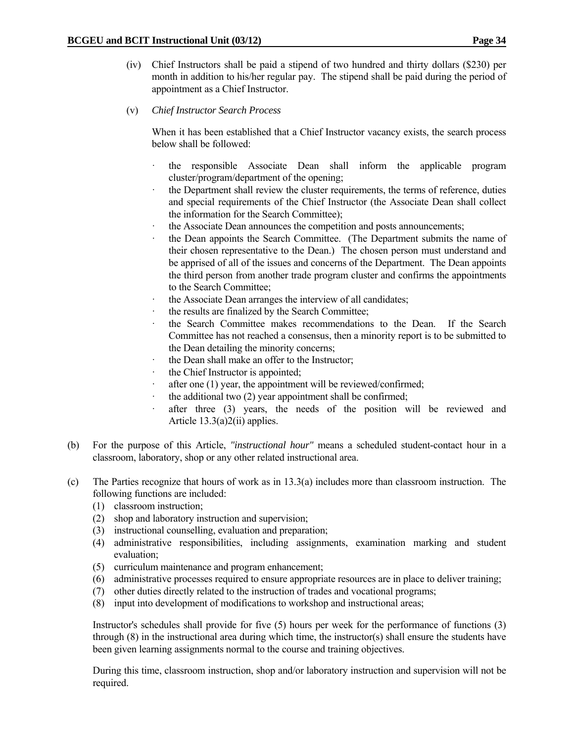- (iv) Chief Instructors shall be paid a stipend of two hundred and thirty dollars (\$230) per month in addition to his/her regular pay. The stipend shall be paid during the period of appointment as a Chief Instructor.
- (v) *Chief Instructor Search Process*

 When it has been established that a Chief Instructor vacancy exists, the search process below shall be followed:

- · the responsible Associate Dean shall inform the applicable program cluster/program/department of the opening;
- the Department shall review the cluster requirements, the terms of reference, duties and special requirements of the Chief Instructor (the Associate Dean shall collect the information for the Search Committee);
- the Associate Dean announces the competition and posts announcements;
- the Dean appoints the Search Committee. (The Department submits the name of their chosen representative to the Dean.) The chosen person must understand and be apprised of all of the issues and concerns of the Department. The Dean appoints the third person from another trade program cluster and confirms the appointments to the Search Committee;
- the Associate Dean arranges the interview of all candidates;
- the results are finalized by the Search Committee;
- the Search Committee makes recommendations to the Dean. If the Search Committee has not reached a consensus, then a minority report is to be submitted to the Dean detailing the minority concerns;
- the Dean shall make an offer to the Instructor;
- the Chief Instructor is appointed;
- after one (1) year, the appointment will be reviewed/confirmed;
- the additional two  $(2)$  year appointment shall be confirmed;
- after three (3) years, the needs of the position will be reviewed and Article  $13.3(a)2(ii)$  applies.
- (b) For the purpose of this Article, *"instructional hour"* means a scheduled student-contact hour in a classroom, laboratory, shop or any other related instructional area.
- (c) The Parties recognize that hours of work as in 13.3(a) includes more than classroom instruction. The following functions are included:
	- (1) classroom instruction;
	- (2) shop and laboratory instruction and supervision;
	- (3) instructional counselling, evaluation and preparation;
	- (4) administrative responsibilities, including assignments, examination marking and student evaluation;
	- (5) curriculum maintenance and program enhancement;
	- (6) administrative processes required to ensure appropriate resources are in place to deliver training;
	- (7) other duties directly related to the instruction of trades and vocational programs;
	- (8) input into development of modifications to workshop and instructional areas;

 Instructor's schedules shall provide for five (5) hours per week for the performance of functions (3) through  $(8)$  in the instructional area during which time, the instructor(s) shall ensure the students have been given learning assignments normal to the course and training objectives.

 During this time, classroom instruction, shop and/or laboratory instruction and supervision will not be required.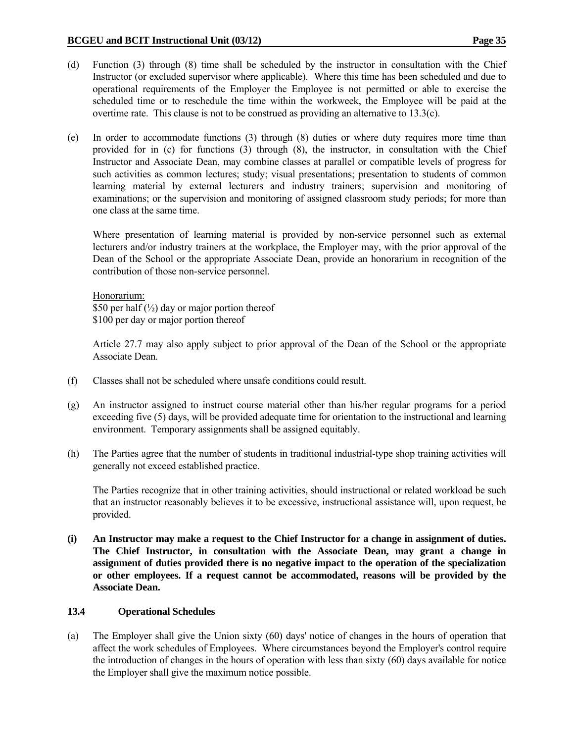- (d) Function (3) through (8) time shall be scheduled by the instructor in consultation with the Chief Instructor (or excluded supervisor where applicable). Where this time has been scheduled and due to operational requirements of the Employer the Employee is not permitted or able to exercise the scheduled time or to reschedule the time within the workweek, the Employee will be paid at the overtime rate. This clause is not to be construed as providing an alternative to 13.3(c).
- (e) In order to accommodate functions (3) through (8) duties or where duty requires more time than provided for in (c) for functions (3) through (8), the instructor, in consultation with the Chief Instructor and Associate Dean, may combine classes at parallel or compatible levels of progress for such activities as common lectures; study; visual presentations; presentation to students of common learning material by external lecturers and industry trainers; supervision and monitoring of examinations; or the supervision and monitoring of assigned classroom study periods; for more than one class at the same time.

 Where presentation of learning material is provided by non-service personnel such as external lecturers and/or industry trainers at the workplace, the Employer may, with the prior approval of the Dean of the School or the appropriate Associate Dean, provide an honorarium in recognition of the contribution of those non-service personnel.

 Honorarium: \$50 per half  $\left(\frac{1}{2}\right)$  day or major portion thereof \$100 per day or major portion thereof

 Article 27.7 may also apply subject to prior approval of the Dean of the School or the appropriate Associate Dean.

- (f) Classes shall not be scheduled where unsafe conditions could result.
- (g) An instructor assigned to instruct course material other than his/her regular programs for a period exceeding five (5) days, will be provided adequate time for orientation to the instructional and learning environment. Temporary assignments shall be assigned equitably.
- (h) The Parties agree that the number of students in traditional industrial-type shop training activities will generally not exceed established practice.

 The Parties recognize that in other training activities, should instructional or related workload be such that an instructor reasonably believes it to be excessive, instructional assistance will, upon request, be provided.

**(i) An Instructor may make a request to the Chief Instructor for a change in assignment of duties. The Chief Instructor, in consultation with the Associate Dean, may grant a change in assignment of duties provided there is no negative impact to the operation of the specialization or other employees. If a request cannot be accommodated, reasons will be provided by the Associate Dean.** 

#### **13.4 Operational Schedules**

(a) The Employer shall give the Union sixty (60) days' notice of changes in the hours of operation that affect the work schedules of Employees. Where circumstances beyond the Employer's control require the introduction of changes in the hours of operation with less than sixty (60) days available for notice the Employer shall give the maximum notice possible.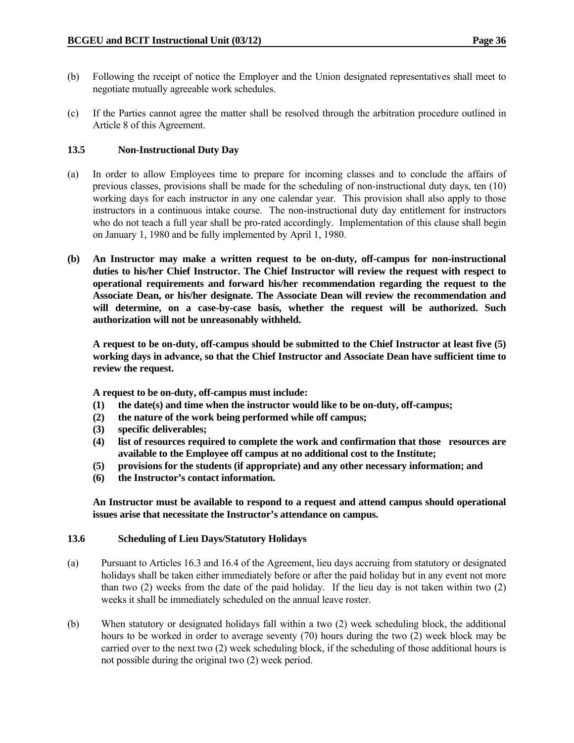- (b) Following the receipt of notice the Employer and the Union designated representatives shall meet to negotiate mutually agreeable work schedules.
- (c) If the Parties cannot agree the matter shall be resolved through the arbitration procedure outlined in Article 8 of this Agreement.

### **13.5 Non-Instructional Duty Day**

- (a) In order to allow Employees time to prepare for incoming classes and to conclude the affairs of previous classes, provisions shall be made for the scheduling of non-instructional duty days, ten (10) working days for each instructor in any one calendar year. This provision shall also apply to those instructors in a continuous intake course. The non-instructional duty day entitlement for instructors who do not teach a full year shall be pro-rated accordingly. Implementation of this clause shall begin on January 1, 1980 and be fully implemented by April 1, 1980.
- **(b) An Instructor may make a written request to be on-duty, off-campus for non-instructional duties to his/her Chief Instructor. The Chief Instructor will review the request with respect to operational requirements and forward his/her recommendation regarding the request to the Associate Dean, or his/her designate. The Associate Dean will review the recommendation and will determine, on a case-by-case basis, whether the request will be authorized. Such authorization will not be unreasonably withheld.**

**A request to be on-duty, off-campus should be submitted to the Chief Instructor at least five (5) working days in advance, so that the Chief Instructor and Associate Dean have sufficient time to review the request.** 

**A request to be on-duty, off-campus must include:** 

- **(1) the date(s) and time when the instructor would like to be on-duty, off-campus;**
- **(2) the nature of the work being performed while off campus;**
- **(3) specific deliverables;**
- **(4) list of resources required to complete the work and confirmation that those resources are available to the Employee off campus at no additional cost to the Institute;**
- **(5) provisions for the students (if appropriate) and any other necessary information; and**
- **(6) the Instructor's contact information.**

**An Instructor must be available to respond to a request and attend campus should operational issues arise that necessitate the Instructor's attendance on campus.** 

#### **13.6 Scheduling of Lieu Days/Statutory Holidays**

- (a) Pursuant to Articles 16.3 and 16.4 of the Agreement, lieu days accruing from statutory or designated holidays shall be taken either immediately before or after the paid holiday but in any event not more than two (2) weeks from the date of the paid holiday. If the lieu day is not taken within two (2) weeks it shall be immediately scheduled on the annual leave roster.
- (b) When statutory or designated holidays fall within a two (2) week scheduling block, the additional hours to be worked in order to average seventy (70) hours during the two (2) week block may be carried over to the next two (2) week scheduling block, if the scheduling of those additional hours is not possible during the original two (2) week period.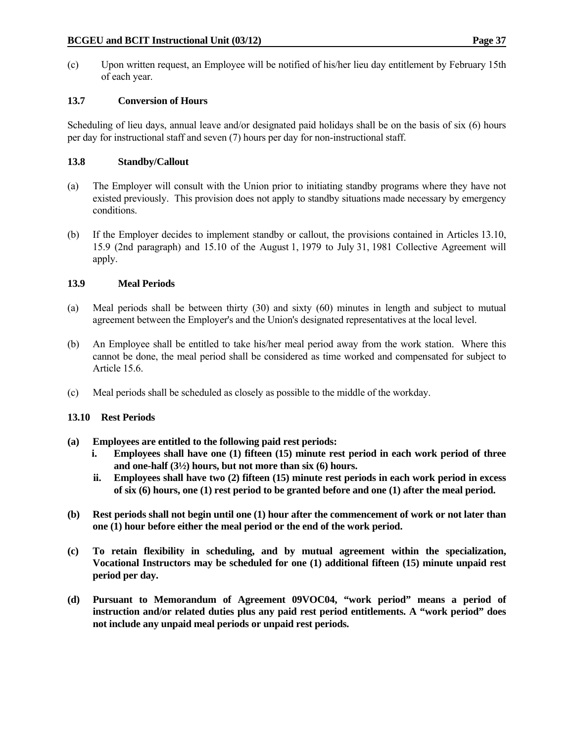(c) Upon written request, an Employee will be notified of his/her lieu day entitlement by February 15th of each year.

# **13.7 Conversion of Hours**

Scheduling of lieu days, annual leave and/or designated paid holidays shall be on the basis of six (6) hours per day for instructional staff and seven (7) hours per day for non-instructional staff.

# **13.8 Standby/Callout**

- (a) The Employer will consult with the Union prior to initiating standby programs where they have not existed previously. This provision does not apply to standby situations made necessary by emergency conditions.
- (b) If the Employer decides to implement standby or callout, the provisions contained in Articles 13.10, 15.9 (2nd paragraph) and 15.10 of the August 1, 1979 to July 31, 1981 Collective Agreement will apply.

# **13.9 Meal Periods**

- (a) Meal periods shall be between thirty (30) and sixty (60) minutes in length and subject to mutual agreement between the Employer's and the Union's designated representatives at the local level.
- (b) An Employee shall be entitled to take his/her meal period away from the work station. Where this cannot be done, the meal period shall be considered as time worked and compensated for subject to Article 15.6.
- (c) Meal periods shall be scheduled as closely as possible to the middle of the workday.

# **13.10 Rest Periods**

- **(a) Employees are entitled to the following paid rest periods:** 
	- **i. Employees shall have one (1) fifteen (15) minute rest period in each work period of three and one-half (3½) hours, but not more than six (6) hours.**
	- **ii. Employees shall have two (2) fifteen (15) minute rest periods in each work period in excess of six (6) hours, one (1) rest period to be granted before and one (1) after the meal period.**
- **(b) Rest periods shall not begin until one (1) hour after the commencement of work or not later than one (1) hour before either the meal period or the end of the work period.**
- **(c) To retain flexibility in scheduling, and by mutual agreement within the specialization, Vocational Instructors may be scheduled for one (1) additional fifteen (15) minute unpaid rest period per day.**
- **(d) Pursuant to Memorandum of Agreement 09VOC04, "work period" means a period of instruction and/or related duties plus any paid rest period entitlements. A "work period" does not include any unpaid meal periods or unpaid rest periods.**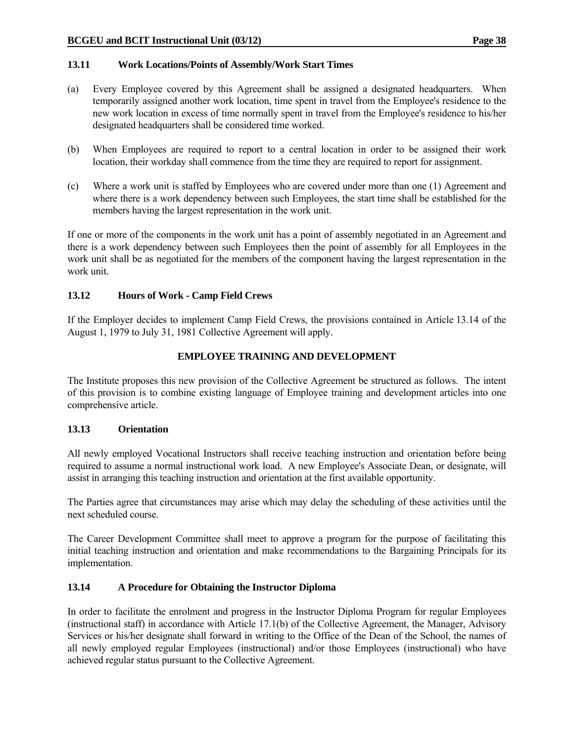## **13.11 Work Locations/Points of Assembly/Work Start Times**

- (a) Every Employee covered by this Agreement shall be assigned a designated headquarters. When temporarily assigned another work location, time spent in travel from the Employee's residence to the new work location in excess of time normally spent in travel from the Employee's residence to his/her designated headquarters shall be considered time worked.
- (b) When Employees are required to report to a central location in order to be assigned their work location, their workday shall commence from the time they are required to report for assignment.
- (c) Where a work unit is staffed by Employees who are covered under more than one (1) Agreement and where there is a work dependency between such Employees, the start time shall be established for the members having the largest representation in the work unit.

If one or more of the components in the work unit has a point of assembly negotiated in an Agreement and there is a work dependency between such Employees then the point of assembly for all Employees in the work unit shall be as negotiated for the members of the component having the largest representation in the work unit.

### **13.12 Hours of Work - Camp Field Crews**

If the Employer decides to implement Camp Field Crews, the provisions contained in Article 13.14 of the August 1, 1979 to July 31, 1981 Collective Agreement will apply.

# **EMPLOYEE TRAINING AND DEVELOPMENT**

The Institute proposes this new provision of the Collective Agreement be structured as follows. The intent of this provision is to combine existing language of Employee training and development articles into one comprehensive article.

# **13.13 Orientation**

All newly employed Vocational Instructors shall receive teaching instruction and orientation before being required to assume a normal instructional work load. A new Employee's Associate Dean, or designate, will assist in arranging this teaching instruction and orientation at the first available opportunity.

The Parties agree that circumstances may arise which may delay the scheduling of these activities until the next scheduled course.

The Career Development Committee shall meet to approve a program for the purpose of facilitating this initial teaching instruction and orientation and make recommendations to the Bargaining Principals for its implementation.

# **13.14 A Procedure for Obtaining the Instructor Diploma**

In order to facilitate the enrolment and progress in the Instructor Diploma Program for regular Employees (instructional staff) in accordance with Article 17.1(b) of the Collective Agreement, the Manager, Advisory Services or his/her designate shall forward in writing to the Office of the Dean of the School, the names of all newly employed regular Employees (instructional) and/or those Employees (instructional) who have achieved regular status pursuant to the Collective Agreement.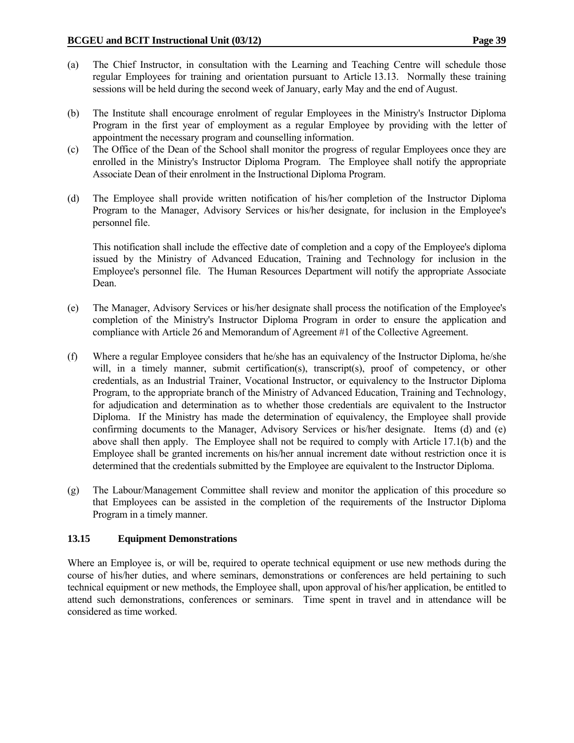- (a) The Chief Instructor, in consultation with the Learning and Teaching Centre will schedule those regular Employees for training and orientation pursuant to Article 13.13. Normally these training sessions will be held during the second week of January, early May and the end of August.
- (b) The Institute shall encourage enrolment of regular Employees in the Ministry's Instructor Diploma Program in the first year of employment as a regular Employee by providing with the letter of appointment the necessary program and counselling information.
- (c) The Office of the Dean of the School shall monitor the progress of regular Employees once they are enrolled in the Ministry's Instructor Diploma Program. The Employee shall notify the appropriate Associate Dean of their enrolment in the Instructional Diploma Program.
- (d) The Employee shall provide written notification of his/her completion of the Instructor Diploma Program to the Manager, Advisory Services or his/her designate, for inclusion in the Employee's personnel file.

 This notification shall include the effective date of completion and a copy of the Employee's diploma issued by the Ministry of Advanced Education, Training and Technology for inclusion in the Employee's personnel file. The Human Resources Department will notify the appropriate Associate Dean.

- (e) The Manager, Advisory Services or his/her designate shall process the notification of the Employee's completion of the Ministry's Instructor Diploma Program in order to ensure the application and compliance with Article 26 and Memorandum of Agreement #1 of the Collective Agreement.
- (f) Where a regular Employee considers that he/she has an equivalency of the Instructor Diploma, he/she will, in a timely manner, submit certification(s), transcript(s), proof of competency, or other credentials, as an Industrial Trainer, Vocational Instructor, or equivalency to the Instructor Diploma Program, to the appropriate branch of the Ministry of Advanced Education, Training and Technology, for adjudication and determination as to whether those credentials are equivalent to the Instructor Diploma. If the Ministry has made the determination of equivalency, the Employee shall provide confirming documents to the Manager, Advisory Services or his/her designate. Items (d) and (e) above shall then apply. The Employee shall not be required to comply with Article 17.1(b) and the Employee shall be granted increments on his/her annual increment date without restriction once it is determined that the credentials submitted by the Employee are equivalent to the Instructor Diploma.
- (g) The Labour/Management Committee shall review and monitor the application of this procedure so that Employees can be assisted in the completion of the requirements of the Instructor Diploma Program in a timely manner.

#### **13.15 Equipment Demonstrations**

Where an Employee is, or will be, required to operate technical equipment or use new methods during the course of his/her duties, and where seminars, demonstrations or conferences are held pertaining to such technical equipment or new methods, the Employee shall, upon approval of his/her application, be entitled to attend such demonstrations, conferences or seminars. Time spent in travel and in attendance will be considered as time worked.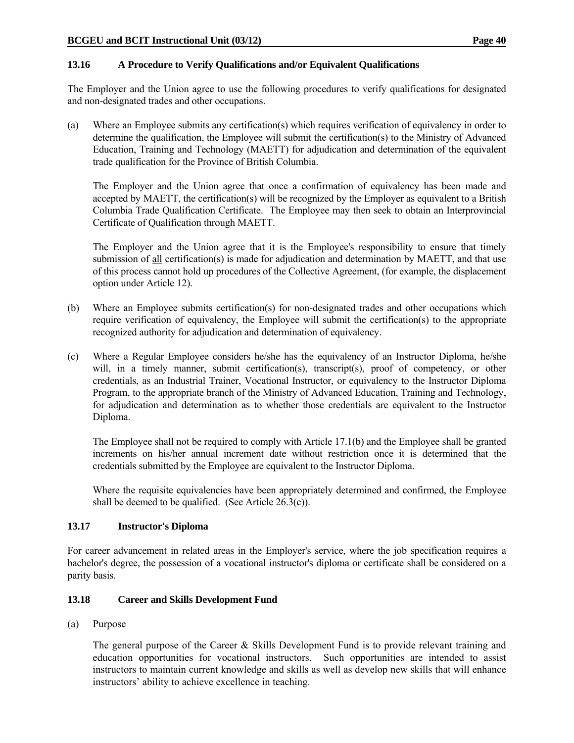### **13.16 A Procedure to Verify Qualifications and/or Equivalent Qualifications**

The Employer and the Union agree to use the following procedures to verify qualifications for designated and non-designated trades and other occupations.

(a) Where an Employee submits any certification(s) which requires verification of equivalency in order to determine the qualification, the Employee will submit the certification(s) to the Ministry of Advanced Education, Training and Technology (MAETT) for adjudication and determination of the equivalent trade qualification for the Province of British Columbia.

 The Employer and the Union agree that once a confirmation of equivalency has been made and accepted by MAETT, the certification(s) will be recognized by the Employer as equivalent to a British Columbia Trade Qualification Certificate. The Employee may then seek to obtain an Interprovincial Certificate of Qualification through MAETT.

 The Employer and the Union agree that it is the Employee's responsibility to ensure that timely submission of all certification(s) is made for adjudication and determination by MAETT, and that use of this process cannot hold up procedures of the Collective Agreement, (for example, the displacement option under Article 12).

- (b) Where an Employee submits certification(s) for non-designated trades and other occupations which require verification of equivalency, the Employee will submit the certification(s) to the appropriate recognized authority for adjudication and determination of equivalency.
- (c) Where a Regular Employee considers he/she has the equivalency of an Instructor Diploma, he/she will, in a timely manner, submit certification(s), transcript(s), proof of competency, or other credentials, as an Industrial Trainer, Vocational Instructor, or equivalency to the Instructor Diploma Program, to the appropriate branch of the Ministry of Advanced Education, Training and Technology, for adjudication and determination as to whether those credentials are equivalent to the Instructor Diploma.

 The Employee shall not be required to comply with Article 17.1(b) and the Employee shall be granted increments on his/her annual increment date without restriction once it is determined that the credentials submitted by the Employee are equivalent to the Instructor Diploma.

 Where the requisite equivalencies have been appropriately determined and confirmed, the Employee shall be deemed to be qualified. (See Article  $26.3(c)$ ).

# **13.17 Instructor's Diploma**

For career advancement in related areas in the Employer's service, where the job specification requires a bachelor's degree, the possession of a vocational instructor's diploma or certificate shall be considered on a parity basis.

# **13.18 Career and Skills Development Fund**

(a) Purpose

The general purpose of the Career & Skills Development Fund is to provide relevant training and education opportunities for vocational instructors. Such opportunities are intended to assist instructors to maintain current knowledge and skills as well as develop new skills that will enhance instructors' ability to achieve excellence in teaching.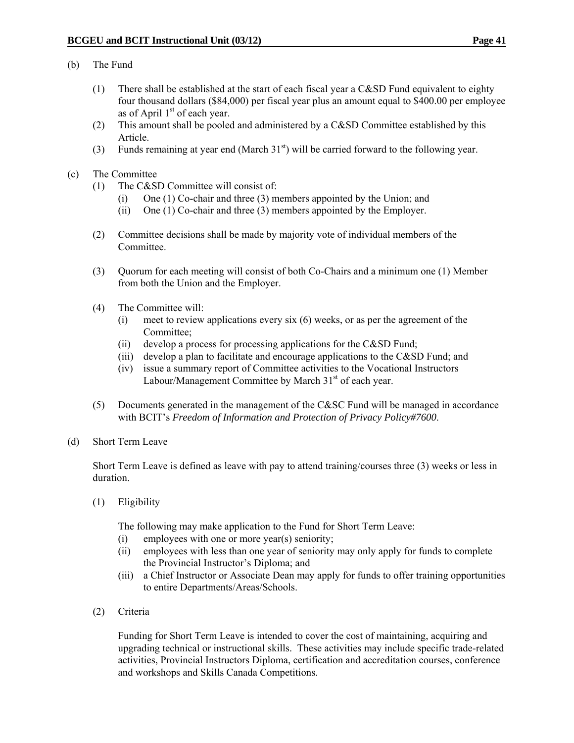#### (b) The Fund

- (1) There shall be established at the start of each fiscal year a C&SD Fund equivalent to eighty four thousand dollars (\$84,000) per fiscal year plus an amount equal to \$400.00 per employee as of April  $1<sup>st</sup>$  of each year.
- (2) This amount shall be pooled and administered by a C&SD Committee established by this Article.
- (3) Funds remaining at year end (March  $31<sup>st</sup>$ ) will be carried forward to the following year.
- (c) The Committee
	- (1) The C&SD Committee will consist of:
		- (i) One (1) Co-chair and three (3) members appointed by the Union; and
		- (ii) One (1) Co-chair and three (3) members appointed by the Employer.
	- (2) Committee decisions shall be made by majority vote of individual members of the Committee.
	- (3) Quorum for each meeting will consist of both Co-Chairs and a minimum one (1) Member from both the Union and the Employer.
	- (4) The Committee will:
		- (i) meet to review applications every six (6) weeks, or as per the agreement of the Committee;
		- (ii) develop a process for processing applications for the C&SD Fund;
		- (iii) develop a plan to facilitate and encourage applications to the C&SD Fund; and
		- (iv) issue a summary report of Committee activities to the Vocational Instructors Labour/Management Committee by March 31<sup>st</sup> of each year.
	- (5) Documents generated in the management of the C&SC Fund will be managed in accordance with BCIT's *Freedom of Information and Protection of Privacy Policy#7600*.
- (d) Short Term Leave

Short Term Leave is defined as leave with pay to attend training/courses three (3) weeks or less in duration.

(1) Eligibility

The following may make application to the Fund for Short Term Leave:

- (i) employees with one or more year(s) seniority;
- (ii) employees with less than one year of seniority may only apply for funds to complete the Provincial Instructor's Diploma; and
- (iii) a Chief Instructor or Associate Dean may apply for funds to offer training opportunities to entire Departments/Areas/Schools.
- (2) Criteria

 Funding for Short Term Leave is intended to cover the cost of maintaining, acquiring and upgrading technical or instructional skills. These activities may include specific trade-related activities, Provincial Instructors Diploma, certification and accreditation courses, conference and workshops and Skills Canada Competitions.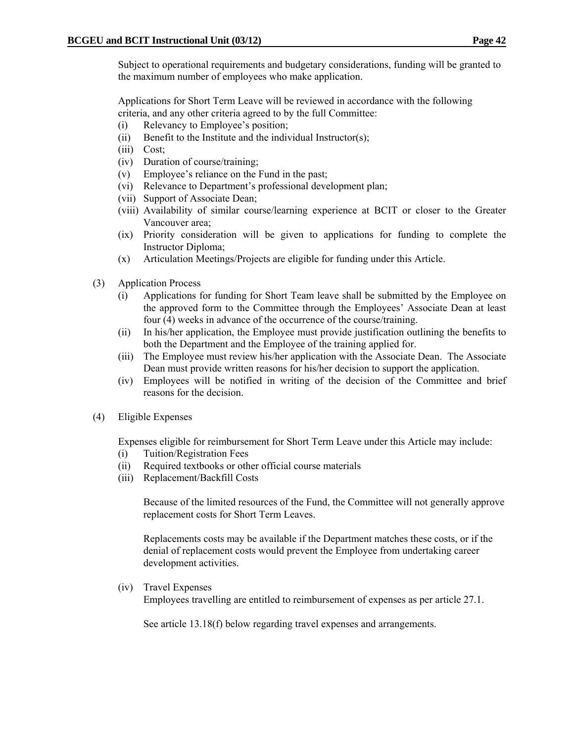Subject to operational requirements and budgetary considerations, funding will be granted to the maximum number of employees who make application.

 Applications for Short Term Leave will be reviewed in accordance with the following criteria, and any other criteria agreed to by the full Committee:

- (i) Relevancy to Employee's position;
- (ii) Benefit to the Institute and the individual Instructor(s);
- (iii) Cost;
- (iv) Duration of course/training;
- (v) Employee's reliance on the Fund in the past;
- (vi) Relevance to Department's professional development plan;
- (vii) Support of Associate Dean;
- (viii) Availability of similar course/learning experience at BCIT or closer to the Greater Vancouver area;
- (ix) Priority consideration will be given to applications for funding to complete the Instructor Diploma;
- (x) Articulation Meetings/Projects are eligible for funding under this Article.
- (3) Application Process
	- (i) Applications for funding for Short Team leave shall be submitted by the Employee on the approved form to the Committee through the Employees' Associate Dean at least four (4) weeks in advance of the occurrence of the course/training.
	- (ii) In his/her application, the Employee must provide justification outlining the benefits to both the Department and the Employee of the training applied for.
	- (iii) The Employee must review his/her application with the Associate Dean. The Associate Dean must provide written reasons for his/her decision to support the application.
	- (iv) Employees will be notified in writing of the decision of the Committee and brief reasons for the decision.
- (4) Eligible Expenses

Expenses eligible for reimbursement for Short Term Leave under this Article may include:

- (i) Tuition/Registration Fees
- (ii) Required textbooks or other official course materials
- (iii) Replacement/Backfill Costs

Because of the limited resources of the Fund, the Committee will not generally approve replacement costs for Short Term Leaves.

Replacements costs may be available if the Department matches these costs, or if the denial of replacement costs would prevent the Employee from undertaking career development activities.

(iv) Travel Expenses

Employees travelling are entitled to reimbursement of expenses as per article 27.1.

See article 13.18(f) below regarding travel expenses and arrangements.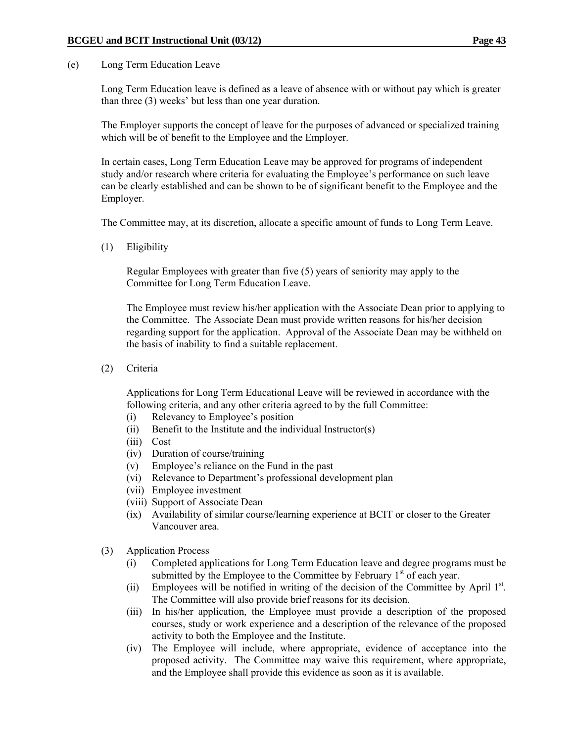(e) Long Term Education Leave

Long Term Education leave is defined as a leave of absence with or without pay which is greater than three (3) weeks' but less than one year duration.

The Employer supports the concept of leave for the purposes of advanced or specialized training which will be of benefit to the Employee and the Employer.

In certain cases, Long Term Education Leave may be approved for programs of independent study and/or research where criteria for evaluating the Employee's performance on such leave can be clearly established and can be shown to be of significant benefit to the Employee and the Employer.

The Committee may, at its discretion, allocate a specific amount of funds to Long Term Leave.

(1) Eligibility

 Regular Employees with greater than five (5) years of seniority may apply to the Committee for Long Term Education Leave.

 The Employee must review his/her application with the Associate Dean prior to applying to the Committee. The Associate Dean must provide written reasons for his/her decision regarding support for the application. Approval of the Associate Dean may be withheld on the basis of inability to find a suitable replacement.

(2) Criteria

Applications for Long Term Educational Leave will be reviewed in accordance with the following criteria, and any other criteria agreed to by the full Committee:

- (i) Relevancy to Employee's position
- (ii) Benefit to the Institute and the individual Instructor(s)
- (iii) Cost
- (iv) Duration of course/training
- (v) Employee's reliance on the Fund in the past
- (vi) Relevance to Department's professional development plan
- (vii) Employee investment
- (viii) Support of Associate Dean
- (ix) Availability of similar course/learning experience at BCIT or closer to the Greater Vancouver area.
- (3) Application Process
	- (i) Completed applications for Long Term Education leave and degree programs must be submitted by the Employee to the Committee by February  $1<sup>st</sup>$  of each year.
	- (ii) Employees will be notified in writing of the decision of the Committee by April  $1<sup>st</sup>$ . The Committee will also provide brief reasons for its decision.
	- (iii) In his/her application, the Employee must provide a description of the proposed courses, study or work experience and a description of the relevance of the proposed activity to both the Employee and the Institute.
	- (iv) The Employee will include, where appropriate, evidence of acceptance into the proposed activity. The Committee may waive this requirement, where appropriate, and the Employee shall provide this evidence as soon as it is available.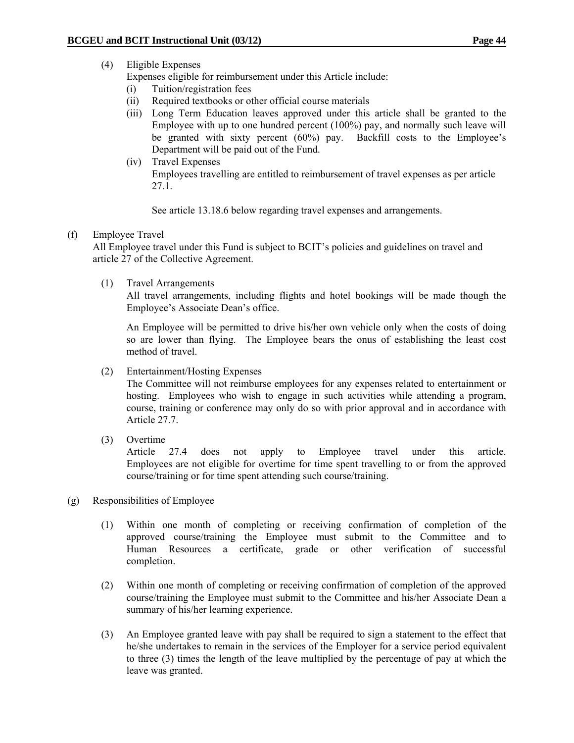# (4) Eligible Expenses

Expenses eligible for reimbursement under this Article include:

- (i) Tuition/registration fees
- (ii) Required textbooks or other official course materials
- (iii) Long Term Education leaves approved under this article shall be granted to the Employee with up to one hundred percent (100%) pay, and normally such leave will be granted with sixty percent (60%) pay. Backfill costs to the Employee's Department will be paid out of the Fund.
- (iv) Travel Expenses Employees travelling are entitled to reimbursement of travel expenses as per article 27.1.

See article 13.18.6 below regarding travel expenses and arrangements.

### (f) Employee Travel

 All Employee travel under this Fund is subject to BCIT's policies and guidelines on travel and article 27 of the Collective Agreement.

(1) Travel Arrangements

 All travel arrangements, including flights and hotel bookings will be made though the Employee's Associate Dean's office.

 An Employee will be permitted to drive his/her own vehicle only when the costs of doing so are lower than flying. The Employee bears the onus of establishing the least cost method of travel.

(2) Entertainment/Hosting Expenses

The Committee will not reimburse employees for any expenses related to entertainment or hosting. Employees who wish to engage in such activities while attending a program, course, training or conference may only do so with prior approval and in accordance with Article 27.7.

(3) Overtime

Article 27.4 does not apply to Employee travel under this article. Employees are not eligible for overtime for time spent travelling to or from the approved course/training or for time spent attending such course/training.

- (g) Responsibilities of Employee
	- (1)Within one month of completing or receiving confirmation of completion of the approved course/training the Employee must submit to the Committee and to Human Resources a certificate, grade or other verification of successful completion.
	- (2) Within one month of completing or receiving confirmation of completion of the approved course/training the Employee must submit to the Committee and his/her Associate Dean a summary of his/her learning experience.
	- (3) An Employee granted leave with pay shall be required to sign a statement to the effect that he/she undertakes to remain in the services of the Employer for a service period equivalent to three (3) times the length of the leave multiplied by the percentage of pay at which the leave was granted.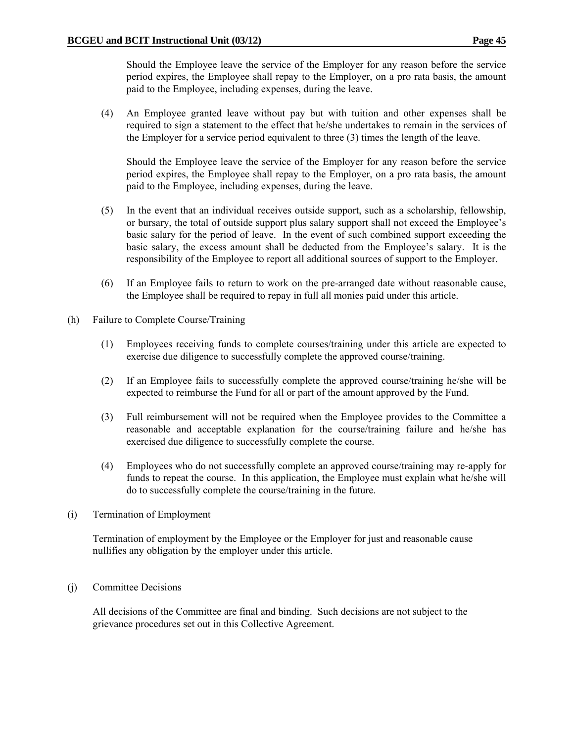Should the Employee leave the service of the Employer for any reason before the service period expires, the Employee shall repay to the Employer, on a pro rata basis, the amount paid to the Employee, including expenses, during the leave.

(4) An Employee granted leave without pay but with tuition and other expenses shall be required to sign a statement to the effect that he/she undertakes to remain in the services of the Employer for a service period equivalent to three (3) times the length of the leave.

 Should the Employee leave the service of the Employer for any reason before the service period expires, the Employee shall repay to the Employer, on a pro rata basis, the amount paid to the Employee, including expenses, during the leave.

- (5) In the event that an individual receives outside support, such as a scholarship, fellowship, or bursary, the total of outside support plus salary support shall not exceed the Employee's basic salary for the period of leave. In the event of such combined support exceeding the basic salary, the excess amount shall be deducted from the Employee's salary. It is the responsibility of the Employee to report all additional sources of support to the Employer.
- (6) If an Employee fails to return to work on the pre-arranged date without reasonable cause, the Employee shall be required to repay in full all monies paid under this article.
- (h) Failure to Complete Course/Training
	- (1) Employees receiving funds to complete courses/training under this article are expected to exercise due diligence to successfully complete the approved course/training.
	- (2) If an Employee fails to successfully complete the approved course/training he/she will be expected to reimburse the Fund for all or part of the amount approved by the Fund.
	- (3) Full reimbursement will not be required when the Employee provides to the Committee a reasonable and acceptable explanation for the course/training failure and he/she has exercised due diligence to successfully complete the course.
	- (4) Employees who do not successfully complete an approved course/training may re-apply for funds to repeat the course. In this application, the Employee must explain what he/she will do to successfully complete the course/training in the future.
- (i) Termination of Employment

Termination of employment by the Employee or the Employer for just and reasonable cause nullifies any obligation by the employer under this article.

(j) Committee Decisions

All decisions of the Committee are final and binding. Such decisions are not subject to the grievance procedures set out in this Collective Agreement.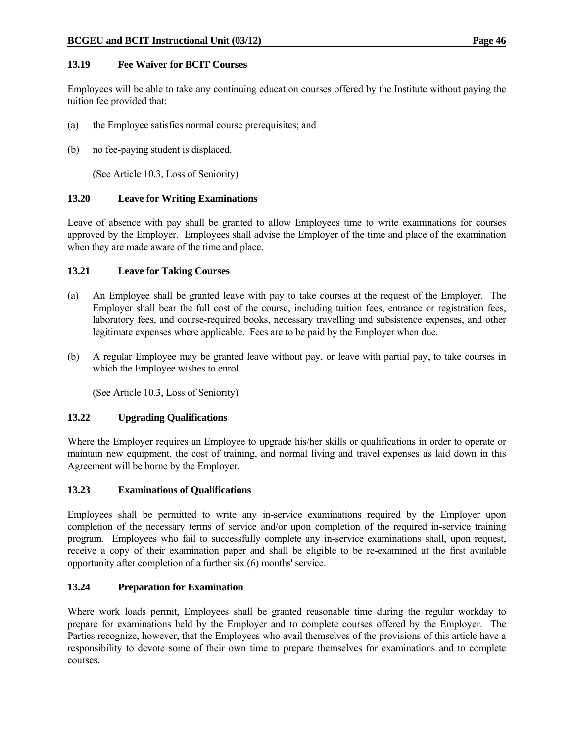### **13.19 Fee Waiver for BCIT Courses**

Employees will be able to take any continuing education courses offered by the Institute without paying the tuition fee provided that:

- (a) the Employee satisfies normal course prerequisites; and
- (b) no fee-paying student is displaced.

(See Article 10.3, Loss of Seniority)

### **13.20 Leave for Writing Examinations**

Leave of absence with pay shall be granted to allow Employees time to write examinations for courses approved by the Employer. Employees shall advise the Employer of the time and place of the examination when they are made aware of the time and place.

### **13.21 Leave for Taking Courses**

- (a) An Employee shall be granted leave with pay to take courses at the request of the Employer. The Employer shall bear the full cost of the course, including tuition fees, entrance or registration fees, laboratory fees, and course-required books, necessary travelling and subsistence expenses, and other legitimate expenses where applicable. Fees are to be paid by the Employer when due.
- (b) A regular Employee may be granted leave without pay, or leave with partial pay, to take courses in which the Employee wishes to enrol.

(See Article 10.3, Loss of Seniority)

#### **13.22 Upgrading Qualifications**

Where the Employer requires an Employee to upgrade his/her skills or qualifications in order to operate or maintain new equipment, the cost of training, and normal living and travel expenses as laid down in this Agreement will be borne by the Employer.

#### **13.23 Examinations of Qualifications**

Employees shall be permitted to write any in-service examinations required by the Employer upon completion of the necessary terms of service and/or upon completion of the required in-service training program. Employees who fail to successfully complete any in-service examinations shall, upon request, receive a copy of their examination paper and shall be eligible to be re-examined at the first available opportunity after completion of a further six (6) months' service.

# **13.24 Preparation for Examination**

Where work loads permit, Employees shall be granted reasonable time during the regular workday to prepare for examinations held by the Employer and to complete courses offered by the Employer. The Parties recognize, however, that the Employees who avail themselves of the provisions of this article have a responsibility to devote some of their own time to prepare themselves for examinations and to complete courses.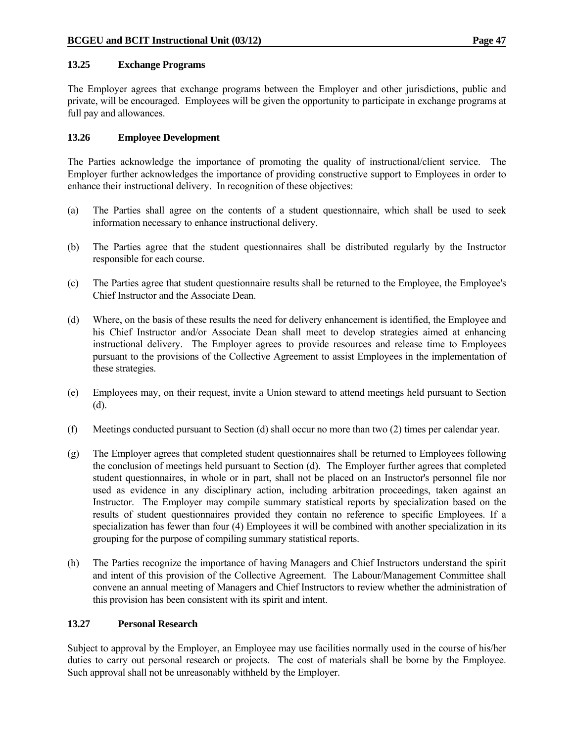### **13.25 Exchange Programs**

The Employer agrees that exchange programs between the Employer and other jurisdictions, public and private, will be encouraged. Employees will be given the opportunity to participate in exchange programs at full pay and allowances.

## **13.26 Employee Development**

The Parties acknowledge the importance of promoting the quality of instructional/client service. The Employer further acknowledges the importance of providing constructive support to Employees in order to enhance their instructional delivery. In recognition of these objectives:

- (a) The Parties shall agree on the contents of a student questionnaire, which shall be used to seek information necessary to enhance instructional delivery.
- (b) The Parties agree that the student questionnaires shall be distributed regularly by the Instructor responsible for each course.
- (c) The Parties agree that student questionnaire results shall be returned to the Employee, the Employee's Chief Instructor and the Associate Dean.
- (d) Where, on the basis of these results the need for delivery enhancement is identified, the Employee and his Chief Instructor and/or Associate Dean shall meet to develop strategies aimed at enhancing instructional delivery. The Employer agrees to provide resources and release time to Employees pursuant to the provisions of the Collective Agreement to assist Employees in the implementation of these strategies.
- (e) Employees may, on their request, invite a Union steward to attend meetings held pursuant to Section (d).
- (f) Meetings conducted pursuant to Section (d) shall occur no more than two (2) times per calendar year.
- (g) The Employer agrees that completed student questionnaires shall be returned to Employees following the conclusion of meetings held pursuant to Section (d). The Employer further agrees that completed student questionnaires, in whole or in part, shall not be placed on an Instructor's personnel file nor used as evidence in any disciplinary action, including arbitration proceedings, taken against an Instructor. The Employer may compile summary statistical reports by specialization based on the results of student questionnaires provided they contain no reference to specific Employees. If a specialization has fewer than four (4) Employees it will be combined with another specialization in its grouping for the purpose of compiling summary statistical reports.
- (h) The Parties recognize the importance of having Managers and Chief Instructors understand the spirit and intent of this provision of the Collective Agreement. The Labour/Management Committee shall convene an annual meeting of Managers and Chief Instructors to review whether the administration of this provision has been consistent with its spirit and intent.

### **13.27 Personal Research**

Subject to approval by the Employer, an Employee may use facilities normally used in the course of his/her duties to carry out personal research or projects. The cost of materials shall be borne by the Employee. Such approval shall not be unreasonably withheld by the Employer.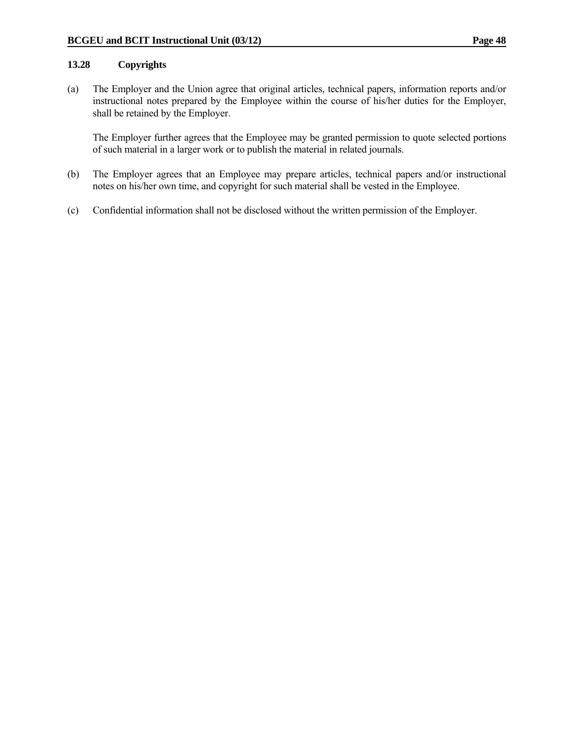### **13.28 Copyrights**

(a) The Employer and the Union agree that original articles, technical papers, information reports and/or instructional notes prepared by the Employee within the course of his/her duties for the Employer, shall be retained by the Employer.

 The Employer further agrees that the Employee may be granted permission to quote selected portions of such material in a larger work or to publish the material in related journals.

- (b) The Employer agrees that an Employee may prepare articles, technical papers and/or instructional notes on his/her own time, and copyright for such material shall be vested in the Employee.
- (c) Confidential information shall not be disclosed without the written permission of the Employer.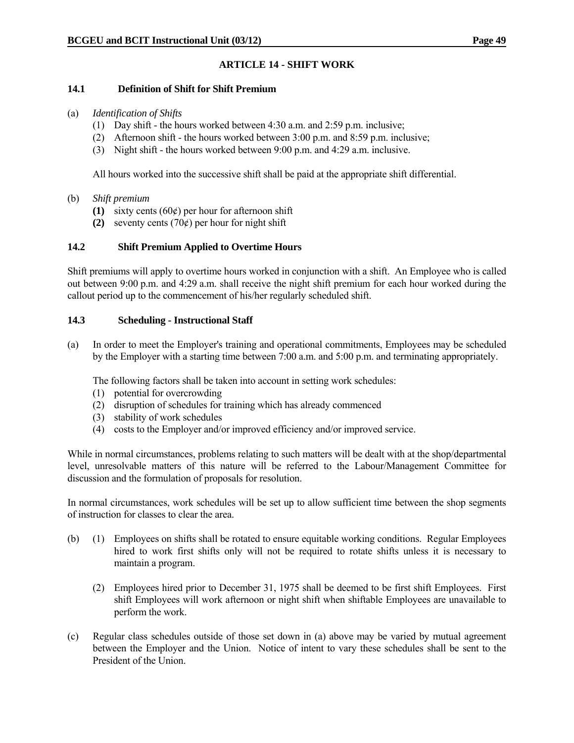# **ARTICLE 14 - SHIFT WORK**

#### **14.1 Definition of Shift for Shift Premium**

#### (a) *Identification of Shifts*

- (1) Day shift the hours worked between 4:30 a.m. and 2:59 p.m. inclusive;
- (2) Afternoon shift the hours worked between 3:00 p.m. and 8:59 p.m. inclusive;
- (3) Night shift the hours worked between 9:00 p.m. and 4:29 a.m. inclusive.

All hours worked into the successive shift shall be paid at the appropriate shift differential.

### (b) *Shift premium*

- **(1)** sixty cents (60¢) per hour for afternoon shift
- **(2)** seventy cents  $(70¢)$  per hour for night shift

### **14.2 Shift Premium Applied to Overtime Hours**

Shift premiums will apply to overtime hours worked in conjunction with a shift. An Employee who is called out between 9:00 p.m. and 4:29 a.m. shall receive the night shift premium for each hour worked during the callout period up to the commencement of his/her regularly scheduled shift.

### **14.3 Scheduling - Instructional Staff**

(a) In order to meet the Employer's training and operational commitments, Employees may be scheduled by the Employer with a starting time between 7:00 a.m. and 5:00 p.m. and terminating appropriately.

The following factors shall be taken into account in setting work schedules:

- (1) potential for overcrowding
- (2) disruption of schedules for training which has already commenced
- (3) stability of work schedules
- (4) costs to the Employer and/or improved efficiency and/or improved service.

While in normal circumstances, problems relating to such matters will be dealt with at the shop/departmental level, unresolvable matters of this nature will be referred to the Labour/Management Committee for discussion and the formulation of proposals for resolution.

In normal circumstances, work schedules will be set up to allow sufficient time between the shop segments of instruction for classes to clear the area.

- (b) (1) Employees on shifts shall be rotated to ensure equitable working conditions. Regular Employees hired to work first shifts only will not be required to rotate shifts unless it is necessary to maintain a program.
	- (2) Employees hired prior to December 31, 1975 shall be deemed to be first shift Employees. First shift Employees will work afternoon or night shift when shiftable Employees are unavailable to perform the work.
- (c) Regular class schedules outside of those set down in (a) above may be varied by mutual agreement between the Employer and the Union. Notice of intent to vary these schedules shall be sent to the President of the Union.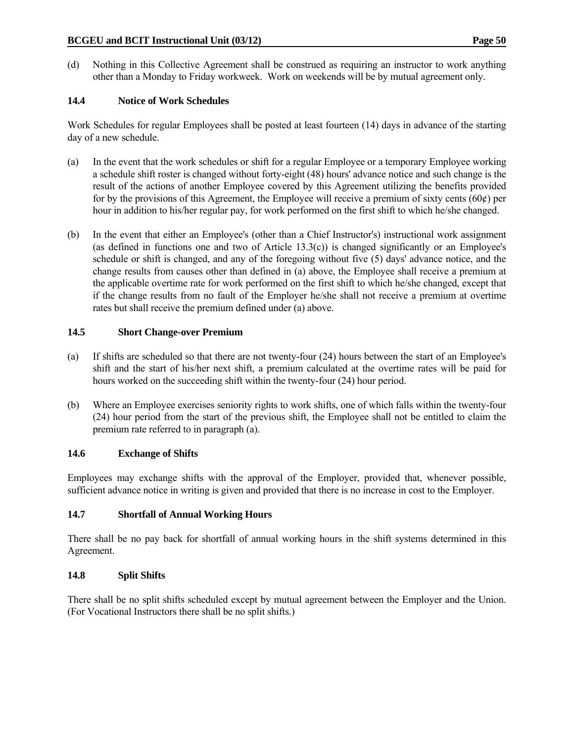(d) Nothing in this Collective Agreement shall be construed as requiring an instructor to work anything other than a Monday to Friday workweek. Work on weekends will be by mutual agreement only.

# **14.4 Notice of Work Schedules**

Work Schedules for regular Employees shall be posted at least fourteen (14) days in advance of the starting day of a new schedule.

- (a) In the event that the work schedules or shift for a regular Employee or a temporary Employee working a schedule shift roster is changed without forty-eight (48) hours' advance notice and such change is the result of the actions of another Employee covered by this Agreement utilizing the benefits provided for by the provisions of this Agreement, the Employee will receive a premium of sixty cents (60 $\varphi$ ) per hour in addition to his/her regular pay, for work performed on the first shift to which he/she changed.
- (b) In the event that either an Employee's (other than a Chief Instructor's) instructional work assignment (as defined in functions one and two of Article 13.3(c)) is changed significantly or an Employee's schedule or shift is changed, and any of the foregoing without five (5) days' advance notice, and the change results from causes other than defined in (a) above, the Employee shall receive a premium at the applicable overtime rate for work performed on the first shift to which he/she changed, except that if the change results from no fault of the Employer he/she shall not receive a premium at overtime rates but shall receive the premium defined under (a) above.

### **14.5 Short Change-over Premium**

- (a) If shifts are scheduled so that there are not twenty-four (24) hours between the start of an Employee's shift and the start of his/her next shift, a premium calculated at the overtime rates will be paid for hours worked on the succeeding shift within the twenty-four (24) hour period.
- (b) Where an Employee exercises seniority rights to work shifts, one of which falls within the twenty-four (24) hour period from the start of the previous shift, the Employee shall not be entitled to claim the premium rate referred to in paragraph (a).

# **14.6 Exchange of Shifts**

Employees may exchange shifts with the approval of the Employer, provided that, whenever possible, sufficient advance notice in writing is given and provided that there is no increase in cost to the Employer.

# **14.7 Shortfall of Annual Working Hours**

There shall be no pay back for shortfall of annual working hours in the shift systems determined in this Agreement.

# **14.8 Split Shifts**

There shall be no split shifts scheduled except by mutual agreement between the Employer and the Union. (For Vocational Instructors there shall be no split shifts.)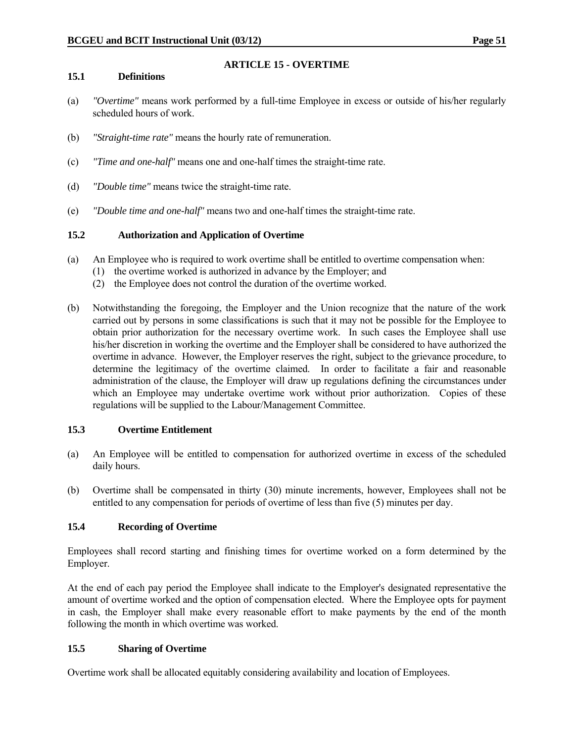# **ARTICLE 15 - OVERTIME**

### **15.1 Definitions**

- (a) *"Overtime"* means work performed by a full-time Employee in excess or outside of his/her regularly scheduled hours of work.
- (b) *"Straight-time rate"* means the hourly rate of remuneration.
- (c) *"Time and one-half"* means one and one-half times the straight-time rate.
- (d) *"Double time"* means twice the straight-time rate.
- (e) *"Double time and one-half"* means two and one-half times the straight-time rate.

# **15.2 Authorization and Application of Overtime**

- (a) An Employee who is required to work overtime shall be entitled to overtime compensation when:
	- (1) the overtime worked is authorized in advance by the Employer; and
	- (2) the Employee does not control the duration of the overtime worked.
- (b) Notwithstanding the foregoing, the Employer and the Union recognize that the nature of the work carried out by persons in some classifications is such that it may not be possible for the Employee to obtain prior authorization for the necessary overtime work. In such cases the Employee shall use his/her discretion in working the overtime and the Employer shall be considered to have authorized the overtime in advance. However, the Employer reserves the right, subject to the grievance procedure, to determine the legitimacy of the overtime claimed. In order to facilitate a fair and reasonable administration of the clause, the Employer will draw up regulations defining the circumstances under which an Employee may undertake overtime work without prior authorization. Copies of these regulations will be supplied to the Labour/Management Committee.

#### **15.3 Overtime Entitlement**

- (a) An Employee will be entitled to compensation for authorized overtime in excess of the scheduled daily hours.
- (b) Overtime shall be compensated in thirty (30) minute increments, however, Employees shall not be entitled to any compensation for periods of overtime of less than five (5) minutes per day.

# **15.4 Recording of Overtime**

Employees shall record starting and finishing times for overtime worked on a form determined by the Employer.

At the end of each pay period the Employee shall indicate to the Employer's designated representative the amount of overtime worked and the option of compensation elected. Where the Employee opts for payment in cash, the Employer shall make every reasonable effort to make payments by the end of the month following the month in which overtime was worked.

# **15.5 Sharing of Overtime**

Overtime work shall be allocated equitably considering availability and location of Employees.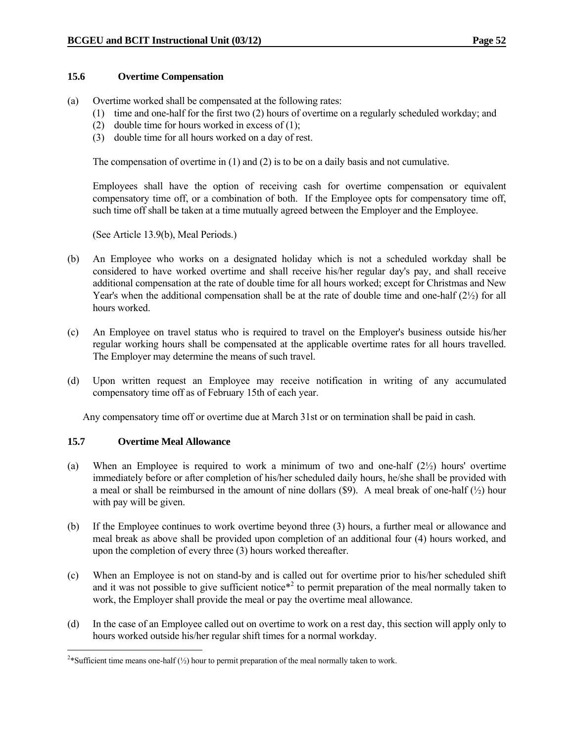#### **15.6 Overtime Compensation**

- (a) Overtime worked shall be compensated at the following rates:
	- (1) time and one-half for the first two (2) hours of overtime on a regularly scheduled workday; and
	- (2) double time for hours worked in excess of (1);
	- (3) double time for all hours worked on a day of rest.

The compensation of overtime in (1) and (2) is to be on a daily basis and not cumulative.

 Employees shall have the option of receiving cash for overtime compensation or equivalent compensatory time off, or a combination of both. If the Employee opts for compensatory time off, such time off shall be taken at a time mutually agreed between the Employer and the Employee.

(See Article 13.9(b), Meal Periods.)

- (b) An Employee who works on a designated holiday which is not a scheduled workday shall be considered to have worked overtime and shall receive his/her regular day's pay, and shall receive additional compensation at the rate of double time for all hours worked; except for Christmas and New Year's when the additional compensation shall be at the rate of double time and one-half  $(2\frac{1}{2})$  for all hours worked.
- (c) An Employee on travel status who is required to travel on the Employer's business outside his/her regular working hours shall be compensated at the applicable overtime rates for all hours travelled. The Employer may determine the means of such travel.
- (d) Upon written request an Employee may receive notification in writing of any accumulated compensatory time off as of February 15th of each year.

Any compensatory time off or overtime due at March 31st or on termination shall be paid in cash.

#### **15.7 Overtime Meal Allowance**

- (a) When an Employee is required to work a minimum of two and one-half  $(2\frac{1}{2})$  hours' overtime immediately before or after completion of his/her scheduled daily hours, he/she shall be provided with a meal or shall be reimbursed in the amount of nine dollars  $(\$9)$ . A meal break of one-half  $(\frac{1}{2})$  hour with pay will be given.
- (b) If the Employee continues to work overtime beyond three (3) hours, a further meal or allowance and meal break as above shall be provided upon completion of an additional four (4) hours worked, and upon the completion of every three (3) hours worked thereafter.
- (c) When an Employee is not on stand-by and is called out for overtime prior to his/her scheduled shift and it was not possible to give sufficient notice<sup> $*$ 2</sup> to permit preparation of the meal normally taken to work, the Employer shall provide the meal or pay the overtime meal allowance.
- (d) In the case of an Employee called out on overtime to work on a rest day, this section will apply only to hours worked outside his/her regular shift times for a normal workday.

<sup>&</sup>lt;sup>2\*</sup>Sufficient time means one-half ( $\frac{1}{2}$ ) hour to permit preparation of the meal normally taken to work.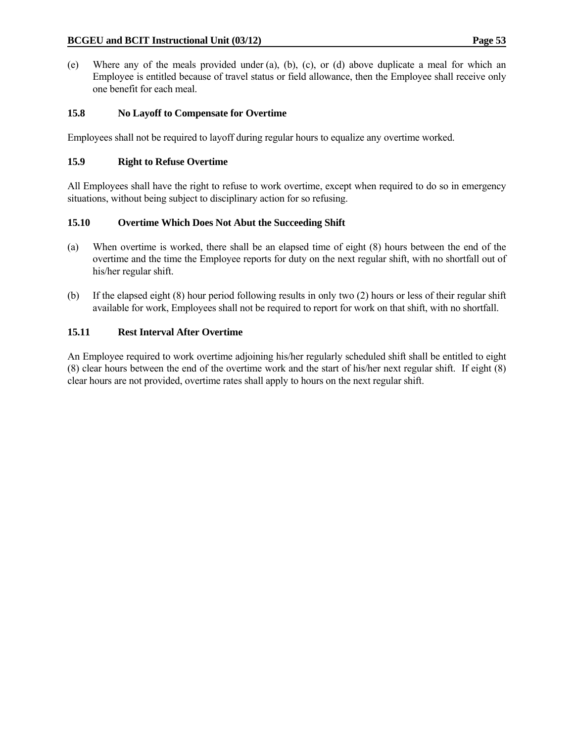(e) Where any of the meals provided under (a), (b), (c), or (d) above duplicate a meal for which an Employee is entitled because of travel status or field allowance, then the Employee shall receive only one benefit for each meal.

# **15.8 No Layoff to Compensate for Overtime**

Employees shall not be required to layoff during regular hours to equalize any overtime worked.

# **15.9 Right to Refuse Overtime**

All Employees shall have the right to refuse to work overtime, except when required to do so in emergency situations, without being subject to disciplinary action for so refusing.

# **15.10 Overtime Which Does Not Abut the Succeeding Shift**

- (a) When overtime is worked, there shall be an elapsed time of eight (8) hours between the end of the overtime and the time the Employee reports for duty on the next regular shift, with no shortfall out of his/her regular shift.
- (b) If the elapsed eight (8) hour period following results in only two (2) hours or less of their regular shift available for work, Employees shall not be required to report for work on that shift, with no shortfall.

# **15.11 Rest Interval After Overtime**

An Employee required to work overtime adjoining his/her regularly scheduled shift shall be entitled to eight (8) clear hours between the end of the overtime work and the start of his/her next regular shift. If eight (8) clear hours are not provided, overtime rates shall apply to hours on the next regular shift.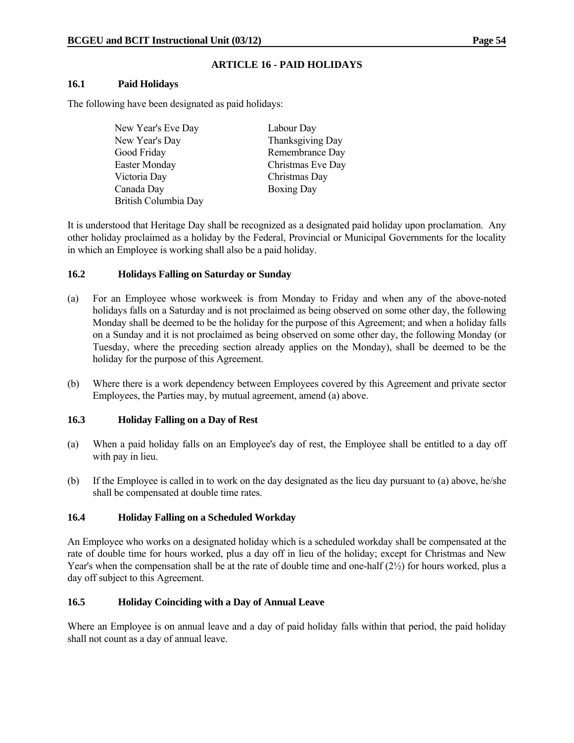# **ARTICLE 16 - PAID HOLIDAYS**

#### **16.1 Paid Holidays**

The following have been designated as paid holidays:

| New Year's Eve Day   | Labour Day        |
|----------------------|-------------------|
| New Year's Day       | Thanksgiving Day  |
| Good Friday          | Remembrance Day   |
| Easter Monday        | Christmas Eve Day |
| Victoria Day         | Christmas Day     |
| Canada Day           | <b>Boxing Day</b> |
| British Columbia Day |                   |

It is understood that Heritage Day shall be recognized as a designated paid holiday upon proclamation. Any other holiday proclaimed as a holiday by the Federal, Provincial or Municipal Governments for the locality in which an Employee is working shall also be a paid holiday.

### **16.2 Holidays Falling on Saturday or Sunday**

- (a) For an Employee whose workweek is from Monday to Friday and when any of the above-noted holidays falls on a Saturday and is not proclaimed as being observed on some other day, the following Monday shall be deemed to be the holiday for the purpose of this Agreement; and when a holiday falls on a Sunday and it is not proclaimed as being observed on some other day, the following Monday (or Tuesday, where the preceding section already applies on the Monday), shall be deemed to be the holiday for the purpose of this Agreement.
- (b) Where there is a work dependency between Employees covered by this Agreement and private sector Employees, the Parties may, by mutual agreement, amend (a) above.

#### **16.3 Holiday Falling on a Day of Rest**

- (a) When a paid holiday falls on an Employee's day of rest, the Employee shall be entitled to a day off with pay in lieu.
- (b) If the Employee is called in to work on the day designated as the lieu day pursuant to (a) above, he/she shall be compensated at double time rates.

# **16.4 Holiday Falling on a Scheduled Workday**

An Employee who works on a designated holiday which is a scheduled workday shall be compensated at the rate of double time for hours worked, plus a day off in lieu of the holiday; except for Christmas and New Year's when the compensation shall be at the rate of double time and one-half (2½) for hours worked, plus a day off subject to this Agreement.

# **16.5 Holiday Coinciding with a Day of Annual Leave**

Where an Employee is on annual leave and a day of paid holiday falls within that period, the paid holiday shall not count as a day of annual leave.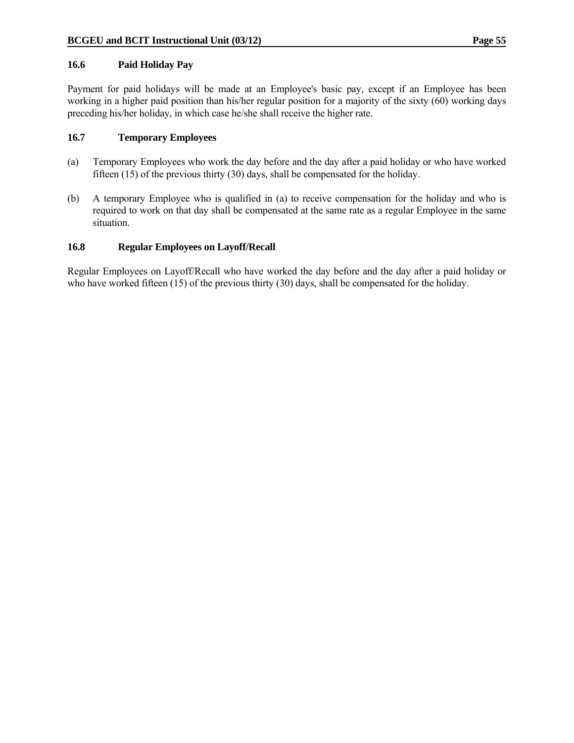#### **16.6 Paid Holiday Pay**

Payment for paid holidays will be made at an Employee's basic pay, except if an Employee has been working in a higher paid position than his/her regular position for a majority of the sixty (60) working days preceding his/her holiday, in which case he/she shall receive the higher rate.

### **16.7 Temporary Employees**

- (a) Temporary Employees who work the day before and the day after a paid holiday or who have worked fifteen (15) of the previous thirty (30) days, shall be compensated for the holiday.
- (b) A temporary Employee who is qualified in (a) to receive compensation for the holiday and who is required to work on that day shall be compensated at the same rate as a regular Employee in the same situation.

### **16.8 Regular Employees on Layoff/Recall**

Regular Employees on Layoff/Recall who have worked the day before and the day after a paid holiday or who have worked fifteen (15) of the previous thirty (30) days, shall be compensated for the holiday.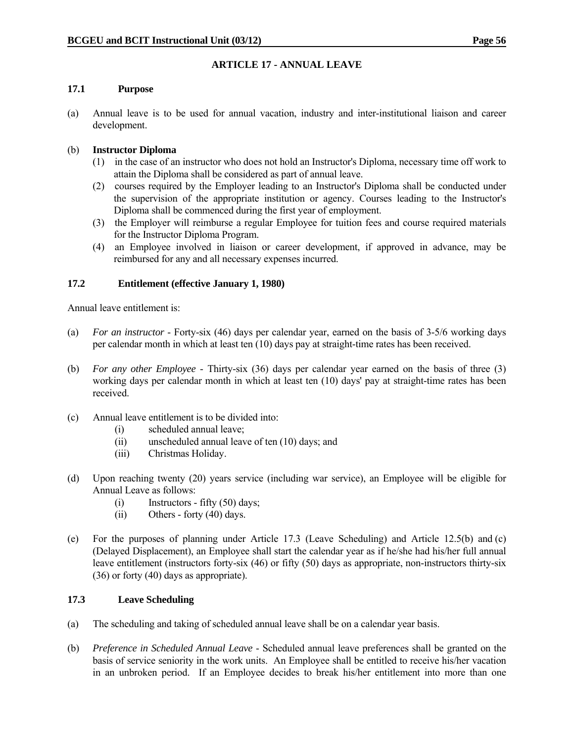# **ARTICLE 17 - ANNUAL LEAVE**

### **17.1 Purpose**

(a) Annual leave is to be used for annual vacation, industry and inter-institutional liaison and career development.

# (b) **Instructor Diploma**

- (1) in the case of an instructor who does not hold an Instructor's Diploma, necessary time off work to attain the Diploma shall be considered as part of annual leave.
- (2) courses required by the Employer leading to an Instructor's Diploma shall be conducted under the supervision of the appropriate institution or agency. Courses leading to the Instructor's Diploma shall be commenced during the first year of employment.
- (3) the Employer will reimburse a regular Employee for tuition fees and course required materials for the Instructor Diploma Program.
- (4) an Employee involved in liaison or career development, if approved in advance, may be reimbursed for any and all necessary expenses incurred.

### **17.2 Entitlement (effective January 1, 1980)**

Annual leave entitlement is:

- (a) *For an instructor* Forty-six (46) days per calendar year, earned on the basis of 3-5/6 working days per calendar month in which at least ten (10) days pay at straight-time rates has been received.
- (b) *For any other Employee* Thirty-six (36) days per calendar year earned on the basis of three (3) working days per calendar month in which at least ten (10) days' pay at straight-time rates has been received.
- (c) Annual leave entitlement is to be divided into:
	- (i) scheduled annual leave;
	- (ii) unscheduled annual leave of ten (10) days; and
	- (iii) Christmas Holiday.
- (d) Upon reaching twenty (20) years service (including war service), an Employee will be eligible for Annual Leave as follows:
	- (i) Instructors fifty (50) days;
	- (ii) Others forty (40) days.
- (e) For the purposes of planning under Article 17.3 (Leave Scheduling) and Article 12.5(b) and (c) (Delayed Displacement), an Employee shall start the calendar year as if he/she had his/her full annual leave entitlement (instructors forty-six (46) or fifty (50) days as appropriate, non-instructors thirty-six (36) or forty (40) days as appropriate).

### **17.3 Leave Scheduling**

- (a) The scheduling and taking of scheduled annual leave shall be on a calendar year basis.
- (b) *Preference in Scheduled Annual Leave* Scheduled annual leave preferences shall be granted on the basis of service seniority in the work units. An Employee shall be entitled to receive his/her vacation in an unbroken period. If an Employee decides to break his/her entitlement into more than one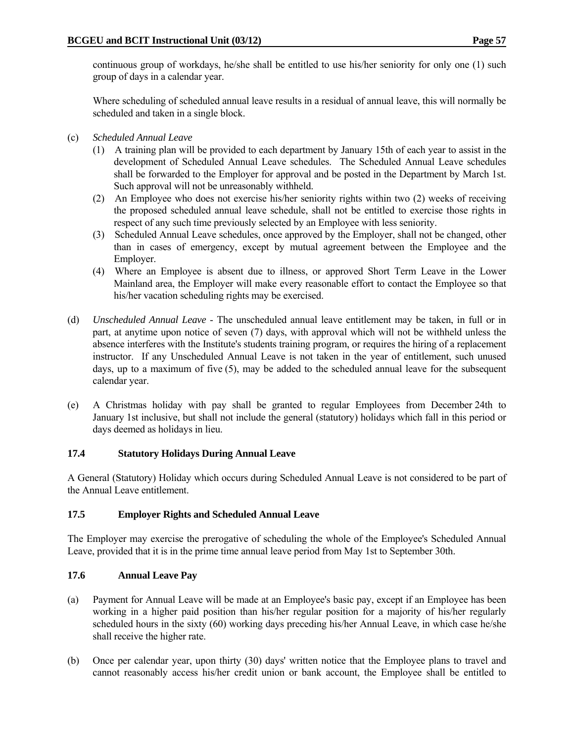continuous group of workdays, he/she shall be entitled to use his/her seniority for only one (1) such group of days in a calendar year.

 Where scheduling of scheduled annual leave results in a residual of annual leave, this will normally be scheduled and taken in a single block.

- (c) *Scheduled Annual Leave*
	- (1) A training plan will be provided to each department by January 15th of each year to assist in the development of Scheduled Annual Leave schedules. The Scheduled Annual Leave schedules shall be forwarded to the Employer for approval and be posted in the Department by March 1st. Such approval will not be unreasonably withheld.
	- (2) An Employee who does not exercise his/her seniority rights within two (2) weeks of receiving the proposed scheduled annual leave schedule, shall not be entitled to exercise those rights in respect of any such time previously selected by an Employee with less seniority.
	- (3) Scheduled Annual Leave schedules, once approved by the Employer, shall not be changed, other than in cases of emergency, except by mutual agreement between the Employee and the Employer.
	- (4) Where an Employee is absent due to illness, or approved Short Term Leave in the Lower Mainland area, the Employer will make every reasonable effort to contact the Employee so that his/her vacation scheduling rights may be exercised.
- (d) *Unscheduled Annual Leave* The unscheduled annual leave entitlement may be taken, in full or in part, at anytime upon notice of seven (7) days, with approval which will not be withheld unless the absence interferes with the Institute's students training program, or requires the hiring of a replacement instructor. If any Unscheduled Annual Leave is not taken in the year of entitlement, such unused days, up to a maximum of five (5), may be added to the scheduled annual leave for the subsequent calendar year.
- (e) A Christmas holiday with pay shall be granted to regular Employees from December 24th to January 1st inclusive, but shall not include the general (statutory) holidays which fall in this period or days deemed as holidays in lieu.

#### **17.4 Statutory Holidays During Annual Leave**

A General (Statutory) Holiday which occurs during Scheduled Annual Leave is not considered to be part of the Annual Leave entitlement.

#### **17.5 Employer Rights and Scheduled Annual Leave**

The Employer may exercise the prerogative of scheduling the whole of the Employee's Scheduled Annual Leave, provided that it is in the prime time annual leave period from May 1st to September 30th.

#### **17.6 Annual Leave Pay**

- (a) Payment for Annual Leave will be made at an Employee's basic pay, except if an Employee has been working in a higher paid position than his/her regular position for a majority of his/her regularly scheduled hours in the sixty (60) working days preceding his/her Annual Leave, in which case he/she shall receive the higher rate.
- (b) Once per calendar year, upon thirty (30) days' written notice that the Employee plans to travel and cannot reasonably access his/her credit union or bank account, the Employee shall be entitled to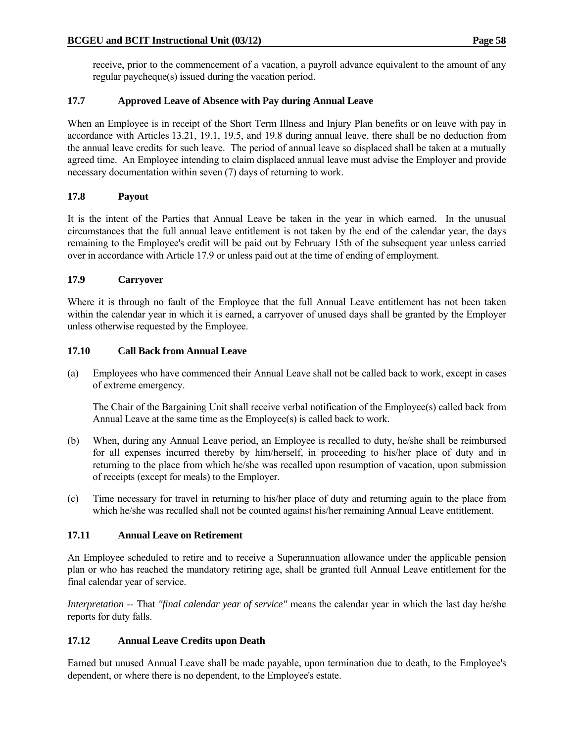receive, prior to the commencement of a vacation, a payroll advance equivalent to the amount of any regular paycheque(s) issued during the vacation period.

# **17.7 Approved Leave of Absence with Pay during Annual Leave**

When an Employee is in receipt of the Short Term Illness and Injury Plan benefits or on leave with pay in accordance with Articles 13.21, 19.1, 19.5, and 19.8 during annual leave, there shall be no deduction from the annual leave credits for such leave. The period of annual leave so displaced shall be taken at a mutually agreed time. An Employee intending to claim displaced annual leave must advise the Employer and provide necessary documentation within seven (7) days of returning to work.

# **17.8 Payout**

It is the intent of the Parties that Annual Leave be taken in the year in which earned. In the unusual circumstances that the full annual leave entitlement is not taken by the end of the calendar year, the days remaining to the Employee's credit will be paid out by February 15th of the subsequent year unless carried over in accordance with Article 17.9 or unless paid out at the time of ending of employment.

# **17.9 Carryover**

Where it is through no fault of the Employee that the full Annual Leave entitlement has not been taken within the calendar year in which it is earned, a carryover of unused days shall be granted by the Employer unless otherwise requested by the Employee.

# **17.10 Call Back from Annual Leave**

(a) Employees who have commenced their Annual Leave shall not be called back to work, except in cases of extreme emergency.

 The Chair of the Bargaining Unit shall receive verbal notification of the Employee(s) called back from Annual Leave at the same time as the Employee(s) is called back to work.

- (b) When, during any Annual Leave period, an Employee is recalled to duty, he/she shall be reimbursed for all expenses incurred thereby by him/herself, in proceeding to his/her place of duty and in returning to the place from which he/she was recalled upon resumption of vacation, upon submission of receipts (except for meals) to the Employer.
- (c) Time necessary for travel in returning to his/her place of duty and returning again to the place from which he/she was recalled shall not be counted against his/her remaining Annual Leave entitlement.

# **17.11 Annual Leave on Retirement**

An Employee scheduled to retire and to receive a Superannuation allowance under the applicable pension plan or who has reached the mandatory retiring age, shall be granted full Annual Leave entitlement for the final calendar year of service.

*Interpretation* -- That *"final calendar year of service"* means the calendar year in which the last day he/she reports for duty falls.

# **17.12 Annual Leave Credits upon Death**

Earned but unused Annual Leave shall be made payable, upon termination due to death, to the Employee's dependent, or where there is no dependent, to the Employee's estate.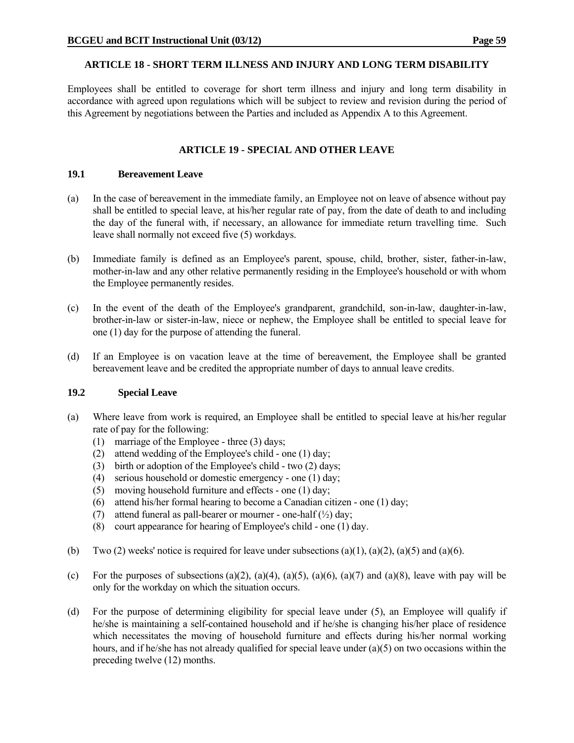### **ARTICLE 18 - SHORT TERM ILLNESS AND INJURY AND LONG TERM DISABILITY**

Employees shall be entitled to coverage for short term illness and injury and long term disability in accordance with agreed upon regulations which will be subject to review and revision during the period of this Agreement by negotiations between the Parties and included as Appendix A to this Agreement.

# **ARTICLE 19 - SPECIAL AND OTHER LEAVE**

#### **19.1 Bereavement Leave**

- (a) In the case of bereavement in the immediate family, an Employee not on leave of absence without pay shall be entitled to special leave, at his/her regular rate of pay, from the date of death to and including the day of the funeral with, if necessary, an allowance for immediate return travelling time. Such leave shall normally not exceed five (5) workdays.
- (b) Immediate family is defined as an Employee's parent, spouse, child, brother, sister, father-in-law, mother-in-law and any other relative permanently residing in the Employee's household or with whom the Employee permanently resides.
- (c) In the event of the death of the Employee's grandparent, grandchild, son-in-law, daughter-in-law, brother-in-law or sister-in-law, niece or nephew, the Employee shall be entitled to special leave for one (1) day for the purpose of attending the funeral.
- (d) If an Employee is on vacation leave at the time of bereavement, the Employee shall be granted bereavement leave and be credited the appropriate number of days to annual leave credits.

#### **19.2 Special Leave**

- (a) Where leave from work is required, an Employee shall be entitled to special leave at his/her regular rate of pay for the following:
	- (1) marriage of the Employee three (3) days;
	- (2) attend wedding of the Employee's child one (1) day;
	- (3) birth or adoption of the Employee's child two  $(2)$  days;
	- (4) serious household or domestic emergency one (1) day;
	- (5) moving household furniture and effects one (1) day;
	- (6) attend his/her formal hearing to become a Canadian citizen one (1) day;
	- (7) attend funeral as pall-bearer or mourner one-half  $(\frac{1}{2})$  day;
	- (8) court appearance for hearing of Employee's child one (1) day.
- (b) Two (2) weeks' notice is required for leave under subsections (a)(1), (a)(2), (a)(5) and (a)(6).
- (c) For the purposes of subsections (a)(2), (a)(4), (a)(5), (a)(6), (a)(7) and (a)(8), leave with pay will be only for the workday on which the situation occurs.
- (d) For the purpose of determining eligibility for special leave under (5), an Employee will qualify if he/she is maintaining a self-contained household and if he/she is changing his/her place of residence which necessitates the moving of household furniture and effects during his/her normal working hours, and if he/she has not already qualified for special leave under (a)(5) on two occasions within the preceding twelve (12) months.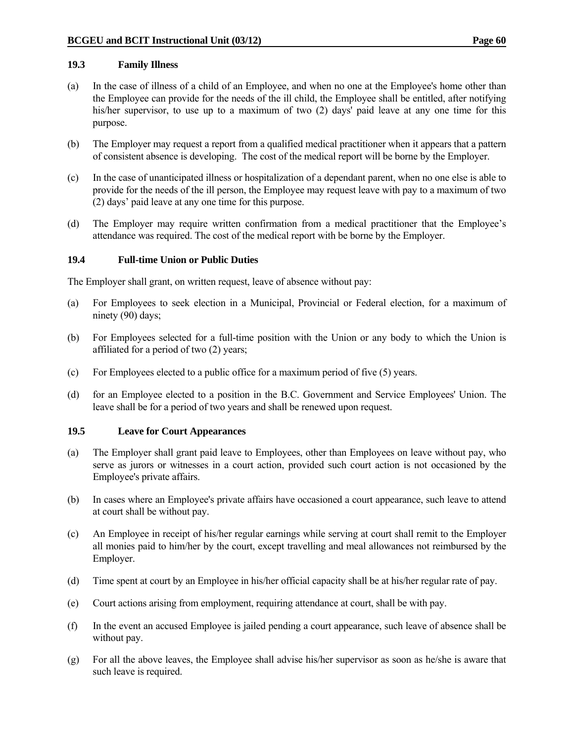#### **19.3 Family Illness**

- (a) In the case of illness of a child of an Employee, and when no one at the Employee's home other than the Employee can provide for the needs of the ill child, the Employee shall be entitled, after notifying his/her supervisor, to use up to a maximum of two (2) days' paid leave at any one time for this purpose.
- (b) The Employer may request a report from a qualified medical practitioner when it appears that a pattern of consistent absence is developing. The cost of the medical report will be borne by the Employer.
- (c) In the case of unanticipated illness or hospitalization of a dependant parent, when no one else is able to provide for the needs of the ill person, the Employee may request leave with pay to a maximum of two (2) days' paid leave at any one time for this purpose.
- (d) The Employer may require written confirmation from a medical practitioner that the Employee's attendance was required. The cost of the medical report with be borne by the Employer.

#### **19.4 Full-time Union or Public Duties**

The Employer shall grant, on written request, leave of absence without pay:

- (a) For Employees to seek election in a Municipal, Provincial or Federal election, for a maximum of ninety (90) days;
- (b) For Employees selected for a full-time position with the Union or any body to which the Union is affiliated for a period of two (2) years;
- (c) For Employees elected to a public office for a maximum period of five (5) years.
- (d) for an Employee elected to a position in the B.C. Government and Service Employees' Union. The leave shall be for a period of two years and shall be renewed upon request.

#### **19.5 Leave for Court Appearances**

- (a) The Employer shall grant paid leave to Employees, other than Employees on leave without pay, who serve as jurors or witnesses in a court action, provided such court action is not occasioned by the Employee's private affairs.
- (b) In cases where an Employee's private affairs have occasioned a court appearance, such leave to attend at court shall be without pay.
- (c) An Employee in receipt of his/her regular earnings while serving at court shall remit to the Employer all monies paid to him/her by the court, except travelling and meal allowances not reimbursed by the Employer.
- (d) Time spent at court by an Employee in his/her official capacity shall be at his/her regular rate of pay.
- (e) Court actions arising from employment, requiring attendance at court, shall be with pay.
- (f) In the event an accused Employee is jailed pending a court appearance, such leave of absence shall be without pay.
- (g) For all the above leaves, the Employee shall advise his/her supervisor as soon as he/she is aware that such leave is required.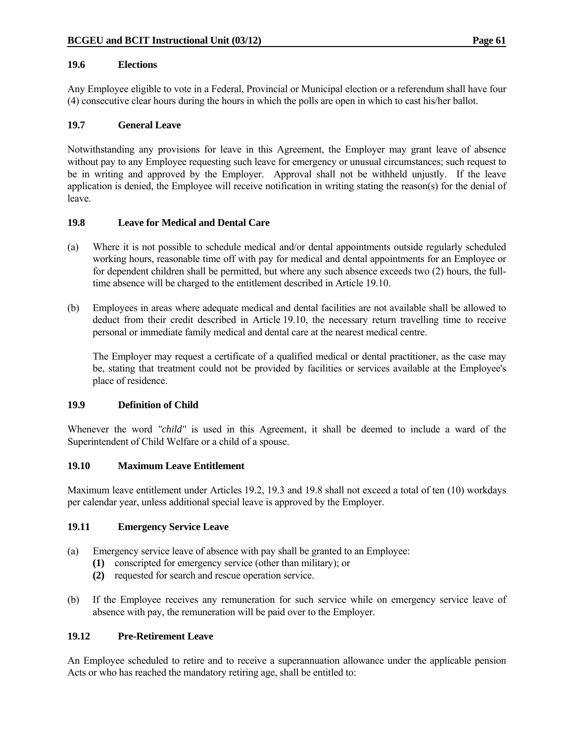#### **19.6 Elections**

Any Employee eligible to vote in a Federal, Provincial or Municipal election or a referendum shall have four (4) consecutive clear hours during the hours in which the polls are open in which to cast his/her ballot.

#### **19.7 General Leave**

Notwithstanding any provisions for leave in this Agreement, the Employer may grant leave of absence without pay to any Employee requesting such leave for emergency or unusual circumstances; such request to be in writing and approved by the Employer. Approval shall not be withheld unjustly. If the leave application is denied, the Employee will receive notification in writing stating the reason(s) for the denial of leave.

# **19.8 Leave for Medical and Dental Care**

- (a) Where it is not possible to schedule medical and/or dental appointments outside regularly scheduled working hours, reasonable time off with pay for medical and dental appointments for an Employee or for dependent children shall be permitted, but where any such absence exceeds two (2) hours, the fulltime absence will be charged to the entitlement described in Article 19.10.
- (b) Employees in areas where adequate medical and dental facilities are not available shall be allowed to deduct from their credit described in Article 19.10, the necessary return travelling time to receive personal or immediate family medical and dental care at the nearest medical centre.

 The Employer may request a certificate of a qualified medical or dental practitioner, as the case may be, stating that treatment could not be provided by facilities or services available at the Employee's place of residence.

#### **19.9 Definition of Child**

Whenever the word *"child"* is used in this Agreement, it shall be deemed to include a ward of the Superintendent of Child Welfare or a child of a spouse.

#### **19.10 Maximum Leave Entitlement**

Maximum leave entitlement under Articles 19.2, 19.3 and 19.8 shall not exceed a total of ten (10) workdays per calendar year, unless additional special leave is approved by the Employer.

#### **19.11 Emergency Service Leave**

- (a) Emergency service leave of absence with pay shall be granted to an Employee:
	- **(1)** conscripted for emergency service (other than military); or
	- **(2)** requested for search and rescue operation service.
- (b) If the Employee receives any remuneration for such service while on emergency service leave of absence with pay, the remuneration will be paid over to the Employer.

### **19.12 Pre-Retirement Leave**

An Employee scheduled to retire and to receive a superannuation allowance under the applicable pension Acts or who has reached the mandatory retiring age, shall be entitled to: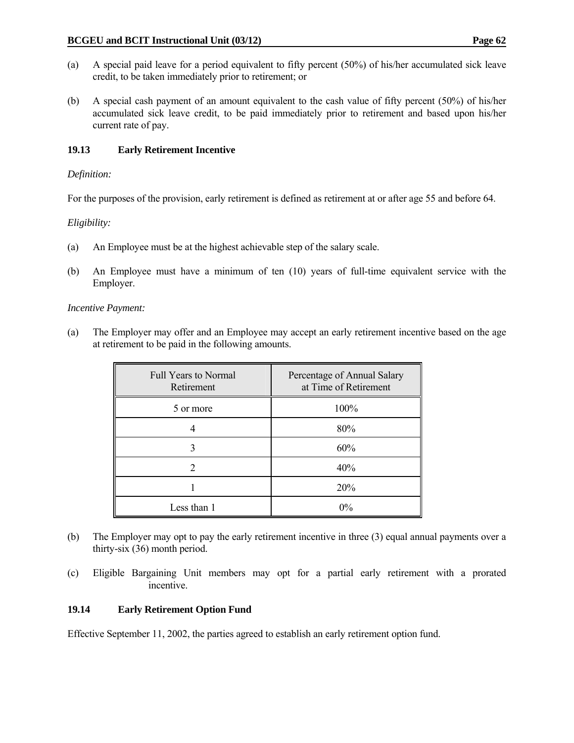- (a) A special paid leave for a period equivalent to fifty percent (50%) of his/her accumulated sick leave credit, to be taken immediately prior to retirement; or
- (b) A special cash payment of an amount equivalent to the cash value of fifty percent (50%) of his/her accumulated sick leave credit, to be paid immediately prior to retirement and based upon his/her current rate of pay.

# **19.13 Early Retirement Incentive**

# *Definition:*

For the purposes of the provision, early retirement is defined as retirement at or after age 55 and before 64.

### *Eligibility:*

- (a) An Employee must be at the highest achievable step of the salary scale.
- (b) An Employee must have a minimum of ten (10) years of full-time equivalent service with the Employer.

#### *Incentive Payment:*

(a) The Employer may offer and an Employee may accept an early retirement incentive based on the age at retirement to be paid in the following amounts.

| <b>Full Years to Normal</b><br>Retirement | Percentage of Annual Salary<br>at Time of Retirement |
|-------------------------------------------|------------------------------------------------------|
| 5 or more                                 | 100%                                                 |
|                                           | 80%                                                  |
|                                           | 60%                                                  |
|                                           | 40%                                                  |
|                                           | 20%                                                  |
| Less than 1                               | $0\%$                                                |

- (b) The Employer may opt to pay the early retirement incentive in three (3) equal annual payments over a thirty-six (36) month period.
- (c) Eligible Bargaining Unit members may opt for a partial early retirement with a prorated incentive.

#### **19.14 Early Retirement Option Fund**

Effective September 11, 2002, the parties agreed to establish an early retirement option fund.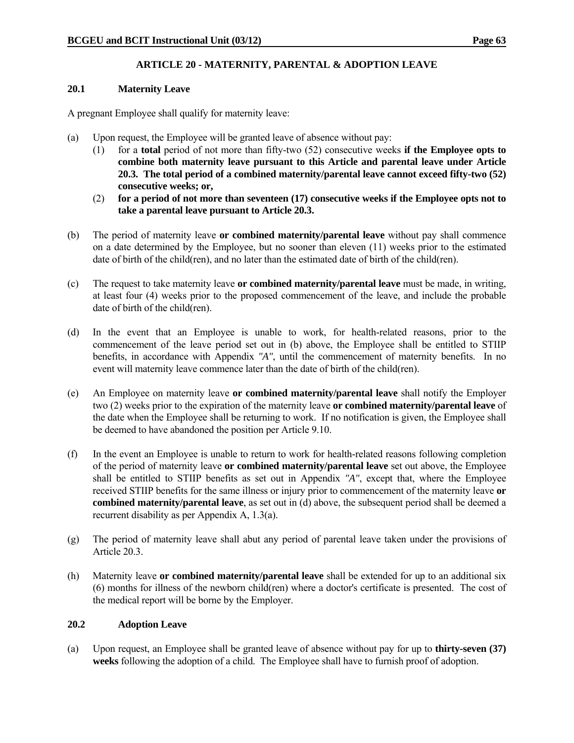# **ARTICLE 20 - MATERNITY, PARENTAL & ADOPTION LEAVE**

### **20.1 Maternity Leave**

A pregnant Employee shall qualify for maternity leave:

- (a) Upon request, the Employee will be granted leave of absence without pay:
	- (1) for a **total** period of not more than fifty-two (52) consecutive weeks **if the Employee opts to combine both maternity leave pursuant to this Article and parental leave under Article 20.3. The total period of a combined maternity/parental leave cannot exceed fifty-two (52) consecutive weeks; or,**
	- (2) **for a period of not more than seventeen (17) consecutive weeks if the Employee opts not to take a parental leave pursuant to Article 20.3.**
- (b) The period of maternity leave **or combined maternity/parental leave** without pay shall commence on a date determined by the Employee, but no sooner than eleven (11) weeks prior to the estimated date of birth of the child(ren), and no later than the estimated date of birth of the child(ren).
- (c) The request to take maternity leave **or combined maternity/parental leave** must be made, in writing, at least four (4) weeks prior to the proposed commencement of the leave, and include the probable date of birth of the child(ren).
- (d) In the event that an Employee is unable to work, for health-related reasons, prior to the commencement of the leave period set out in (b) above, the Employee shall be entitled to STIIP benefits, in accordance with Appendix *"A"*, until the commencement of maternity benefits. In no event will maternity leave commence later than the date of birth of the child(ren).
- (e) An Employee on maternity leave **or combined maternity/parental leave** shall notify the Employer two (2) weeks prior to the expiration of the maternity leave **or combined maternity/parental leave** of the date when the Employee shall be returning to work. If no notification is given, the Employee shall be deemed to have abandoned the position per Article 9.10.
- (f) In the event an Employee is unable to return to work for health-related reasons following completion of the period of maternity leave **or combined maternity/parental leave** set out above, the Employee shall be entitled to STIIP benefits as set out in Appendix *"A"*, except that, where the Employee received STIIP benefits for the same illness or injury prior to commencement of the maternity leave **or combined maternity/parental leave**, as set out in (d) above, the subsequent period shall be deemed a recurrent disability as per Appendix A, 1.3(a).
- (g) The period of maternity leave shall abut any period of parental leave taken under the provisions of Article 20.3.
- (h) Maternity leave **or combined maternity/parental leave** shall be extended for up to an additional six (6) months for illness of the newborn child(ren) where a doctor's certificate is presented. The cost of the medical report will be borne by the Employer.

# **20.2 Adoption Leave**

(a) Upon request, an Employee shall be granted leave of absence without pay for up to **thirty-seven (37) weeks** following the adoption of a child. The Employee shall have to furnish proof of adoption.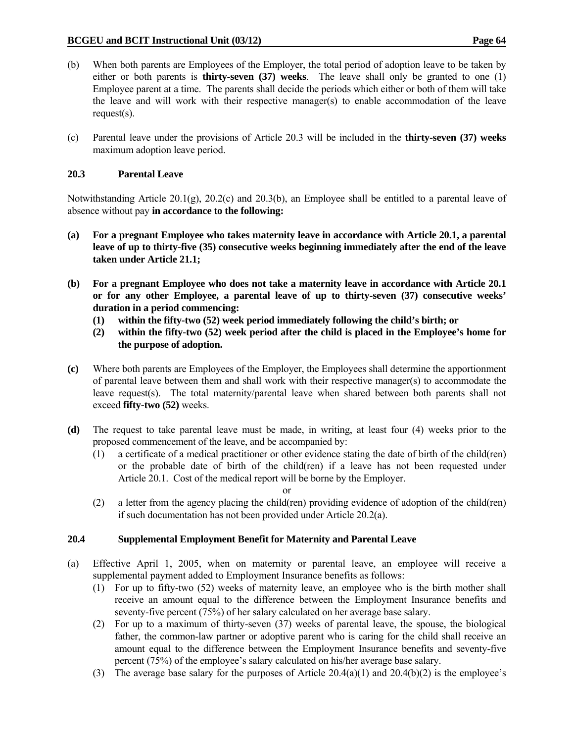- (b) When both parents are Employees of the Employer, the total period of adoption leave to be taken by either or both parents is **thirty-seven (37) weeks**. The leave shall only be granted to one (1) Employee parent at a time. The parents shall decide the periods which either or both of them will take the leave and will work with their respective manager(s) to enable accommodation of the leave request(s).
- (c) Parental leave under the provisions of Article 20.3 will be included in the **thirty-seven (37) weeks** maximum adoption leave period.

## **20.3 Parental Leave**

Notwithstanding Article 20.1(g), 20.2(c) and 20.3(b), an Employee shall be entitled to a parental leave of absence without pay **in accordance to the following:**

- **(a) For a pregnant Employee who takes maternity leave in accordance with Article 20.1, a parental leave of up to thirty-five (35) consecutive weeks beginning immediately after the end of the leave taken under Article 21.1;**
- **(b) For a pregnant Employee who does not take a maternity leave in accordance with Article 20.1 or for any other Employee, a parental leave of up to thirty-seven (37) consecutive weeks' duration in a period commencing:** 
	- **(1) within the fifty-two (52) week period immediately following the child's birth; or**
	- **(2) within the fifty-two (52) week period after the child is placed in the Employee's home for the purpose of adoption.**
- **(c)** Where both parents are Employees of the Employer, the Employees shall determine the apportionment of parental leave between them and shall work with their respective manager(s) to accommodate the leave request(s). The total maternity/parental leave when shared between both parents shall not exceed **fifty-two (52)** weeks.
- **(d)** The request to take parental leave must be made, in writing, at least four (4) weeks prior to the proposed commencement of the leave, and be accompanied by:
	- (1) a certificate of a medical practitioner or other evidence stating the date of birth of the child(ren) or the probable date of birth of the child(ren) if a leave has not been requested under Article 20.1. Cost of the medical report will be borne by the Employer.
- or
	- (2) a letter from the agency placing the child(ren) providing evidence of adoption of the child(ren) if such documentation has not been provided under Article 20.2(a).

# **20.4 Supplemental Employment Benefit for Maternity and Parental Leave**

- (a) Effective April 1, 2005, when on maternity or parental leave, an employee will receive a supplemental payment added to Employment Insurance benefits as follows:
	- (1) For up to fifty-two (52) weeks of maternity leave, an employee who is the birth mother shall receive an amount equal to the difference between the Employment Insurance benefits and seventy-five percent (75%) of her salary calculated on her average base salary.
	- (2) For up to a maximum of thirty-seven (37) weeks of parental leave, the spouse, the biological father, the common-law partner or adoptive parent who is caring for the child shall receive an amount equal to the difference between the Employment Insurance benefits and seventy-five percent (75%) of the employee's salary calculated on his/her average base salary.
	- (3) The average base salary for the purposes of Article  $20.4(a)(1)$  and  $20.4(b)(2)$  is the employee's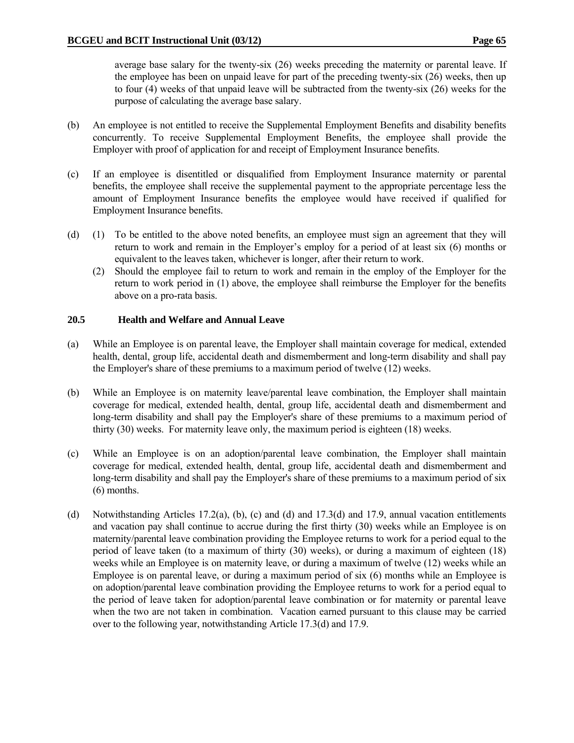average base salary for the twenty-six (26) weeks preceding the maternity or parental leave. If the employee has been on unpaid leave for part of the preceding twenty-six (26) weeks, then up to four (4) weeks of that unpaid leave will be subtracted from the twenty-six (26) weeks for the purpose of calculating the average base salary.

- (b) An employee is not entitled to receive the Supplemental Employment Benefits and disability benefits concurrently. To receive Supplemental Employment Benefits, the employee shall provide the Employer with proof of application for and receipt of Employment Insurance benefits.
- (c) If an employee is disentitled or disqualified from Employment Insurance maternity or parental benefits, the employee shall receive the supplemental payment to the appropriate percentage less the amount of Employment Insurance benefits the employee would have received if qualified for Employment Insurance benefits.
- (d) (1) To be entitled to the above noted benefits, an employee must sign an agreement that they will return to work and remain in the Employer's employ for a period of at least six (6) months or equivalent to the leaves taken, whichever is longer, after their return to work.
	- (2) Should the employee fail to return to work and remain in the employ of the Employer for the return to work period in (1) above, the employee shall reimburse the Employer for the benefits above on a pro-rata basis.

## **20.5 Health and Welfare and Annual Leave**

- (a) While an Employee is on parental leave, the Employer shall maintain coverage for medical, extended health, dental, group life, accidental death and dismemberment and long-term disability and shall pay the Employer's share of these premiums to a maximum period of twelve (12) weeks.
- (b) While an Employee is on maternity leave/parental leave combination, the Employer shall maintain coverage for medical, extended health, dental, group life, accidental death and dismemberment and long-term disability and shall pay the Employer's share of these premiums to a maximum period of thirty (30) weeks. For maternity leave only, the maximum period is eighteen (18) weeks.
- (c) While an Employee is on an adoption/parental leave combination, the Employer shall maintain coverage for medical, extended health, dental, group life, accidental death and dismemberment and long-term disability and shall pay the Employer's share of these premiums to a maximum period of six (6) months.
- (d) Notwithstanding Articles 17.2(a), (b), (c) and (d) and 17.3(d) and 17.9, annual vacation entitlements and vacation pay shall continue to accrue during the first thirty (30) weeks while an Employee is on maternity/parental leave combination providing the Employee returns to work for a period equal to the period of leave taken (to a maximum of thirty (30) weeks), or during a maximum of eighteen (18) weeks while an Employee is on maternity leave, or during a maximum of twelve (12) weeks while an Employee is on parental leave, or during a maximum period of six (6) months while an Employee is on adoption/parental leave combination providing the Employee returns to work for a period equal to the period of leave taken for adoption/parental leave combination or for maternity or parental leave when the two are not taken in combination. Vacation earned pursuant to this clause may be carried over to the following year, notwithstanding Article 17.3(d) and 17.9.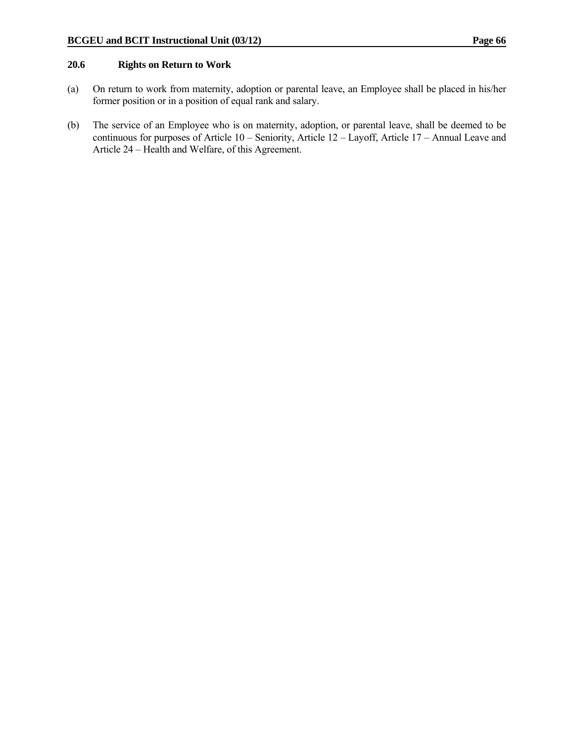#### **20.6 Rights on Return to Work**

- (a) On return to work from maternity, adoption or parental leave, an Employee shall be placed in his/her former position or in a position of equal rank and salary.
- (b) The service of an Employee who is on maternity, adoption, or parental leave, shall be deemed to be continuous for purposes of Article 10 – Seniority, Article 12 – Layoff, Article 17 – Annual Leave and Article 24 – Health and Welfare, of this Agreement.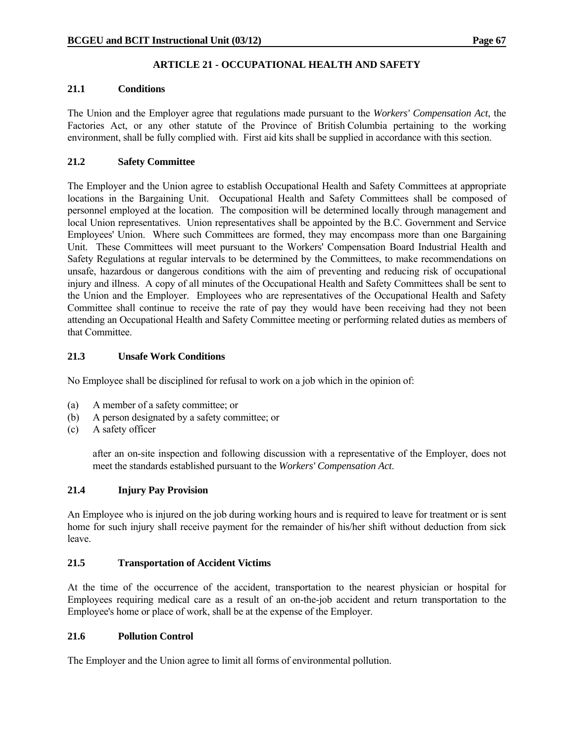# **ARTICLE 21 - OCCUPATIONAL HEALTH AND SAFETY**

## **21.1 Conditions**

The Union and the Employer agree that regulations made pursuant to the *Workers' Compensation Act*, the Factories Act, or any other statute of the Province of British Columbia pertaining to the working environment, shall be fully complied with. First aid kits shall be supplied in accordance with this section.

# **21.2 Safety Committee**

The Employer and the Union agree to establish Occupational Health and Safety Committees at appropriate locations in the Bargaining Unit. Occupational Health and Safety Committees shall be composed of personnel employed at the location. The composition will be determined locally through management and local Union representatives. Union representatives shall be appointed by the B.C. Government and Service Employees' Union. Where such Committees are formed, they may encompass more than one Bargaining Unit. These Committees will meet pursuant to the Workers' Compensation Board Industrial Health and Safety Regulations at regular intervals to be determined by the Committees, to make recommendations on unsafe, hazardous or dangerous conditions with the aim of preventing and reducing risk of occupational injury and illness. A copy of all minutes of the Occupational Health and Safety Committees shall be sent to the Union and the Employer. Employees who are representatives of the Occupational Health and Safety Committee shall continue to receive the rate of pay they would have been receiving had they not been attending an Occupational Health and Safety Committee meeting or performing related duties as members of that Committee.

# **21.3 Unsafe Work Conditions**

No Employee shall be disciplined for refusal to work on a job which in the opinion of:

- (a) A member of a safety committee; or
- (b) A person designated by a safety committee; or
- (c) A safety officer

 after an on-site inspection and following discussion with a representative of the Employer, does not meet the standards established pursuant to the *Workers' Compensation Act*.

# **21.4 Injury Pay Provision**

An Employee who is injured on the job during working hours and is required to leave for treatment or is sent home for such injury shall receive payment for the remainder of his/her shift without deduction from sick leave.

# **21.5 Transportation of Accident Victims**

At the time of the occurrence of the accident, transportation to the nearest physician or hospital for Employees requiring medical care as a result of an on-the-job accident and return transportation to the Employee's home or place of work, shall be at the expense of the Employer.

#### **21.6 Pollution Control**

The Employer and the Union agree to limit all forms of environmental pollution.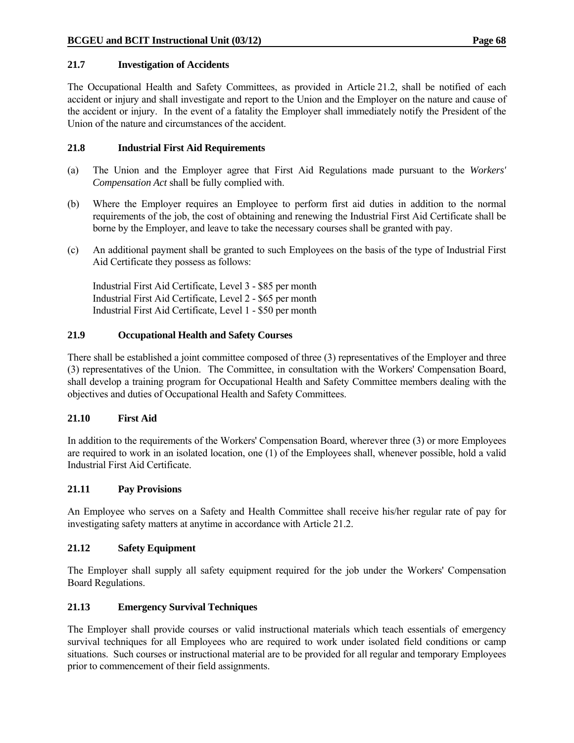## **21.7 Investigation of Accidents**

The Occupational Health and Safety Committees, as provided in Article 21.2, shall be notified of each accident or injury and shall investigate and report to the Union and the Employer on the nature and cause of the accident or injury. In the event of a fatality the Employer shall immediately notify the President of the Union of the nature and circumstances of the accident.

## **21.8 Industrial First Aid Requirements**

- (a) The Union and the Employer agree that First Aid Regulations made pursuant to the *Workers' Compensation Act* shall be fully complied with.
- (b) Where the Employer requires an Employee to perform first aid duties in addition to the normal requirements of the job, the cost of obtaining and renewing the Industrial First Aid Certificate shall be borne by the Employer, and leave to take the necessary courses shall be granted with pay.
- (c) An additional payment shall be granted to such Employees on the basis of the type of Industrial First Aid Certificate they possess as follows:

 Industrial First Aid Certificate, Level 3 - \$85 per month Industrial First Aid Certificate, Level 2 - \$65 per month Industrial First Aid Certificate, Level 1 - \$50 per month

## **21.9 Occupational Health and Safety Courses**

There shall be established a joint committee composed of three (3) representatives of the Employer and three (3) representatives of the Union. The Committee, in consultation with the Workers' Compensation Board, shall develop a training program for Occupational Health and Safety Committee members dealing with the objectives and duties of Occupational Health and Safety Committees.

# **21.10 First Aid**

In addition to the requirements of the Workers' Compensation Board, wherever three (3) or more Employees are required to work in an isolated location, one (1) of the Employees shall, whenever possible, hold a valid Industrial First Aid Certificate.

#### **21.11 Pay Provisions**

An Employee who serves on a Safety and Health Committee shall receive his/her regular rate of pay for investigating safety matters at anytime in accordance with Article 21.2.

#### **21.12 Safety Equipment**

The Employer shall supply all safety equipment required for the job under the Workers' Compensation Board Regulations.

# **21.13 Emergency Survival Techniques**

The Employer shall provide courses or valid instructional materials which teach essentials of emergency survival techniques for all Employees who are required to work under isolated field conditions or camp situations. Such courses or instructional material are to be provided for all regular and temporary Employees prior to commencement of their field assignments.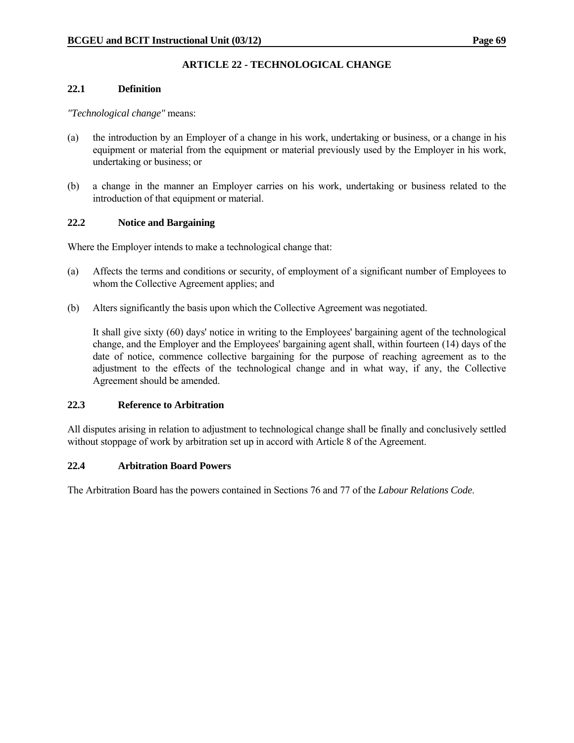# **ARTICLE 22 - TECHNOLOGICAL CHANGE**

## **22.1 Definition**

## *"Technological change"* means:

- (a) the introduction by an Employer of a change in his work, undertaking or business, or a change in his equipment or material from the equipment or material previously used by the Employer in his work, undertaking or business; or
- (b) a change in the manner an Employer carries on his work, undertaking or business related to the introduction of that equipment or material.

# **22.2 Notice and Bargaining**

Where the Employer intends to make a technological change that:

- (a) Affects the terms and conditions or security, of employment of a significant number of Employees to whom the Collective Agreement applies; and
- (b) Alters significantly the basis upon which the Collective Agreement was negotiated.

 It shall give sixty (60) days' notice in writing to the Employees' bargaining agent of the technological change, and the Employer and the Employees' bargaining agent shall, within fourteen (14) days of the date of notice, commence collective bargaining for the purpose of reaching agreement as to the adjustment to the effects of the technological change and in what way, if any, the Collective Agreement should be amended.

#### **22.3 Reference to Arbitration**

All disputes arising in relation to adjustment to technological change shall be finally and conclusively settled without stoppage of work by arbitration set up in accord with Article 8 of the Agreement.

#### **22.4 Arbitration Board Powers**

The Arbitration Board has the powers contained in Sections 76 and 77 of the *Labour Relations Code*.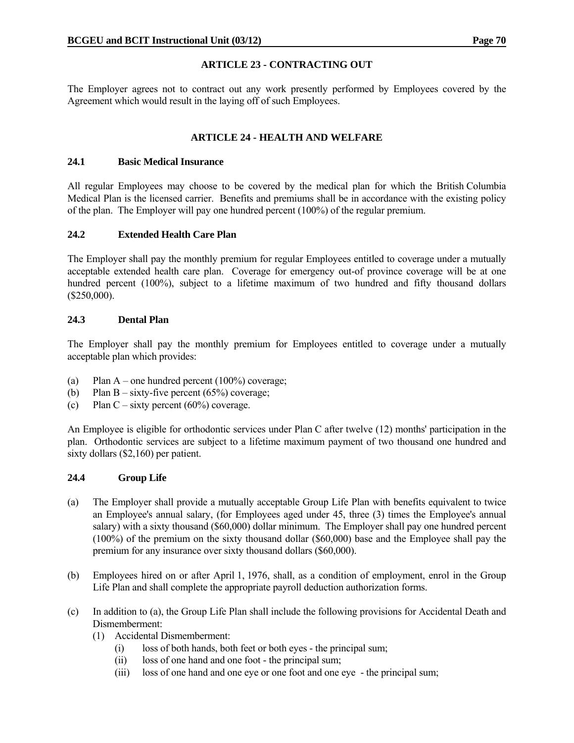# **ARTICLE 23 - CONTRACTING OUT**

The Employer agrees not to contract out any work presently performed by Employees covered by the Agreement which would result in the laying off of such Employees.

# **ARTICLE 24 - HEALTH AND WELFARE**

## **24.1 Basic Medical Insurance**

All regular Employees may choose to be covered by the medical plan for which the British Columbia Medical Plan is the licensed carrier. Benefits and premiums shall be in accordance with the existing policy of the plan. The Employer will pay one hundred percent (100%) of the regular premium.

# **24.2 Extended Health Care Plan**

The Employer shall pay the monthly premium for regular Employees entitled to coverage under a mutually acceptable extended health care plan. Coverage for emergency out-of province coverage will be at one hundred percent (100%), subject to a lifetime maximum of two hundred and fifty thousand dollars (\$250,000).

# **24.3 Dental Plan**

The Employer shall pay the monthly premium for Employees entitled to coverage under a mutually acceptable plan which provides:

- (a) Plan A one hundred percent  $(100\%)$  coverage;
- (b) Plan B sixty-five percent  $(65%)$  coverage;
- (c) Plan C sixty percent  $(60\%)$  coverage.

An Employee is eligible for orthodontic services under Plan C after twelve (12) months' participation in the plan. Orthodontic services are subject to a lifetime maximum payment of two thousand one hundred and sixty dollars (\$2,160) per patient.

#### **24.4 Group Life**

- (a) The Employer shall provide a mutually acceptable Group Life Plan with benefits equivalent to twice an Employee's annual salary, (for Employees aged under 45, three (3) times the Employee's annual salary) with a sixty thousand (\$60,000) dollar minimum. The Employer shall pay one hundred percent (100%) of the premium on the sixty thousand dollar (\$60,000) base and the Employee shall pay the premium for any insurance over sixty thousand dollars (\$60,000).
- (b) Employees hired on or after April 1, 1976, shall, as a condition of employment, enrol in the Group Life Plan and shall complete the appropriate payroll deduction authorization forms.
- (c) In addition to (a), the Group Life Plan shall include the following provisions for Accidental Death and Dismemberment:
	- (1) Accidental Dismemberment:
		- (i) loss of both hands, both feet or both eyes the principal sum;
		- (ii) loss of one hand and one foot the principal sum;
		- (iii) loss of one hand and one eye or one foot and one eye the principal sum;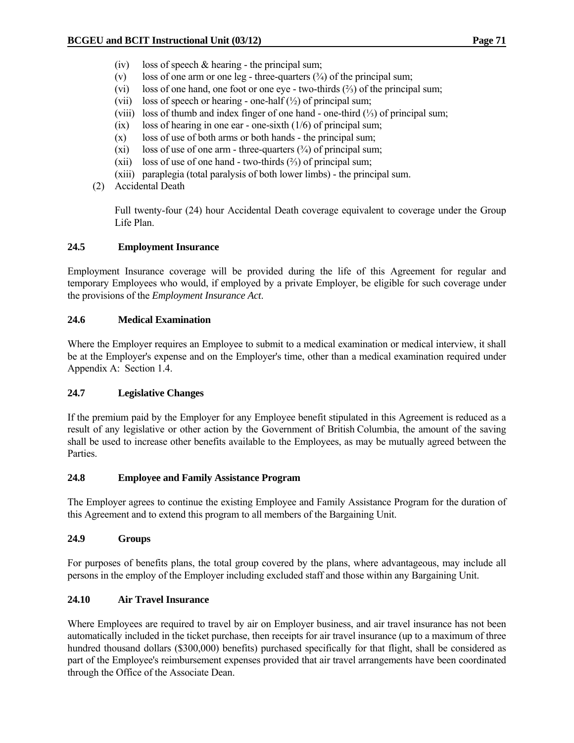- (iv) loss of speech  $&$  hearing the principal sum;
- (v) loss of one arm or one leg three-quarters  $(3/4)$  of the principal sum;
- (vi) loss of one hand, one foot or one eye two-thirds (⅔) of the principal sum;
- (vii) loss of speech or hearing one-half  $(\frac{1}{2})$  of principal sum;
- (viii) loss of thumb and index finger of one hand one-third (⅓) of principal sum;
- $(ix)$  loss of hearing in one ear one-sixth  $(1/6)$  of principal sum;
- (x) loss of use of both arms or both hands the principal sum;
- (xi) loss of use of one arm three-quarters  $(\frac{3}{4})$  of principal sum;
- (xii) loss of use of one hand two-thirds  $(\frac{2}{3})$  of principal sum;
- (xiii) paraplegia (total paralysis of both lower limbs) the principal sum.
- (2) Accidental Death

 Full twenty-four (24) hour Accidental Death coverage equivalent to coverage under the Group Life Plan.

# **24.5 Employment Insurance**

Employment Insurance coverage will be provided during the life of this Agreement for regular and temporary Employees who would, if employed by a private Employer, be eligible for such coverage under the provisions of the *Employment Insurance Act*.

# **24.6 Medical Examination**

Where the Employer requires an Employee to submit to a medical examination or medical interview, it shall be at the Employer's expense and on the Employer's time, other than a medical examination required under Appendix A: Section 1.4.

# **24.7 Legislative Changes**

If the premium paid by the Employer for any Employee benefit stipulated in this Agreement is reduced as a result of any legislative or other action by the Government of British Columbia, the amount of the saving shall be used to increase other benefits available to the Employees, as may be mutually agreed between the Parties.

# **24.8 Employee and Family Assistance Program**

The Employer agrees to continue the existing Employee and Family Assistance Program for the duration of this Agreement and to extend this program to all members of the Bargaining Unit.

# **24.9 Groups**

For purposes of benefits plans, the total group covered by the plans, where advantageous, may include all persons in the employ of the Employer including excluded staff and those within any Bargaining Unit.

# **24.10 Air Travel Insurance**

Where Employees are required to travel by air on Employer business, and air travel insurance has not been automatically included in the ticket purchase, then receipts for air travel insurance (up to a maximum of three hundred thousand dollars (\$300,000) benefits) purchased specifically for that flight, shall be considered as part of the Employee's reimbursement expenses provided that air travel arrangements have been coordinated through the Office of the Associate Dean.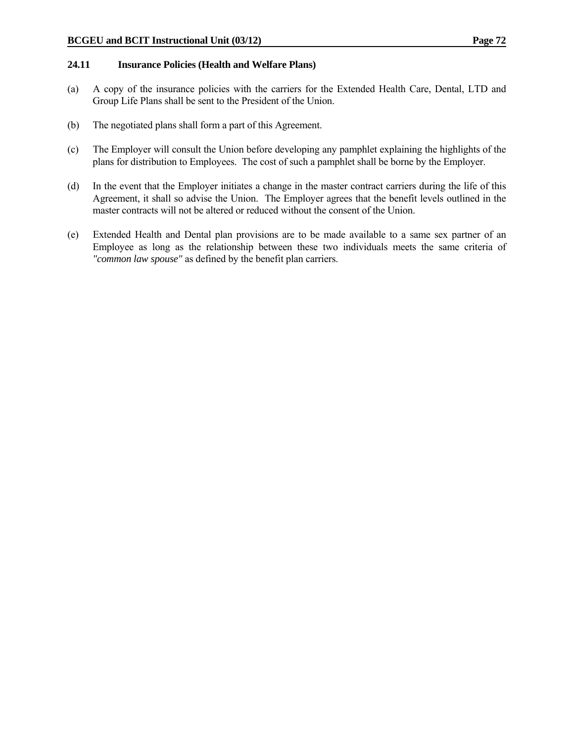#### **24.11 Insurance Policies (Health and Welfare Plans)**

- (a) A copy of the insurance policies with the carriers for the Extended Health Care, Dental, LTD and Group Life Plans shall be sent to the President of the Union.
- (b) The negotiated plans shall form a part of this Agreement.
- (c) The Employer will consult the Union before developing any pamphlet explaining the highlights of the plans for distribution to Employees. The cost of such a pamphlet shall be borne by the Employer.
- (d) In the event that the Employer initiates a change in the master contract carriers during the life of this Agreement, it shall so advise the Union. The Employer agrees that the benefit levels outlined in the master contracts will not be altered or reduced without the consent of the Union.
- (e) Extended Health and Dental plan provisions are to be made available to a same sex partner of an Employee as long as the relationship between these two individuals meets the same criteria of *"common law spouse"* as defined by the benefit plan carriers.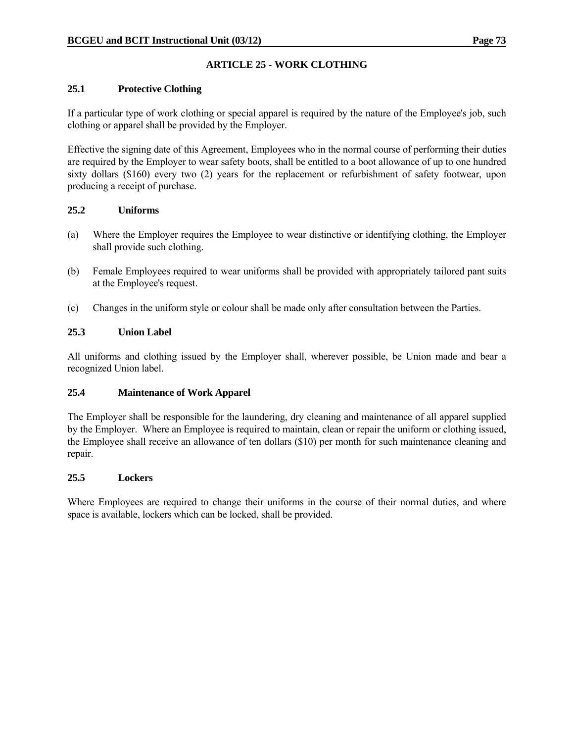# **ARTICLE 25 - WORK CLOTHING**

# **25.1 Protective Clothing**

If a particular type of work clothing or special apparel is required by the nature of the Employee's job, such clothing or apparel shall be provided by the Employer.

Effective the signing date of this Agreement, Employees who in the normal course of performing their duties are required by the Employer to wear safety boots, shall be entitled to a boot allowance of up to one hundred sixty dollars (\$160) every two (2) years for the replacement or refurbishment of safety footwear, upon producing a receipt of purchase.

## **25.2 Uniforms**

- (a) Where the Employer requires the Employee to wear distinctive or identifying clothing, the Employer shall provide such clothing.
- (b) Female Employees required to wear uniforms shall be provided with appropriately tailored pant suits at the Employee's request.
- (c) Changes in the uniform style or colour shall be made only after consultation between the Parties.

## **25.3 Union Label**

All uniforms and clothing issued by the Employer shall, wherever possible, be Union made and bear a recognized Union label.

# **25.4 Maintenance of Work Apparel**

The Employer shall be responsible for the laundering, dry cleaning and maintenance of all apparel supplied by the Employer. Where an Employee is required to maintain, clean or repair the uniform or clothing issued, the Employee shall receive an allowance of ten dollars (\$10) per month for such maintenance cleaning and repair.

#### **25.5 Lockers**

Where Employees are required to change their uniforms in the course of their normal duties, and where space is available, lockers which can be locked, shall be provided.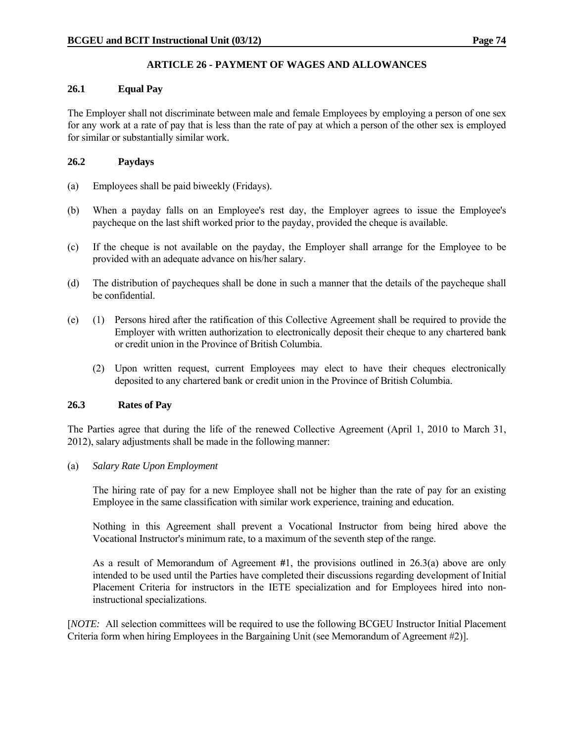# **ARTICLE 26 - PAYMENT OF WAGES AND ALLOWANCES**

## **26.1 Equal Pay**

The Employer shall not discriminate between male and female Employees by employing a person of one sex for any work at a rate of pay that is less than the rate of pay at which a person of the other sex is employed for similar or substantially similar work.

## **26.2 Paydays**

- (a) Employees shall be paid biweekly (Fridays).
- (b) When a payday falls on an Employee's rest day, the Employer agrees to issue the Employee's paycheque on the last shift worked prior to the payday, provided the cheque is available.
- (c) If the cheque is not available on the payday, the Employer shall arrange for the Employee to be provided with an adequate advance on his/her salary.
- (d) The distribution of paycheques shall be done in such a manner that the details of the paycheque shall be confidential.
- (e) (1) Persons hired after the ratification of this Collective Agreement shall be required to provide the Employer with written authorization to electronically deposit their cheque to any chartered bank or credit union in the Province of British Columbia.
	- (2) Upon written request, current Employees may elect to have their cheques electronically deposited to any chartered bank or credit union in the Province of British Columbia.

# **26.3 Rates of Pay**

The Parties agree that during the life of the renewed Collective Agreement (April 1, 2010 to March 31, 2012), salary adjustments shall be made in the following manner:

(a) *Salary Rate Upon Employment*

 The hiring rate of pay for a new Employee shall not be higher than the rate of pay for an existing Employee in the same classification with similar work experience, training and education.

 Nothing in this Agreement shall prevent a Vocational Instructor from being hired above the Vocational Instructor's minimum rate, to a maximum of the seventh step of the range.

 As a result of Memorandum of Agreement **#**1, the provisions outlined in 26.3(a) above are only intended to be used until the Parties have completed their discussions regarding development of Initial Placement Criteria for instructors in the IETE specialization and for Employees hired into noninstructional specializations.

[*NOTE:* All selection committees will be required to use the following BCGEU Instructor Initial Placement Criteria form when hiring Employees in the Bargaining Unit (see Memorandum of Agreement #2)].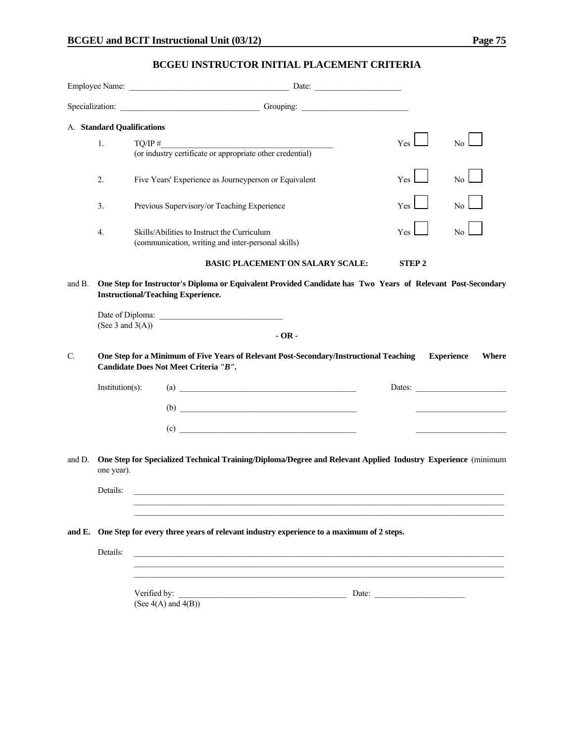# **BCGEU INSTRUCTOR INITIAL PLACEMENT CRITERIA**

|        |                     | Specialization: Contact Contact Contact Contact Contact Contact Contact Contact Contact Contact Contact Contact Contact Contact Contact Contact Contact Contact Contact Contact Contact Contact Contact Contact Contact Contac |                  |                |  |  |  |  |  |
|--------|---------------------|--------------------------------------------------------------------------------------------------------------------------------------------------------------------------------------------------------------------------------|------------------|----------------|--|--|--|--|--|
|        |                     | A. Standard Qualifications                                                                                                                                                                                                     |                  |                |  |  |  |  |  |
|        | 1.                  | TO/IP #<br>(or industry certificate or appropriate other credential)                                                                                                                                                           | Yes <sup>1</sup> | N <sub>0</sub> |  |  |  |  |  |
|        |                     |                                                                                                                                                                                                                                |                  |                |  |  |  |  |  |
|        | 2.                  | Five Years' Experience as Journeyperson or Equivalent                                                                                                                                                                          | Yes <sup>1</sup> | No.            |  |  |  |  |  |
|        | 3.                  | Previous Supervisory/or Teaching Experience                                                                                                                                                                                    | Yes              | No.            |  |  |  |  |  |
|        | 4.                  | Skills/Abilities to Instruct the Curriculum<br>(communication, writing and inter-personal skills)                                                                                                                              | Yes              | No.            |  |  |  |  |  |
|        |                     | <b>BASIC PLACEMENT ON SALARY SCALE:</b>                                                                                                                                                                                        | <b>STEP 2</b>    |                |  |  |  |  |  |
| and B. | (See 3 and $3(A)$ ) | One Step for Instructor's Diploma or Equivalent Provided Candidate has Two Years of Relevant Post-Secondary<br><b>Instructional/Teaching Experience.</b><br>$-OR -$                                                            |                  |                |  |  |  |  |  |
| C.     |                     | One Step for a Minimum of Five Years of Relevant Post-Secondary/Instructional Teaching<br><b>Experience</b><br>Where<br>Candidate Does Not Meet Criteria "B".                                                                  |                  |                |  |  |  |  |  |
|        | $Institution(s)$ :  | $\begin{array}{c}\n\text{(a)} \quad \text{---} \\ \hline\n\end{array}$                                                                                                                                                         |                  | Dates:         |  |  |  |  |  |
|        |                     | $\begin{array}{c}\n\text{(b)}\end{array}$                                                                                                                                                                                      |                  |                |  |  |  |  |  |
|        |                     | (c)                                                                                                                                                                                                                            |                  |                |  |  |  |  |  |
| and D. | one year).          | One Step for Specialized Technical Training/Diploma/Degree and Relevant Applied Industry Experience (minimum                                                                                                                   |                  |                |  |  |  |  |  |
|        | Details:            |                                                                                                                                                                                                                                |                  |                |  |  |  |  |  |
|        |                     |                                                                                                                                                                                                                                |                  |                |  |  |  |  |  |
| and E. |                     | One Step for every three years of relevant industry experience to a maximum of 2 steps.                                                                                                                                        |                  |                |  |  |  |  |  |
|        | Details:            |                                                                                                                                                                                                                                |                  |                |  |  |  |  |  |
|        |                     | (See $4(A)$ and $4(B)$ )                                                                                                                                                                                                       |                  |                |  |  |  |  |  |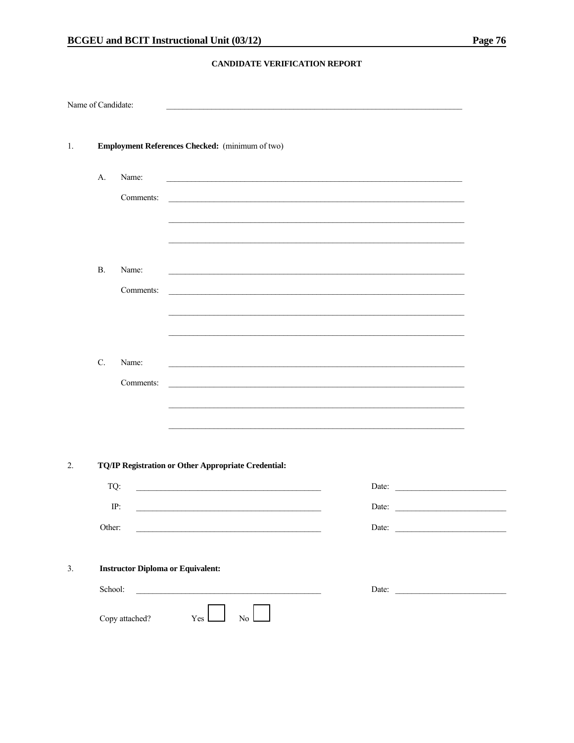#### CANDIDATE VERIFICATION REPORT

| Name of Candidate: |                                          |           |                                                                                                                       |                           |  |       |                                                                                                                  |                                                                                                                      |
|--------------------|------------------------------------------|-----------|-----------------------------------------------------------------------------------------------------------------------|---------------------------|--|-------|------------------------------------------------------------------------------------------------------------------|----------------------------------------------------------------------------------------------------------------------|
| 1.                 |                                          |           | Employment References Checked: (minimum of two)                                                                       |                           |  |       |                                                                                                                  |                                                                                                                      |
|                    | A.                                       | Name:     |                                                                                                                       |                           |  |       |                                                                                                                  |                                                                                                                      |
|                    |                                          | Comments: | <u> 1989 - Johann Stoff, amerikansk politiker (d. 1989)</u>                                                           |                           |  |       |                                                                                                                  |                                                                                                                      |
|                    |                                          |           |                                                                                                                       |                           |  |       |                                                                                                                  |                                                                                                                      |
|                    | <b>B.</b>                                | Name:     |                                                                                                                       |                           |  |       |                                                                                                                  |                                                                                                                      |
|                    |                                          | Comments: |                                                                                                                       |                           |  |       | and the control of the control of the control of the control of the control of the control of the control of the |                                                                                                                      |
|                    |                                          |           |                                                                                                                       |                           |  |       |                                                                                                                  |                                                                                                                      |
|                    |                                          |           |                                                                                                                       |                           |  |       |                                                                                                                  |                                                                                                                      |
|                    | C.                                       | Name:     |                                                                                                                       |                           |  |       |                                                                                                                  |                                                                                                                      |
|                    |                                          | Comments: |                                                                                                                       |                           |  |       |                                                                                                                  |                                                                                                                      |
|                    |                                          |           |                                                                                                                       |                           |  |       |                                                                                                                  |                                                                                                                      |
|                    |                                          |           |                                                                                                                       |                           |  |       |                                                                                                                  |                                                                                                                      |
| 2.                 |                                          |           | TQ/IP Registration or Other Appropriate Credential:                                                                   |                           |  |       |                                                                                                                  |                                                                                                                      |
|                    | TQ:                                      |           | <u> 1989 - Johann Barbara, martin amerikan basar dan berasal dan berasal dalam basar dalam basar dalam basar dala</u> |                           |  |       |                                                                                                                  | Date:                                                                                                                |
|                    | IP:                                      |           |                                                                                                                       |                           |  | Date: |                                                                                                                  | <u> 1980 - Jan Stein Stein Stein Stein Stein Stein Stein Stein Stein Stein Stein Stein Stein Stein Stein Stein S</u> |
|                    | Other:                                   |           |                                                                                                                       |                           |  |       |                                                                                                                  | Date:                                                                                                                |
| 3.                 | <b>Instructor Diploma or Equivalent:</b> |           |                                                                                                                       |                           |  |       |                                                                                                                  |                                                                                                                      |
|                    | School:                                  |           |                                                                                                                       |                           |  |       |                                                                                                                  |                                                                                                                      |
|                    | Copy attached?                           |           | Yes                                                                                                                   | $\mathbb{N}^{\mathbb{O}}$ |  |       |                                                                                                                  |                                                                                                                      |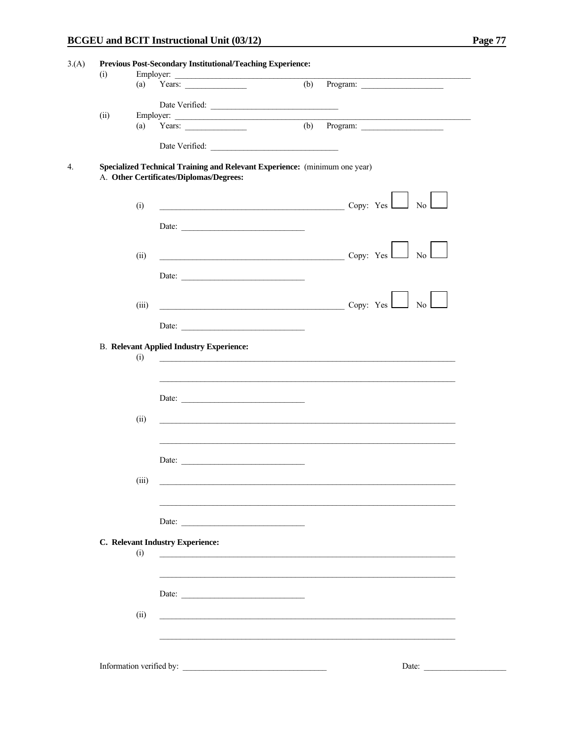| (i)  |       | Employer:                                                                                                             |                                                                                                                       |
|------|-------|-----------------------------------------------------------------------------------------------------------------------|-----------------------------------------------------------------------------------------------------------------------|
|      | (a)   | Years: $\qquad \qquad$                                                                                                | $(b)$ Program:                                                                                                        |
|      |       | Date Verified:                                                                                                        |                                                                                                                       |
| (ii) |       |                                                                                                                       |                                                                                                                       |
|      |       |                                                                                                                       | Employer: (a) Years: (b) Program: (b) 2014                                                                            |
|      |       |                                                                                                                       |                                                                                                                       |
|      |       |                                                                                                                       |                                                                                                                       |
|      |       | Specialized Technical Training and Relevant Experience: (minimum one year)<br>A. Other Certificates/Diplomas/Degrees: |                                                                                                                       |
|      | (i)   |                                                                                                                       |                                                                                                                       |
|      |       |                                                                                                                       | $\sim$ Copy: Yes $\sim$ No                                                                                            |
|      |       | Date: $\frac{1}{2}$                                                                                                   |                                                                                                                       |
|      |       |                                                                                                                       |                                                                                                                       |
|      |       |                                                                                                                       |                                                                                                                       |
|      | (ii)  |                                                                                                                       | $\overline{\phantom{a}}$ Copy: Yes $\overline{\phantom{a}}$ No                                                        |
|      |       | Date:                                                                                                                 |                                                                                                                       |
|      |       |                                                                                                                       |                                                                                                                       |
|      |       |                                                                                                                       |                                                                                                                       |
|      | (iii) |                                                                                                                       | $\begin{array}{c c}\n\hline\n\end{array}$ Copy: Yes $\begin{array}{ c c }\n\hline\n\end{array}$ No                    |
|      |       | Date:                                                                                                                 |                                                                                                                       |
|      |       |                                                                                                                       |                                                                                                                       |
|      |       | <b>B.</b> Relevant Applied Industry Experience:                                                                       |                                                                                                                       |
|      | (i)   |                                                                                                                       | <u> 1989 - Johann Barbara, marka a shekara ta 1989 - An tsara tsara tsara tsara tsara tsara tsara tsara tsara tsa</u> |
|      |       |                                                                                                                       |                                                                                                                       |
|      |       |                                                                                                                       |                                                                                                                       |
|      |       | Date:                                                                                                                 |                                                                                                                       |
|      |       |                                                                                                                       |                                                                                                                       |
|      | (ii)  |                                                                                                                       |                                                                                                                       |
|      |       |                                                                                                                       |                                                                                                                       |
|      |       |                                                                                                                       |                                                                                                                       |
|      |       | Date:                                                                                                                 |                                                                                                                       |
|      |       |                                                                                                                       |                                                                                                                       |
|      | (iii) |                                                                                                                       |                                                                                                                       |
|      |       |                                                                                                                       |                                                                                                                       |
|      |       |                                                                                                                       |                                                                                                                       |
|      |       |                                                                                                                       |                                                                                                                       |
|      |       |                                                                                                                       |                                                                                                                       |
|      |       | C. Relevant Industry Experience:                                                                                      |                                                                                                                       |
|      | (i)   |                                                                                                                       |                                                                                                                       |
|      |       |                                                                                                                       |                                                                                                                       |
|      |       |                                                                                                                       |                                                                                                                       |
|      |       | Date:                                                                                                                 |                                                                                                                       |
|      |       |                                                                                                                       |                                                                                                                       |
|      | (ii)  |                                                                                                                       |                                                                                                                       |
|      |       |                                                                                                                       |                                                                                                                       |
|      |       |                                                                                                                       |                                                                                                                       |
|      |       |                                                                                                                       |                                                                                                                       |
|      |       |                                                                                                                       | Date:                                                                                                                 |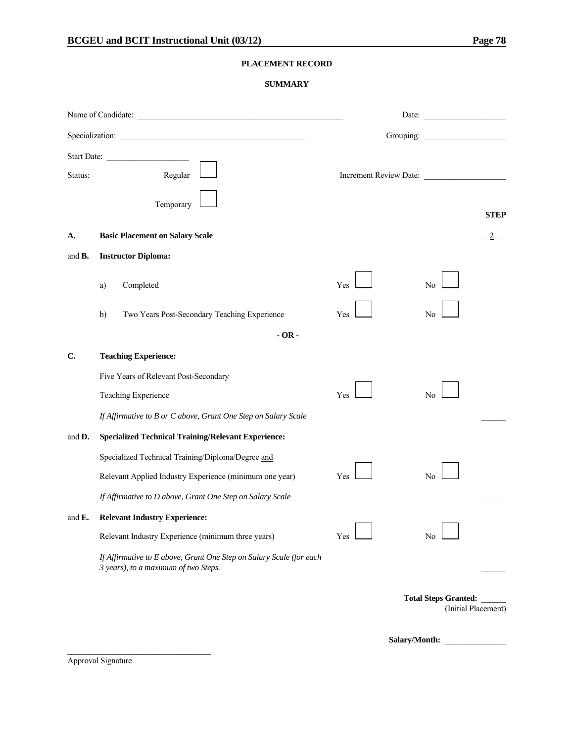#### **PLACEMENT RECORD**

#### **SUMMARY**

|                    | Specialization:                                                                                                                                                           |            | Grouping:                                          |
|--------------------|---------------------------------------------------------------------------------------------------------------------------------------------------------------------------|------------|----------------------------------------------------|
| Status:            | Start Date:<br>Regular<br>Temporary                                                                                                                                       |            | Increment Review Date:<br><b>STEP</b>              |
| А.                 | <b>Basic Placement on Salary Scale</b>                                                                                                                                    |            |                                                    |
| and <b>B</b> .     | <b>Instructor Diploma:</b>                                                                                                                                                |            |                                                    |
|                    | Completed<br>a)<br>Two Years Post-Secondary Teaching Experience<br>b)                                                                                                     | Yes<br>Yes | No<br>No                                           |
|                    | $-OR -$                                                                                                                                                                   |            |                                                    |
| C.                 | <b>Teaching Experience:</b>                                                                                                                                               |            |                                                    |
|                    | Five Years of Relevant Post-Secondary<br>Teaching Experience<br>If Affirmative to B or C above, Grant One Step on Salary Scale                                            | Yes        | N <sub>0</sub>                                     |
| and <b>D</b> .     | <b>Specialized Technical Training/Relevant Experience:</b>                                                                                                                |            |                                                    |
|                    | Specialized Technical Training/Diploma/Degree and<br>Relevant Applied Industry Experience (minimum one year)<br>If Affirmative to D above, Grant One Step on Salary Scale | Yes        | No                                                 |
| and $\mathbf{E}$ . | <b>Relevant Industry Experience:</b>                                                                                                                                      |            |                                                    |
|                    | Relevant Industry Experience (minimum three years)                                                                                                                        | Yes        | No                                                 |
|                    | If Affirmative to E above, Grant One Step on Salary Scale (for each<br>3 years), to a maximum of two Steps.                                                               |            |                                                    |
|                    |                                                                                                                                                                           |            | <b>Total Steps Granted:</b><br>(Initial Placement) |

Salary/Month: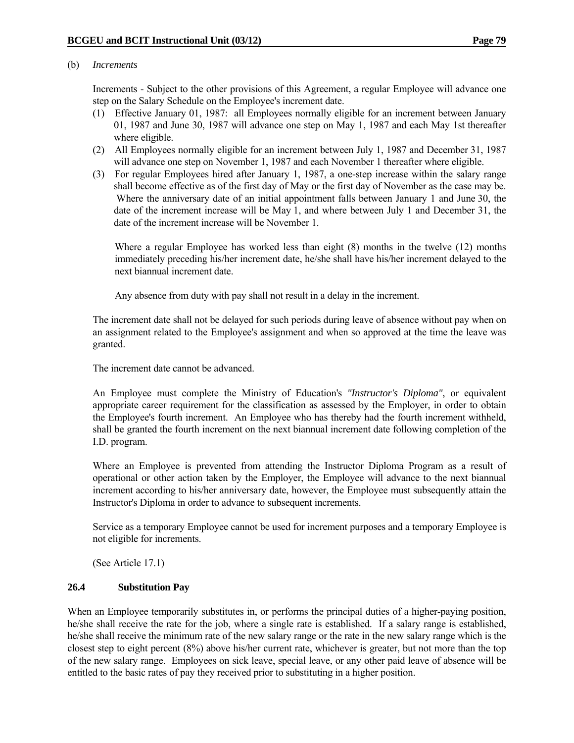#### (b) *Increments*

 Increments - Subject to the other provisions of this Agreement, a regular Employee will advance one step on the Salary Schedule on the Employee's increment date.

- (1) Effective January 01, 1987: all Employees normally eligible for an increment between January 01, 1987 and June 30, 1987 will advance one step on May 1, 1987 and each May 1st thereafter where eligible.
- (2) All Employees normally eligible for an increment between July 1, 1987 and December 31, 1987 will advance one step on November 1, 1987 and each November 1 thereafter where eligible.
- (3) For regular Employees hired after January 1, 1987, a one-step increase within the salary range shall become effective as of the first day of May or the first day of November as the case may be. Where the anniversary date of an initial appointment falls between January 1 and June 30, the date of the increment increase will be May 1, and where between July 1 and December 31, the date of the increment increase will be November 1.

 Where a regular Employee has worked less than eight (8) months in the twelve (12) months immediately preceding his/her increment date, he/she shall have his/her increment delayed to the next biannual increment date.

Any absence from duty with pay shall not result in a delay in the increment.

 The increment date shall not be delayed for such periods during leave of absence without pay when on an assignment related to the Employee's assignment and when so approved at the time the leave was granted.

The increment date cannot be advanced.

 An Employee must complete the Ministry of Education's *"Instructor's Diploma"*, or equivalent appropriate career requirement for the classification as assessed by the Employer, in order to obtain the Employee's fourth increment. An Employee who has thereby had the fourth increment withheld, shall be granted the fourth increment on the next biannual increment date following completion of the I.D. program.

 Where an Employee is prevented from attending the Instructor Diploma Program as a result of operational or other action taken by the Employer, the Employee will advance to the next biannual increment according to his/her anniversary date, however, the Employee must subsequently attain the Instructor's Diploma in order to advance to subsequent increments.

 Service as a temporary Employee cannot be used for increment purposes and a temporary Employee is not eligible for increments.

(See Article 17.1)

#### **26.4 Substitution Pay**

When an Employee temporarily substitutes in, or performs the principal duties of a higher-paying position, he/she shall receive the rate for the job, where a single rate is established. If a salary range is established, he/she shall receive the minimum rate of the new salary range or the rate in the new salary range which is the closest step to eight percent (8%) above his/her current rate, whichever is greater, but not more than the top of the new salary range. Employees on sick leave, special leave, or any other paid leave of absence will be entitled to the basic rates of pay they received prior to substituting in a higher position.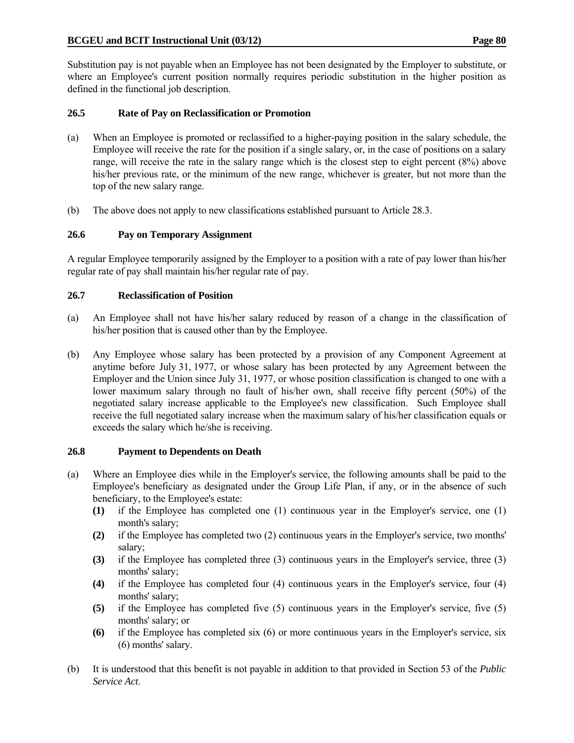Substitution pay is not payable when an Employee has not been designated by the Employer to substitute, or where an Employee's current position normally requires periodic substitution in the higher position as defined in the functional job description.

## **26.5 Rate of Pay on Reclassification or Promotion**

- (a) When an Employee is promoted or reclassified to a higher-paying position in the salary schedule, the Employee will receive the rate for the position if a single salary, or, in the case of positions on a salary range, will receive the rate in the salary range which is the closest step to eight percent (8%) above his/her previous rate, or the minimum of the new range, whichever is greater, but not more than the top of the new salary range.
- (b) The above does not apply to new classifications established pursuant to Article 28.3.

## **26.6 Pay on Temporary Assignment**

A regular Employee temporarily assigned by the Employer to a position with a rate of pay lower than his/her regular rate of pay shall maintain his/her regular rate of pay.

#### **26.7 Reclassification of Position**

- (a) An Employee shall not have his/her salary reduced by reason of a change in the classification of his/her position that is caused other than by the Employee.
- (b) Any Employee whose salary has been protected by a provision of any Component Agreement at anytime before July 31, 1977, or whose salary has been protected by any Agreement between the Employer and the Union since July 31, 1977, or whose position classification is changed to one with a lower maximum salary through no fault of his/her own, shall receive fifty percent (50%) of the negotiated salary increase applicable to the Employee's new classification. Such Employee shall receive the full negotiated salary increase when the maximum salary of his/her classification equals or exceeds the salary which he/she is receiving.

#### **26.8 Payment to Dependents on Death**

- (a) Where an Employee dies while in the Employer's service, the following amounts shall be paid to the Employee's beneficiary as designated under the Group Life Plan, if any, or in the absence of such beneficiary, to the Employee's estate:
	- **(1)** if the Employee has completed one (1) continuous year in the Employer's service, one (1) month's salary;
	- **(2)** if the Employee has completed two (2) continuous years in the Employer's service, two months' salary;
	- **(3)** if the Employee has completed three (3) continuous years in the Employer's service, three (3) months' salary;
	- **(4)** if the Employee has completed four (4) continuous years in the Employer's service, four (4) months' salary;
	- **(5)** if the Employee has completed five (5) continuous years in the Employer's service, five (5) months' salary; or
	- **(6)** if the Employee has completed six (6) or more continuous years in the Employer's service, six (6) months' salary.
- (b) It is understood that this benefit is not payable in addition to that provided in Section 53 of the *Public Service Act*.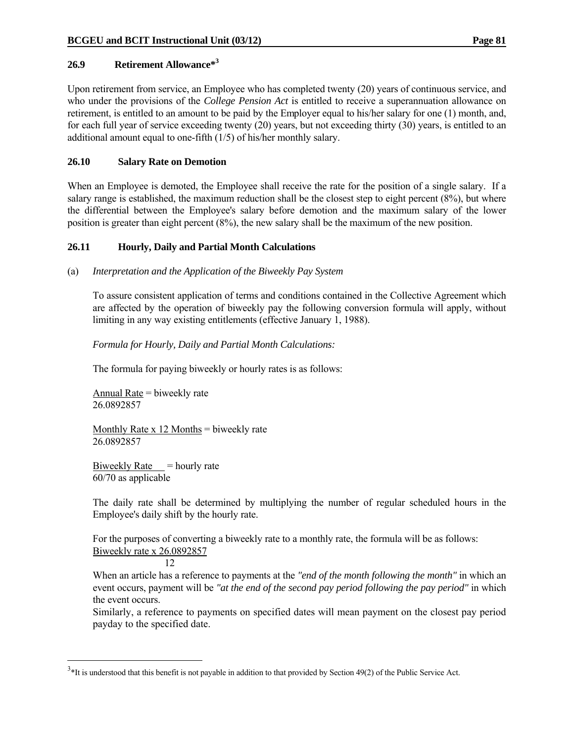## **26.9 Retirement Allowance\*3**

Upon retirement from service, an Employee who has completed twenty (20) years of continuous service, and who under the provisions of the *College Pension Act* is entitled to receive a superannuation allowance on retirement, is entitled to an amount to be paid by the Employer equal to his/her salary for one (1) month, and, for each full year of service exceeding twenty (20) years, but not exceeding thirty (30) years, is entitled to an additional amount equal to one-fifth (1/5) of his/her monthly salary.

## **26.10 Salary Rate on Demotion**

When an Employee is demoted, the Employee shall receive the rate for the position of a single salary. If a salary range is established, the maximum reduction shall be the closest step to eight percent (8%), but where the differential between the Employee's salary before demotion and the maximum salary of the lower position is greater than eight percent (8%), the new salary shall be the maximum of the new position.

## **26.11 Hourly, Daily and Partial Month Calculations**

(a) *Interpretation and the Application of the Biweekly Pay System*

 To assure consistent application of terms and conditions contained in the Collective Agreement which are affected by the operation of biweekly pay the following conversion formula will apply, without limiting in any way existing entitlements (effective January 1, 1988).

## *Formula for Hourly, Daily and Partial Month Calculations:*

The formula for paying biweekly or hourly rates is as follows:

 Annual Rate = biweekly rate 26.0892857

Monthly Rate  $x$  12 Months = biweekly rate 26.0892857

Biweekly Rate  $=$  hourly rate 60/70 as applicable

 The daily rate shall be determined by multiplying the number of regular scheduled hours in the Employee's daily shift by the hourly rate.

 For the purposes of converting a biweekly rate to a monthly rate, the formula will be as follows: Biweekly rate x 26.0892857

12

 $\overline{a}$ 

 When an article has a reference to payments at the *"end of the month following the month"* in which an event occurs, payment will be *"at the end of the second pay period following the pay period"* in which the event occurs.

Similarly, a reference to payments on specified dates will mean payment on the closest pay period payday to the specified date.

 $3*$ It is understood that this benefit is not payable in addition to that provided by Section 49(2) of the Public Service Act.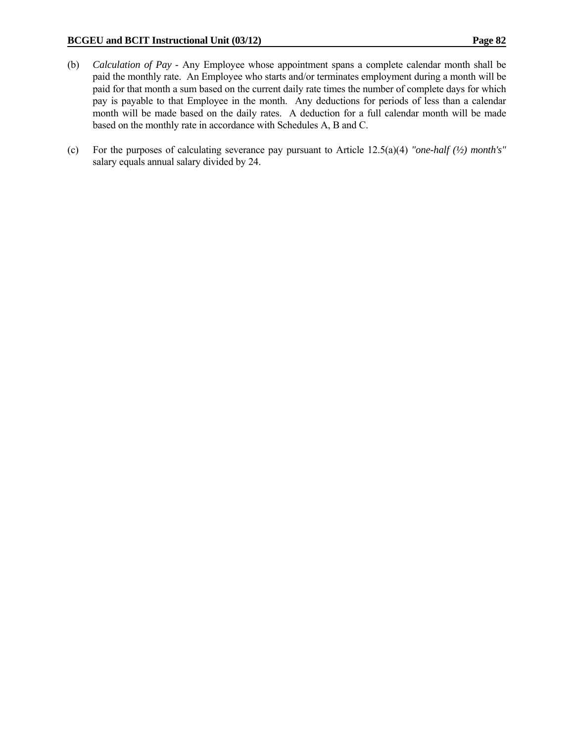- (b) *Calculation of Pay* Any Employee whose appointment spans a complete calendar month shall be paid the monthly rate. An Employee who starts and/or terminates employment during a month will be paid for that month a sum based on the current daily rate times the number of complete days for which pay is payable to that Employee in the month. Any deductions for periods of less than a calendar month will be made based on the daily rates. A deduction for a full calendar month will be made based on the monthly rate in accordance with Schedules A, B and C.
- (c) For the purposes of calculating severance pay pursuant to Article 12.5(a)(4) *"one-half (½) month's"* salary equals annual salary divided by 24.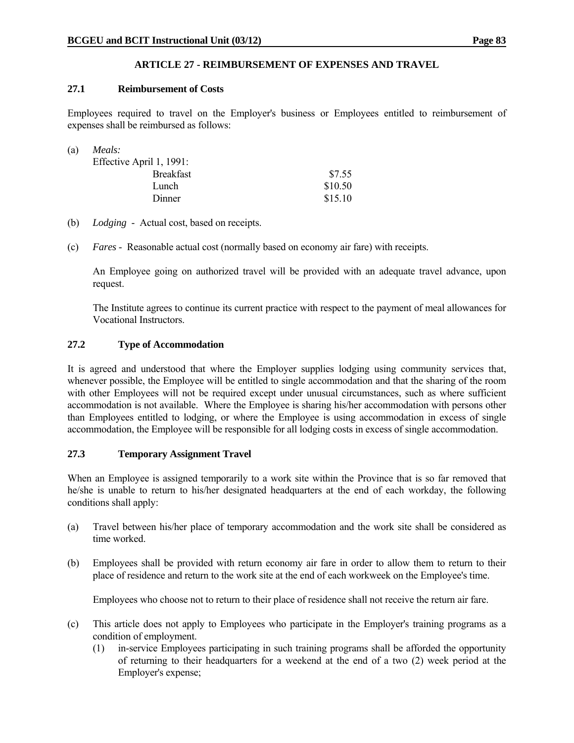# **ARTICLE 27 - REIMBURSEMENT OF EXPENSES AND TRAVEL**

## **27.1 Reimbursement of Costs**

Employees required to travel on the Employer's business or Employees entitled to reimbursement of expenses shall be reimbursed as follows:

| (a) | Meals:                   |         |
|-----|--------------------------|---------|
|     | Effective April 1, 1991: |         |
|     | <b>Breakfast</b>         | \$7.55  |
|     | Lunch                    | \$10.50 |
|     | Dinner                   | \$15.10 |

- (b) *Lodging* Actual cost, based on receipts.
- (c) *Fares* Reasonable actual cost (normally based on economy air fare) with receipts.

 An Employee going on authorized travel will be provided with an adequate travel advance, upon request.

 The Institute agrees to continue its current practice with respect to the payment of meal allowances for Vocational Instructors.

## **27.2 Type of Accommodation**

It is agreed and understood that where the Employer supplies lodging using community services that, whenever possible, the Employee will be entitled to single accommodation and that the sharing of the room with other Employees will not be required except under unusual circumstances, such as where sufficient accommodation is not available. Where the Employee is sharing his/her accommodation with persons other than Employees entitled to lodging, or where the Employee is using accommodation in excess of single accommodation, the Employee will be responsible for all lodging costs in excess of single accommodation.

# **27.3 Temporary Assignment Travel**

When an Employee is assigned temporarily to a work site within the Province that is so far removed that he/she is unable to return to his/her designated headquarters at the end of each workday, the following conditions shall apply:

- (a) Travel between his/her place of temporary accommodation and the work site shall be considered as time worked.
- (b) Employees shall be provided with return economy air fare in order to allow them to return to their place of residence and return to the work site at the end of each workweek on the Employee's time.

Employees who choose not to return to their place of residence shall not receive the return air fare.

- (c) This article does not apply to Employees who participate in the Employer's training programs as a condition of employment.
	- (1) in-service Employees participating in such training programs shall be afforded the opportunity of returning to their headquarters for a weekend at the end of a two (2) week period at the Employer's expense;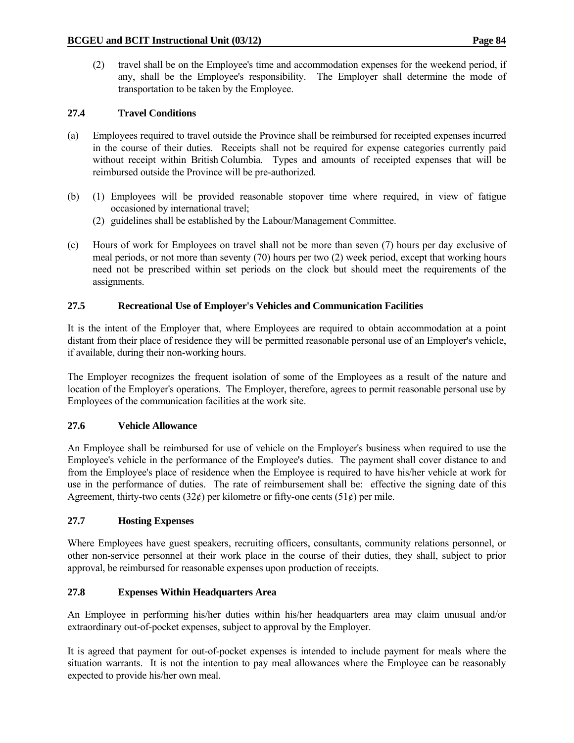(2) travel shall be on the Employee's time and accommodation expenses for the weekend period, if any, shall be the Employee's responsibility. The Employer shall determine the mode of transportation to be taken by the Employee.

# **27.4 Travel Conditions**

- (a) Employees required to travel outside the Province shall be reimbursed for receipted expenses incurred in the course of their duties. Receipts shall not be required for expense categories currently paid without receipt within British Columbia. Types and amounts of receipted expenses that will be reimbursed outside the Province will be pre-authorized.
- (b) (1) Employees will be provided reasonable stopover time where required, in view of fatigue occasioned by international travel;
	- (2) guidelines shall be established by the Labour/Management Committee.
- (c) Hours of work for Employees on travel shall not be more than seven (7) hours per day exclusive of meal periods, or not more than seventy (70) hours per two (2) week period, except that working hours need not be prescribed within set periods on the clock but should meet the requirements of the assignments.

## **27.5 Recreational Use of Employer's Vehicles and Communication Facilities**

It is the intent of the Employer that, where Employees are required to obtain accommodation at a point distant from their place of residence they will be permitted reasonable personal use of an Employer's vehicle, if available, during their non-working hours.

The Employer recognizes the frequent isolation of some of the Employees as a result of the nature and location of the Employer's operations. The Employer, therefore, agrees to permit reasonable personal use by Employees of the communication facilities at the work site.

#### **27.6 Vehicle Allowance**

An Employee shall be reimbursed for use of vehicle on the Employer's business when required to use the Employee's vehicle in the performance of the Employee's duties. The payment shall cover distance to and from the Employee's place of residence when the Employee is required to have his/her vehicle at work for use in the performance of duties. The rate of reimbursement shall be: effective the signing date of this Agreement, thirty-two cents (32 $\ell$ ) per kilometre or fifty-one cents (51 $\ell$ ) per mile.

#### **27.7 Hosting Expenses**

Where Employees have guest speakers, recruiting officers, consultants, community relations personnel, or other non-service personnel at their work place in the course of their duties, they shall, subject to prior approval, be reimbursed for reasonable expenses upon production of receipts.

#### **27.8 Expenses Within Headquarters Area**

An Employee in performing his/her duties within his/her headquarters area may claim unusual and/or extraordinary out-of-pocket expenses, subject to approval by the Employer.

It is agreed that payment for out-of-pocket expenses is intended to include payment for meals where the situation warrants. It is not the intention to pay meal allowances where the Employee can be reasonably expected to provide his/her own meal.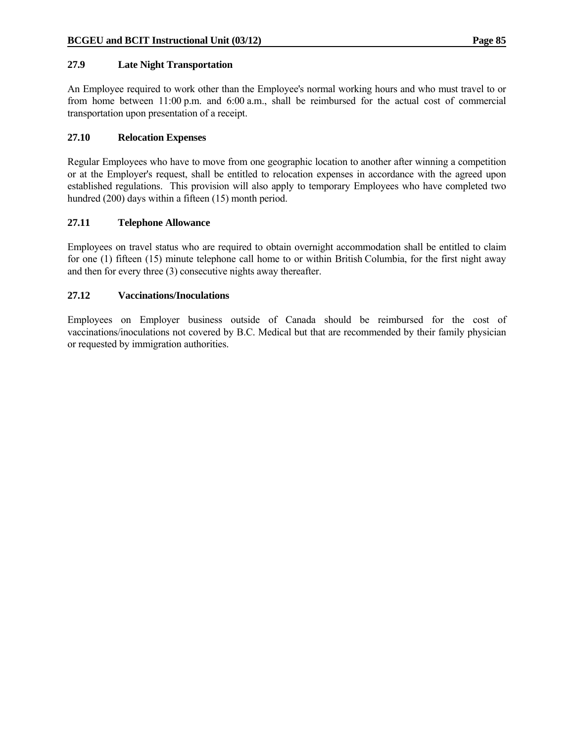## **27.9 Late Night Transportation**

An Employee required to work other than the Employee's normal working hours and who must travel to or from home between 11:00 p.m. and 6:00 a.m., shall be reimbursed for the actual cost of commercial transportation upon presentation of a receipt.

## **27.10 Relocation Expenses**

Regular Employees who have to move from one geographic location to another after winning a competition or at the Employer's request, shall be entitled to relocation expenses in accordance with the agreed upon established regulations. This provision will also apply to temporary Employees who have completed two hundred (200) days within a fifteen (15) month period.

## **27.11 Telephone Allowance**

Employees on travel status who are required to obtain overnight accommodation shall be entitled to claim for one (1) fifteen (15) minute telephone call home to or within British Columbia, for the first night away and then for every three (3) consecutive nights away thereafter.

## **27.12 Vaccinations/Inoculations**

Employees on Employer business outside of Canada should be reimbursed for the cost of vaccinations/inoculations not covered by B.C. Medical but that are recommended by their family physician or requested by immigration authorities.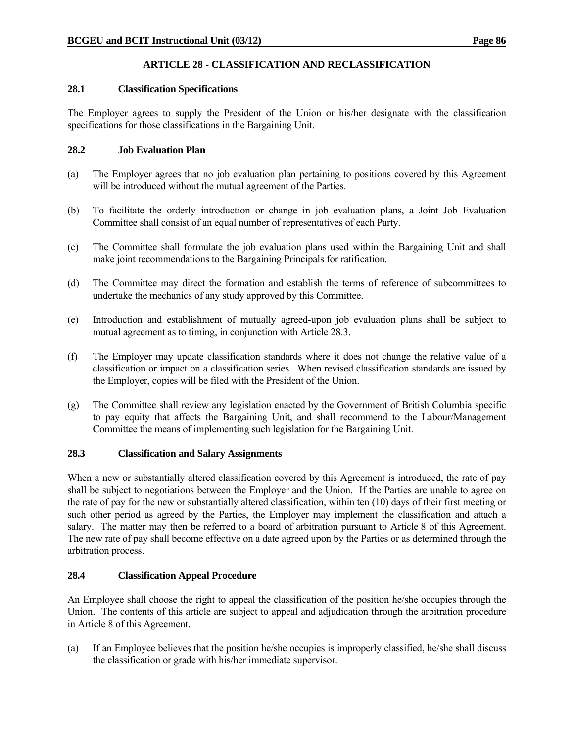# **ARTICLE 28 - CLASSIFICATION AND RECLASSIFICATION**

#### **28.1 Classification Specifications**

The Employer agrees to supply the President of the Union or his/her designate with the classification specifications for those classifications in the Bargaining Unit.

## **28.2 Job Evaluation Plan**

- (a) The Employer agrees that no job evaluation plan pertaining to positions covered by this Agreement will be introduced without the mutual agreement of the Parties.
- (b) To facilitate the orderly introduction or change in job evaluation plans, a Joint Job Evaluation Committee shall consist of an equal number of representatives of each Party.
- (c) The Committee shall formulate the job evaluation plans used within the Bargaining Unit and shall make joint recommendations to the Bargaining Principals for ratification.
- (d) The Committee may direct the formation and establish the terms of reference of subcommittees to undertake the mechanics of any study approved by this Committee.
- (e) Introduction and establishment of mutually agreed-upon job evaluation plans shall be subject to mutual agreement as to timing, in conjunction with Article 28.3.
- (f) The Employer may update classification standards where it does not change the relative value of a classification or impact on a classification series. When revised classification standards are issued by the Employer, copies will be filed with the President of the Union.
- (g) The Committee shall review any legislation enacted by the Government of British Columbia specific to pay equity that affects the Bargaining Unit, and shall recommend to the Labour/Management Committee the means of implementing such legislation for the Bargaining Unit.

# **28.3 Classification and Salary Assignments**

When a new or substantially altered classification covered by this Agreement is introduced, the rate of pay shall be subject to negotiations between the Employer and the Union. If the Parties are unable to agree on the rate of pay for the new or substantially altered classification, within ten (10) days of their first meeting or such other period as agreed by the Parties, the Employer may implement the classification and attach a salary. The matter may then be referred to a board of arbitration pursuant to Article 8 of this Agreement. The new rate of pay shall become effective on a date agreed upon by the Parties or as determined through the arbitration process.

# **28.4 Classification Appeal Procedure**

An Employee shall choose the right to appeal the classification of the position he/she occupies through the Union. The contents of this article are subject to appeal and adjudication through the arbitration procedure in Article 8 of this Agreement.

(a) If an Employee believes that the position he/she occupies is improperly classified, he/she shall discuss the classification or grade with his/her immediate supervisor.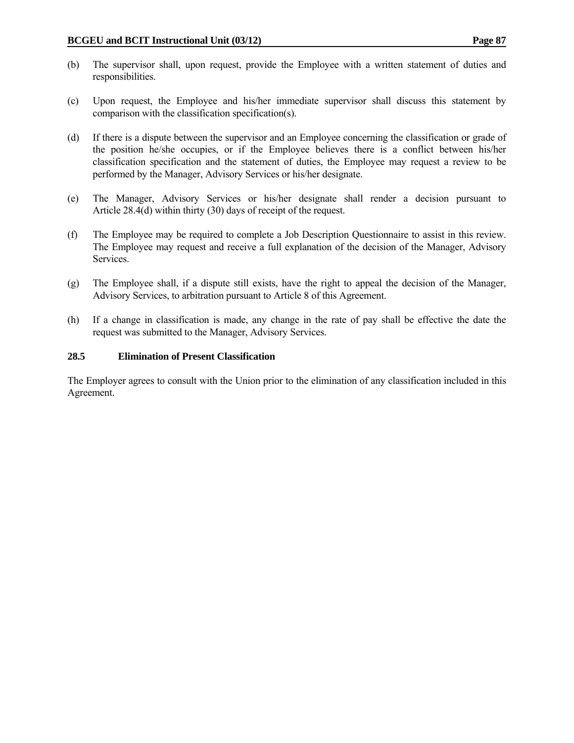- (b) The supervisor shall, upon request, provide the Employee with a written statement of duties and responsibilities.
- (c) Upon request, the Employee and his/her immediate supervisor shall discuss this statement by comparison with the classification specification(s).
- (d) If there is a dispute between the supervisor and an Employee concerning the classification or grade of the position he/she occupies, or if the Employee believes there is a conflict between his/her classification specification and the statement of duties, the Employee may request a review to be performed by the Manager, Advisory Services or his/her designate.
- (e) The Manager, Advisory Services or his/her designate shall render a decision pursuant to Article 28.4(d) within thirty (30) days of receipt of the request.
- (f) The Employee may be required to complete a Job Description Questionnaire to assist in this review. The Employee may request and receive a full explanation of the decision of the Manager, Advisory Services.
- (g) The Employee shall, if a dispute still exists, have the right to appeal the decision of the Manager, Advisory Services, to arbitration pursuant to Article 8 of this Agreement.
- (h) If a change in classification is made, any change in the rate of pay shall be effective the date the request was submitted to the Manager, Advisory Services.

## **28.5 Elimination of Present Classification**

The Employer agrees to consult with the Union prior to the elimination of any classification included in this Agreement.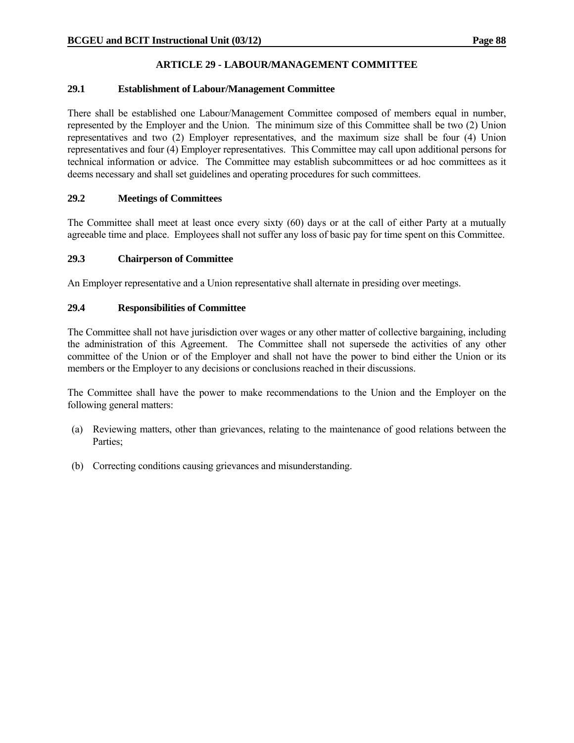# **ARTICLE 29 - LABOUR/MANAGEMENT COMMITTEE**

## **29.1 Establishment of Labour/Management Committee**

There shall be established one Labour/Management Committee composed of members equal in number, represented by the Employer and the Union. The minimum size of this Committee shall be two (2) Union representatives and two (2) Employer representatives, and the maximum size shall be four (4) Union representatives and four (4) Employer representatives. This Committee may call upon additional persons for technical information or advice. The Committee may establish subcommittees or ad hoc committees as it deems necessary and shall set guidelines and operating procedures for such committees.

## **29.2 Meetings of Committees**

The Committee shall meet at least once every sixty (60) days or at the call of either Party at a mutually agreeable time and place. Employees shall not suffer any loss of basic pay for time spent on this Committee.

#### **29.3 Chairperson of Committee**

An Employer representative and a Union representative shall alternate in presiding over meetings.

## **29.4 Responsibilities of Committee**

The Committee shall not have jurisdiction over wages or any other matter of collective bargaining, including the administration of this Agreement. The Committee shall not supersede the activities of any other committee of the Union or of the Employer and shall not have the power to bind either the Union or its members or the Employer to any decisions or conclusions reached in their discussions.

The Committee shall have the power to make recommendations to the Union and the Employer on the following general matters:

- (a) Reviewing matters, other than grievances, relating to the maintenance of good relations between the Parties;
- (b) Correcting conditions causing grievances and misunderstanding.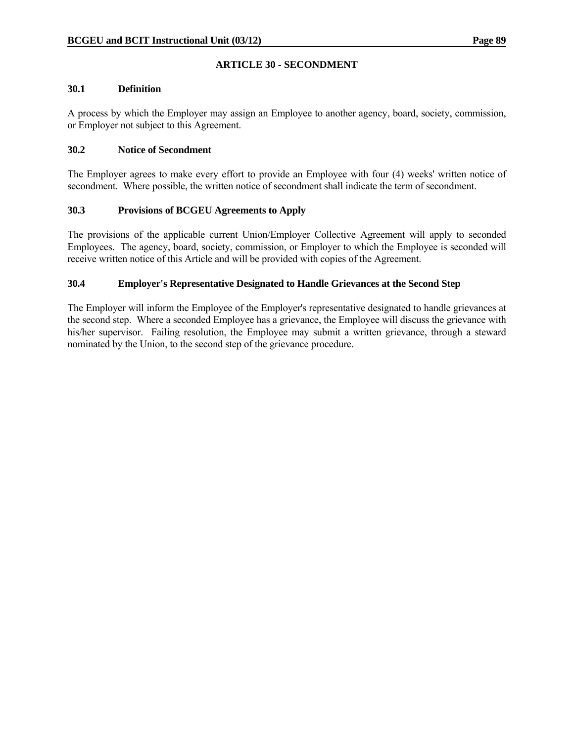# **ARTICLE 30 - SECONDMENT**

#### **30.1 Definition**

A process by which the Employer may assign an Employee to another agency, board, society, commission, or Employer not subject to this Agreement.

## **30.2 Notice of Secondment**

The Employer agrees to make every effort to provide an Employee with four (4) weeks' written notice of secondment. Where possible, the written notice of secondment shall indicate the term of secondment.

## **30.3 Provisions of BCGEU Agreements to Apply**

The provisions of the applicable current Union/Employer Collective Agreement will apply to seconded Employees. The agency, board, society, commission, or Employer to which the Employee is seconded will receive written notice of this Article and will be provided with copies of the Agreement.

# **30.4 Employer's Representative Designated to Handle Grievances at the Second Step**

The Employer will inform the Employee of the Employer's representative designated to handle grievances at the second step. Where a seconded Employee has a grievance, the Employee will discuss the grievance with his/her supervisor. Failing resolution, the Employee may submit a written grievance, through a steward nominated by the Union, to the second step of the grievance procedure.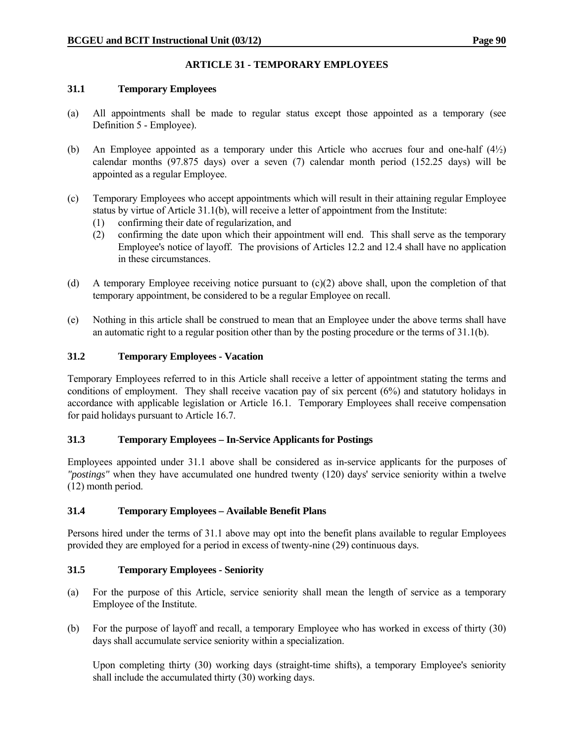# **ARTICLE 31 - TEMPORARY EMPLOYEES**

#### **31.1 Temporary Employees**

- (a) All appointments shall be made to regular status except those appointed as a temporary (see Definition 5 - Employee).
- (b) An Employee appointed as a temporary under this Article who accrues four and one-half (4½) calendar months (97.875 days) over a seven (7) calendar month period (152.25 days) will be appointed as a regular Employee.
- (c) Temporary Employees who accept appointments which will result in their attaining regular Employee status by virtue of Article 31.1(b), will receive a letter of appointment from the Institute:
	- (1) confirming their date of regularization, and
	- (2) confirming the date upon which their appointment will end. This shall serve as the temporary Employee's notice of layoff. The provisions of Articles 12.2 and 12.4 shall have no application in these circumstances.
- (d) A temporary Employee receiving notice pursuant to (c)(2) above shall, upon the completion of that temporary appointment, be considered to be a regular Employee on recall.
- (e) Nothing in this article shall be construed to mean that an Employee under the above terms shall have an automatic right to a regular position other than by the posting procedure or the terms of 31.1(b).

## **31.2 Temporary Employees - Vacation**

Temporary Employees referred to in this Article shall receive a letter of appointment stating the terms and conditions of employment. They shall receive vacation pay of six percent (6%) and statutory holidays in accordance with applicable legislation or Article 16.1. Temporary Employees shall receive compensation for paid holidays pursuant to Article 16.7.

#### **31.3 Temporary Employees – In-Service Applicants for Postings**

Employees appointed under 31.1 above shall be considered as in-service applicants for the purposes of *"postings"* when they have accumulated one hundred twenty (120) days' service seniority within a twelve (12) month period.

#### **31.4 Temporary Employees – Available Benefit Plans**

Persons hired under the terms of 31.1 above may opt into the benefit plans available to regular Employees provided they are employed for a period in excess of twenty-nine (29) continuous days.

# **31.5 Temporary Employees - Seniority**

- (a) For the purpose of this Article, service seniority shall mean the length of service as a temporary Employee of the Institute.
- (b) For the purpose of layoff and recall, a temporary Employee who has worked in excess of thirty (30) days shall accumulate service seniority within a specialization.

 Upon completing thirty (30) working days (straight-time shifts), a temporary Employee's seniority shall include the accumulated thirty (30) working days.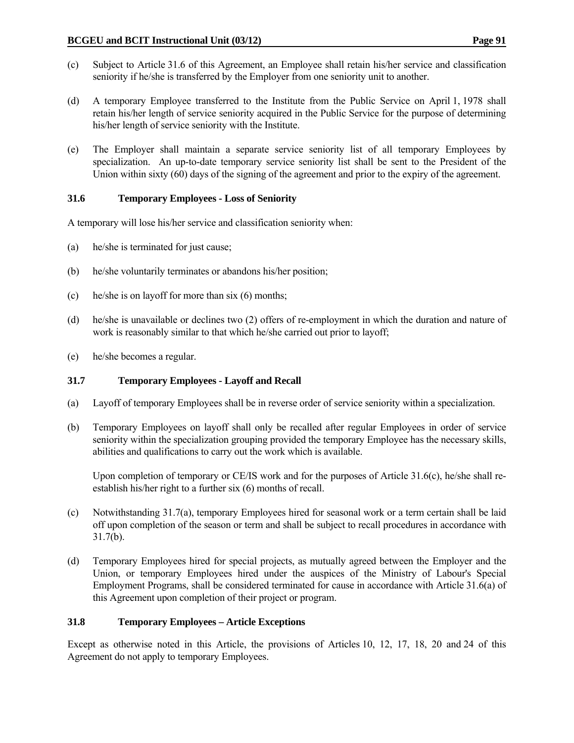- (c) Subject to Article 31.6 of this Agreement, an Employee shall retain his/her service and classification seniority if he/she is transferred by the Employer from one seniority unit to another.
- (d) A temporary Employee transferred to the Institute from the Public Service on April 1, 1978 shall retain his/her length of service seniority acquired in the Public Service for the purpose of determining his/her length of service seniority with the Institute.
- (e) The Employer shall maintain a separate service seniority list of all temporary Employees by specialization. An up-to-date temporary service seniority list shall be sent to the President of the Union within sixty (60) days of the signing of the agreement and prior to the expiry of the agreement.

# **31.6 Temporary Employees - Loss of Seniority**

A temporary will lose his/her service and classification seniority when:

- (a) he/she is terminated for just cause;
- (b) he/she voluntarily terminates or abandons his/her position;
- (c) he/she is on layoff for more than six (6) months;
- (d) he/she is unavailable or declines two (2) offers of re-employment in which the duration and nature of work is reasonably similar to that which he/she carried out prior to layoff;
- (e) he/she becomes a regular.

#### **31.7 Temporary Employees - Layoff and Recall**

- (a) Layoff of temporary Employees shall be in reverse order of service seniority within a specialization.
- (b) Temporary Employees on layoff shall only be recalled after regular Employees in order of service seniority within the specialization grouping provided the temporary Employee has the necessary skills, abilities and qualifications to carry out the work which is available.

 Upon completion of temporary or CE/IS work and for the purposes of Article 31.6(c), he/she shall reestablish his/her right to a further six (6) months of recall.

- (c) Notwithstanding 31.7(a), temporary Employees hired for seasonal work or a term certain shall be laid off upon completion of the season or term and shall be subject to recall procedures in accordance with 31.7(b).
- (d) Temporary Employees hired for special projects, as mutually agreed between the Employer and the Union, or temporary Employees hired under the auspices of the Ministry of Labour's Special Employment Programs, shall be considered terminated for cause in accordance with Article 31.6(a) of this Agreement upon completion of their project or program.

#### **31.8 Temporary Employees – Article Exceptions**

Except as otherwise noted in this Article, the provisions of Articles 10, 12, 17, 18, 20 and 24 of this Agreement do not apply to temporary Employees.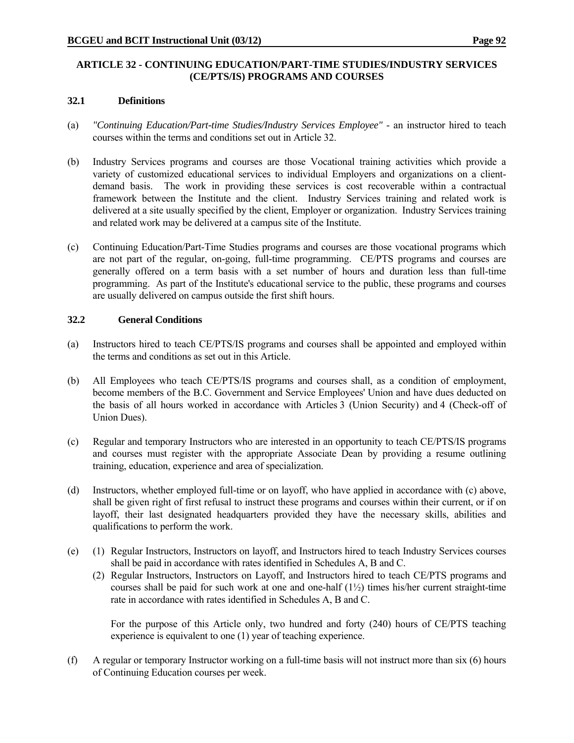## **ARTICLE 32 - CONTINUING EDUCATION/PART-TIME STUDIES/INDUSTRY SERVICES (CE/PTS/IS) PROGRAMS AND COURSES**

#### **32.1 Definitions**

- (a) *"Continuing Education/Part-time Studies/Industry Services Employee"* an instructor hired to teach courses within the terms and conditions set out in Article 32.
- (b) Industry Services programs and courses are those Vocational training activities which provide a variety of customized educational services to individual Employers and organizations on a clientdemand basis. The work in providing these services is cost recoverable within a contractual framework between the Institute and the client. Industry Services training and related work is delivered at a site usually specified by the client, Employer or organization. Industry Services training and related work may be delivered at a campus site of the Institute.
- (c) Continuing Education/Part-Time Studies programs and courses are those vocational programs which are not part of the regular, on-going, full-time programming. CE/PTS programs and courses are generally offered on a term basis with a set number of hours and duration less than full-time programming. As part of the Institute's educational service to the public, these programs and courses are usually delivered on campus outside the first shift hours.

#### **32.2 General Conditions**

- (a) Instructors hired to teach CE/PTS/IS programs and courses shall be appointed and employed within the terms and conditions as set out in this Article.
- (b) All Employees who teach CE/PTS/IS programs and courses shall, as a condition of employment, become members of the B.C. Government and Service Employees' Union and have dues deducted on the basis of all hours worked in accordance with Articles 3 (Union Security) and 4 (Check-off of Union Dues).
- (c) Regular and temporary Instructors who are interested in an opportunity to teach CE/PTS/IS programs and courses must register with the appropriate Associate Dean by providing a resume outlining training, education, experience and area of specialization.
- (d) Instructors, whether employed full-time or on layoff, who have applied in accordance with (c) above, shall be given right of first refusal to instruct these programs and courses within their current, or if on layoff, their last designated headquarters provided they have the necessary skills, abilities and qualifications to perform the work.
- (e) (1) Regular Instructors, Instructors on layoff, and Instructors hired to teach Industry Services courses shall be paid in accordance with rates identified in Schedules A, B and C.
	- (2) Regular Instructors, Instructors on Layoff, and Instructors hired to teach CE/PTS programs and courses shall be paid for such work at one and one-half (1½) times his/her current straight-time rate in accordance with rates identified in Schedules A, B and C.

 For the purpose of this Article only, two hundred and forty (240) hours of CE/PTS teaching experience is equivalent to one (1) year of teaching experience.

(f) A regular or temporary Instructor working on a full-time basis will not instruct more than six (6) hours of Continuing Education courses per week.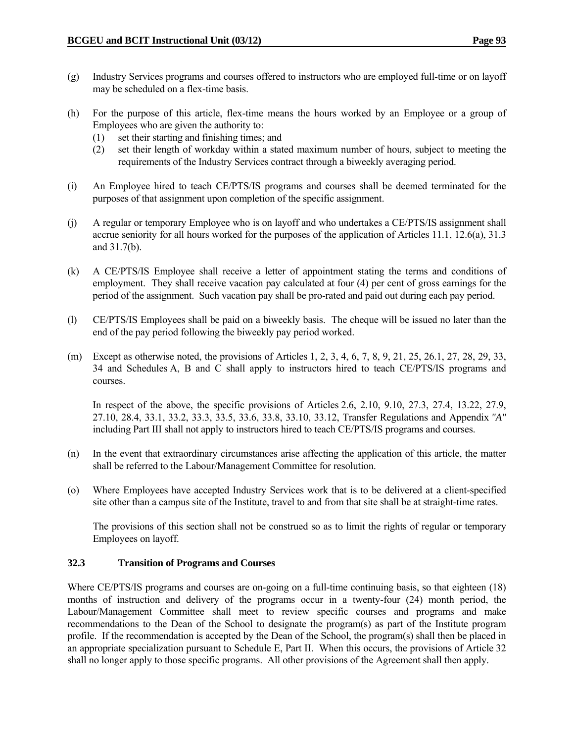- (g) Industry Services programs and courses offered to instructors who are employed full-time or on layoff may be scheduled on a flex-time basis.
- (h) For the purpose of this article, flex-time means the hours worked by an Employee or a group of Employees who are given the authority to:
	- (1) set their starting and finishing times; and
	- (2) set their length of workday within a stated maximum number of hours, subject to meeting the requirements of the Industry Services contract through a biweekly averaging period.
- (i) An Employee hired to teach CE/PTS/IS programs and courses shall be deemed terminated for the purposes of that assignment upon completion of the specific assignment.
- (j) A regular or temporary Employee who is on layoff and who undertakes a CE/PTS/IS assignment shall accrue seniority for all hours worked for the purposes of the application of Articles 11.1, 12.6(a), 31.3 and 31.7(b).
- (k) A CE/PTS/IS Employee shall receive a letter of appointment stating the terms and conditions of employment. They shall receive vacation pay calculated at four (4) per cent of gross earnings for the period of the assignment. Such vacation pay shall be pro-rated and paid out during each pay period.
- (l) CE/PTS/IS Employees shall be paid on a biweekly basis. The cheque will be issued no later than the end of the pay period following the biweekly pay period worked.
- (m) Except as otherwise noted, the provisions of Articles 1, 2, 3, 4, 6, 7, 8, 9, 21, 25, 26.1, 27, 28, 29, 33, 34 and Schedules A, B and C shall apply to instructors hired to teach CE/PTS/IS programs and courses.

 In respect of the above, the specific provisions of Articles 2.6, 2.10, 9.10, 27.3, 27.4, 13.22, 27.9, 27.10, 28.4, 33.1, 33.2, 33.3, 33.5, 33.6, 33.8, 33.10, 33.12, Transfer Regulations and Appendix *"A"* including Part III shall not apply to instructors hired to teach CE/PTS/IS programs and courses.

- (n) In the event that extraordinary circumstances arise affecting the application of this article, the matter shall be referred to the Labour/Management Committee for resolution.
- (o) Where Employees have accepted Industry Services work that is to be delivered at a client-specified site other than a campus site of the Institute, travel to and from that site shall be at straight-time rates.

 The provisions of this section shall not be construed so as to limit the rights of regular or temporary Employees on layoff.

# **32.3 Transition of Programs and Courses**

Where CE/PTS/IS programs and courses are on-going on a full-time continuing basis, so that eighteen (18) months of instruction and delivery of the programs occur in a twenty-four (24) month period, the Labour/Management Committee shall meet to review specific courses and programs and make recommendations to the Dean of the School to designate the program(s) as part of the Institute program profile. If the recommendation is accepted by the Dean of the School, the program(s) shall then be placed in an appropriate specialization pursuant to Schedule E, Part II. When this occurs, the provisions of Article 32 shall no longer apply to those specific programs. All other provisions of the Agreement shall then apply.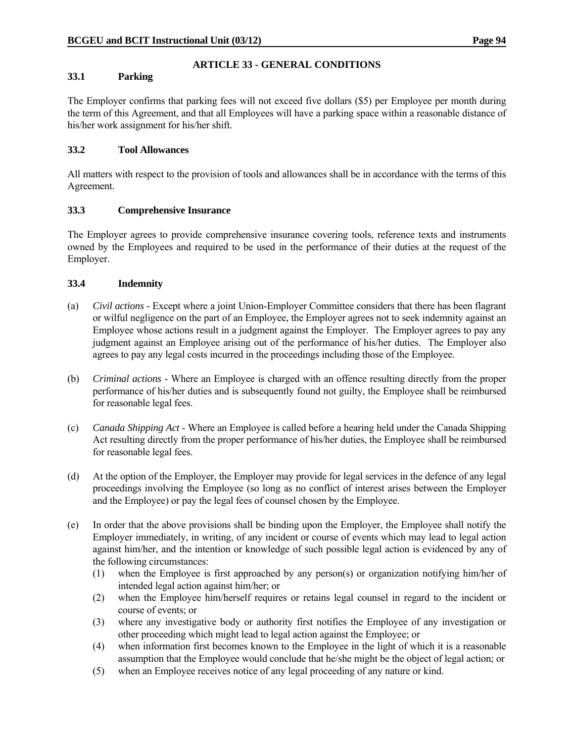## **ARTICLE 33 - GENERAL CONDITIONS**

## **33.1 Parking**

The Employer confirms that parking fees will not exceed five dollars (\$5) per Employee per month during the term of this Agreement, and that all Employees will have a parking space within a reasonable distance of his/her work assignment for his/her shift.

## **33.2 Tool Allowances**

All matters with respect to the provision of tools and allowances shall be in accordance with the terms of this Agreement.

## **33.3 Comprehensive Insurance**

The Employer agrees to provide comprehensive insurance covering tools, reference texts and instruments owned by the Employees and required to be used in the performance of their duties at the request of the Employer.

## **33.4 Indemnity**

- (a) *Civil actions* Except where a joint Union-Employer Committee considers that there has been flagrant or wilful negligence on the part of an Employee, the Employer agrees not to seek indemnity against an Employee whose actions result in a judgment against the Employer. The Employer agrees to pay any judgment against an Employee arising out of the performance of his/her duties. The Employer also agrees to pay any legal costs incurred in the proceedings including those of the Employee.
- (b) *Criminal actions* Where an Employee is charged with an offence resulting directly from the proper performance of his/her duties and is subsequently found not guilty, the Employee shall be reimbursed for reasonable legal fees.
- (c) *Canada Shipping Act* Where an Employee is called before a hearing held under the Canada Shipping Act resulting directly from the proper performance of his/her duties, the Employee shall be reimbursed for reasonable legal fees.
- (d) At the option of the Employer, the Employer may provide for legal services in the defence of any legal proceedings involving the Employee (so long as no conflict of interest arises between the Employer and the Employee) or pay the legal fees of counsel chosen by the Employee.
- (e) In order that the above provisions shall be binding upon the Employer, the Employee shall notify the Employer immediately, in writing, of any incident or course of events which may lead to legal action against him/her, and the intention or knowledge of such possible legal action is evidenced by any of the following circumstances:
	- (1) when the Employee is first approached by any person(s) or organization notifying him/her of intended legal action against him/her; or
	- (2) when the Employee him/herself requires or retains legal counsel in regard to the incident or course of events; or
	- (3) where any investigative body or authority first notifies the Employee of any investigation or other proceeding which might lead to legal action against the Employee; or
	- (4) when information first becomes known to the Employee in the light of which it is a reasonable assumption that the Employee would conclude that he/she might be the object of legal action; or
	- (5) when an Employee receives notice of any legal proceeding of any nature or kind.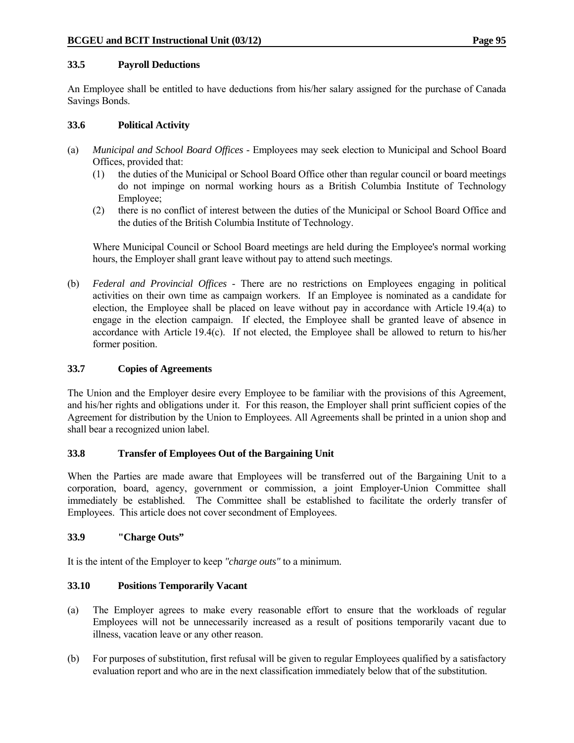## **33.5 Payroll Deductions**

An Employee shall be entitled to have deductions from his/her salary assigned for the purchase of Canada Savings Bonds.

## **33.6 Political Activity**

- (a) *Municipal and School Board Offices* Employees may seek election to Municipal and School Board Offices, provided that:
	- (1) the duties of the Municipal or School Board Office other than regular council or board meetings do not impinge on normal working hours as a British Columbia Institute of Technology Employee;
	- (2) there is no conflict of interest between the duties of the Municipal or School Board Office and the duties of the British Columbia Institute of Technology.

 Where Municipal Council or School Board meetings are held during the Employee's normal working hours, the Employer shall grant leave without pay to attend such meetings.

(b) *Federal and Provincial Offices* - There are no restrictions on Employees engaging in political activities on their own time as campaign workers. If an Employee is nominated as a candidate for election, the Employee shall be placed on leave without pay in accordance with Article 19.4(a) to engage in the election campaign. If elected, the Employee shall be granted leave of absence in accordance with Article 19.4(c). If not elected, the Employee shall be allowed to return to his/her former position.

## **33.7 Copies of Agreements**

The Union and the Employer desire every Employee to be familiar with the provisions of this Agreement, and his/her rights and obligations under it. For this reason, the Employer shall print sufficient copies of the Agreement for distribution by the Union to Employees. All Agreements shall be printed in a union shop and shall bear a recognized union label.

# **33.8 Transfer of Employees Out of the Bargaining Unit**

When the Parties are made aware that Employees will be transferred out of the Bargaining Unit to a corporation, board, agency, government or commission, a joint Employer-Union Committee shall immediately be established. The Committee shall be established to facilitate the orderly transfer of Employees. This article does not cover secondment of Employees.

# **33.9 "Charge Outs"**

It is the intent of the Employer to keep *"charge outs"* to a minimum.

# **33.10 Positions Temporarily Vacant**

- (a) The Employer agrees to make every reasonable effort to ensure that the workloads of regular Employees will not be unnecessarily increased as a result of positions temporarily vacant due to illness, vacation leave or any other reason.
- (b) For purposes of substitution, first refusal will be given to regular Employees qualified by a satisfactory evaluation report and who are in the next classification immediately below that of the substitution.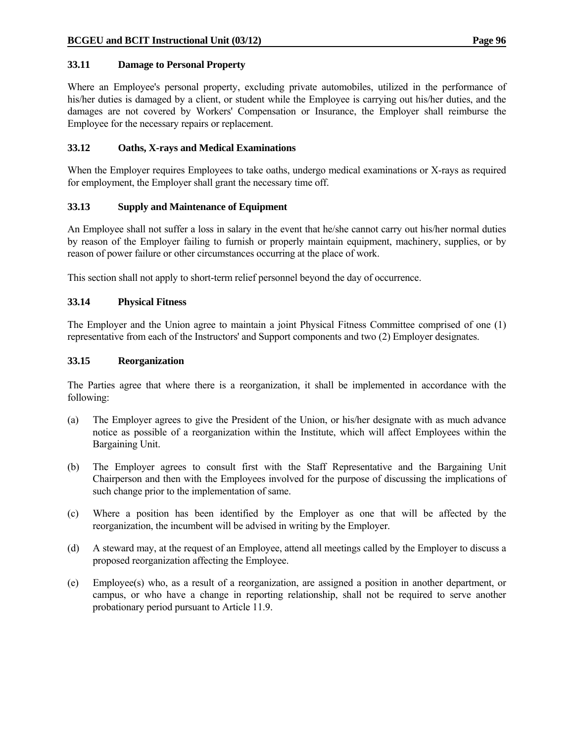## **33.11 Damage to Personal Property**

Where an Employee's personal property, excluding private automobiles, utilized in the performance of his/her duties is damaged by a client, or student while the Employee is carrying out his/her duties, and the damages are not covered by Workers' Compensation or Insurance, the Employer shall reimburse the Employee for the necessary repairs or replacement.

## **33.12 Oaths, X-rays and Medical Examinations**

When the Employer requires Employees to take oaths, undergo medical examinations or X-rays as required for employment, the Employer shall grant the necessary time off.

## **33.13 Supply and Maintenance of Equipment**

An Employee shall not suffer a loss in salary in the event that he/she cannot carry out his/her normal duties by reason of the Employer failing to furnish or properly maintain equipment, machinery, supplies, or by reason of power failure or other circumstances occurring at the place of work.

This section shall not apply to short-term relief personnel beyond the day of occurrence.

## **33.14 Physical Fitness**

The Employer and the Union agree to maintain a joint Physical Fitness Committee comprised of one (1) representative from each of the Instructors' and Support components and two (2) Employer designates.

#### **33.15 Reorganization**

The Parties agree that where there is a reorganization, it shall be implemented in accordance with the following:

- (a) The Employer agrees to give the President of the Union, or his/her designate with as much advance notice as possible of a reorganization within the Institute, which will affect Employees within the Bargaining Unit.
- (b) The Employer agrees to consult first with the Staff Representative and the Bargaining Unit Chairperson and then with the Employees involved for the purpose of discussing the implications of such change prior to the implementation of same.
- (c) Where a position has been identified by the Employer as one that will be affected by the reorganization, the incumbent will be advised in writing by the Employer.
- (d) A steward may, at the request of an Employee, attend all meetings called by the Employer to discuss a proposed reorganization affecting the Employee.
- (e) Employee(s) who, as a result of a reorganization, are assigned a position in another department, or campus, or who have a change in reporting relationship, shall not be required to serve another probationary period pursuant to Article 11.9.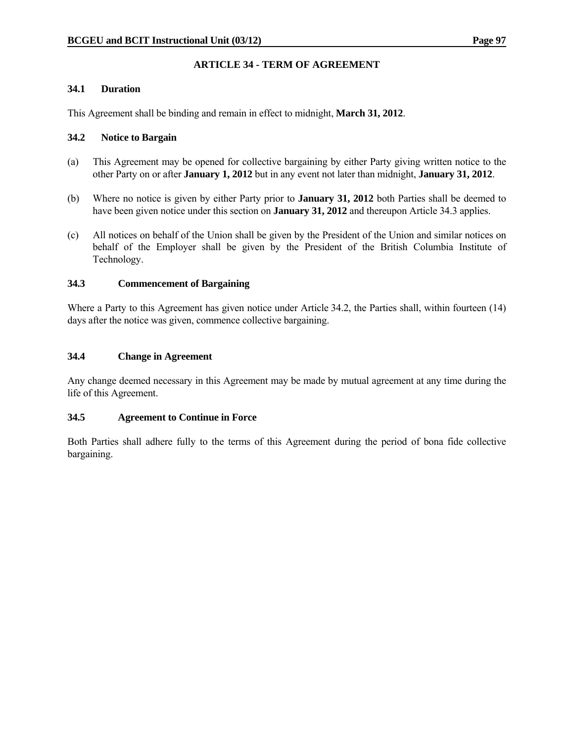# **ARTICLE 34 - TERM OF AGREEMENT**

#### **34.1 Duration**

This Agreement shall be binding and remain in effect to midnight, **March 31, 2012**.

## **34.2 Notice to Bargain**

- (a) This Agreement may be opened for collective bargaining by either Party giving written notice to the other Party on or after **January 1, 2012** but in any event not later than midnight, **January 31, 2012**.
- (b) Where no notice is given by either Party prior to **January 31, 2012** both Parties shall be deemed to have been given notice under this section on **January 31, 2012** and thereupon Article 34.3 applies.
- (c) All notices on behalf of the Union shall be given by the President of the Union and similar notices on behalf of the Employer shall be given by the President of the British Columbia Institute of Technology.

## **34.3 Commencement of Bargaining**

Where a Party to this Agreement has given notice under Article 34.2, the Parties shall, within fourteen (14) days after the notice was given, commence collective bargaining.

## **34.4 Change in Agreement**

Any change deemed necessary in this Agreement may be made by mutual agreement at any time during the life of this Agreement.

#### **34.5 Agreement to Continue in Force**

Both Parties shall adhere fully to the terms of this Agreement during the period of bona fide collective bargaining.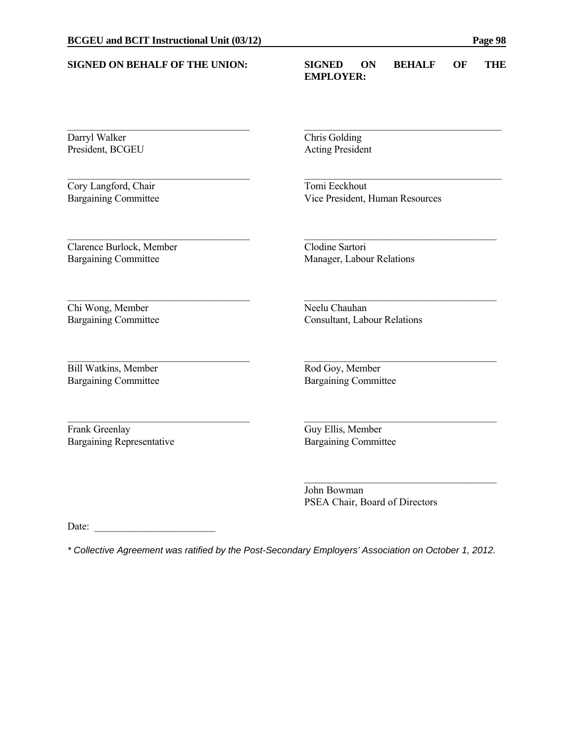| <b>SIGNED ON BEHALF OF THE UNION:</b> | <b>SIGNED</b><br><b>BEHALF</b><br>OF<br>THE<br><b>ON</b><br><b>EMPLOYER:</b> |  |  |  |  |
|---------------------------------------|------------------------------------------------------------------------------|--|--|--|--|
| Darryl Walker                         | Chris Golding                                                                |  |  |  |  |
| President, BCGEU                      | <b>Acting President</b>                                                      |  |  |  |  |
| Cory Langford, Chair                  | Tomi Eeckhout                                                                |  |  |  |  |
| <b>Bargaining Committee</b>           | Vice President, Human Resources                                              |  |  |  |  |
| Clarence Burlock, Member              | Clodine Sartori                                                              |  |  |  |  |
| <b>Bargaining Committee</b>           | Manager, Labour Relations                                                    |  |  |  |  |
| Chi Wong, Member                      | Neelu Chauhan                                                                |  |  |  |  |
| <b>Bargaining Committee</b>           | <b>Consultant, Labour Relations</b>                                          |  |  |  |  |
| <b>Bill Watkins, Member</b>           | Rod Goy, Member                                                              |  |  |  |  |
| <b>Bargaining Committee</b>           | <b>Bargaining Committee</b>                                                  |  |  |  |  |
| Frank Greenlay                        | Guy Ellis, Member                                                            |  |  |  |  |
| <b>Bargaining Representative</b>      | <b>Bargaining Committee</b>                                                  |  |  |  |  |

 John Bowman PSEA Chair, Board of Directors

Date:

*\* Collective Agreement was ratified by the Post-Secondary Employers' Association on October 1, 2012.*

 $\mathcal{L}_\text{max}$  and  $\mathcal{L}_\text{max}$  and  $\mathcal{L}_\text{max}$  and  $\mathcal{L}_\text{max}$  and  $\mathcal{L}_\text{max}$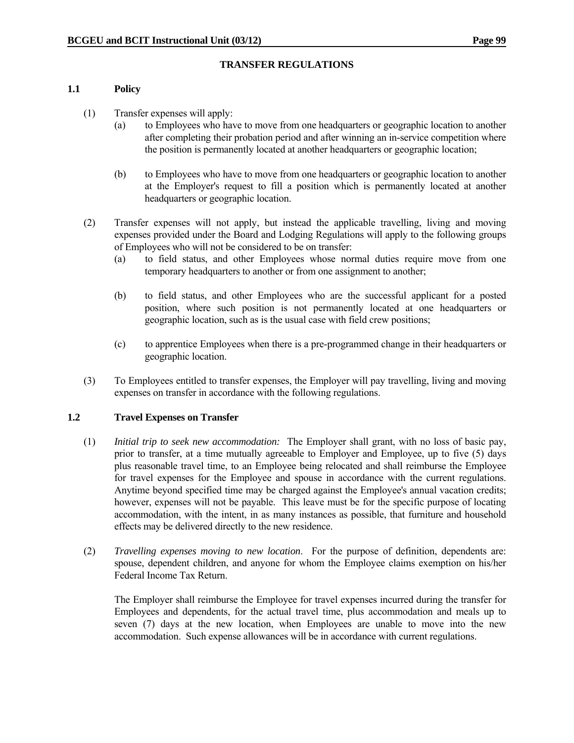## **TRANSFER REGULATIONS**

#### **1.1 Policy**

- (1) Transfer expenses will apply:
	- (a) to Employees who have to move from one headquarters or geographic location to another after completing their probation period and after winning an in-service competition where the position is permanently located at another headquarters or geographic location;
	- (b) to Employees who have to move from one headquarters or geographic location to another at the Employer's request to fill a position which is permanently located at another headquarters or geographic location.
- (2) Transfer expenses will not apply, but instead the applicable travelling, living and moving expenses provided under the Board and Lodging Regulations will apply to the following groups of Employees who will not be considered to be on transfer:
	- (a) to field status, and other Employees whose normal duties require move from one temporary headquarters to another or from one assignment to another;
	- (b) to field status, and other Employees who are the successful applicant for a posted position, where such position is not permanently located at one headquarters or geographic location, such as is the usual case with field crew positions;
	- (c) to apprentice Employees when there is a pre-programmed change in their headquarters or geographic location.
- (3) To Employees entitled to transfer expenses, the Employer will pay travelling, living and moving expenses on transfer in accordance with the following regulations.

#### **1.2 Travel Expenses on Transfer**

- (1) *Initial trip to seek new accommodation:* The Employer shall grant, with no loss of basic pay, prior to transfer, at a time mutually agreeable to Employer and Employee, up to five (5) days plus reasonable travel time, to an Employee being relocated and shall reimburse the Employee for travel expenses for the Employee and spouse in accordance with the current regulations. Anytime beyond specified time may be charged against the Employee's annual vacation credits; however, expenses will not be payable. This leave must be for the specific purpose of locating accommodation, with the intent, in as many instances as possible, that furniture and household effects may be delivered directly to the new residence.
- (2) *Travelling expenses moving to new location*. For the purpose of definition, dependents are: spouse, dependent children, and anyone for whom the Employee claims exemption on his/her Federal Income Tax Return.

 The Employer shall reimburse the Employee for travel expenses incurred during the transfer for Employees and dependents, for the actual travel time, plus accommodation and meals up to seven (7) days at the new location, when Employees are unable to move into the new accommodation. Such expense allowances will be in accordance with current regulations.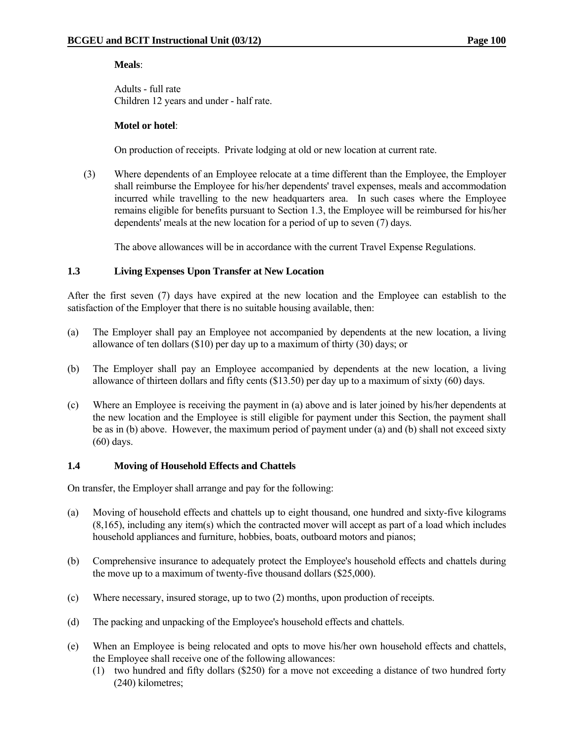### **Meals**:

 Adults - full rate Children 12 years and under - half rate.

### **Motel or hotel**:

On production of receipts. Private lodging at old or new location at current rate.

 (3) Where dependents of an Employee relocate at a time different than the Employee, the Employer shall reimburse the Employee for his/her dependents' travel expenses, meals and accommodation incurred while travelling to the new headquarters area. In such cases where the Employee remains eligible for benefits pursuant to Section 1.3, the Employee will be reimbursed for his/her dependents' meals at the new location for a period of up to seven (7) days.

The above allowances will be in accordance with the current Travel Expense Regulations.

# **1.3 Living Expenses Upon Transfer at New Location**

After the first seven (7) days have expired at the new location and the Employee can establish to the satisfaction of the Employer that there is no suitable housing available, then:

- (a) The Employer shall pay an Employee not accompanied by dependents at the new location, a living allowance of ten dollars (\$10) per day up to a maximum of thirty (30) days; or
- (b) The Employer shall pay an Employee accompanied by dependents at the new location, a living allowance of thirteen dollars and fifty cents (\$13.50) per day up to a maximum of sixty (60) days.
- (c) Where an Employee is receiving the payment in (a) above and is later joined by his/her dependents at the new location and the Employee is still eligible for payment under this Section, the payment shall be as in (b) above. However, the maximum period of payment under (a) and (b) shall not exceed sixty (60) days.

# **1.4 Moving of Household Effects and Chattels**

On transfer, the Employer shall arrange and pay for the following:

- (a) Moving of household effects and chattels up to eight thousand, one hundred and sixty-five kilograms (8,165), including any item(s) which the contracted mover will accept as part of a load which includes household appliances and furniture, hobbies, boats, outboard motors and pianos;
- (b) Comprehensive insurance to adequately protect the Employee's household effects and chattels during the move up to a maximum of twenty-five thousand dollars (\$25,000).
- (c) Where necessary, insured storage, up to two (2) months, upon production of receipts.
- (d) The packing and unpacking of the Employee's household effects and chattels.
- (e) When an Employee is being relocated and opts to move his/her own household effects and chattels, the Employee shall receive one of the following allowances:
	- (1) two hundred and fifty dollars (\$250) for a move not exceeding a distance of two hundred forty (240) kilometres;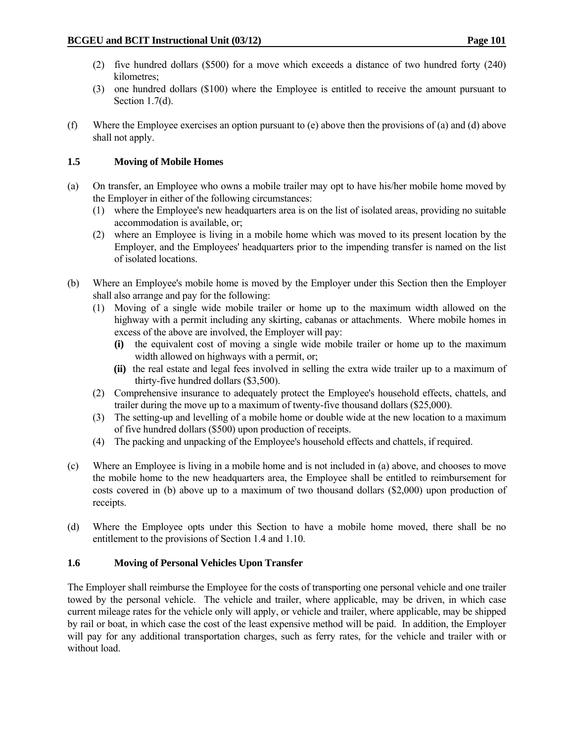- (2) five hundred dollars (\$500) for a move which exceeds a distance of two hundred forty (240) kilometres;
- (3) one hundred dollars (\$100) where the Employee is entitled to receive the amount pursuant to Section 1.7(d).
- (f) Where the Employee exercises an option pursuant to (e) above then the provisions of (a) and (d) above shall not apply.

# **1.5 Moving of Mobile Homes**

- (a) On transfer, an Employee who owns a mobile trailer may opt to have his/her mobile home moved by the Employer in either of the following circumstances:
	- (1) where the Employee's new headquarters area is on the list of isolated areas, providing no suitable accommodation is available, or;
	- (2) where an Employee is living in a mobile home which was moved to its present location by the Employer, and the Employees' headquarters prior to the impending transfer is named on the list of isolated locations.
- (b) Where an Employee's mobile home is moved by the Employer under this Section then the Employer shall also arrange and pay for the following:
	- (1) Moving of a single wide mobile trailer or home up to the maximum width allowed on the highway with a permit including any skirting, cabanas or attachments. Where mobile homes in excess of the above are involved, the Employer will pay:
		- **(i)** the equivalent cost of moving a single wide mobile trailer or home up to the maximum width allowed on highways with a permit, or;
		- **(ii)** the real estate and legal fees involved in selling the extra wide trailer up to a maximum of thirty-five hundred dollars (\$3,500).
	- (2) Comprehensive insurance to adequately protect the Employee's household effects, chattels, and trailer during the move up to a maximum of twenty-five thousand dollars (\$25,000).
	- (3) The setting-up and levelling of a mobile home or double wide at the new location to a maximum of five hundred dollars (\$500) upon production of receipts.
	- (4) The packing and unpacking of the Employee's household effects and chattels, if required.
- (c) Where an Employee is living in a mobile home and is not included in (a) above, and chooses to move the mobile home to the new headquarters area, the Employee shall be entitled to reimbursement for costs covered in (b) above up to a maximum of two thousand dollars (\$2,000) upon production of receipts.
- (d) Where the Employee opts under this Section to have a mobile home moved, there shall be no entitlement to the provisions of Section 1.4 and 1.10.

# **1.6 Moving of Personal Vehicles Upon Transfer**

The Employer shall reimburse the Employee for the costs of transporting one personal vehicle and one trailer towed by the personal vehicle. The vehicle and trailer, where applicable, may be driven, in which case current mileage rates for the vehicle only will apply, or vehicle and trailer, where applicable, may be shipped by rail or boat, in which case the cost of the least expensive method will be paid. In addition, the Employer will pay for any additional transportation charges, such as ferry rates, for the vehicle and trailer with or without load.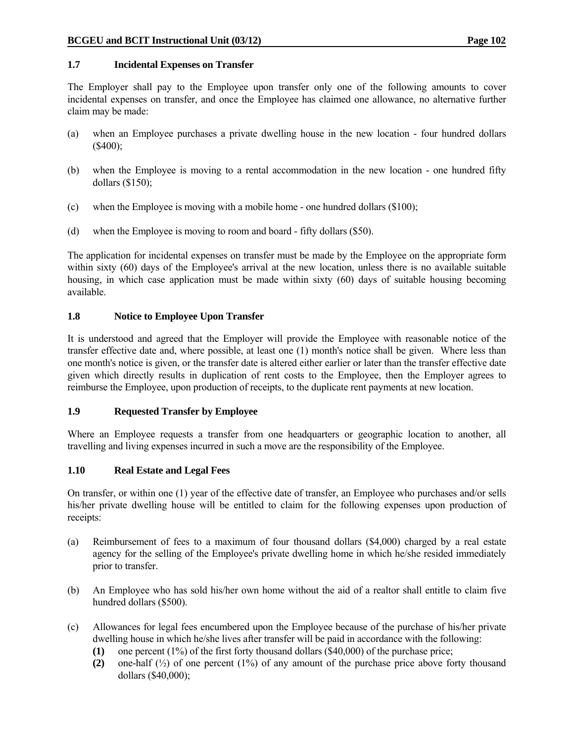# **1.7 Incidental Expenses on Transfer**

The Employer shall pay to the Employee upon transfer only one of the following amounts to cover incidental expenses on transfer, and once the Employee has claimed one allowance, no alternative further claim may be made:

- (a) when an Employee purchases a private dwelling house in the new location four hundred dollars (\$400);
- (b) when the Employee is moving to a rental accommodation in the new location one hundred fifty dollars (\$150);
- (c) when the Employee is moving with a mobile home one hundred dollars (\$100);
- (d) when the Employee is moving to room and board fifty dollars (\$50).

The application for incidental expenses on transfer must be made by the Employee on the appropriate form within sixty (60) days of the Employee's arrival at the new location, unless there is no available suitable housing, in which case application must be made within sixty (60) days of suitable housing becoming available.

# **1.8 Notice to Employee Upon Transfer**

It is understood and agreed that the Employer will provide the Employee with reasonable notice of the transfer effective date and, where possible, at least one (1) month's notice shall be given. Where less than one month's notice is given, or the transfer date is altered either earlier or later than the transfer effective date given which directly results in duplication of rent costs to the Employee, then the Employer agrees to reimburse the Employee, upon production of receipts, to the duplicate rent payments at new location.

# **1.9 Requested Transfer by Employee**

Where an Employee requests a transfer from one headquarters or geographic location to another, all travelling and living expenses incurred in such a move are the responsibility of the Employee.

# **1.10 Real Estate and Legal Fees**

On transfer, or within one (1) year of the effective date of transfer, an Employee who purchases and/or sells his/her private dwelling house will be entitled to claim for the following expenses upon production of receipts:

- (a) Reimbursement of fees to a maximum of four thousand dollars (\$4,000) charged by a real estate agency for the selling of the Employee's private dwelling home in which he/she resided immediately prior to transfer.
- (b) An Employee who has sold his/her own home without the aid of a realtor shall entitle to claim five hundred dollars (\$500).
- (c) Allowances for legal fees encumbered upon the Employee because of the purchase of his/her private dwelling house in which he/she lives after transfer will be paid in accordance with the following:
	- **(1)** one percent (1%) of the first forty thousand dollars (\$40,000) of the purchase price;
	- **(2)** one-half (½) of one percent (1%) of any amount of the purchase price above forty thousand dollars (\$40,000);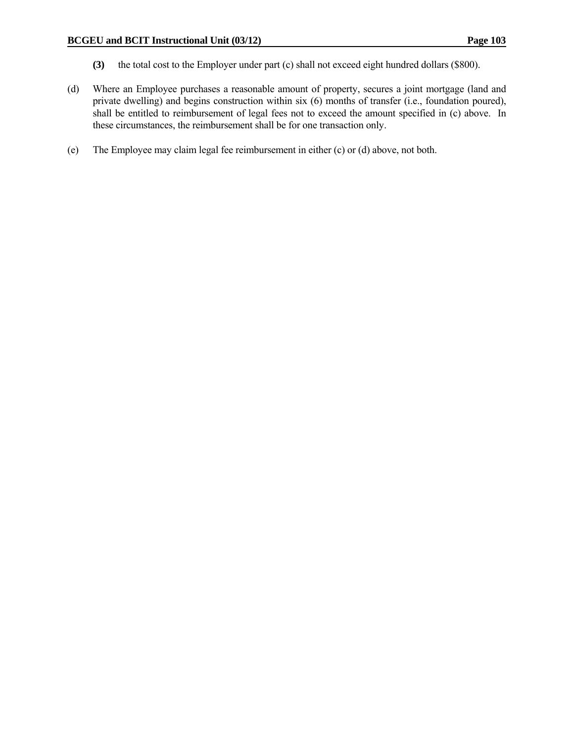- **(3)** the total cost to the Employer under part (c) shall not exceed eight hundred dollars (\$800).
- (d) Where an Employee purchases a reasonable amount of property, secures a joint mortgage (land and private dwelling) and begins construction within six (6) months of transfer (i.e., foundation poured), shall be entitled to reimbursement of legal fees not to exceed the amount specified in (c) above. In these circumstances, the reimbursement shall be for one transaction only.
- (e) The Employee may claim legal fee reimbursement in either (c) or (d) above, not both.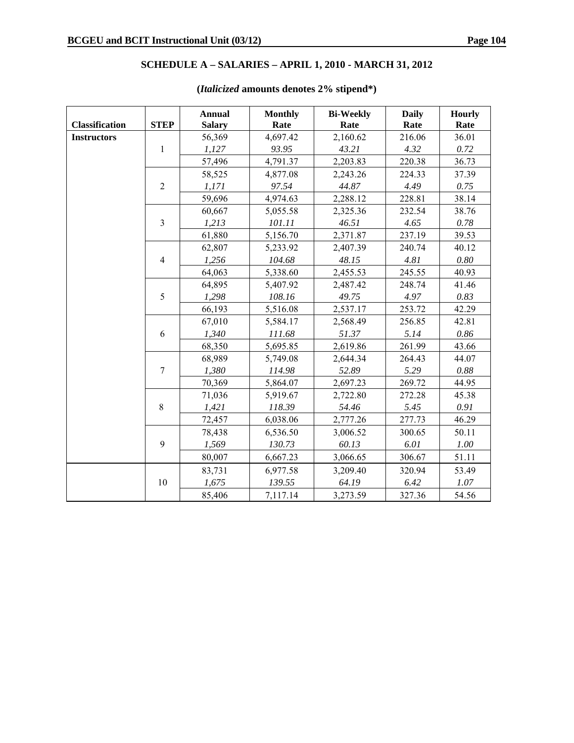# **SCHEDULE A – SALARIES – APRIL 1, 2010 - MARCH 31, 2012**

|                       |                | <b>Annual</b> | <b>Monthly</b> | <b>Bi-Weekly</b> | <b>Daily</b> | Hourly   |
|-----------------------|----------------|---------------|----------------|------------------|--------------|----------|
| <b>Classification</b> | <b>STEP</b>    | <b>Salary</b> | Rate           | Rate             | Rate         | Rate     |
| <b>Instructors</b>    |                | 56,369        | 4,697.42       | 2,160.62         | 216.06       | 36.01    |
|                       | $\mathbf{1}$   | 1,127         | 93.95          | 43.21            | 4.32         | 0.72     |
|                       |                | 57,496        | 4,791.37       | 2,203.83         | 220.38       | 36.73    |
|                       |                | 58,525        | 4,877.08       | 2,243.26         | 224.33       | 37.39    |
|                       | $\overline{2}$ | 1,171         | 97.54          | 44.87            | 4.49         | 0.75     |
|                       |                | 59,696        | 4,974.63       | 2,288.12         | 228.81       | 38.14    |
|                       |                | 60,667        | 5,055.58       | 2,325.36         | 232.54       | 38.76    |
|                       | $\overline{3}$ | 1,213         | 101.11         | 46.51            | 4.65         | 0.78     |
|                       |                | 61,880        | 5,156.70       | 2,371.87         | 237.19       | 39.53    |
|                       |                | 62,807        | 5,233.92       | 2,407.39         | 240.74       | 40.12    |
|                       | $\overline{4}$ | 1,256         | 104.68         | 48.15            | 4.81         | $0.80\,$ |
|                       |                | 64,063        | 5,338.60       | 2,455.53         | 245.55       | 40.93    |
|                       |                | 64,895        | 5,407.92       | 2,487.42         | 248.74       | 41.46    |
|                       | 5              | 1,298         | 108.16         | 49.75            | 4.97         | 0.83     |
|                       |                | 66,193        | 5,516.08       | 2,537.17         | 253.72       | 42.29    |
|                       |                | 67,010        | 5,584.17       | 2,568.49         | 256.85       | 42.81    |
|                       | 6              | 1,340         | 111.68         | 51.37            | 5.14         | 0.86     |
|                       |                | 68,350        | 5,695.85       | 2,619.86         | 261.99       | 43.66    |
|                       |                | 68,989        | 5,749.08       | 2,644.34         | 264.43       | 44.07    |
|                       | $\overline{7}$ | 1,380         | 114.98         | 52.89            | 5.29         | 0.88     |
|                       |                | 70,369        | 5,864.07       | 2,697.23         | 269.72       | 44.95    |
|                       |                | 71,036        | 5,919.67       | 2,722.80         | 272.28       | 45.38    |
|                       | 8              | 1,421         | 118.39         | 54.46            | 5.45         | 0.91     |
|                       |                | 72,457        | 6,038.06       | 2,777.26         | 277.73       | 46.29    |
|                       |                | 78,438        | 6,536.50       | 3,006.52         | 300.65       | 50.11    |
|                       | 9              | 1,569         | 130.73         | 60.13            | 6.01         | $1.00\,$ |
|                       |                | 80,007        | 6,667.23       | 3,066.65         | 306.67       | 51.11    |
|                       |                | 83,731        | 6,977.58       | 3,209.40         | 320.94       | 53.49    |
|                       | 10             | 1,675         | 139.55         | 64.19            | 6.42         | 1.07     |
|                       |                | 85,406        | 7,117.14       | 3,273.59         | 327.36       | 54.56    |

# **(***Italicized* **amounts denotes 2% stipend\*)**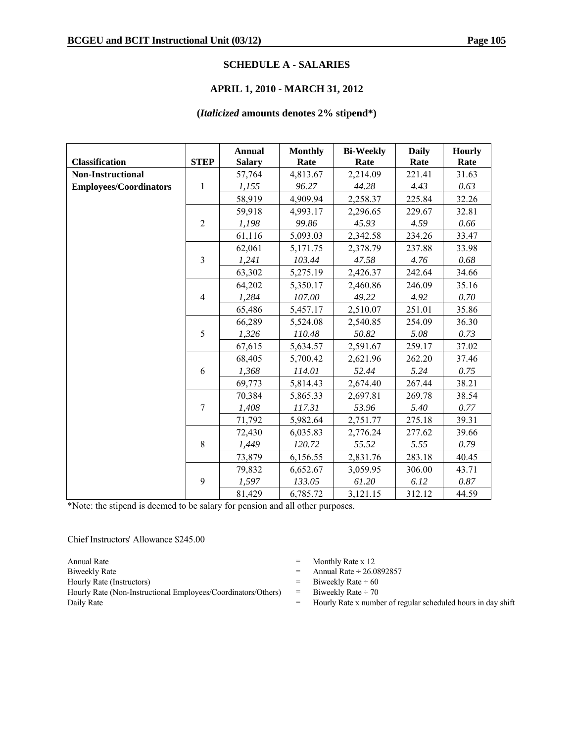### **SCHEDULE A - SALARIES**

### **APRIL 1, 2010 - MARCH 31, 2012**

### **(***Italicized* **amounts denotes 2% stipend\*)**

|                               |                | <b>Annual</b> | <b>Monthly</b> | <b>Bi-Weekly</b> | <b>Daily</b> | <b>Hourly</b> |
|-------------------------------|----------------|---------------|----------------|------------------|--------------|---------------|
| <b>Classification</b>         | <b>STEP</b>    | <b>Salary</b> | Rate           | Rate             | Rate         | Rate          |
| <b>Non-Instructional</b>      |                | 57,764        | 4,813.67       | 2,214.09         | 221.41       | 31.63         |
| <b>Employees/Coordinators</b> | $\mathbf{1}$   | 1,155         | 96.27          | 44.28            | 4.43         | 0.63          |
|                               |                | 58,919        | 4,909.94       | 2,258.37         | 225.84       | 32.26         |
|                               |                | 59,918        | 4,993.17       | 2,296.65         | 229.67       | 32.81         |
|                               | $\overline{2}$ | 1,198         | 99.86          | 45.93            | 4.59         | 0.66          |
|                               |                | 61,116        | 5,093.03       | 2,342.58         | 234.26       | 33.47         |
|                               |                | 62,061        | 5,171.75       | 2,378.79         | 237.88       | 33.98         |
|                               | $\overline{3}$ | 1,241         | 103.44         | 47.58            | 4.76         | 0.68          |
|                               |                | 63,302        | 5,275.19       | 2,426.37         | 242.64       | 34.66         |
|                               |                | 64,202        | 5,350.17       | 2,460.86         | 246.09       | 35.16         |
|                               | $\overline{4}$ | 1,284         | 107.00         | 49.22            | 4.92         | $0.70\,$      |
|                               |                | 65,486        | 5,457.17       | 2,510.07         | 251.01       | 35.86         |
|                               |                | 66,289        | 5,524.08       | 2,540.85         | 254.09       | 36.30         |
|                               | 5              | 1,326         | 110.48         | 50.82            | 5.08         | 0.73          |
|                               |                | 67,615        | 5,634.57       | 2,591.67         | 259.17       | 37.02         |
|                               |                | 68,405        | 5,700.42       | 2,621.96         | 262.20       | 37.46         |
|                               | 6              | 1,368         | 114.01         | 52.44            | 5.24         | 0.75          |
|                               |                | 69,773        | 5,814.43       | 2,674.40         | 267.44       | 38.21         |
|                               |                | 70,384        | 5,865.33       | 2,697.81         | 269.78       | 38.54         |
|                               | $\overline{7}$ | 1,408         | 117.31         | 53.96            | 5.40         | 0.77          |
|                               |                | 71,792        | 5,982.64       | 2,751.77         | 275.18       | 39.31         |
|                               |                | 72,430        | 6,035.83       | 2,776.24         | 277.62       | 39.66         |
|                               | $\,8\,$        | 1,449         | 120.72         | 55.52            | 5.55         | 0.79          |
|                               |                | 73,879        | 6,156.55       | 2,831.76         | 283.18       | 40.45         |
|                               |                | 79,832        | 6,652.67       | 3,059.95         | 306.00       | 43.71         |
|                               | 9              | 1,597         | 133.05         | 61.20            | 6.12         | 0.87          |
|                               |                | 81,429        | 6,785.72       | 3,121.15         | 312.12       | 44.59         |

\*Note: the stipend is deemed to be salary for pension and all other purposes.

Chief Instructors' Allowance \$245.00

Hourly Rate (Non-Instructional Employees/Coordinators/Others) = Biweekly Rate  $\div$  70 Daily Rate  $=$  Hourly Rate x number of regular scheduled hours in day shift

- Annual Rate  $=$  Monthly Rate x 12
- Biweekly Rate  $\qquad \qquad$  Annual Rate  $\div 26.0892857$
- Hourly Rate (Instructors)  $=$  Biweekly Rate  $\div$  60
	-
	-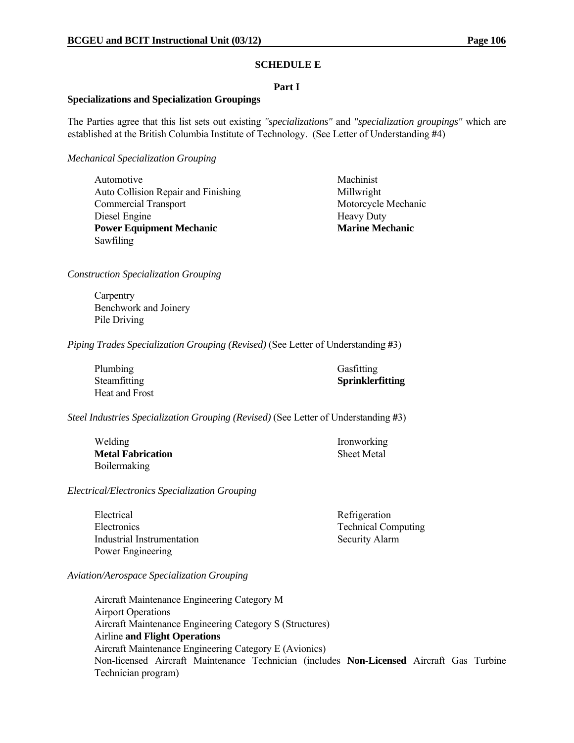### **SCHEDULE E**

### **Part I**

### **Specializations and Specialization Groupings**

The Parties agree that this list sets out existing *"specializations"* and *"specialization groupings"* which are established at the British Columbia Institute of Technology. (See Letter of Understanding **#**4)

*Mechanical Specialization Grouping*

Automotive Machinist Auto Collision Repair and Finishing Millwright Commercial Transport Motorcycle Mechanic Diesel Engine **In the Series and Series and Series** Heavy Duty **Power Equipment Mechanic Marine Mechanic Marine Mechanic Marine Mechanic Marine Mechanic Marine Mechanic Marine Mechanic Marine Mechanic Marine Mechanic Marine Mechanic Marine Mechanic Marine Mechanic Marine Mechanic Mari** Sawfiling

*Construction Specialization Grouping*

**Carpentry**  Benchwork and Joinery Pile Driving

*Piping Trades Specialization Grouping (Revised)* (See Letter of Understanding **#**3)

| Plumbing       | Gasfitting       |
|----------------|------------------|
| Steamfitting   | Sprinklerfitting |
| Heat and Frost |                  |

*Steel Industries Specialization Grouping (Revised)* (See Letter of Understanding **#**3)

| Welding                  | <b>Ironworking</b> |
|--------------------------|--------------------|
| <b>Metal Fabrication</b> | <b>Sheet Metal</b> |
| <b>Boilermaking</b>      |                    |

*Electrical/Electronics Specialization Grouping*

Electrical Refrigeration Electronics Technical Computing Industrial Instrumentation Security Alarm Power Engineering

*Aviation/Aerospace Specialization Grouping*

Aircraft Maintenance Engineering Category M Airport Operations Aircraft Maintenance Engineering Category S (Structures) Airline **and Flight Operations** Aircraft Maintenance Engineering Category E (Avionics) Non-licensed Aircraft Maintenance Technician (includes **Non-Licensed** Aircraft Gas Turbine Technician program)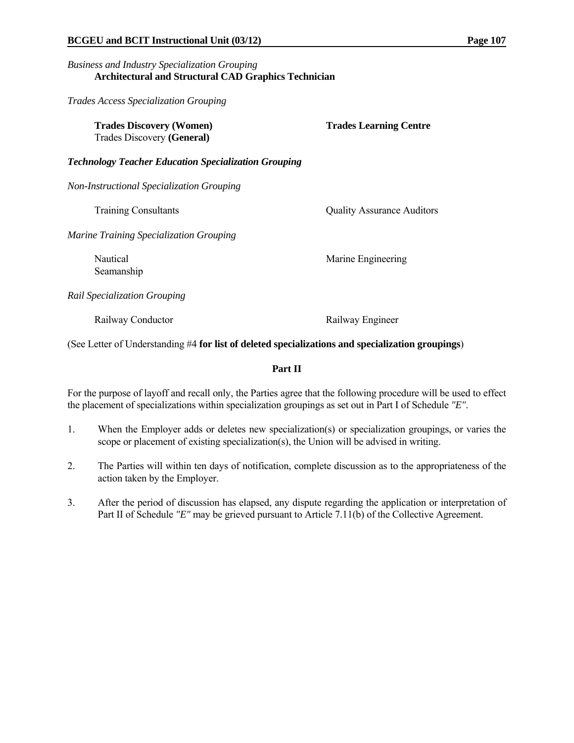# *Business and Industry Specialization Grouping* **Architectural and Structural CAD Graphics Technician**

*Trades Access Specialization Grouping*

| <b>Trades Learning Centre</b>     |
|-----------------------------------|
|                                   |
|                                   |
| <b>Quality Assurance Auditors</b> |
|                                   |
| Marine Engineering                |
|                                   |
| Railway Engineer                  |
|                                   |

(See Letter of Understanding #4 **for list of deleted specializations and specialization groupings**)

# **Part II**

For the purpose of layoff and recall only, the Parties agree that the following procedure will be used to effect the placement of specializations within specialization groupings as set out in Part I of Schedule *"E"*.

- 1. When the Employer adds or deletes new specialization(s) or specialization groupings, or varies the scope or placement of existing specialization(s), the Union will be advised in writing.
- 2. The Parties will within ten days of notification, complete discussion as to the appropriateness of the action taken by the Employer.
- 3. After the period of discussion has elapsed, any dispute regarding the application or interpretation of Part II of Schedule *"E"* may be grieved pursuant to Article 7.11(b) of the Collective Agreement.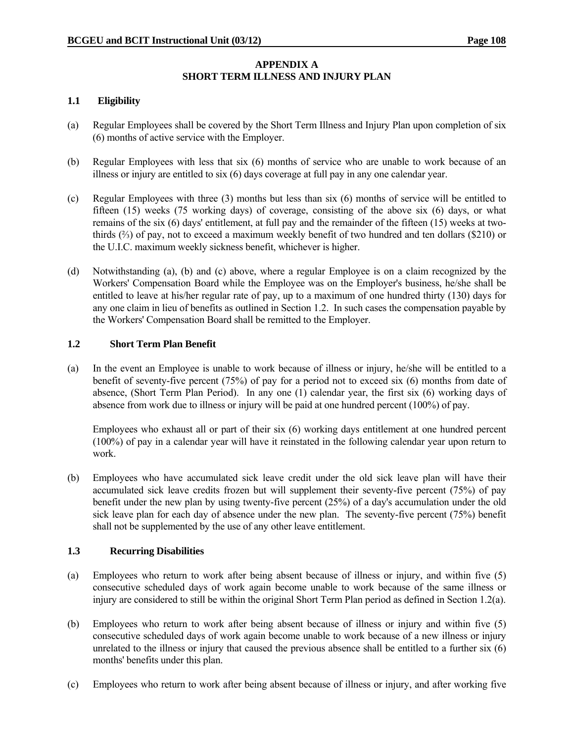# **APPENDIX A SHORT TERM ILLNESS AND INJURY PLAN**

# **1.1 Eligibility**

- (a) Regular Employees shall be covered by the Short Term Illness and Injury Plan upon completion of six (6) months of active service with the Employer.
- (b) Regular Employees with less that six (6) months of service who are unable to work because of an illness or injury are entitled to six (6) days coverage at full pay in any one calendar year.
- (c) Regular Employees with three (3) months but less than six (6) months of service will be entitled to fifteen (15) weeks (75 working days) of coverage, consisting of the above six (6) days, or what remains of the six (6) days' entitlement, at full pay and the remainder of the fifteen (15) weeks at twothirds (⅔) of pay, not to exceed a maximum weekly benefit of two hundred and ten dollars (\$210) or the U.I.C. maximum weekly sickness benefit, whichever is higher.
- (d) Notwithstanding (a), (b) and (c) above, where a regular Employee is on a claim recognized by the Workers' Compensation Board while the Employee was on the Employer's business, he/she shall be entitled to leave at his/her regular rate of pay, up to a maximum of one hundred thirty (130) days for any one claim in lieu of benefits as outlined in Section 1.2. In such cases the compensation payable by the Workers' Compensation Board shall be remitted to the Employer.

# **1.2 Short Term Plan Benefit**

(a) In the event an Employee is unable to work because of illness or injury, he/she will be entitled to a benefit of seventy-five percent (75%) of pay for a period not to exceed six (6) months from date of absence, (Short Term Plan Period). In any one (1) calendar year, the first six (6) working days of absence from work due to illness or injury will be paid at one hundred percent (100%) of pay.

 Employees who exhaust all or part of their six (6) working days entitlement at one hundred percent (100%) of pay in a calendar year will have it reinstated in the following calendar year upon return to work.

(b) Employees who have accumulated sick leave credit under the old sick leave plan will have their accumulated sick leave credits frozen but will supplement their seventy-five percent (75%) of pay benefit under the new plan by using twenty-five percent (25%) of a day's accumulation under the old sick leave plan for each day of absence under the new plan. The seventy-five percent (75%) benefit shall not be supplemented by the use of any other leave entitlement.

# **1.3 Recurring Disabilities**

- (a) Employees who return to work after being absent because of illness or injury, and within five (5) consecutive scheduled days of work again become unable to work because of the same illness or injury are considered to still be within the original Short Term Plan period as defined in Section 1.2(a).
- (b) Employees who return to work after being absent because of illness or injury and within five (5) consecutive scheduled days of work again become unable to work because of a new illness or injury unrelated to the illness or injury that caused the previous absence shall be entitled to a further six (6) months' benefits under this plan.
- (c) Employees who return to work after being absent because of illness or injury, and after working five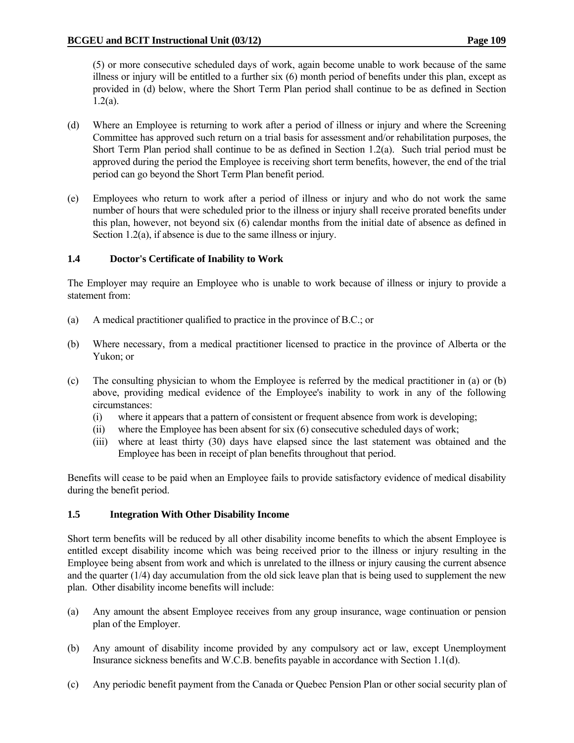(5) or more consecutive scheduled days of work, again become unable to work because of the same illness or injury will be entitled to a further six (6) month period of benefits under this plan, except as provided in (d) below, where the Short Term Plan period shall continue to be as defined in Section  $1.2(a)$ .

- (d) Where an Employee is returning to work after a period of illness or injury and where the Screening Committee has approved such return on a trial basis for assessment and/or rehabilitation purposes, the Short Term Plan period shall continue to be as defined in Section 1.2(a). Such trial period must be approved during the period the Employee is receiving short term benefits, however, the end of the trial period can go beyond the Short Term Plan benefit period.
- (e) Employees who return to work after a period of illness or injury and who do not work the same number of hours that were scheduled prior to the illness or injury shall receive prorated benefits under this plan, however, not beyond six  $(6)$  calendar months from the initial date of absence as defined in Section 1.2(a), if absence is due to the same illness or injury.

# **1.4 Doctor's Certificate of Inability to Work**

The Employer may require an Employee who is unable to work because of illness or injury to provide a statement from:

- (a) A medical practitioner qualified to practice in the province of B.C.; or
- (b) Where necessary, from a medical practitioner licensed to practice in the province of Alberta or the Yukon; or
- (c) The consulting physician to whom the Employee is referred by the medical practitioner in (a) or (b) above, providing medical evidence of the Employee's inability to work in any of the following circumstances:
	- (i) where it appears that a pattern of consistent or frequent absence from work is developing;
	- (ii) where the Employee has been absent for six (6) consecutive scheduled days of work;
	- (iii) where at least thirty (30) days have elapsed since the last statement was obtained and the Employee has been in receipt of plan benefits throughout that period.

Benefits will cease to be paid when an Employee fails to provide satisfactory evidence of medical disability during the benefit period.

# **1.5 Integration With Other Disability Income**

Short term benefits will be reduced by all other disability income benefits to which the absent Employee is entitled except disability income which was being received prior to the illness or injury resulting in the Employee being absent from work and which is unrelated to the illness or injury causing the current absence and the quarter (1/4) day accumulation from the old sick leave plan that is being used to supplement the new plan. Other disability income benefits will include:

- (a) Any amount the absent Employee receives from any group insurance, wage continuation or pension plan of the Employer.
- (b) Any amount of disability income provided by any compulsory act or law, except Unemployment Insurance sickness benefits and W.C.B. benefits payable in accordance with Section 1.1(d).
- (c) Any periodic benefit payment from the Canada or Quebec Pension Plan or other social security plan of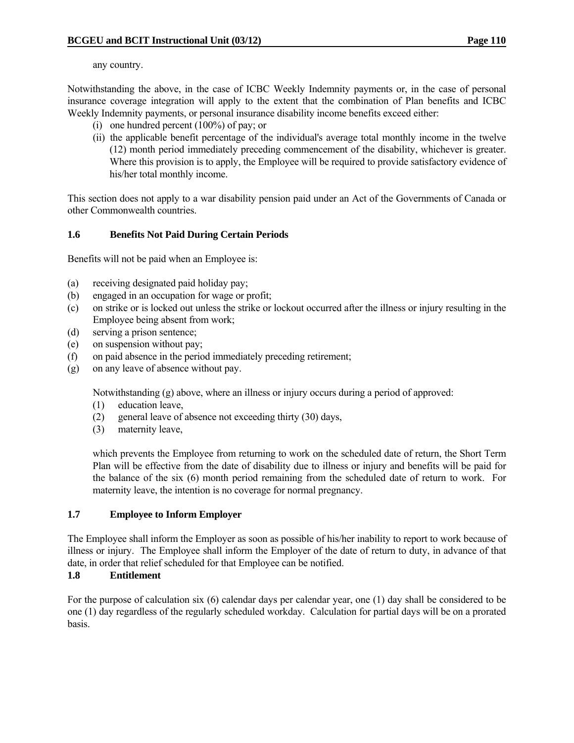any country.

Notwithstanding the above, in the case of ICBC Weekly Indemnity payments or, in the case of personal insurance coverage integration will apply to the extent that the combination of Plan benefits and ICBC Weekly Indemnity payments, or personal insurance disability income benefits exceed either:

- (i) one hundred percent (100%) of pay; or
- (ii) the applicable benefit percentage of the individual's average total monthly income in the twelve (12) month period immediately preceding commencement of the disability, whichever is greater. Where this provision is to apply, the Employee will be required to provide satisfactory evidence of his/her total monthly income.

This section does not apply to a war disability pension paid under an Act of the Governments of Canada or other Commonwealth countries.

# **1.6 Benefits Not Paid During Certain Periods**

Benefits will not be paid when an Employee is:

- (a) receiving designated paid holiday pay;
- (b) engaged in an occupation for wage or profit;
- (c) on strike or is locked out unless the strike or lockout occurred after the illness or injury resulting in the Employee being absent from work;
- (d) serving a prison sentence;
- (e) on suspension without pay;
- (f) on paid absence in the period immediately preceding retirement;
- (g) on any leave of absence without pay.

Notwithstanding (g) above, where an illness or injury occurs during a period of approved:

- (1) education leave,
- (2) general leave of absence not exceeding thirty (30) days,
- (3) maternity leave,

 which prevents the Employee from returning to work on the scheduled date of return, the Short Term Plan will be effective from the date of disability due to illness or injury and benefits will be paid for the balance of the six (6) month period remaining from the scheduled date of return to work. For maternity leave, the intention is no coverage for normal pregnancy.

# **1.7 Employee to Inform Employer**

The Employee shall inform the Employer as soon as possible of his/her inability to report to work because of illness or injury. The Employee shall inform the Employer of the date of return to duty, in advance of that date, in order that relief scheduled for that Employee can be notified.

# **1.8 Entitlement**

For the purpose of calculation six (6) calendar days per calendar year, one (1) day shall be considered to be one (1) day regardless of the regularly scheduled workday. Calculation for partial days will be on a prorated basis.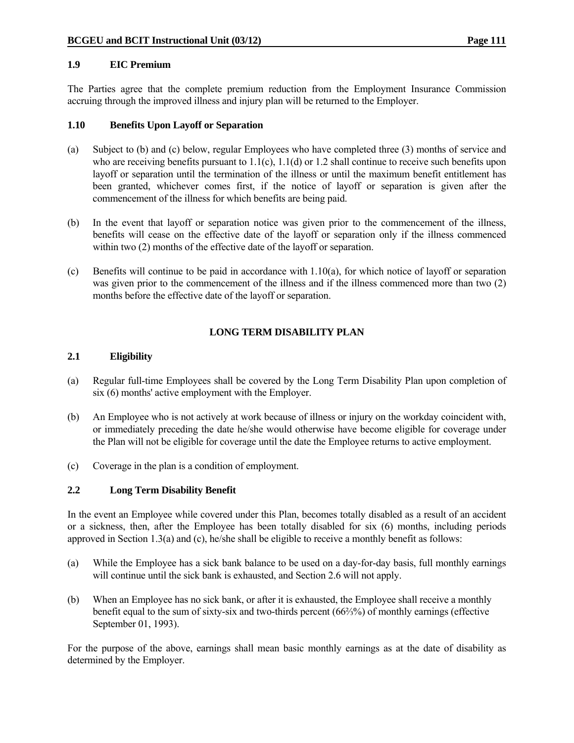# **1.9 EIC Premium**

The Parties agree that the complete premium reduction from the Employment Insurance Commission accruing through the improved illness and injury plan will be returned to the Employer.

# **1.10 Benefits Upon Layoff or Separation**

- (a) Subject to (b) and (c) below, regular Employees who have completed three (3) months of service and who are receiving benefits pursuant to  $1.1(c)$ ,  $1.1(d)$  or  $1.2$  shall continue to receive such benefits upon layoff or separation until the termination of the illness or until the maximum benefit entitlement has been granted, whichever comes first, if the notice of layoff or separation is given after the commencement of the illness for which benefits are being paid.
- (b) In the event that layoff or separation notice was given prior to the commencement of the illness, benefits will cease on the effective date of the layoff or separation only if the illness commenced within two  $(2)$  months of the effective date of the layoff or separation.
- (c) Benefits will continue to be paid in accordance with 1.10(a), for which notice of layoff or separation was given prior to the commencement of the illness and if the illness commenced more than two (2) months before the effective date of the layoff or separation.

# **LONG TERM DISABILITY PLAN**

# **2.1 Eligibility**

- (a) Regular full-time Employees shall be covered by the Long Term Disability Plan upon completion of six (6) months' active employment with the Employer.
- (b) An Employee who is not actively at work because of illness or injury on the workday coincident with, or immediately preceding the date he/she would otherwise have become eligible for coverage under the Plan will not be eligible for coverage until the date the Employee returns to active employment.
- (c) Coverage in the plan is a condition of employment.

# **2.2 Long Term Disability Benefit**

In the event an Employee while covered under this Plan, becomes totally disabled as a result of an accident or a sickness, then, after the Employee has been totally disabled for six (6) months, including periods approved in Section 1.3(a) and (c), he/she shall be eligible to receive a monthly benefit as follows:

- (a) While the Employee has a sick bank balance to be used on a day-for-day basis, full monthly earnings will continue until the sick bank is exhausted, and Section 2.6 will not apply.
- (b) When an Employee has no sick bank, or after it is exhausted, the Employee shall receive a monthly benefit equal to the sum of sixty-six and two-thirds percent (66⅔%) of monthly earnings (effective September 01, 1993).

For the purpose of the above, earnings shall mean basic monthly earnings as at the date of disability as determined by the Employer.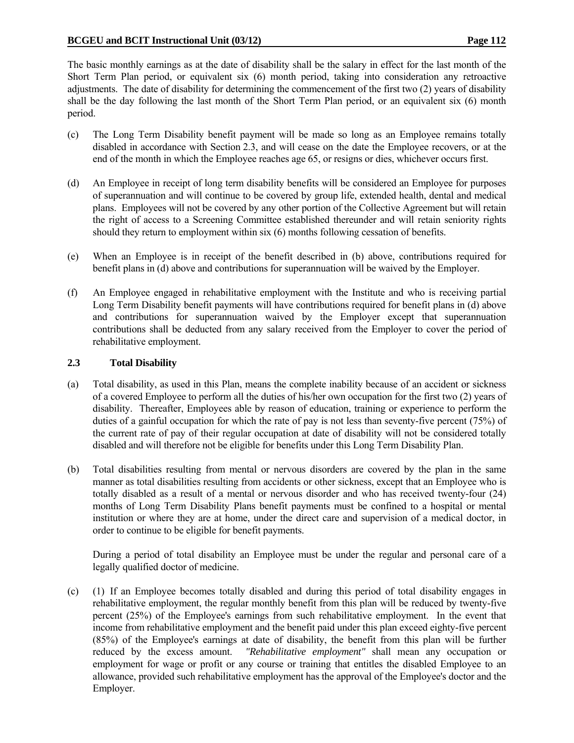The basic monthly earnings as at the date of disability shall be the salary in effect for the last month of the Short Term Plan period, or equivalent six (6) month period, taking into consideration any retroactive adjustments. The date of disability for determining the commencement of the first two (2) years of disability shall be the day following the last month of the Short Term Plan period, or an equivalent six (6) month period.

- (c) The Long Term Disability benefit payment will be made so long as an Employee remains totally disabled in accordance with Section 2.3, and will cease on the date the Employee recovers, or at the end of the month in which the Employee reaches age 65, or resigns or dies, whichever occurs first.
- (d) An Employee in receipt of long term disability benefits will be considered an Employee for purposes of superannuation and will continue to be covered by group life, extended health, dental and medical plans. Employees will not be covered by any other portion of the Collective Agreement but will retain the right of access to a Screening Committee established thereunder and will retain seniority rights should they return to employment within six (6) months following cessation of benefits.
- (e) When an Employee is in receipt of the benefit described in (b) above, contributions required for benefit plans in (d) above and contributions for superannuation will be waived by the Employer.
- (f) An Employee engaged in rehabilitative employment with the Institute and who is receiving partial Long Term Disability benefit payments will have contributions required for benefit plans in (d) above and contributions for superannuation waived by the Employer except that superannuation contributions shall be deducted from any salary received from the Employer to cover the period of rehabilitative employment.

# **2.3 Total Disability**

- (a) Total disability, as used in this Plan, means the complete inability because of an accident or sickness of a covered Employee to perform all the duties of his/her own occupation for the first two (2) years of disability. Thereafter, Employees able by reason of education, training or experience to perform the duties of a gainful occupation for which the rate of pay is not less than seventy-five percent (75%) of the current rate of pay of their regular occupation at date of disability will not be considered totally disabled and will therefore not be eligible for benefits under this Long Term Disability Plan.
- (b) Total disabilities resulting from mental or nervous disorders are covered by the plan in the same manner as total disabilities resulting from accidents or other sickness, except that an Employee who is totally disabled as a result of a mental or nervous disorder and who has received twenty-four (24) months of Long Term Disability Plans benefit payments must be confined to a hospital or mental institution or where they are at home, under the direct care and supervision of a medical doctor, in order to continue to be eligible for benefit payments.

 During a period of total disability an Employee must be under the regular and personal care of a legally qualified doctor of medicine.

(c) (1) If an Employee becomes totally disabled and during this period of total disability engages in rehabilitative employment, the regular monthly benefit from this plan will be reduced by twenty-five percent (25%) of the Employee's earnings from such rehabilitative employment. In the event that income from rehabilitative employment and the benefit paid under this plan exceed eighty-five percent (85%) of the Employee's earnings at date of disability, the benefit from this plan will be further reduced by the excess amount. *"Rehabilitative employment"* shall mean any occupation or employment for wage or profit or any course or training that entitles the disabled Employee to an allowance, provided such rehabilitative employment has the approval of the Employee's doctor and the Employer.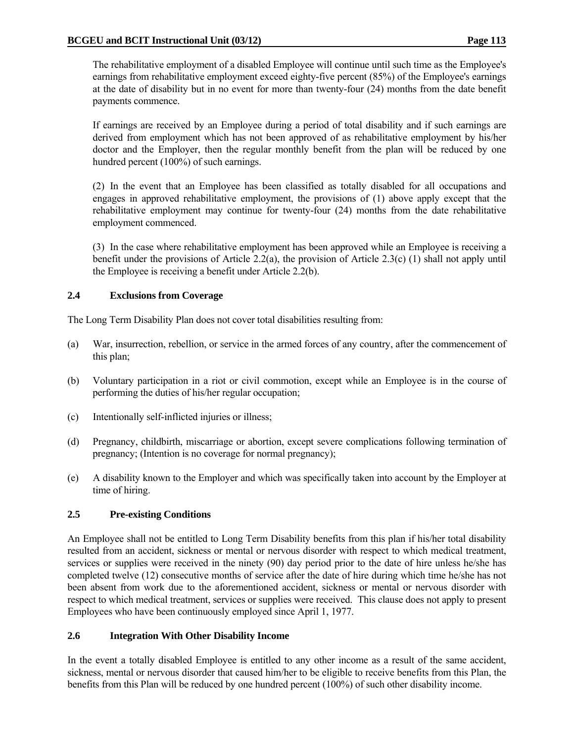The rehabilitative employment of a disabled Employee will continue until such time as the Employee's earnings from rehabilitative employment exceed eighty-five percent (85%) of the Employee's earnings at the date of disability but in no event for more than twenty-four (24) months from the date benefit payments commence.

 If earnings are received by an Employee during a period of total disability and if such earnings are derived from employment which has not been approved of as rehabilitative employment by his/her doctor and the Employer, then the regular monthly benefit from the plan will be reduced by one hundred percent (100%) of such earnings.

 (2) In the event that an Employee has been classified as totally disabled for all occupations and engages in approved rehabilitative employment, the provisions of (1) above apply except that the rehabilitative employment may continue for twenty-four (24) months from the date rehabilitative employment commenced.

 (3) In the case where rehabilitative employment has been approved while an Employee is receiving a benefit under the provisions of Article 2.2(a), the provision of Article 2.3(c) (1) shall not apply until the Employee is receiving a benefit under Article 2.2(b).

# **2.4 Exclusions from Coverage**

The Long Term Disability Plan does not cover total disabilities resulting from:

- (a) War, insurrection, rebellion, or service in the armed forces of any country, after the commencement of this plan;
- (b) Voluntary participation in a riot or civil commotion, except while an Employee is in the course of performing the duties of his/her regular occupation;
- (c) Intentionally self-inflicted injuries or illness;
- (d) Pregnancy, childbirth, miscarriage or abortion, except severe complications following termination of pregnancy; (Intention is no coverage for normal pregnancy);
- (e) A disability known to the Employer and which was specifically taken into account by the Employer at time of hiring.

# **2.5 Pre-existing Conditions**

An Employee shall not be entitled to Long Term Disability benefits from this plan if his/her total disability resulted from an accident, sickness or mental or nervous disorder with respect to which medical treatment, services or supplies were received in the ninety (90) day period prior to the date of hire unless he/she has completed twelve (12) consecutive months of service after the date of hire during which time he/she has not been absent from work due to the aforementioned accident, sickness or mental or nervous disorder with respect to which medical treatment, services or supplies were received. This clause does not apply to present Employees who have been continuously employed since April 1, 1977.

# **2.6 Integration With Other Disability Income**

In the event a totally disabled Employee is entitled to any other income as a result of the same accident, sickness, mental or nervous disorder that caused him/her to be eligible to receive benefits from this Plan, the benefits from this Plan will be reduced by one hundred percent (100%) of such other disability income.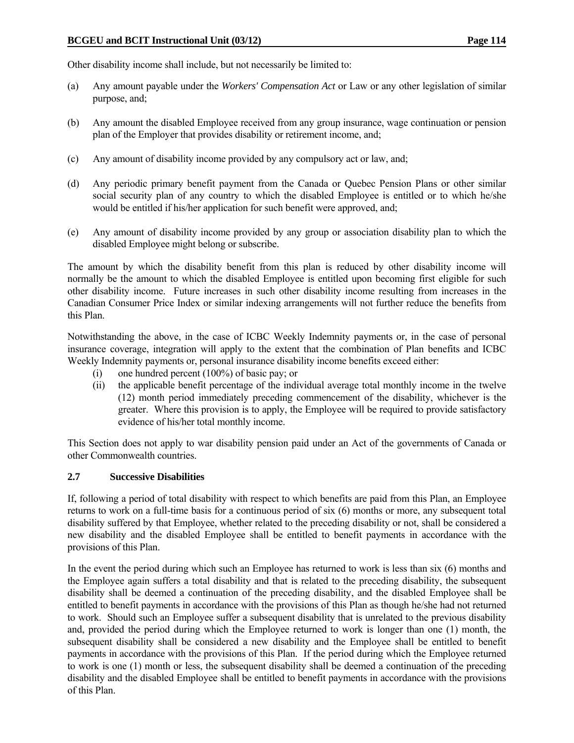Other disability income shall include, but not necessarily be limited to:

- (a) Any amount payable under the *Workers' Compensation Act* or Law or any other legislation of similar purpose, and;
- (b) Any amount the disabled Employee received from any group insurance, wage continuation or pension plan of the Employer that provides disability or retirement income, and;
- (c) Any amount of disability income provided by any compulsory act or law, and;
- (d) Any periodic primary benefit payment from the Canada or Quebec Pension Plans or other similar social security plan of any country to which the disabled Employee is entitled or to which he/she would be entitled if his/her application for such benefit were approved, and:
- (e) Any amount of disability income provided by any group or association disability plan to which the disabled Employee might belong or subscribe.

The amount by which the disability benefit from this plan is reduced by other disability income will normally be the amount to which the disabled Employee is entitled upon becoming first eligible for such other disability income. Future increases in such other disability income resulting from increases in the Canadian Consumer Price Index or similar indexing arrangements will not further reduce the benefits from this Plan.

Notwithstanding the above, in the case of ICBC Weekly Indemnity payments or, in the case of personal insurance coverage, integration will apply to the extent that the combination of Plan benefits and ICBC Weekly Indemnity payments or, personal insurance disability income benefits exceed either:

- (i) one hundred percent (100%) of basic pay; or
- (ii) the applicable benefit percentage of the individual average total monthly income in the twelve (12) month period immediately preceding commencement of the disability, whichever is the greater. Where this provision is to apply, the Employee will be required to provide satisfactory evidence of his/her total monthly income.

This Section does not apply to war disability pension paid under an Act of the governments of Canada or other Commonwealth countries.

# **2.7 Successive Disabilities**

If, following a period of total disability with respect to which benefits are paid from this Plan, an Employee returns to work on a full-time basis for a continuous period of six (6) months or more, any subsequent total disability suffered by that Employee, whether related to the preceding disability or not, shall be considered a new disability and the disabled Employee shall be entitled to benefit payments in accordance with the provisions of this Plan.

In the event the period during which such an Employee has returned to work is less than six (6) months and the Employee again suffers a total disability and that is related to the preceding disability, the subsequent disability shall be deemed a continuation of the preceding disability, and the disabled Employee shall be entitled to benefit payments in accordance with the provisions of this Plan as though he/she had not returned to work. Should such an Employee suffer a subsequent disability that is unrelated to the previous disability and, provided the period during which the Employee returned to work is longer than one (1) month, the subsequent disability shall be considered a new disability and the Employee shall be entitled to benefit payments in accordance with the provisions of this Plan. If the period during which the Employee returned to work is one (1) month or less, the subsequent disability shall be deemed a continuation of the preceding disability and the disabled Employee shall be entitled to benefit payments in accordance with the provisions of this Plan.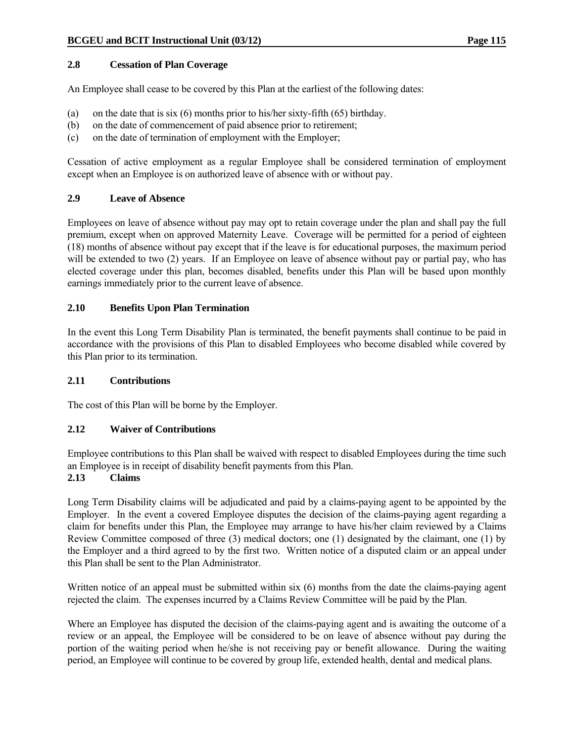# **2.8 Cessation of Plan Coverage**

An Employee shall cease to be covered by this Plan at the earliest of the following dates:

- (a) on the date that is six (6) months prior to his/her sixty-fifth (65) birthday.
- (b) on the date of commencement of paid absence prior to retirement;
- (c) on the date of termination of employment with the Employer;

Cessation of active employment as a regular Employee shall be considered termination of employment except when an Employee is on authorized leave of absence with or without pay.

# **2.9 Leave of Absence**

Employees on leave of absence without pay may opt to retain coverage under the plan and shall pay the full premium, except when on approved Maternity Leave. Coverage will be permitted for a period of eighteen (18) months of absence without pay except that if the leave is for educational purposes, the maximum period will be extended to two (2) years. If an Employee on leave of absence without pay or partial pay, who has elected coverage under this plan, becomes disabled, benefits under this Plan will be based upon monthly earnings immediately prior to the current leave of absence.

# **2.10 Benefits Upon Plan Termination**

In the event this Long Term Disability Plan is terminated, the benefit payments shall continue to be paid in accordance with the provisions of this Plan to disabled Employees who become disabled while covered by this Plan prior to its termination.

# **2.11 Contributions**

The cost of this Plan will be borne by the Employer.

# **2.12 Waiver of Contributions**

Employee contributions to this Plan shall be waived with respect to disabled Employees during the time such an Employee is in receipt of disability benefit payments from this Plan.

# **2.13 Claims**

Long Term Disability claims will be adjudicated and paid by a claims-paying agent to be appointed by the Employer. In the event a covered Employee disputes the decision of the claims-paying agent regarding a claim for benefits under this Plan, the Employee may arrange to have his/her claim reviewed by a Claims Review Committee composed of three (3) medical doctors; one (1) designated by the claimant, one (1) by the Employer and a third agreed to by the first two. Written notice of a disputed claim or an appeal under this Plan shall be sent to the Plan Administrator.

Written notice of an appeal must be submitted within six (6) months from the date the claims-paying agent rejected the claim. The expenses incurred by a Claims Review Committee will be paid by the Plan.

Where an Employee has disputed the decision of the claims-paying agent and is awaiting the outcome of a review or an appeal, the Employee will be considered to be on leave of absence without pay during the portion of the waiting period when he/she is not receiving pay or benefit allowance. During the waiting period, an Employee will continue to be covered by group life, extended health, dental and medical plans.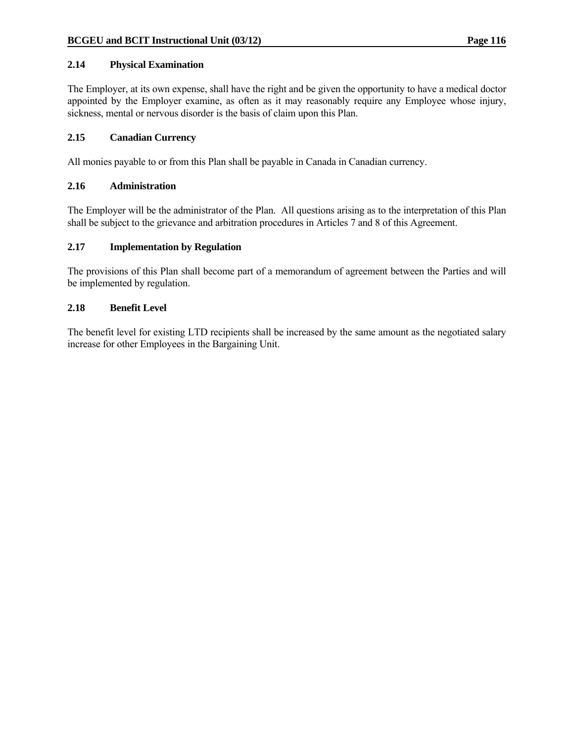# **2.14 Physical Examination**

The Employer, at its own expense, shall have the right and be given the opportunity to have a medical doctor appointed by the Employer examine, as often as it may reasonably require any Employee whose injury, sickness, mental or nervous disorder is the basis of claim upon this Plan.

# **2.15 Canadian Currency**

All monies payable to or from this Plan shall be payable in Canada in Canadian currency.

# **2.16 Administration**

The Employer will be the administrator of the Plan. All questions arising as to the interpretation of this Plan shall be subject to the grievance and arbitration procedures in Articles 7 and 8 of this Agreement.

# **2.17 Implementation by Regulation**

The provisions of this Plan shall become part of a memorandum of agreement between the Parties and will be implemented by regulation.

# **2.18 Benefit Level**

The benefit level for existing LTD recipients shall be increased by the same amount as the negotiated salary increase for other Employees in the Bargaining Unit.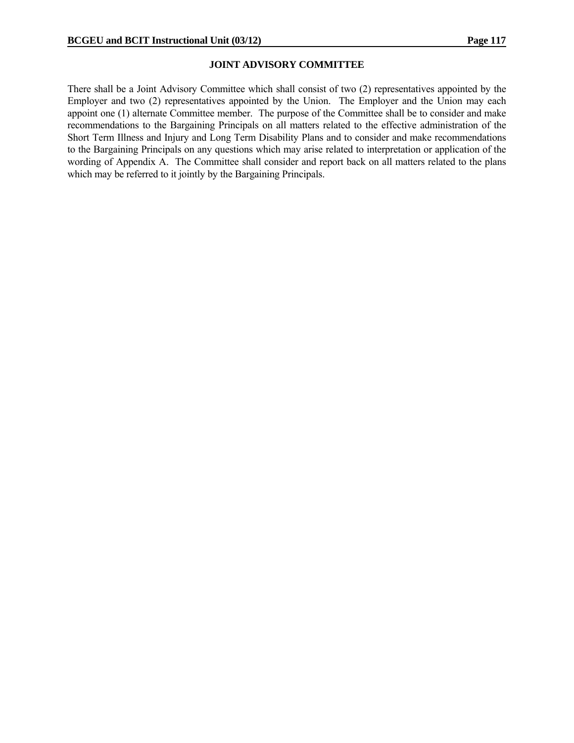### **JOINT ADVISORY COMMITTEE**

There shall be a Joint Advisory Committee which shall consist of two (2) representatives appointed by the Employer and two (2) representatives appointed by the Union. The Employer and the Union may each appoint one (1) alternate Committee member. The purpose of the Committee shall be to consider and make recommendations to the Bargaining Principals on all matters related to the effective administration of the Short Term Illness and Injury and Long Term Disability Plans and to consider and make recommendations to the Bargaining Principals on any questions which may arise related to interpretation or application of the wording of Appendix A. The Committee shall consider and report back on all matters related to the plans which may be referred to it jointly by the Bargaining Principals.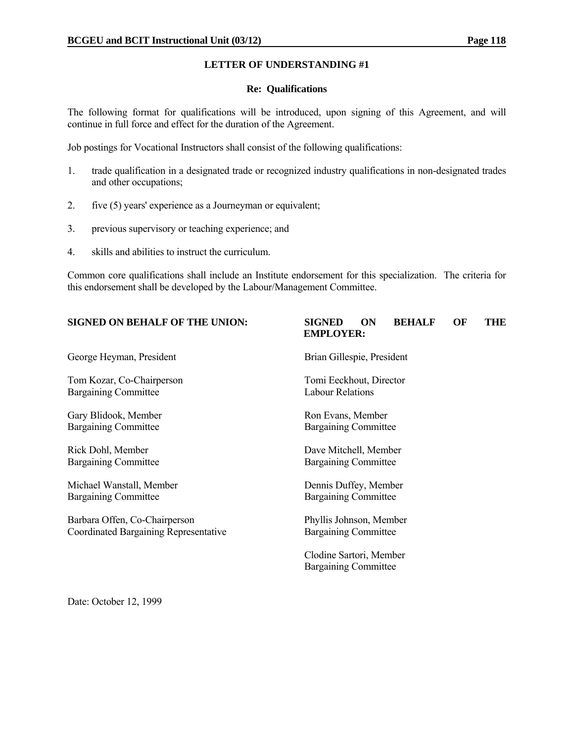### **Re: Qualifications**

The following format for qualifications will be introduced, upon signing of this Agreement, and will continue in full force and effect for the duration of the Agreement.

Job postings for Vocational Instructors shall consist of the following qualifications:

- 1. trade qualification in a designated trade or recognized industry qualifications in non-designated trades and other occupations;
- 2. five (5) years' experience as a Journeyman or equivalent;
- 3. previous supervisory or teaching experience; and
- 4. skills and abilities to instruct the curriculum.

Common core qualifications shall include an Institute endorsement for this specialization. The criteria for this endorsement shall be developed by the Labour/Management Committee.

# **SIGNED ON BEHALF OF THE UNION: SIGNED ON BEHALF OF THE EMPLOYER:** George Heyman, President Brian Gillespie, President Tom Kozar, Co-Chairperson Tomi Eeckhout, Director Bargaining Committee Labour Relations Gary Blidook, Member Ron Evans, Member Bargaining Committee Bargaining Committee Rick Dohl, Member **Dave Mitchell, Member** Dave Mitchell, Member Bargaining Committee Bargaining Committee Michael Wanstall, Member Dennis Duffey, Member Bargaining Committee Bargaining Committee Barbara Offen, Co-Chairperson Phyllis Johnson, Member Coordinated Bargaining Representative Bargaining Committee

 Clodine Sartori, Member Bargaining Committee

Date: October 12, 1999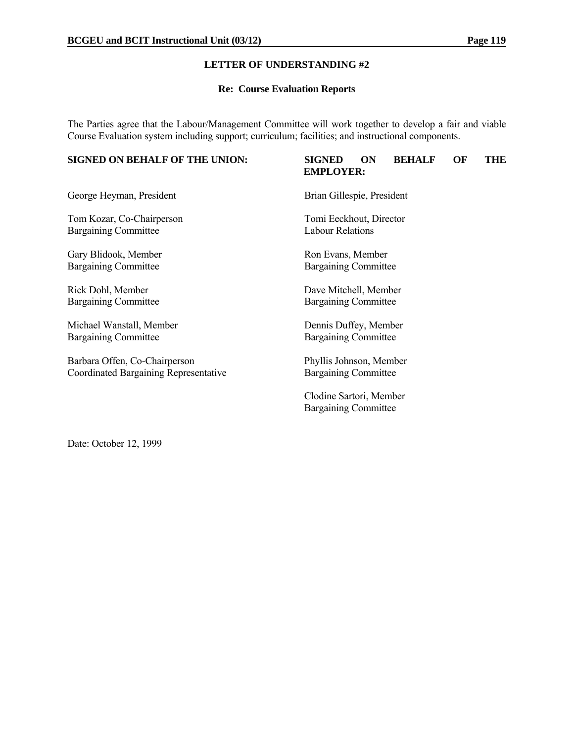### **Re: Course Evaluation Reports**

The Parties agree that the Labour/Management Committee will work together to develop a fair and viable Course Evaluation system including support; curriculum; facilities; and instructional components.

# **SIGNED ON BEHALF OF THE UNION: SIGNED ON BEHALF OF THE EMPLOYER:** George Heyman, President Brian Gillespie, President Tom Kozar, Co-Chairperson Tomi Eeckhout, Director Bargaining Committee Labour Relations Gary Blidook, Member Ron Evans, Member Bargaining Committee Bargaining Committee Rick Dohl, Member Dave Mitchell, Member Bargaining Committee Bargaining Committee Michael Wanstall, Member Dennis Duffey, Member Bargaining Committee Bargaining Committee Barbara Offen, Co-Chairperson Phyllis Johnson, Member Coordinated Bargaining Representative Bargaining Committee Clodine Sartori, Member Bargaining Committee

Date: October 12, 1999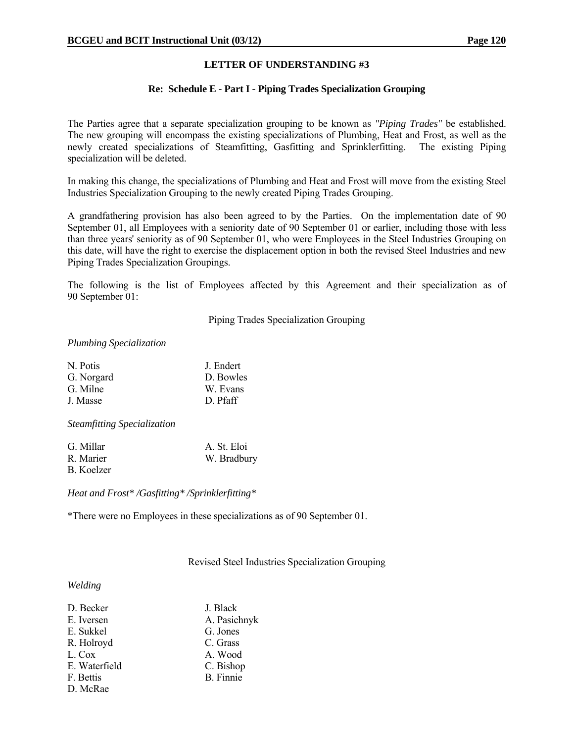### **Re: Schedule E - Part I - Piping Trades Specialization Grouping**

The Parties agree that a separate specialization grouping to be known as *"Piping Trades"* be established. The new grouping will encompass the existing specializations of Plumbing, Heat and Frost, as well as the newly created specializations of Steamfitting, Gasfitting and Sprinklerfitting. The existing Piping specialization will be deleted.

In making this change, the specializations of Plumbing and Heat and Frost will move from the existing Steel Industries Specialization Grouping to the newly created Piping Trades Grouping.

A grandfathering provision has also been agreed to by the Parties. On the implementation date of 90 September 01, all Employees with a seniority date of 90 September 01 or earlier, including those with less than three years' seniority as of 90 September 01, who were Employees in the Steel Industries Grouping on this date, will have the right to exercise the displacement option in both the revised Steel Industries and new Piping Trades Specialization Groupings.

The following is the list of Employees affected by this Agreement and their specialization as of 90 September 01:

Piping Trades Specialization Grouping

### *Plumbing Specialization*

| N. Potis   | J. Endert |
|------------|-----------|
| G. Norgard | D. Bowles |
| G. Milne   | W. Evans  |
| J. Masse   | D. Pfaff  |
|            |           |

*Steamfitting Specialization*

| G. Millar  | A. St. Eloi |
|------------|-------------|
| R. Marier  | W. Bradbury |
| B. Koelzer |             |

*Heat and Frost\* /Gasfitting\* /Sprinklerfitting\**

\*There were no Employees in these specializations as of 90 September 01.

Revised Steel Industries Specialization Grouping

### *Welding*

| D. Becker     | J. Black         |
|---------------|------------------|
| E. Iversen    | A. Pasichnyk     |
| E. Sukkel     | G. Jones         |
| R. Holroyd    | C. Grass         |
| L. Cox        | A. Wood          |
| E. Waterfield | C. Bishop        |
| F. Bettis     | <b>B.</b> Finnie |
| D. McRae      |                  |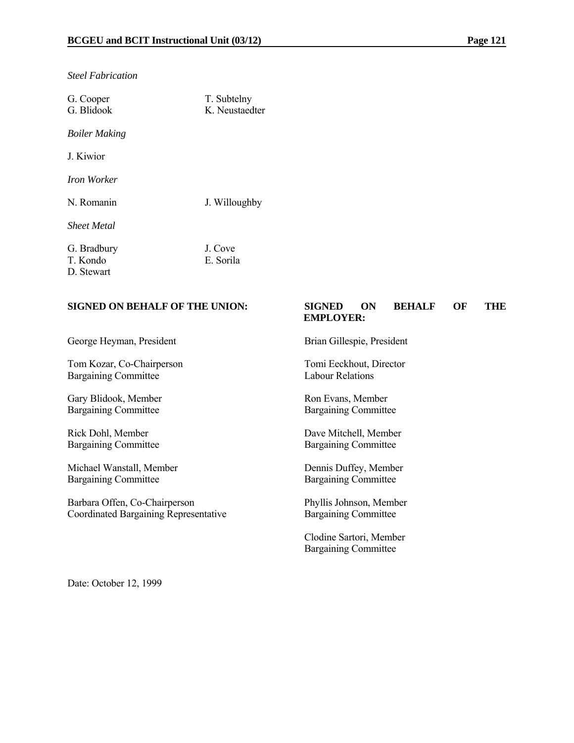*Steel Fabrication*

| G. Cooper<br>G. Blidook               | T. Subtelny<br>K Neustaedter |
|---------------------------------------|------------------------------|
| <b>Boiler Making</b>                  |                              |
| J. Kiwior                             |                              |
| Iron Worker                           |                              |
| N. Romanin                            | J. Willoughby                |
| <b>Sheet Metal</b>                    |                              |
| G. Bradbury<br>T. Kondo<br>D. Stewart | J. Cove<br>E. Sorila         |

### **SIGNED ON BEHALF OF THE UNION: SIGNED ON BEHALF OF THE EMPLOYER:**

George Heyman, President Brian Gillespie, President

Tom Kozar, Co-Chairperson Tomi Eeckhout, Director Bargaining Committee Labour Relations

Gary Blidook, Member<br>Bargaining Committee Bargaining Committee Bargaining Committee

Michael Wanstall, Member Dennis Duffey, Member Bargaining Committee Bargaining Committee

Barbara Offen, Co-Chairperson Phyllis Johnson, Member Coordinated Bargaining Representative Bargaining Committee

Bargaining Committee

Rick Dohl, Member<br>Bargaining Committee Bargaining Committee Bargaining Committee Bargaining Committee

 Clodine Sartori, Member Bargaining Committee

Date: October 12, 1999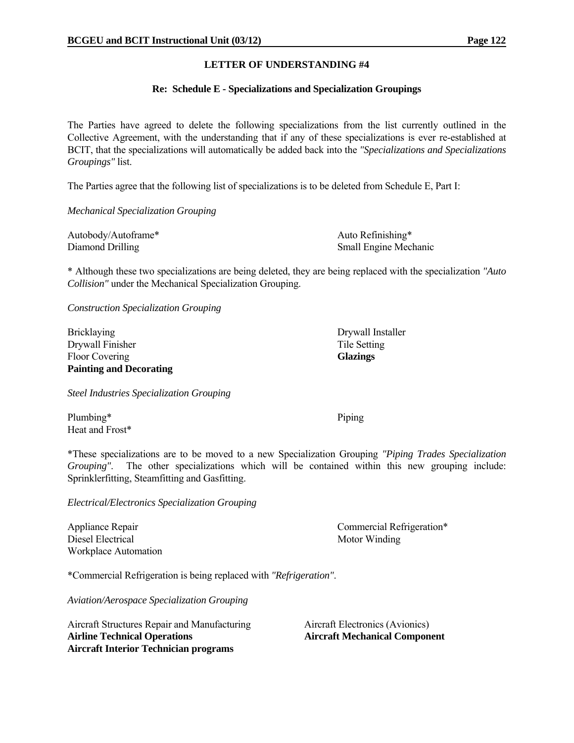### **Re: Schedule E - Specializations and Specialization Groupings**

The Parties have agreed to delete the following specializations from the list currently outlined in the Collective Agreement, with the understanding that if any of these specializations is ever re-established at BCIT, that the specializations will automatically be added back into the *"Specializations and Specializations Groupings"* list.

The Parties agree that the following list of specializations is to be deleted from Schedule E, Part I:

*Mechanical Specialization Grouping*

| Autobody/Autoframe* | Auto Refinishing*            |
|---------------------|------------------------------|
| Diamond Drilling    | <b>Small Engine Mechanic</b> |

\* Although these two specializations are being deleted, they are being replaced with the specialization *"Auto Collision"* under the Mechanical Specialization Grouping.

*Construction Specialization Grouping*

Bricklaying Drywall Installer Drywall Finisher Tile Setting Floor Covering **Glazings Glazings Painting and Decorating** 

*Steel Industries Specialization Grouping*

Plumbing\* Piping Heat and Frost\*

\*These specializations are to be moved to a new Specialization Grouping *"Piping Trades Specialization Grouping"*. The other specializations which will be contained within this new grouping include: Sprinklerfitting, Steamfitting and Gasfitting.

*Electrical/Electronics Specialization Grouping*

Diesel Electrical Motor Winding Workplace Automation

Appliance Repair Commercial Refrigeration\*

\*Commercial Refrigeration is being replaced with *"Refrigeration"*.

*Aviation/Aerospace Specialization Grouping*

Aircraft Structures Repair and Manufacturing Aircraft Electronics (Avionics) **Airline Technical Operations Aircraft Mechanical Component Aircraft Interior Technician programs**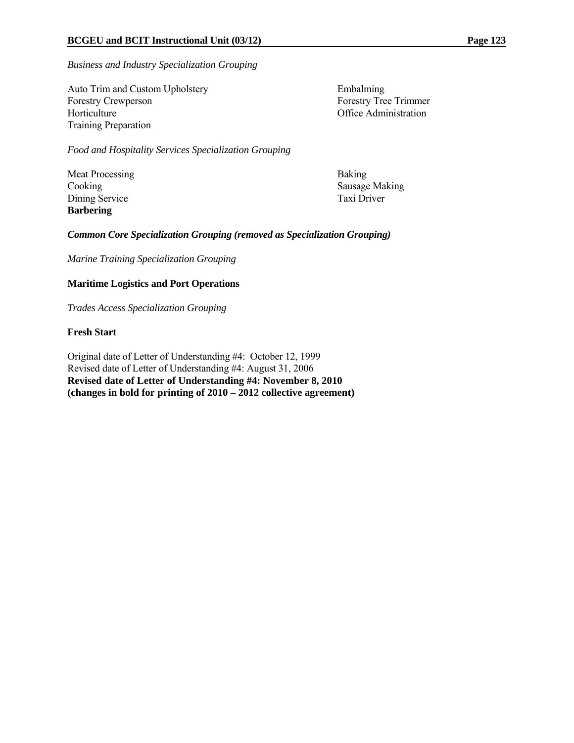*Business and Industry Specialization Grouping*

Auto Trim and Custom Upholstery Embalming Forestry Crewperson Forestry Tree Trimmer Horticulture **Office Administration** Training Preparation

*Food and Hospitality Services Specialization Grouping*

Meat Processing Baking Dining Service Taxi Driver **Barbering** 

Cooking Sausage Making

# *Common Core Specialization Grouping (removed as Specialization Grouping)*

*Marine Training Specialization Grouping*

# **Maritime Logistics and Port Operations**

*Trades Access Specialization Grouping* 

# **Fresh Start**

Original date of Letter of Understanding #4: October 12, 1999 Revised date of Letter of Understanding #4: August 31, 2006 **Revised date of Letter of Understanding #4: November 8, 2010 (changes in bold for printing of 2010 – 2012 collective agreement)**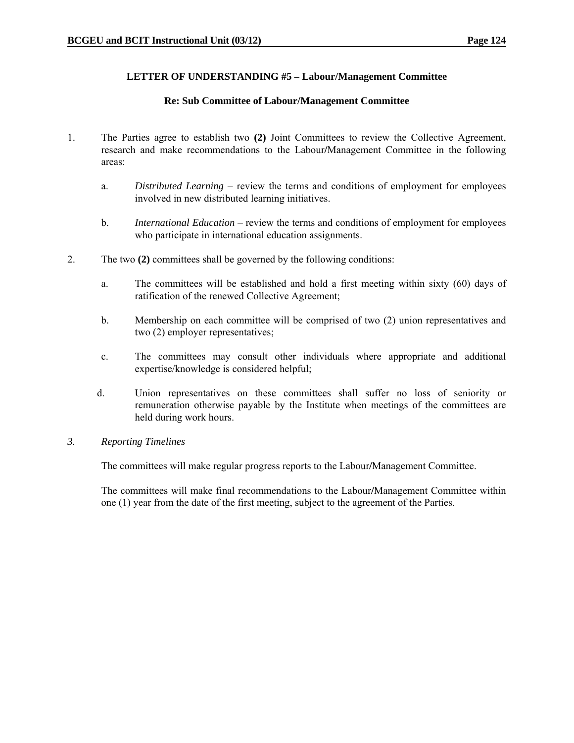# **LETTER OF UNDERSTANDING #5 – Labour/Management Committee**

# **Re: Sub Committee of Labour/Management Committee**

- 1. The Parties agree to establish two **(2)** Joint Committees to review the Collective Agreement, research and make recommendations to the Labour**/**Management Committee in the following areas:
	- a. *Distributed Learning* review the terms and conditions of employment for employees involved in new distributed learning initiatives.
	- b. *International Education* review the terms and conditions of employment for employees who participate in international education assignments.
- 2. The two **(2)** committees shall be governed by the following conditions:
	- a. The committees will be established and hold a first meeting within sixty (60) days of ratification of the renewed Collective Agreement;
	- b. Membership on each committee will be comprised of two (2) union representatives and two (2) employer representatives;
	- c. The committees may consult other individuals where appropriate and additional expertise/knowledge is considered helpful;
	- d. Union representatives on these committees shall suffer no loss of seniority or remuneration otherwise payable by the Institute when meetings of the committees are held during work hours.
- *3. Reporting Timelines*

The committees will make regular progress reports to the Labour**/**Management Committee.

The committees will make final recommendations to the Labour**/**Management Committee within one (1) year from the date of the first meeting, subject to the agreement of the Parties.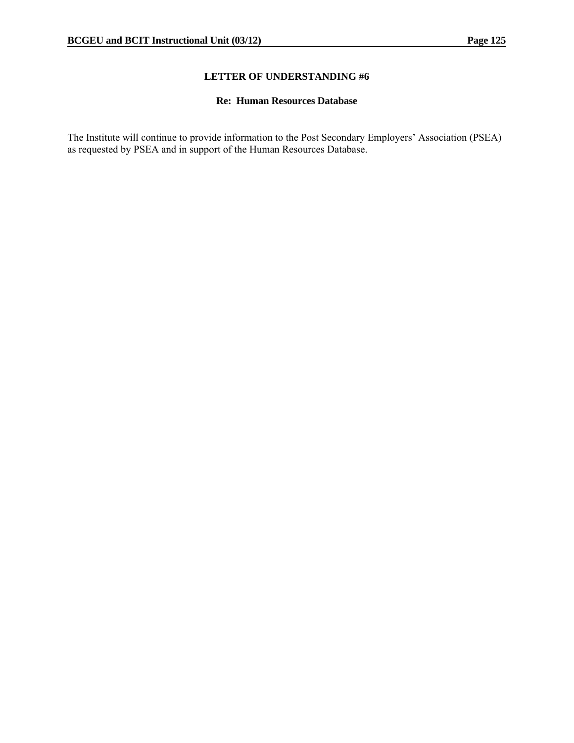# **Re: Human Resources Database**

The Institute will continue to provide information to the Post Secondary Employers' Association (PSEA) as requested by PSEA and in support of the Human Resources Database.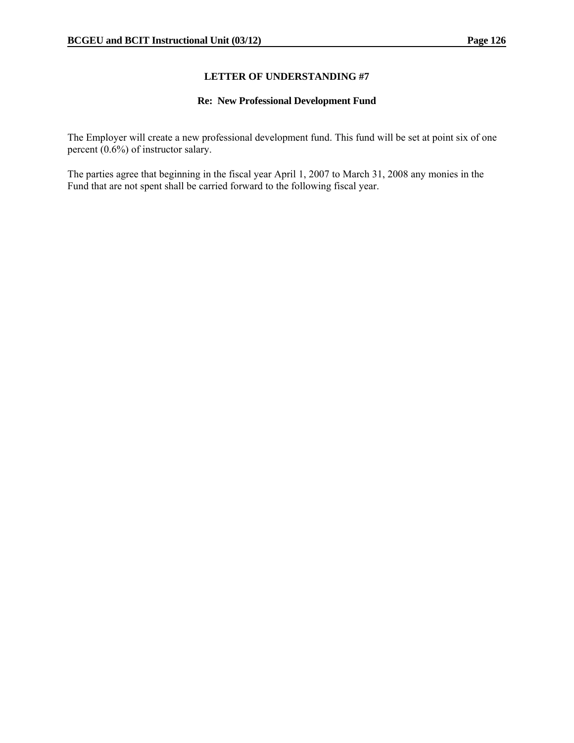# **Re: New Professional Development Fund**

The Employer will create a new professional development fund. This fund will be set at point six of one percent (0.6%) of instructor salary.

The parties agree that beginning in the fiscal year April 1, 2007 to March 31, 2008 any monies in the Fund that are not spent shall be carried forward to the following fiscal year.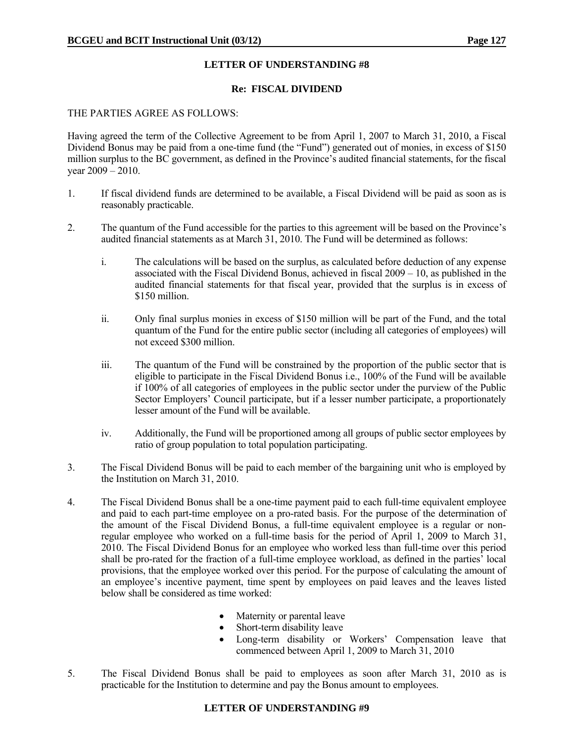### **Re: FISCAL DIVIDEND**

### THE PARTIES AGREE AS FOLLOWS:

Having agreed the term of the Collective Agreement to be from April 1, 2007 to March 31, 2010, a Fiscal Dividend Bonus may be paid from a one-time fund (the "Fund") generated out of monies, in excess of \$150 million surplus to the BC government, as defined in the Province's audited financial statements, for the fiscal year  $2009 - 2010$ .

- 1. If fiscal dividend funds are determined to be available, a Fiscal Dividend will be paid as soon as is reasonably practicable.
- 2. The quantum of the Fund accessible for the parties to this agreement will be based on the Province's audited financial statements as at March 31, 2010. The Fund will be determined as follows:
	- i. The calculations will be based on the surplus, as calculated before deduction of any expense associated with the Fiscal Dividend Bonus, achieved in fiscal 2009 – 10, as published in the audited financial statements for that fiscal year, provided that the surplus is in excess of \$150 million.
	- ii. Only final surplus monies in excess of \$150 million will be part of the Fund, and the total quantum of the Fund for the entire public sector (including all categories of employees) will not exceed \$300 million.
	- iii. The quantum of the Fund will be constrained by the proportion of the public sector that is eligible to participate in the Fiscal Dividend Bonus i.e., 100% of the Fund will be available if 100% of all categories of employees in the public sector under the purview of the Public Sector Employers' Council participate, but if a lesser number participate, a proportionately lesser amount of the Fund will be available.
	- iv. Additionally, the Fund will be proportioned among all groups of public sector employees by ratio of group population to total population participating.
- 3. The Fiscal Dividend Bonus will be paid to each member of the bargaining unit who is employed by the Institution on March 31, 2010.
- 4. The Fiscal Dividend Bonus shall be a one-time payment paid to each full-time equivalent employee and paid to each part-time employee on a pro-rated basis. For the purpose of the determination of the amount of the Fiscal Dividend Bonus, a full-time equivalent employee is a regular or nonregular employee who worked on a full-time basis for the period of April 1, 2009 to March 31, 2010. The Fiscal Dividend Bonus for an employee who worked less than full-time over this period shall be pro-rated for the fraction of a full-time employee workload, as defined in the parties' local provisions, that the employee worked over this period. For the purpose of calculating the amount of an employee's incentive payment, time spent by employees on paid leaves and the leaves listed below shall be considered as time worked:
	- Maternity or parental leave
	- Short-term disability leave
	- Long-term disability or Workers' Compensation leave that commenced between April 1, 2009 to March 31, 2010
- 5. The Fiscal Dividend Bonus shall be paid to employees as soon after March 31, 2010 as is practicable for the Institution to determine and pay the Bonus amount to employees.

# **LETTER OF UNDERSTANDING #9**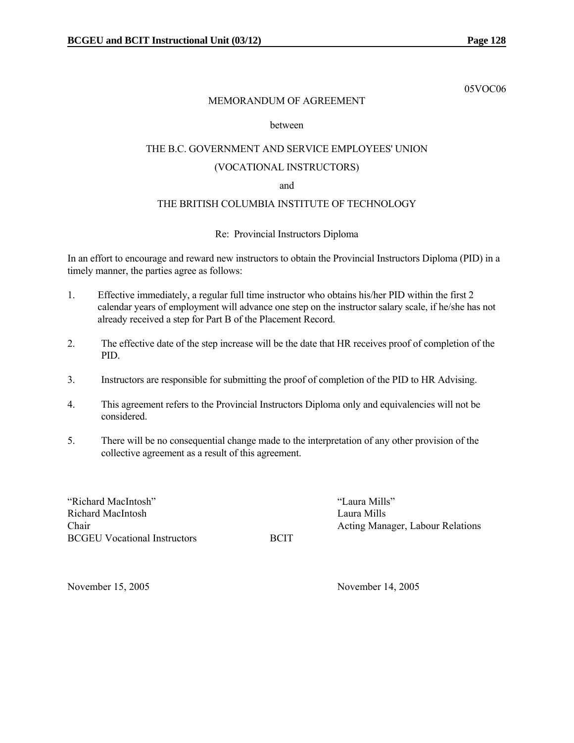05VOC06

# MEMORANDUM OF AGREEMENT

### between

# THE B.C. GOVERNMENT AND SERVICE EMPLOYEES' UNION (VOCATIONAL INSTRUCTORS)

### and

# THE BRITISH COLUMBIA INSTITUTE OF TECHNOLOGY

# Re: Provincial Instructors Diploma

In an effort to encourage and reward new instructors to obtain the Provincial Instructors Diploma (PID) in a timely manner, the parties agree as follows:

- 1. Effective immediately, a regular full time instructor who obtains his/her PID within the first 2 calendar years of employment will advance one step on the instructor salary scale, if he/she has not already received a step for Part B of the Placement Record.
- 2. The effective date of the step increase will be the date that HR receives proof of completion of the PID.
- 3. Instructors are responsible for submitting the proof of completion of the PID to HR Advising.
- 4. This agreement refers to the Provincial Instructors Diploma only and equivalencies will not be considered.
- 5. There will be no consequential change made to the interpretation of any other provision of the collective agreement as a result of this agreement.

"Richard MacIntosh" "Laura Mills" Richard MacIntosh Laura Mills BCGEU Vocational Instructors BCIT

Chair **Chair** Acting Manager, Labour Relations

November 15, 2005 November 14, 2005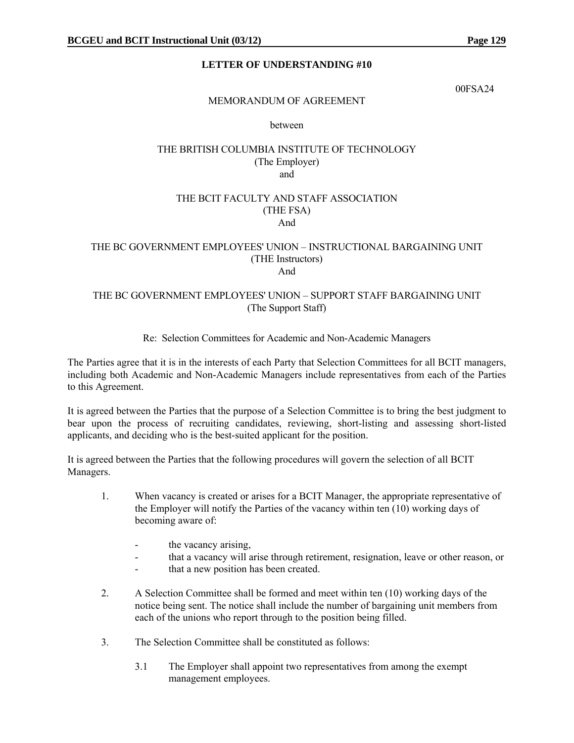00FSA24

# MEMORANDUM OF AGREEMENT

### between

# THE BRITISH COLUMBIA INSTITUTE OF TECHNOLOGY (The Employer) and

### THE BCIT FACULTY AND STAFF ASSOCIATION (THE FSA) And

### THE BC GOVERNMENT EMPLOYEES' UNION – INSTRUCTIONAL BARGAINING UNIT (THE Instructors) And

# THE BC GOVERNMENT EMPLOYEES' UNION – SUPPORT STAFF BARGAINING UNIT (The Support Staff)

# Re: Selection Committees for Academic and Non-Academic Managers

The Parties agree that it is in the interests of each Party that Selection Committees for all BCIT managers, including both Academic and Non-Academic Managers include representatives from each of the Parties to this Agreement.

It is agreed between the Parties that the purpose of a Selection Committee is to bring the best judgment to bear upon the process of recruiting candidates, reviewing, short-listing and assessing short-listed applicants, and deciding who is the best-suited applicant for the position.

It is agreed between the Parties that the following procedures will govern the selection of all BCIT Managers.

- 1. When vacancy is created or arises for a BCIT Manager, the appropriate representative of the Employer will notify the Parties of the vacancy within ten (10) working days of becoming aware of:
	- the vacancy arising,
	- that a vacancy will arise through retirement, resignation, leave or other reason, or
	- that a new position has been created.
- 2. A Selection Committee shall be formed and meet within ten (10) working days of the notice being sent. The notice shall include the number of bargaining unit members from each of the unions who report through to the position being filled.
- 3. The Selection Committee shall be constituted as follows:
	- 3.1 The Employer shall appoint two representatives from among the exempt management employees.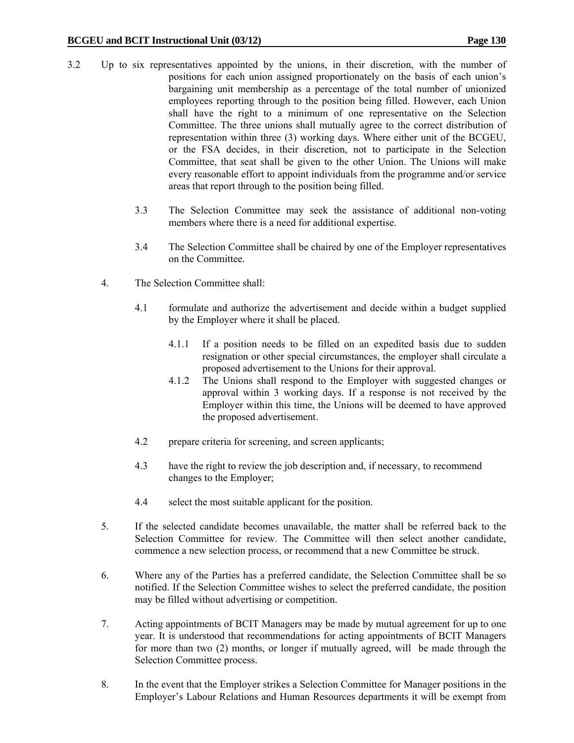- 3.2 Up to six representatives appointed by the unions, in their discretion, with the number of positions for each union assigned proportionately on the basis of each union's bargaining unit membership as a percentage of the total number of unionized employees reporting through to the position being filled. However, each Union shall have the right to a minimum of one representative on the Selection Committee. The three unions shall mutually agree to the correct distribution of representation within three (3) working days. Where either unit of the BCGEU, or the FSA decides, in their discretion, not to participate in the Selection Committee, that seat shall be given to the other Union. The Unions will make every reasonable effort to appoint individuals from the programme and/or service areas that report through to the position being filled.
	- 3.3 The Selection Committee may seek the assistance of additional non-voting members where there is a need for additional expertise.
	- 3.4 The Selection Committee shall be chaired by one of the Employer representatives on the Committee.
	- 4. The Selection Committee shall:
		- 4.1 formulate and authorize the advertisement and decide within a budget supplied by the Employer where it shall be placed.
			- 4.1.1 If a position needs to be filled on an expedited basis due to sudden resignation or other special circumstances, the employer shall circulate a proposed advertisement to the Unions for their approval.
			- 4.1.2 The Unions shall respond to the Employer with suggested changes or approval within 3 working days. If a response is not received by the Employer within this time, the Unions will be deemed to have approved the proposed advertisement.
		- 4.2 prepare criteria for screening, and screen applicants;
		- 4.3 have the right to review the job description and, if necessary, to recommend changes to the Employer;
		- 4.4 select the most suitable applicant for the position.
	- 5. If the selected candidate becomes unavailable, the matter shall be referred back to the Selection Committee for review. The Committee will then select another candidate, commence a new selection process, or recommend that a new Committee be struck.
	- 6. Where any of the Parties has a preferred candidate, the Selection Committee shall be so notified. If the Selection Committee wishes to select the preferred candidate, the position may be filled without advertising or competition.
	- 7. Acting appointments of BCIT Managers may be made by mutual agreement for up to one year. It is understood that recommendations for acting appointments of BCIT Managers for more than two (2) months, or longer if mutually agreed, will be made through the Selection Committee process.
	- 8. In the event that the Employer strikes a Selection Committee for Manager positions in the Employer's Labour Relations and Human Resources departments it will be exempt from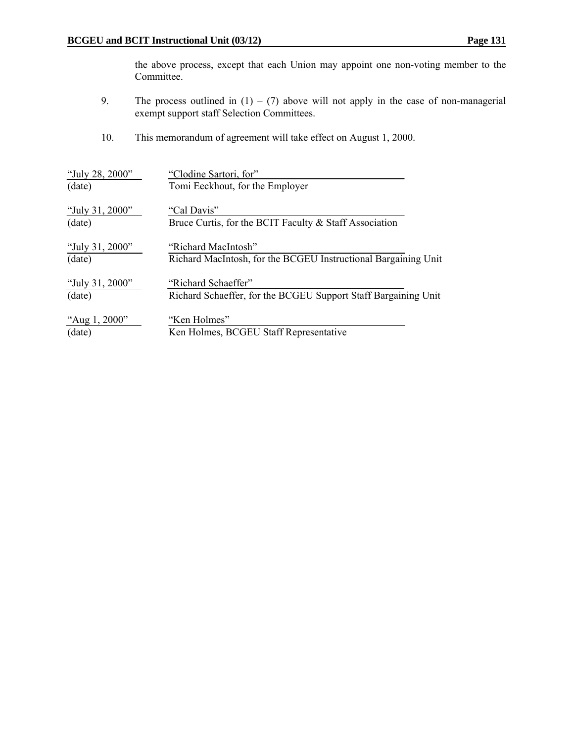the above process, except that each Union may appoint one non-voting member to the Committee.

- 9. The process outlined in  $(1) (7)$  above will not apply in the case of non-managerial exempt support staff Selection Committees.
- 10. This memorandum of agreement will take effect on August 1, 2000.

| "July 28, 2000" | "Clodine Sartori, for"                                         |
|-----------------|----------------------------------------------------------------|
| (date)          | Tomi Eeckhout, for the Employer                                |
| "July 31, 2000" | "Cal Davis"                                                    |
| (date)          | Bruce Curtis, for the BCIT Faculty & Staff Association         |
| "July 31, 2000" | "Richard MacIntosh"                                            |
| (date)          | Richard MacIntosh, for the BCGEU Instructional Bargaining Unit |
| "July 31, 2000" | "Richard Schaeffer"                                            |
| (date)          | Richard Schaeffer, for the BCGEU Support Staff Bargaining Unit |
| "Aug 1, 2000"   | "Ken Holmes"                                                   |
| (date)          | Ken Holmes, BCGEU Staff Representative                         |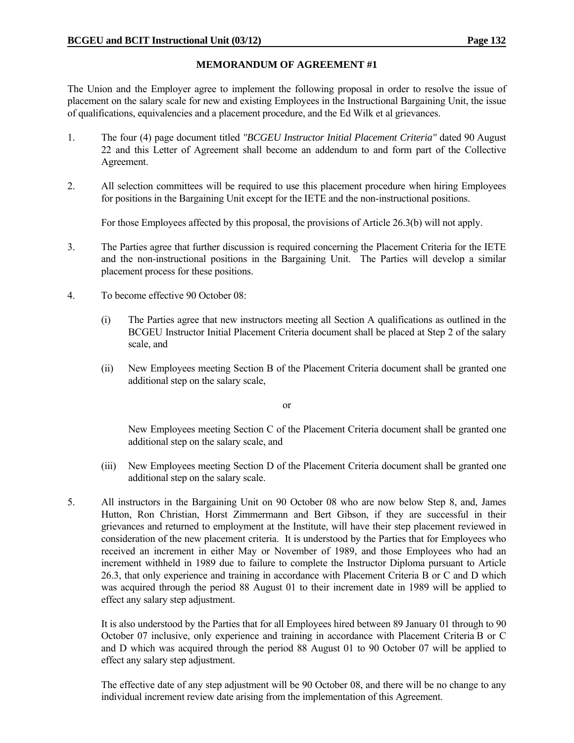# **MEMORANDUM OF AGREEMENT #1**

The Union and the Employer agree to implement the following proposal in order to resolve the issue of placement on the salary scale for new and existing Employees in the Instructional Bargaining Unit, the issue of qualifications, equivalencies and a placement procedure, and the Ed Wilk et al grievances.

- 1. The four (4) page document titled *"BCGEU Instructor Initial Placement Criteria"* dated 90 August 22 and this Letter of Agreement shall become an addendum to and form part of the Collective Agreement.
- 2. All selection committees will be required to use this placement procedure when hiring Employees for positions in the Bargaining Unit except for the IETE and the non-instructional positions.

For those Employees affected by this proposal, the provisions of Article 26.3(b) will not apply.

- 3. The Parties agree that further discussion is required concerning the Placement Criteria for the IETE and the non-instructional positions in the Bargaining Unit. The Parties will develop a similar placement process for these positions.
- 4. To become effective 90 October 08:
	- (i) The Parties agree that new instructors meeting all Section A qualifications as outlined in the BCGEU Instructor Initial Placement Criteria document shall be placed at Step 2 of the salary scale, and
	- (ii) New Employees meeting Section B of the Placement Criteria document shall be granted one additional step on the salary scale,

or

 New Employees meeting Section C of the Placement Criteria document shall be granted one additional step on the salary scale, and

- (iii) New Employees meeting Section D of the Placement Criteria document shall be granted one additional step on the salary scale.
- 5. All instructors in the Bargaining Unit on 90 October 08 who are now below Step 8, and, James Hutton, Ron Christian, Horst Zimmermann and Bert Gibson, if they are successful in their grievances and returned to employment at the Institute, will have their step placement reviewed in consideration of the new placement criteria. It is understood by the Parties that for Employees who received an increment in either May or November of 1989, and those Employees who had an increment withheld in 1989 due to failure to complete the Instructor Diploma pursuant to Article 26.3, that only experience and training in accordance with Placement Criteria B or C and D which was acquired through the period 88 August 01 to their increment date in 1989 will be applied to effect any salary step adjustment.

 It is also understood by the Parties that for all Employees hired between 89 January 01 through to 90 October 07 inclusive, only experience and training in accordance with Placement Criteria B or C and D which was acquired through the period 88 August 01 to 90 October 07 will be applied to effect any salary step adjustment.

 The effective date of any step adjustment will be 90 October 08, and there will be no change to any individual increment review date arising from the implementation of this Agreement.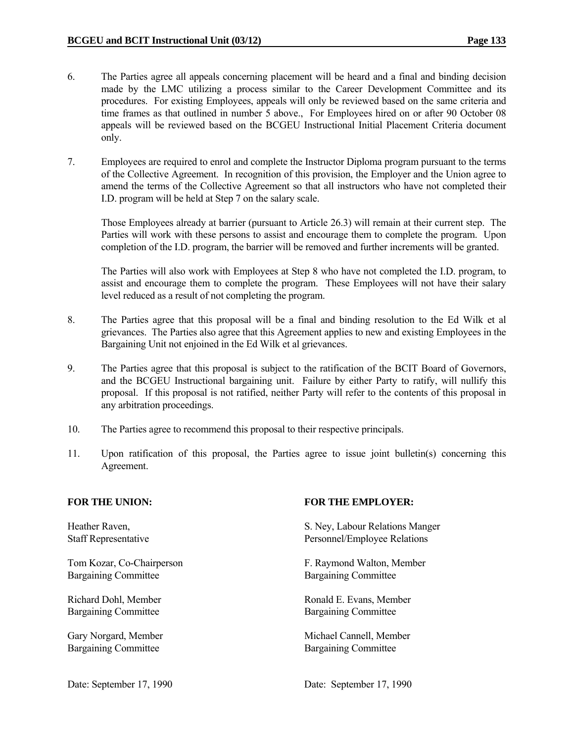- 6. The Parties agree all appeals concerning placement will be heard and a final and binding decision made by the LMC utilizing a process similar to the Career Development Committee and its procedures. For existing Employees, appeals will only be reviewed based on the same criteria and time frames as that outlined in number 5 above., For Employees hired on or after 90 October 08 appeals will be reviewed based on the BCGEU Instructional Initial Placement Criteria document only.
- 7. Employees are required to enrol and complete the Instructor Diploma program pursuant to the terms of the Collective Agreement. In recognition of this provision, the Employer and the Union agree to amend the terms of the Collective Agreement so that all instructors who have not completed their I.D. program will be held at Step 7 on the salary scale.

 Those Employees already at barrier (pursuant to Article 26.3) will remain at their current step. The Parties will work with these persons to assist and encourage them to complete the program. Upon completion of the I.D. program, the barrier will be removed and further increments will be granted.

 The Parties will also work with Employees at Step 8 who have not completed the I.D. program, to assist and encourage them to complete the program. These Employees will not have their salary level reduced as a result of not completing the program.

- 8. The Parties agree that this proposal will be a final and binding resolution to the Ed Wilk et al grievances. The Parties also agree that this Agreement applies to new and existing Employees in the Bargaining Unit not enjoined in the Ed Wilk et al grievances.
- 9. The Parties agree that this proposal is subject to the ratification of the BCIT Board of Governors, and the BCGEU Instructional bargaining unit. Failure by either Party to ratify, will nullify this proposal. If this proposal is not ratified, neither Party will refer to the contents of this proposal in any arbitration proceedings.
- 10. The Parties agree to recommend this proposal to their respective principals.
- 11. Upon ratification of this proposal, the Parties agree to issue joint bulletin(s) concerning this Agreement.

Bargaining Committee Bargaining Committee

Bargaining Committee Bargaining Committee

Bargaining Committee Bargaining Committee

# FOR THE UNION: **FOR THE EMPLOYER:**

Heather Raven, S. Ney, Labour Relations Manger Staff Representative **Personnel**/Employee Relations

Tom Kozar, Co-Chairperson F. Raymond Walton, Member

Richard Dohl, Member Ronald E. Evans, Member

Gary Norgard, Member Michael Cannell, Member Michael Cannell, Member

Date: September 17, 1990 Date: September 17, 1990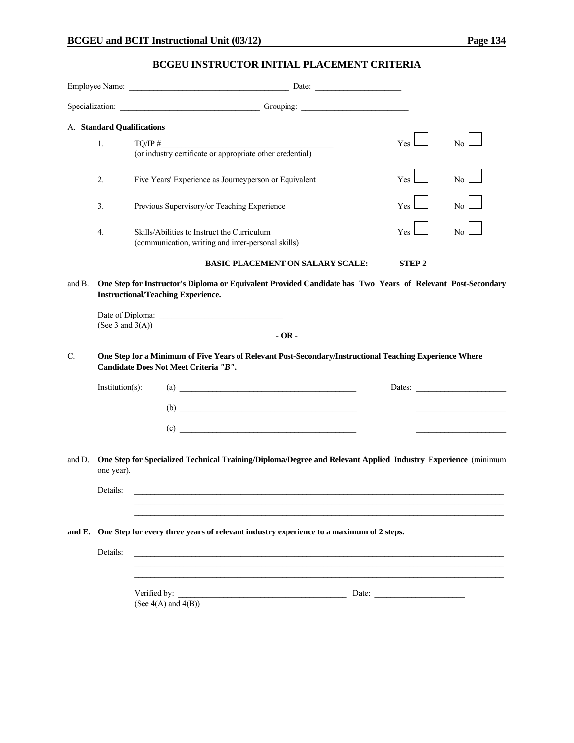# **BCGEU INSTRUCTOR INITIAL PLACEMENT CRITERIA**

| A. Standard Qualifications<br>1.<br>2.<br>3.<br>4.<br>and B. |                     | Specialization: Christman Contains Containing Contains Containing Contains Containing Contains Containing Contains Contains Contains Contains Contains Contains Contains Contains Contains Contains Contains Contains Contains<br>$TQ/IP \#$<br>$TQ/IP \#$ (or industry certificate or appropriate other credential)<br>Five Years' Experience as Journeyperson or Equivalent<br>Previous Supervisory/or Teaching Experience<br>Skills/Abilities to Instruct the Curriculum<br>(communication, writing and inter-personal skills)<br><b>BASIC PLACEMENT ON SALARY SCALE:</b> | <b>Yes</b><br>Yes<br>Yes<br>Yes                                                                                                                                                                                                                                                                                                                                                                               | No <sub>1</sub><br>No<br>No.<br>No. |
|--------------------------------------------------------------|---------------------|------------------------------------------------------------------------------------------------------------------------------------------------------------------------------------------------------------------------------------------------------------------------------------------------------------------------------------------------------------------------------------------------------------------------------------------------------------------------------------------------------------------------------------------------------------------------------|---------------------------------------------------------------------------------------------------------------------------------------------------------------------------------------------------------------------------------------------------------------------------------------------------------------------------------------------------------------------------------------------------------------|-------------------------------------|
|                                                              |                     |                                                                                                                                                                                                                                                                                                                                                                                                                                                                                                                                                                              |                                                                                                                                                                                                                                                                                                                                                                                                               |                                     |
|                                                              |                     |                                                                                                                                                                                                                                                                                                                                                                                                                                                                                                                                                                              |                                                                                                                                                                                                                                                                                                                                                                                                               |                                     |
|                                                              |                     |                                                                                                                                                                                                                                                                                                                                                                                                                                                                                                                                                                              |                                                                                                                                                                                                                                                                                                                                                                                                               |                                     |
|                                                              |                     |                                                                                                                                                                                                                                                                                                                                                                                                                                                                                                                                                                              |                                                                                                                                                                                                                                                                                                                                                                                                               |                                     |
|                                                              |                     |                                                                                                                                                                                                                                                                                                                                                                                                                                                                                                                                                                              |                                                                                                                                                                                                                                                                                                                                                                                                               |                                     |
|                                                              |                     |                                                                                                                                                                                                                                                                                                                                                                                                                                                                                                                                                                              |                                                                                                                                                                                                                                                                                                                                                                                                               |                                     |
|                                                              |                     |                                                                                                                                                                                                                                                                                                                                                                                                                                                                                                                                                                              |                                                                                                                                                                                                                                                                                                                                                                                                               |                                     |
|                                                              |                     |                                                                                                                                                                                                                                                                                                                                                                                                                                                                                                                                                                              | <b>STEP2</b>                                                                                                                                                                                                                                                                                                                                                                                                  |                                     |
|                                                              | (See 3 and $3(A)$ ) | One Step for Instructor's Diploma or Equivalent Provided Candidate has Two Years of Relevant Post-Secondary<br><b>Instructional/Teaching Experience.</b><br>$-OR -$                                                                                                                                                                                                                                                                                                                                                                                                          |                                                                                                                                                                                                                                                                                                                                                                                                               |                                     |
| C.                                                           |                     | One Step for a Minimum of Five Years of Relevant Post-Secondary/Instructional Teaching Experience Where<br>Candidate Does Not Meet Criteria "B".                                                                                                                                                                                                                                                                                                                                                                                                                             |                                                                                                                                                                                                                                                                                                                                                                                                               |                                     |
|                                                              | Institution(s):     | $\begin{array}{c}\n\text{(a)} \quad \text{---} \quad \text{---} \quad \text{---} \quad \text{---} \quad \text{---} \quad \text{---} \quad \text{---} \quad \text{---} \quad \text{---} \quad \text{---} \quad \text{---} \quad \text{---} \quad \text{---} \quad \text{---} \quad \text{---} \quad \text{---} \quad \text{---} \quad \text{---} \quad \text{---} \quad \text{---} \quad \text{---} \quad \text{---} \quad \text{---} \quad \text{---} \quad \text{---} \quad \text{---} \quad \text{---} \quad \text{---} \quad \text{---} \quad \text$                      |                                                                                                                                                                                                                                                                                                                                                                                                               | Dates:                              |
|                                                              |                     | $\begin{array}{c}\n\text{(b)} \quad \text{---}\n\end{array}$                                                                                                                                                                                                                                                                                                                                                                                                                                                                                                                 |                                                                                                                                                                                                                                                                                                                                                                                                               |                                     |
|                                                              |                     |                                                                                                                                                                                                                                                                                                                                                                                                                                                                                                                                                                              |                                                                                                                                                                                                                                                                                                                                                                                                               |                                     |
| and D.                                                       | one year).          | One Step for Specialized Technical Training/Diploma/Degree and Relevant Applied Industry Experience (minimum                                                                                                                                                                                                                                                                                                                                                                                                                                                                 |                                                                                                                                                                                                                                                                                                                                                                                                               |                                     |
|                                                              | Details:            |                                                                                                                                                                                                                                                                                                                                                                                                                                                                                                                                                                              |                                                                                                                                                                                                                                                                                                                                                                                                               |                                     |
|                                                              |                     |                                                                                                                                                                                                                                                                                                                                                                                                                                                                                                                                                                              |                                                                                                                                                                                                                                                                                                                                                                                                               |                                     |
|                                                              |                     | and E. One Step for every three years of relevant industry experience to a maximum of 2 steps.                                                                                                                                                                                                                                                                                                                                                                                                                                                                               |                                                                                                                                                                                                                                                                                                                                                                                                               |                                     |
|                                                              | Details:            |                                                                                                                                                                                                                                                                                                                                                                                                                                                                                                                                                                              |                                                                                                                                                                                                                                                                                                                                                                                                               |                                     |
|                                                              |                     | Verified by:<br>the contract of the contract of the contract of the contract of the contract of<br>(See $4(A)$ and $4(B)$ )                                                                                                                                                                                                                                                                                                                                                                                                                                                  | Date: $\frac{1}{\sqrt{1-\frac{1}{2}}\sqrt{1-\frac{1}{2}}\sqrt{1-\frac{1}{2}}\sqrt{1-\frac{1}{2}}\sqrt{1-\frac{1}{2}}\sqrt{1-\frac{1}{2}}\sqrt{1-\frac{1}{2}}\sqrt{1-\frac{1}{2}}\sqrt{1-\frac{1}{2}}\sqrt{1-\frac{1}{2}}\sqrt{1-\frac{1}{2}}\sqrt{1-\frac{1}{2}}\sqrt{1-\frac{1}{2}}\sqrt{1-\frac{1}{2}}\sqrt{1-\frac{1}{2}}\sqrt{1-\frac{1}{2}}\sqrt{1-\frac{1}{2}}\sqrt{1-\frac{1}{2}}\sqrt{1-\frac{1}{2}}$ |                                     |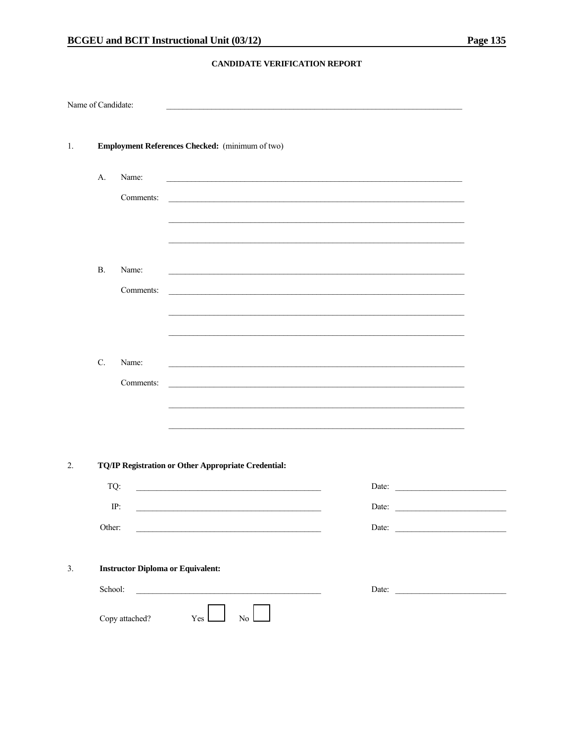### CANDIDATE VERIFICATION REPORT

| Name of Candidate: |                                                 |                    |                                                                                                              |                                                                                                                               |
|--------------------|-------------------------------------------------|--------------------|--------------------------------------------------------------------------------------------------------------|-------------------------------------------------------------------------------------------------------------------------------|
| $\mathbf{1}$ .     | Employment References Checked: (minimum of two) |                    |                                                                                                              |                                                                                                                               |
|                    | A.                                              | Name:<br>Comments: |                                                                                                              |                                                                                                                               |
|                    | <b>B.</b>                                       | Name:<br>Comments: |                                                                                                              |                                                                                                                               |
|                    | C.                                              | Name:<br>Comments: |                                                                                                              |                                                                                                                               |
| 2.                 | TQ:                                             |                    | TQ/IP Registration or Other Appropriate Credential:                                                          |                                                                                                                               |
|                    |                                                 |                    |                                                                                                              | Date:                                                                                                                         |
|                    | Other:                                          | IP:                | Date:                                                                                                        | <u> 1980 - Jan Stein Stein Stein Stein Stein Stein Stein Stein Stein Stein Stein Stein Stein Stein Stein Stein S</u><br>Date: |
| 3.                 | <b>Instructor Diploma or Equivalent:</b>        |                    |                                                                                                              |                                                                                                                               |
|                    | School:                                         |                    |                                                                                                              | Date:                                                                                                                         |
|                    |                                                 | Copy attached?     | No $\mathrel{\mathop{\bigsqcup}_{\hspace{-.25em}{\rule{0.06em}{0.5ex}\hspace{-.25em}\mathrel{}}}}$<br>Yes __ |                                                                                                                               |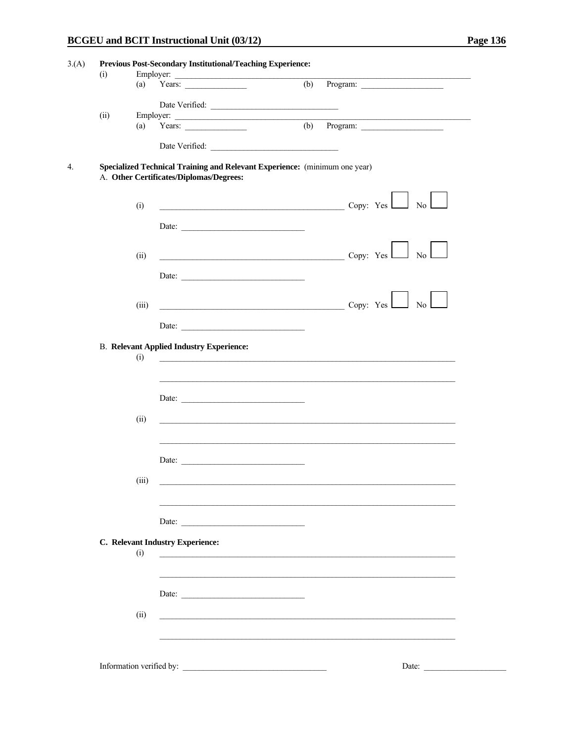|      | (a)   | Employer:<br>Years: $\qquad \qquad$                                                                                   | $(b)$ Program:                                                       |
|------|-------|-----------------------------------------------------------------------------------------------------------------------|----------------------------------------------------------------------|
|      |       |                                                                                                                       |                                                                      |
|      |       | Date Verified:                                                                                                        |                                                                      |
| (ii) |       |                                                                                                                       |                                                                      |
|      |       |                                                                                                                       |                                                                      |
|      |       |                                                                                                                       |                                                                      |
|      |       |                                                                                                                       |                                                                      |
|      |       | Specialized Technical Training and Relevant Experience: (minimum one year)<br>A. Other Certificates/Diplomas/Degrees: |                                                                      |
|      |       |                                                                                                                       |                                                                      |
|      |       |                                                                                                                       |                                                                      |
|      | (i)   |                                                                                                                       | $\sim$ Copy: Yes $\sim$ No                                           |
|      |       | Date: $\qquad \qquad$                                                                                                 |                                                                      |
|      |       |                                                                                                                       |                                                                      |
|      | (ii)  |                                                                                                                       | $\overline{\text{Copy: Yes}}$ No                                     |
|      |       |                                                                                                                       |                                                                      |
|      |       | Date:                                                                                                                 |                                                                      |
|      |       |                                                                                                                       |                                                                      |
|      | (iii) |                                                                                                                       | $\begin{array}{c c} \hline \text{Copy: Yes} & \text{No} \end{array}$ |
|      |       |                                                                                                                       |                                                                      |
|      |       | Date:                                                                                                                 |                                                                      |
|      |       | <b>B. Relevant Applied Industry Experience:</b>                                                                       |                                                                      |
|      | (i)   |                                                                                                                       |                                                                      |
|      |       |                                                                                                                       |                                                                      |
|      |       |                                                                                                                       |                                                                      |
|      |       |                                                                                                                       |                                                                      |
|      | (ii)  |                                                                                                                       |                                                                      |
|      |       |                                                                                                                       |                                                                      |
|      |       |                                                                                                                       |                                                                      |
|      |       |                                                                                                                       |                                                                      |
|      |       | Date:                                                                                                                 |                                                                      |
|      | (iii) |                                                                                                                       |                                                                      |
|      |       |                                                                                                                       |                                                                      |
|      |       |                                                                                                                       |                                                                      |
|      |       | Date: $\qquad \qquad$                                                                                                 |                                                                      |
|      |       |                                                                                                                       |                                                                      |
|      |       | C. Relevant Industry Experience:                                                                                      |                                                                      |
|      | (i)   |                                                                                                                       |                                                                      |
|      |       |                                                                                                                       |                                                                      |
|      |       |                                                                                                                       |                                                                      |
|      |       | Date:                                                                                                                 |                                                                      |
|      | (ii)  | <u> 1989 - John Stein, Amerikaansk politiker (</u> † 1920)                                                            |                                                                      |
|      |       |                                                                                                                       |                                                                      |
|      |       |                                                                                                                       |                                                                      |
|      |       |                                                                                                                       |                                                                      |
|      |       |                                                                                                                       |                                                                      |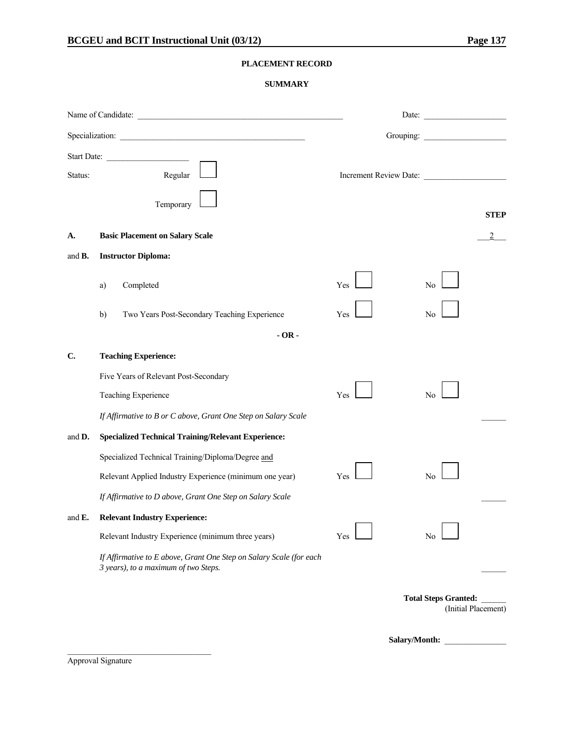#### **PLACEMENT RECORD**

#### **SUMMARY**

|                    | Specialization:                                                                                             |     | Grouping:                                          |
|--------------------|-------------------------------------------------------------------------------------------------------------|-----|----------------------------------------------------|
| Status:            | Start Date:<br>Regular<br>Temporary                                                                         |     | Increment Review Date:                             |
| А.                 | <b>Basic Placement on Salary Scale</b>                                                                      |     | <b>STEP</b>                                        |
| and <b>B</b> .     | <b>Instructor Diploma:</b>                                                                                  |     |                                                    |
|                    | Completed<br>a)                                                                                             | Yes | No                                                 |
|                    | Two Years Post-Secondary Teaching Experience<br>b)                                                          | Yes | No                                                 |
|                    | $-OR -$                                                                                                     |     |                                                    |
| C.                 | <b>Teaching Experience:</b>                                                                                 |     |                                                    |
|                    | Five Years of Relevant Post-Secondary                                                                       |     |                                                    |
|                    | Teaching Experience                                                                                         | Yes | N <sub>0</sub>                                     |
|                    | If Affirmative to B or C above, Grant One Step on Salary Scale                                              |     |                                                    |
| and <b>D</b> .     | <b>Specialized Technical Training/Relevant Experience:</b>                                                  |     |                                                    |
|                    | Specialized Technical Training/Diploma/Degree and                                                           |     |                                                    |
|                    | Relevant Applied Industry Experience (minimum one year)                                                     | Yes | No                                                 |
|                    | If Affirmative to D above, Grant One Step on Salary Scale                                                   |     |                                                    |
| and $\mathbf{E}$ . | <b>Relevant Industry Experience:</b>                                                                        |     |                                                    |
|                    | Relevant Industry Experience (minimum three years)                                                          | Yes | No                                                 |
|                    | If Affirmative to E above, Grant One Step on Salary Scale (for each<br>3 years), to a maximum of two Steps. |     |                                                    |
|                    |                                                                                                             |     | <b>Total Steps Granted:</b><br>(Initial Placement) |

Salary/Month:

Approval Signature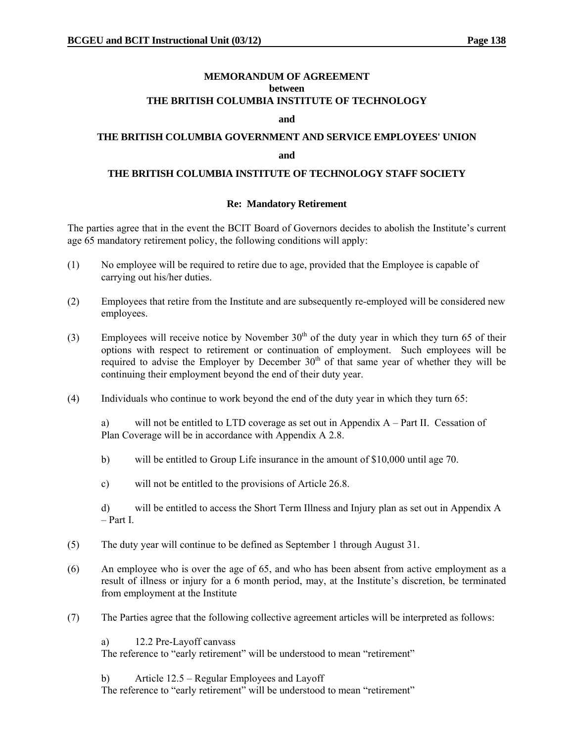#### **MEMORANDUM OF AGREEMENT between THE BRITISH COLUMBIA INSTITUTE OF TECHNOLOGY**

#### **and**

# **THE BRITISH COLUMBIA GOVERNMENT AND SERVICE EMPLOYEES' UNION and**

#### **THE BRITISH COLUMBIA INSTITUTE OF TECHNOLOGY STAFF SOCIETY**

#### **Re: Mandatory Retirement**

The parties agree that in the event the BCIT Board of Governors decides to abolish the Institute's current age 65 mandatory retirement policy, the following conditions will apply:

- (1) No employee will be required to retire due to age, provided that the Employee is capable of carrying out his/her duties.
- (2) Employees that retire from the Institute and are subsequently re-employed will be considered new employees.
- (3) Employees will receive notice by November  $30<sup>th</sup>$  of the duty year in which they turn 65 of their options with respect to retirement or continuation of employment. Such employees will be required to advise the Employer by December  $30<sup>th</sup>$  of that same year of whether they will be continuing their employment beyond the end of their duty year.
- (4) Individuals who continue to work beyond the end of the duty year in which they turn 65:

a) will not be entitled to LTD coverage as set out in Appendix A – Part II. Cessation of Plan Coverage will be in accordance with Appendix A 2.8.

- b) will be entitled to Group Life insurance in the amount of \$10,000 until age 70.
- c) will not be entitled to the provisions of Article 26.8.

d) will be entitled to access the Short Term Illness and Injury plan as set out in Appendix A – Part I.

- (5) The duty year will continue to be defined as September 1 through August 31.
- (6) An employee who is over the age of 65, and who has been absent from active employment as a result of illness or injury for a 6 month period, may, at the Institute's discretion, be terminated from employment at the Institute
- (7) The Parties agree that the following collective agreement articles will be interpreted as follows:

a) 12.2 Pre-Layoff canvass

The reference to "early retirement" will be understood to mean "retirement"

b) Article 12.5 – Regular Employees and Layoff

The reference to "early retirement" will be understood to mean "retirement"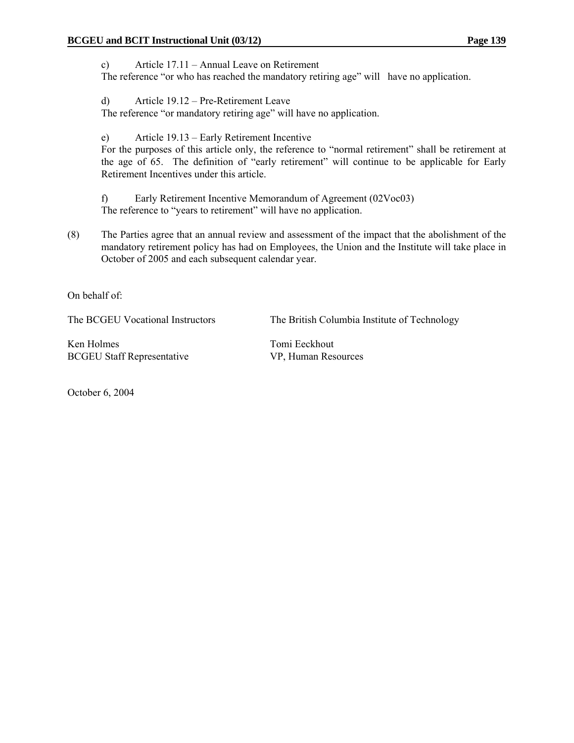c) Article 17.11 – Annual Leave on Retirement

The reference "or who has reached the mandatory retiring age" will have no application.

d) Article 19.12 – Pre-Retirement Leave

The reference "or mandatory retiring age" will have no application.

e) Article 19.13 – Early Retirement Incentive

For the purposes of this article only, the reference to "normal retirement" shall be retirement at the age of 65. The definition of "early retirement" will continue to be applicable for Early Retirement Incentives under this article.

f) Early Retirement Incentive Memorandum of Agreement (02Voc03) The reference to "years to retirement" will have no application.

(8) The Parties agree that an annual review and assessment of the impact that the abolishment of the mandatory retirement policy has had on Employees, the Union and the Institute will take place in October of 2005 and each subsequent calendar year.

On behalf of:

The BCGEU Vocational Instructors The British Columbia Institute of Technology

Ken Holmes Tomi Eeckhout BCGEU Staff Representative VP, Human Resources

October 6, 2004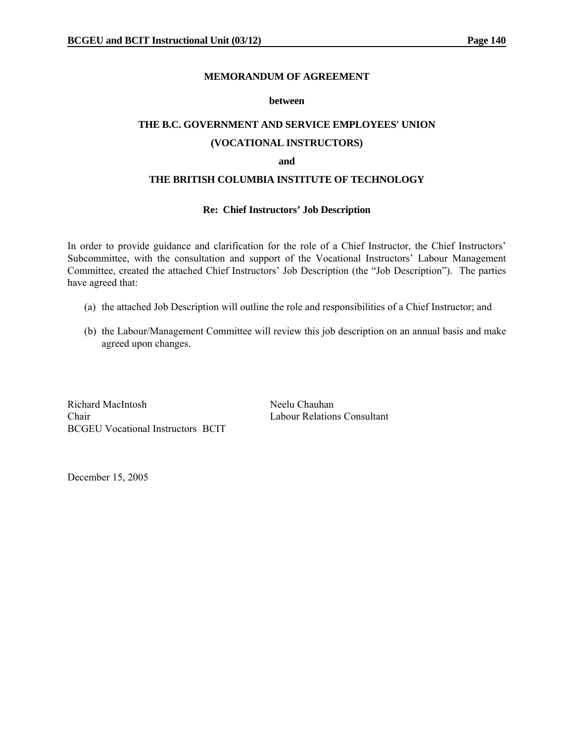#### **MEMORANDUM OF AGREEMENT**

#### **between**

# **THE B.C. GOVERNMENT AND SERVICE EMPLOYEES' UNION**

# **(VOCATIONAL INSTRUCTORS)**

#### **and**

#### **THE BRITISH COLUMBIA INSTITUTE OF TECHNOLOGY**

#### **Re: Chief Instructors' Job Description**

In order to provide guidance and clarification for the role of a Chief Instructor, the Chief Instructors' Subcommittee, with the consultation and support of the Vocational Instructors' Labour Management Committee, created the attached Chief Instructors' Job Description (the "Job Description"). The parties have agreed that:

- (a) the attached Job Description will outline the role and responsibilities of a Chief Instructor; and
- (b) the Labour/Management Committee will review this job description on an annual basis and make agreed upon changes.

Richard MacIntosh Neelu Chauhan Chair Labour Relations Consultant BCGEU Vocational Instructors BCIT

December 15, 2005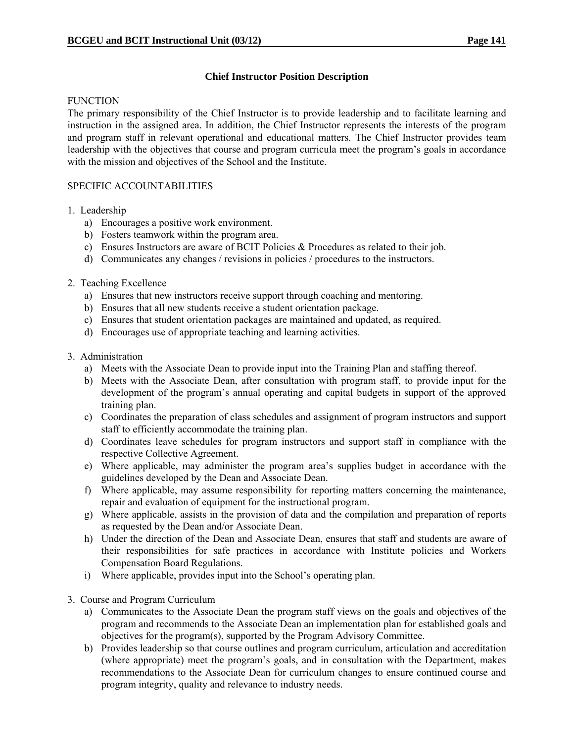#### **Chief Instructor Position Description**

#### **FUNCTION**

The primary responsibility of the Chief Instructor is to provide leadership and to facilitate learning and instruction in the assigned area. In addition, the Chief Instructor represents the interests of the program and program staff in relevant operational and educational matters. The Chief Instructor provides team leadership with the objectives that course and program curricula meet the program's goals in accordance with the mission and objectives of the School and the Institute.

#### SPECIFIC ACCOUNTABILITIES

#### 1. Leadership

- a) Encourages a positive work environment.
- b) Fosters teamwork within the program area.
- c) Ensures Instructors are aware of BCIT Policies  $&$  Procedures as related to their job.
- d) Communicates any changes / revisions in policies / procedures to the instructors.

#### 2. Teaching Excellence

- a) Ensures that new instructors receive support through coaching and mentoring.
- b) Ensures that all new students receive a student orientation package.
- c) Ensures that student orientation packages are maintained and updated, as required.
- d) Encourages use of appropriate teaching and learning activities.

#### 3. Administration

- a) Meets with the Associate Dean to provide input into the Training Plan and staffing thereof.
- b) Meets with the Associate Dean, after consultation with program staff, to provide input for the development of the program's annual operating and capital budgets in support of the approved training plan.
- c) Coordinates the preparation of class schedules and assignment of program instructors and support staff to efficiently accommodate the training plan.
- d) Coordinates leave schedules for program instructors and support staff in compliance with the respective Collective Agreement.
- e) Where applicable, may administer the program area's supplies budget in accordance with the guidelines developed by the Dean and Associate Dean.
- f) Where applicable, may assume responsibility for reporting matters concerning the maintenance, repair and evaluation of equipment for the instructional program.
- g) Where applicable, assists in the provision of data and the compilation and preparation of reports as requested by the Dean and/or Associate Dean.
- h) Under the direction of the Dean and Associate Dean, ensures that staff and students are aware of their responsibilities for safe practices in accordance with Institute policies and Workers Compensation Board Regulations.
- i) Where applicable, provides input into the School's operating plan.
- 3. Course and Program Curriculum
	- a) Communicates to the Associate Dean the program staff views on the goals and objectives of the program and recommends to the Associate Dean an implementation plan for established goals and objectives for the program(s), supported by the Program Advisory Committee.
	- b) Provides leadership so that course outlines and program curriculum, articulation and accreditation (where appropriate) meet the program's goals, and in consultation with the Department, makes recommendations to the Associate Dean for curriculum changes to ensure continued course and program integrity, quality and relevance to industry needs.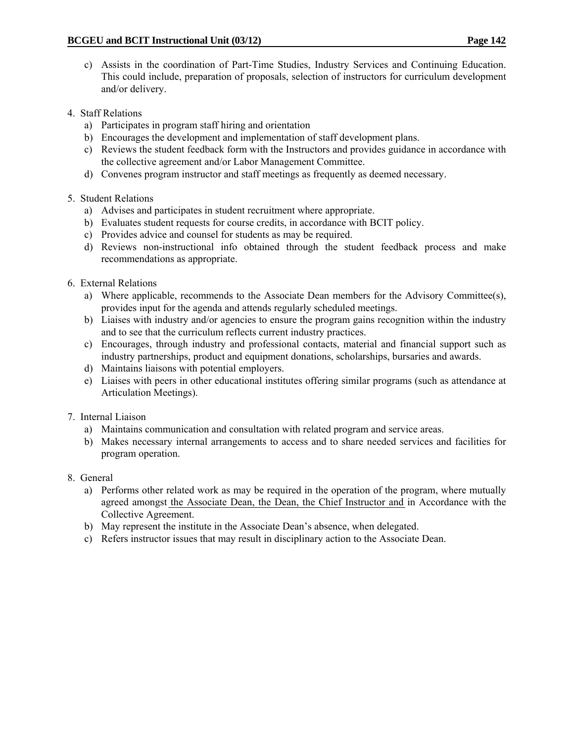- c) Assists in the coordination of Part-Time Studies, Industry Services and Continuing Education. This could include, preparation of proposals, selection of instructors for curriculum development and/or delivery.
- 4. Staff Relations
	- a) Participates in program staff hiring and orientation
	- b) Encourages the development and implementation of staff development plans.
	- c) Reviews the student feedback form with the Instructors and provides guidance in accordance with the collective agreement and/or Labor Management Committee.
	- d) Convenes program instructor and staff meetings as frequently as deemed necessary.

### 5. Student Relations

- a) Advises and participates in student recruitment where appropriate.
- b) Evaluates student requests for course credits, in accordance with BCIT policy.
- c) Provides advice and counsel for students as may be required.
- d) Reviews non-instructional info obtained through the student feedback process and make recommendations as appropriate.
- 6. External Relations
	- a) Where applicable, recommends to the Associate Dean members for the Advisory Committee(s), provides input for the agenda and attends regularly scheduled meetings.
	- b) Liaises with industry and/or agencies to ensure the program gains recognition within the industry and to see that the curriculum reflects current industry practices.
	- c) Encourages, through industry and professional contacts, material and financial support such as industry partnerships, product and equipment donations, scholarships, bursaries and awards.
	- d) Maintains liaisons with potential employers.
	- e) Liaises with peers in other educational institutes offering similar programs (such as attendance at Articulation Meetings).
- 7. Internal Liaison
	- a) Maintains communication and consultation with related program and service areas.
	- b) Makes necessary internal arrangements to access and to share needed services and facilities for program operation.
- 8. General
	- a) Performs other related work as may be required in the operation of the program, where mutually agreed amongst the Associate Dean, the Dean, the Chief Instructor and in Accordance with the Collective Agreement.
	- b) May represent the institute in the Associate Dean's absence, when delegated.
	- c) Refers instructor issues that may result in disciplinary action to the Associate Dean.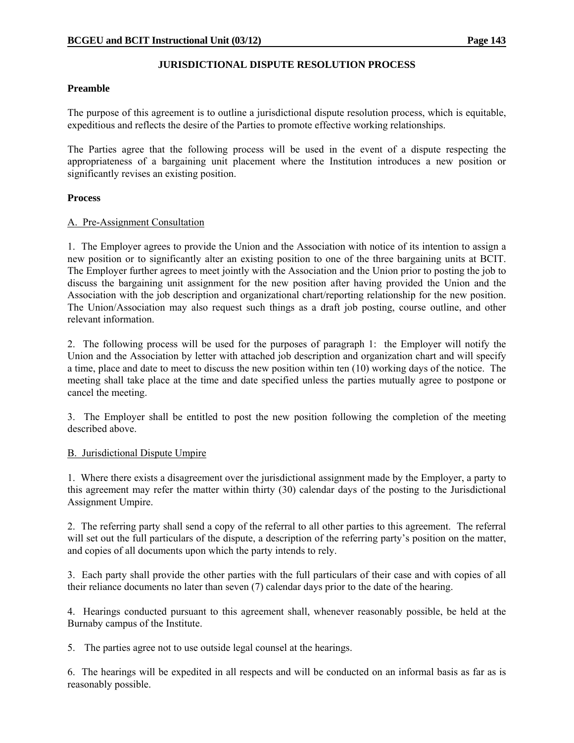#### **JURISDICTIONAL DISPUTE RESOLUTION PROCESS**

#### **Preamble**

The purpose of this agreement is to outline a jurisdictional dispute resolution process, which is equitable, expeditious and reflects the desire of the Parties to promote effective working relationships.

The Parties agree that the following process will be used in the event of a dispute respecting the appropriateness of a bargaining unit placement where the Institution introduces a new position or significantly revises an existing position.

#### **Process**

#### A. Pre-Assignment Consultation

1. The Employer agrees to provide the Union and the Association with notice of its intention to assign a new position or to significantly alter an existing position to one of the three bargaining units at BCIT. The Employer further agrees to meet jointly with the Association and the Union prior to posting the job to discuss the bargaining unit assignment for the new position after having provided the Union and the Association with the job description and organizational chart/reporting relationship for the new position. The Union/Association may also request such things as a draft job posting, course outline, and other relevant information.

2. The following process will be used for the purposes of paragraph 1: the Employer will notify the Union and the Association by letter with attached job description and organization chart and will specify a time, place and date to meet to discuss the new position within ten (10) working days of the notice. The meeting shall take place at the time and date specified unless the parties mutually agree to postpone or cancel the meeting.

3. The Employer shall be entitled to post the new position following the completion of the meeting described above.

#### B. Jurisdictional Dispute Umpire

1. Where there exists a disagreement over the jurisdictional assignment made by the Employer, a party to this agreement may refer the matter within thirty (30) calendar days of the posting to the Jurisdictional Assignment Umpire.

2. The referring party shall send a copy of the referral to all other parties to this agreement. The referral will set out the full particulars of the dispute, a description of the referring party's position on the matter, and copies of all documents upon which the party intends to rely.

3. Each party shall provide the other parties with the full particulars of their case and with copies of all their reliance documents no later than seven (7) calendar days prior to the date of the hearing.

4. Hearings conducted pursuant to this agreement shall, whenever reasonably possible, be held at the Burnaby campus of the Institute.

5. The parties agree not to use outside legal counsel at the hearings.

6. The hearings will be expedited in all respects and will be conducted on an informal basis as far as is reasonably possible.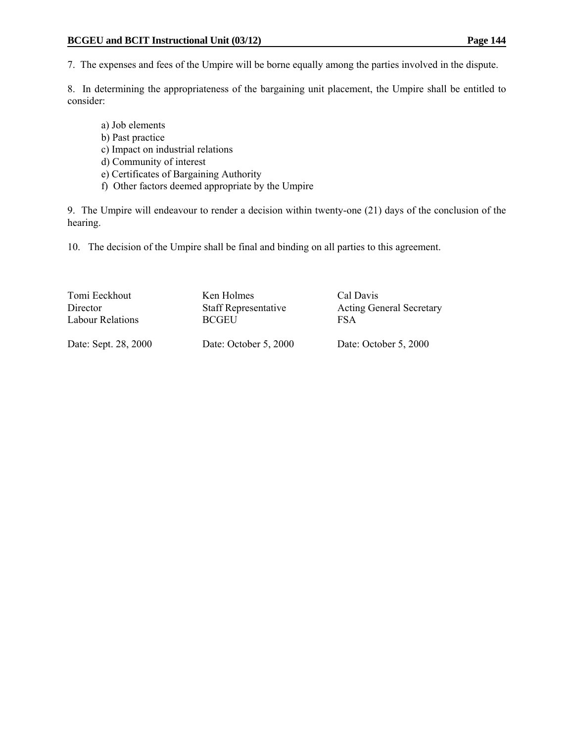7. The expenses and fees of the Umpire will be borne equally among the parties involved in the dispute.

8. In determining the appropriateness of the bargaining unit placement, the Umpire shall be entitled to consider:

- a) Job elements b) Past practice
- c) Impact on industrial relations
- d) Community of interest
- e) Certificates of Bargaining Authority
- f) Other factors deemed appropriate by the Umpire

9. The Umpire will endeavour to render a decision within twenty-one (21) days of the conclusion of the hearing.

10. The decision of the Umpire shall be final and binding on all parties to this agreement.

| Tomi Eeckhout        | Ken Holmes                  | Cal Davis                       |
|----------------------|-----------------------------|---------------------------------|
| Director             | <b>Staff Representative</b> | <b>Acting General Secretary</b> |
| Labour Relations     | <b>BCGEU</b>                | FSA                             |
| Date: Sept. 28, 2000 | Date: October 5, 2000       | Date: October 5, 2000           |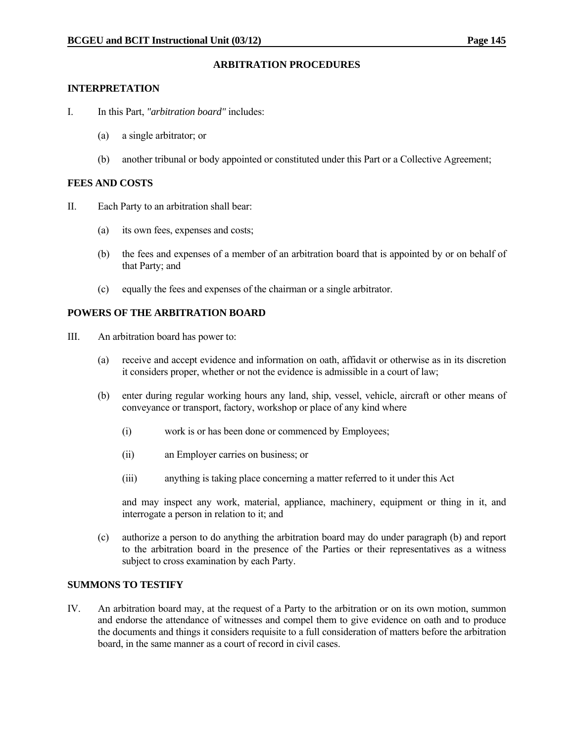#### **ARBITRATION PROCEDURES**

#### **INTERPRETATION**

- I. In this Part, *"arbitration board"* includes:
	- (a) a single arbitrator; or
	- (b) another tribunal or body appointed or constituted under this Part or a Collective Agreement;

#### **FEES AND COSTS**

- II. Each Party to an arbitration shall bear:
	- (a) its own fees, expenses and costs;
	- (b) the fees and expenses of a member of an arbitration board that is appointed by or on behalf of that Party; and
	- (c) equally the fees and expenses of the chairman or a single arbitrator.

#### **POWERS OF THE ARBITRATION BOARD**

- III. An arbitration board has power to:
	- (a) receive and accept evidence and information on oath, affidavit or otherwise as in its discretion it considers proper, whether or not the evidence is admissible in a court of law;
	- (b) enter during regular working hours any land, ship, vessel, vehicle, aircraft or other means of conveyance or transport, factory, workshop or place of any kind where
		- (i) work is or has been done or commenced by Employees;
		- (ii) an Employer carries on business; or
		- (iii) anything is taking place concerning a matter referred to it under this Act

 and may inspect any work, material, appliance, machinery, equipment or thing in it, and interrogate a person in relation to it; and

 (c) authorize a person to do anything the arbitration board may do under paragraph (b) and report to the arbitration board in the presence of the Parties or their representatives as a witness subject to cross examination by each Party.

#### **SUMMONS TO TESTIFY**

IV. An arbitration board may, at the request of a Party to the arbitration or on its own motion, summon and endorse the attendance of witnesses and compel them to give evidence on oath and to produce the documents and things it considers requisite to a full consideration of matters before the arbitration board, in the same manner as a court of record in civil cases.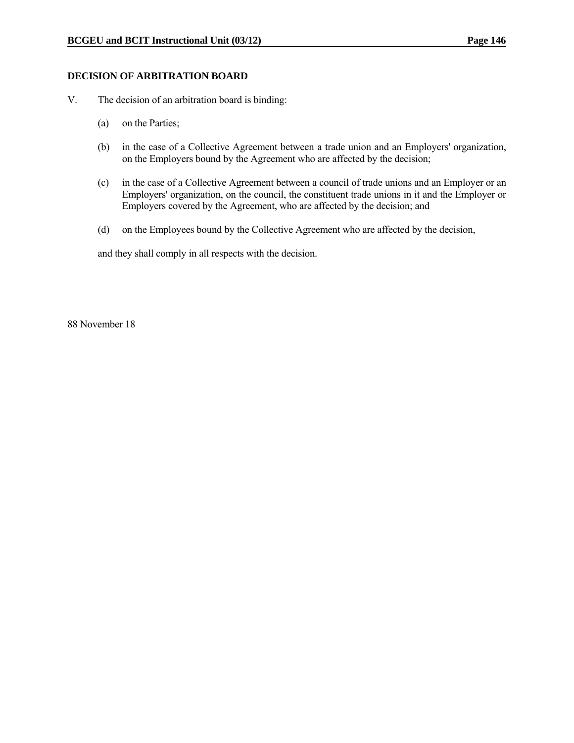#### **DECISION OF ARBITRATION BOARD**

- V. The decision of an arbitration board is binding:
	- (a) on the Parties;
	- (b) in the case of a Collective Agreement between a trade union and an Employers' organization, on the Employers bound by the Agreement who are affected by the decision;
	- (c) in the case of a Collective Agreement between a council of trade unions and an Employer or an Employers' organization, on the council, the constituent trade unions in it and the Employer or Employers covered by the Agreement, who are affected by the decision; and
	- (d) on the Employees bound by the Collective Agreement who are affected by the decision,

and they shall comply in all respects with the decision.

88 November 18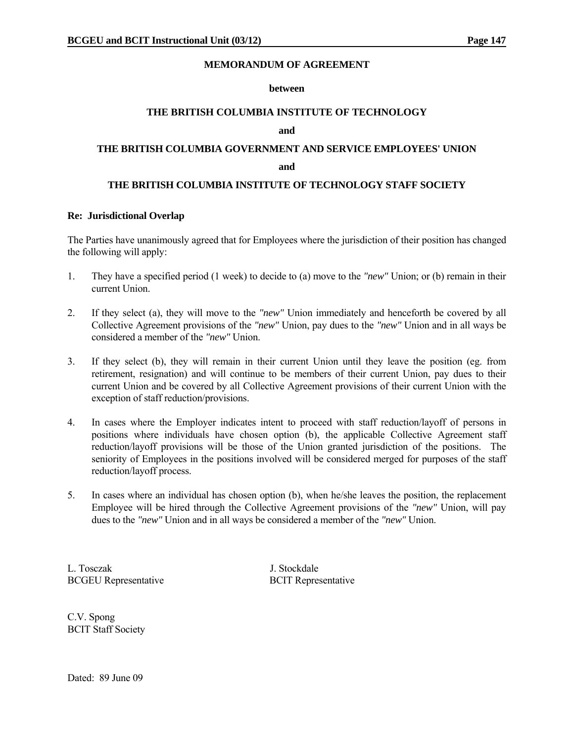#### **MEMORANDUM OF AGREEMENT**

#### **between**

#### **THE BRITISH COLUMBIA INSTITUTE OF TECHNOLOGY**

#### **and**

# **THE BRITISH COLUMBIA GOVERNMENT AND SERVICE EMPLOYEES' UNION**

#### **and**

#### **THE BRITISH COLUMBIA INSTITUTE OF TECHNOLOGY STAFF SOCIETY**

#### **Re: Jurisdictional Overlap**

The Parties have unanimously agreed that for Employees where the jurisdiction of their position has changed the following will apply:

- 1. They have a specified period (1 week) to decide to (a) move to the *"new"* Union; or (b) remain in their current Union.
- 2. If they select (a), they will move to the *"new"* Union immediately and henceforth be covered by all Collective Agreement provisions of the *"new"* Union, pay dues to the *"new"* Union and in all ways be considered a member of the *"new"* Union.
- 3. If they select (b), they will remain in their current Union until they leave the position (eg. from retirement, resignation) and will continue to be members of their current Union, pay dues to their current Union and be covered by all Collective Agreement provisions of their current Union with the exception of staff reduction/provisions.
- 4. In cases where the Employer indicates intent to proceed with staff reduction/layoff of persons in positions where individuals have chosen option (b), the applicable Collective Agreement staff reduction/layoff provisions will be those of the Union granted jurisdiction of the positions. The seniority of Employees in the positions involved will be considered merged for purposes of the staff reduction/layoff process.
- 5. In cases where an individual has chosen option (b), when he/she leaves the position, the replacement Employee will be hired through the Collective Agreement provisions of the *"new"* Union, will pay dues to the *"new"* Union and in all ways be considered a member of the *"new"* Union.

L. Tosczak J. Stockdale BCGEU Representative BCIT Representative

C.V. Spong BCIT Staff Society

Dated: 89 June 09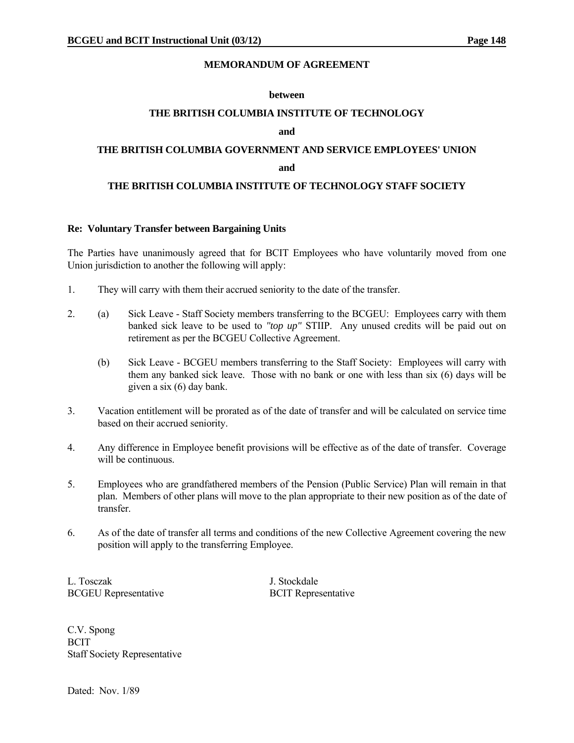#### **MEMORANDUM OF AGREEMENT**

#### **between**

#### **THE BRITISH COLUMBIA INSTITUTE OF TECHNOLOGY**

#### **and**

### **THE BRITISH COLUMBIA GOVERNMENT AND SERVICE EMPLOYEES' UNION**

#### **and and**

#### **THE BRITISH COLUMBIA INSTITUTE OF TECHNOLOGY STAFF SOCIETY**

#### **Re: Voluntary Transfer between Bargaining Units**

The Parties have unanimously agreed that for BCIT Employees who have voluntarily moved from one Union jurisdiction to another the following will apply:

- 1. They will carry with them their accrued seniority to the date of the transfer.
- 2. (a) Sick Leave Staff Society members transferring to the BCGEU: Employees carry with them banked sick leave to be used to *"top up"* STIIP. Any unused credits will be paid out on retirement as per the BCGEU Collective Agreement.
	- (b) Sick Leave BCGEU members transferring to the Staff Society: Employees will carry with them any banked sick leave. Those with no bank or one with less than six (6) days will be given a six (6) day bank.
- 3. Vacation entitlement will be prorated as of the date of transfer and will be calculated on service time based on their accrued seniority.
- 4. Any difference in Employee benefit provisions will be effective as of the date of transfer. Coverage will be continuous.
- 5. Employees who are grandfathered members of the Pension (Public Service) Plan will remain in that plan. Members of other plans will move to the plan appropriate to their new position as of the date of transfer.
- 6. As of the date of transfer all terms and conditions of the new Collective Agreement covering the new position will apply to the transferring Employee.

L. Tosczak J. Stockdale BCGEU Representative BCIT Representative

C.V. Spong **BCIT** Staff Society Representative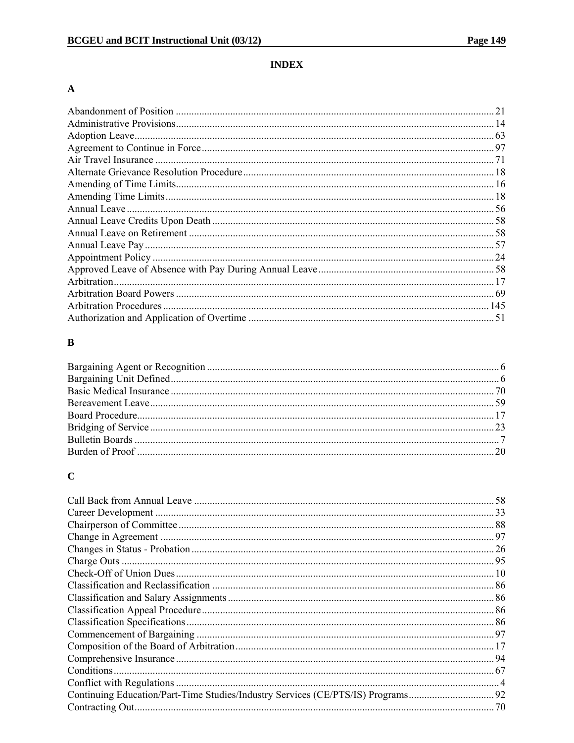### **INDEX**

### $\boldsymbol{\rm{A}}$

| 21 |
|----|
|    |
|    |
|    |
|    |
|    |
|    |
|    |
|    |
|    |
|    |
|    |
|    |
|    |
|    |
|    |
|    |
|    |
|    |

# $\bf{B}$

# $\mathbf C$

| .58 |
|-----|
|     |
|     |
|     |
|     |
|     |
|     |
|     |
|     |
|     |
|     |
|     |
|     |
|     |
|     |
|     |
|     |
|     |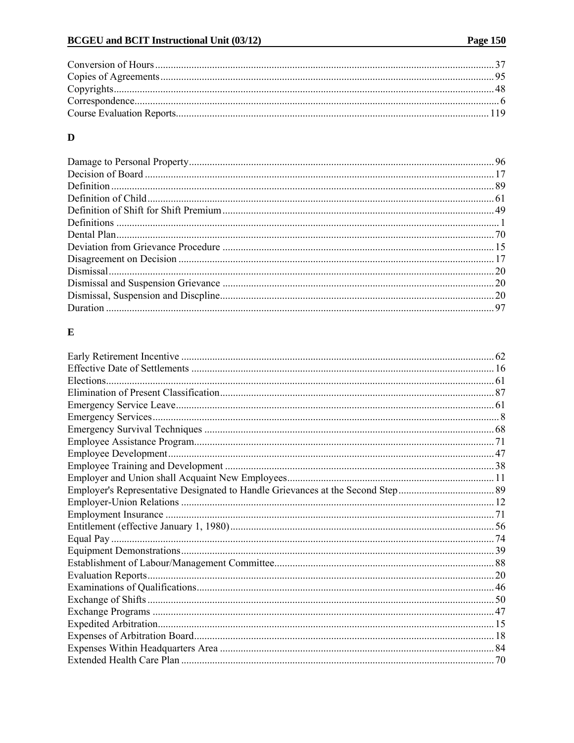# $\mathbf{D}$

# $\mathbf E$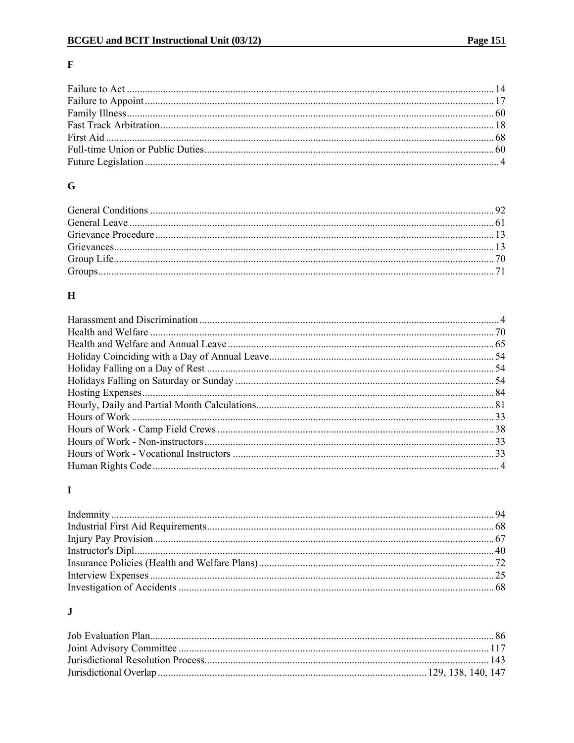## $\mathbf F$

### $\bf G$

### $\mathbf H$

### $\mathbf I$

# $\mathbf{J}$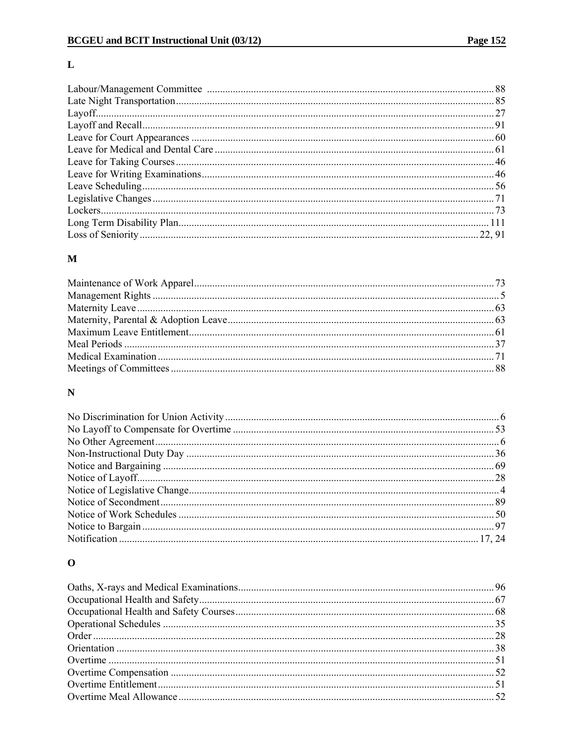### $\mathbf L$

### $\mathbf M$

### $\mathbf N$

# $\mathbf 0$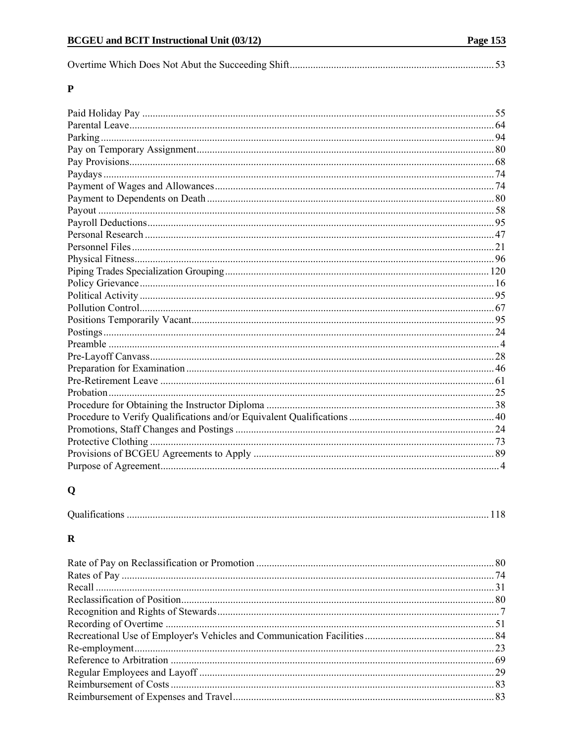|--|--|

### $\mathbf P$

# $\mathbf Q$

### $\boldsymbol{\mathrm{R}}$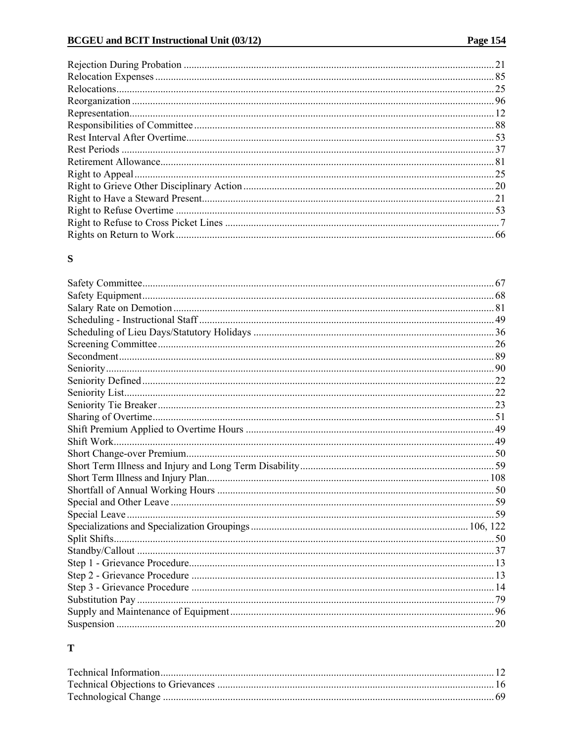### ${\bf S}$

## $\mathbf T$